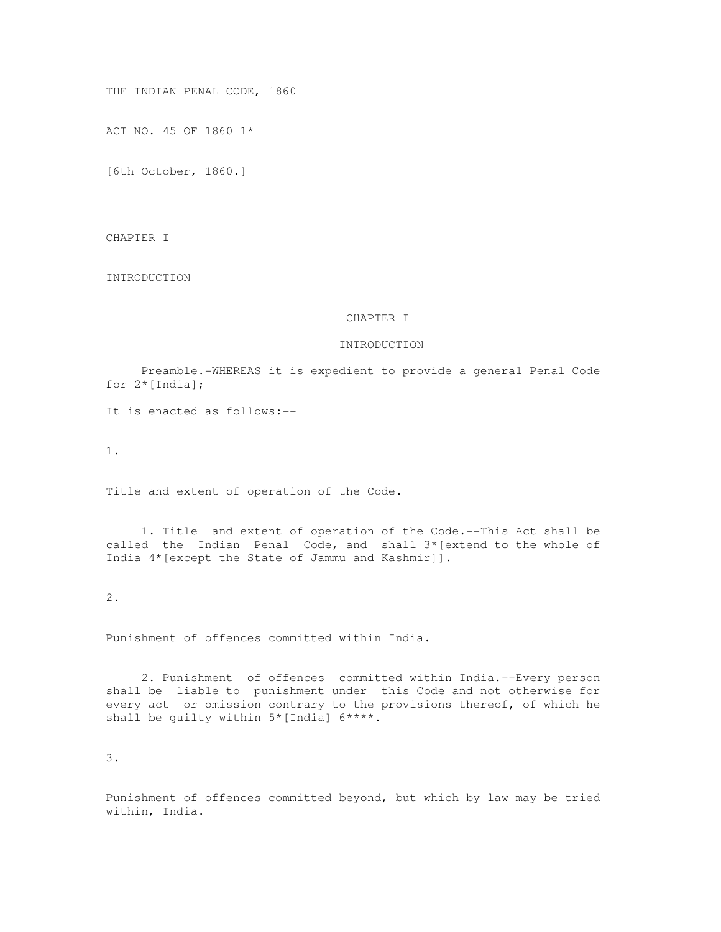THE INDIAN PENAL CODE, 1860

ACT NO. 45 OF 1860 1\*

[6th October, 1860.]

CHAPTER I

INTRODUCTION

## CHAPTER I

## INTRODUCTION

 Preamble.-WHEREAS it is expedient to provide a general Penal Code for  $2*(\text{India})$ ;

It is enacted as follows:--

1.

Title and extent of operation of the Code.

 1. Title and extent of operation of the Code.--This Act shall be called the Indian Penal Code, and shall 3\*[extend to the whole of India 4\*[except the State of Jammu and Kashmir]].

2.

Punishment of offences committed within India.

 2. Punishment of offences committed within India.--Every person shall be liable to punishment under this Code and not otherwise for every act or omission contrary to the provisions thereof, of which he shall be guilty within 5\*[India] 6\*\*\*\*.

# 3.

Punishment of offences committed beyond, but which by law may be tried within, India.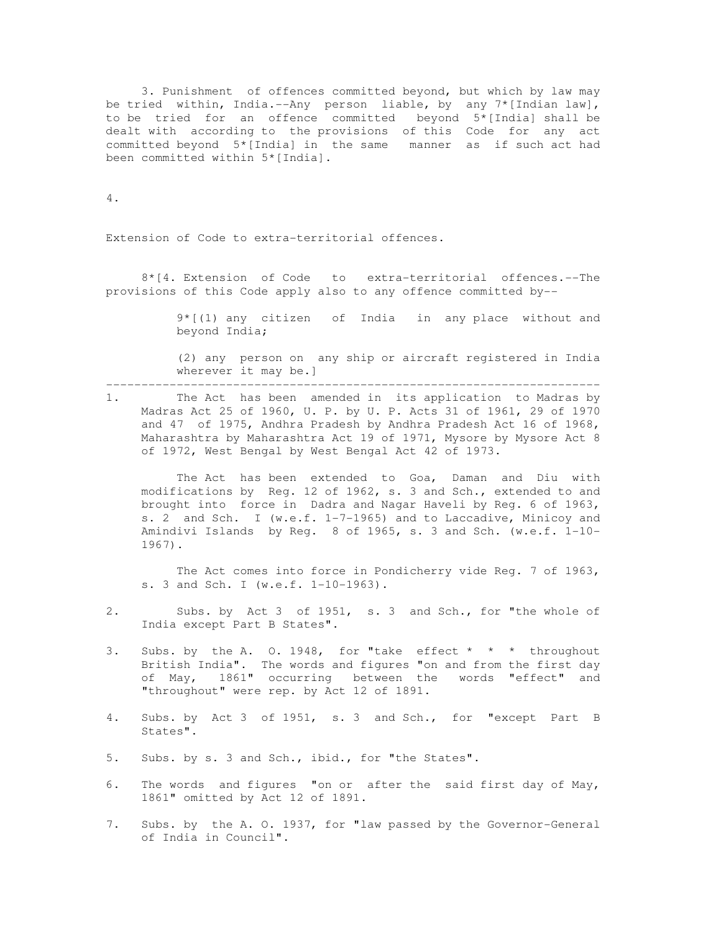3. Punishment of offences committed beyond, but which by law may be tried within, India.--Any person liable, by any 7\*[Indian law], to be tried for an offence committed beyond 5\*[India] shall be dealt with according to the provisions of this Code for any act committed beyond 5\*[India] in the same manner as if such act had been committed within 5\*[India].

4.

Extension of Code to extra-territorial offences.

 8\*[4. Extension of Code to extra-territorial offences.--The provisions of this Code apply also to any offence committed by--

> 9\*[(1) any citizen of India in any place without and beyond India;

 (2) any person on any ship or aircraft registered in India wherever it may be.] ----------------------------------------------------------------------

1. The Act has been amended in its application to Madras by Madras Act 25 of 1960, U. P. by U. P. Acts 31 of 1961, 29 of 1970 and 47 of 1975, Andhra Pradesh by Andhra Pradesh Act 16 of 1968, Maharashtra by Maharashtra Act 19 of 1971, Mysore by Mysore Act 8 of 1972, West Bengal by West Bengal Act 42 of 1973.

 The Act has been extended to Goa, Daman and Diu with modifications by Reg. 12 of 1962, s. 3 and Sch., extended to and brought into force in Dadra and Nagar Haveli by Reg. 6 of 1963, s. 2 and Sch. I (w.e.f. 1-7-1965) and to Laccadive, Minicoy and Amindivi Islands by Reg. 8 of 1965, s. 3 and Sch. (w.e.f. 1-10- 1967).

 The Act comes into force in Pondicherry vide Reg. 7 of 1963, s. 3 and Sch. I (w.e.f. 1-10-1963).

- 2. Subs. by Act 3 of 1951, s. 3 and Sch., for "the whole of India except Part B States".
- 3. Subs. by the A. O. 1948, for "take effect \* \* \* throughout British India". The words and figures "on and from the first day of May, 1861" occurring between the words "effect" and "throughout" were rep. by Act 12 of 1891.
- 4. Subs. by Act 3 of 1951, s. 3 and Sch., for "except Part B States".
- 5. Subs. by s. 3 and Sch., ibid., for "the States".
- 6. The words and figures "on or after the said first day of May, 1861" omitted by Act 12 of 1891.
- 7. Subs. by the A. O. 1937, for "law passed by the Governor-General of India in Council".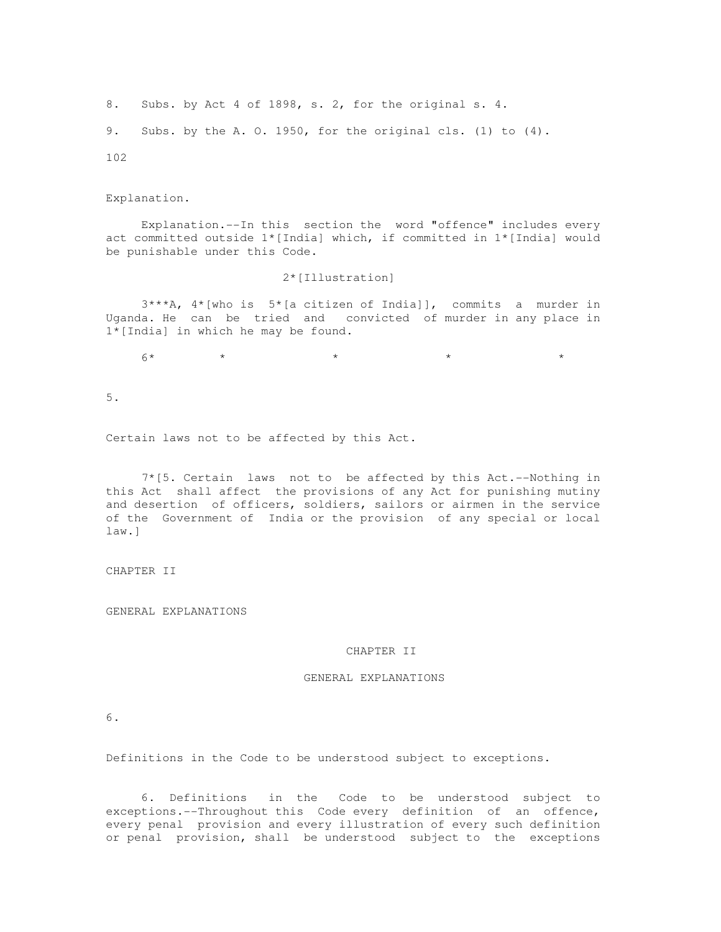8. Subs. by Act 4 of 1898, s. 2, for the original s. 4.

9. Subs. by the A. O. 1950, for the original cls. (1) to (4).

102

Explanation.

 Explanation.--In this section the word "offence" includes every act committed outside  $1*$ [India] which, if committed in  $1*$ [India] would be punishable under this Code.

## 2\*[Illustration]

 3\*\*\*A, 4\*[who is 5\*[a citizen of India]], commits a murder in Uganda. He can be tried and convicted of murder in any place in 1\*[India] in which he may be found.

 $6*$  \* \* \* \* \* \* \* \* \* \*

5.

Certain laws not to be affected by this Act.

 7\*[5. Certain laws not to be affected by this Act.--Nothing in this Act shall affect the provisions of any Act for punishing mutiny and desertion of officers, soldiers, sailors or airmen in the service of the Government of India or the provision of any special or local law.]

CHAPTER II

GENERAL EXPLANATIONS

#### CHAPTER II

### GENERAL EXPLANATIONS

6.

Definitions in the Code to be understood subject to exceptions.

 6. Definitions in the Code to be understood subject to exceptions.--Throughout this Code every definition of an offence, every penal provision and every illustration of every such definition or penal provision, shall be understood subject to the exceptions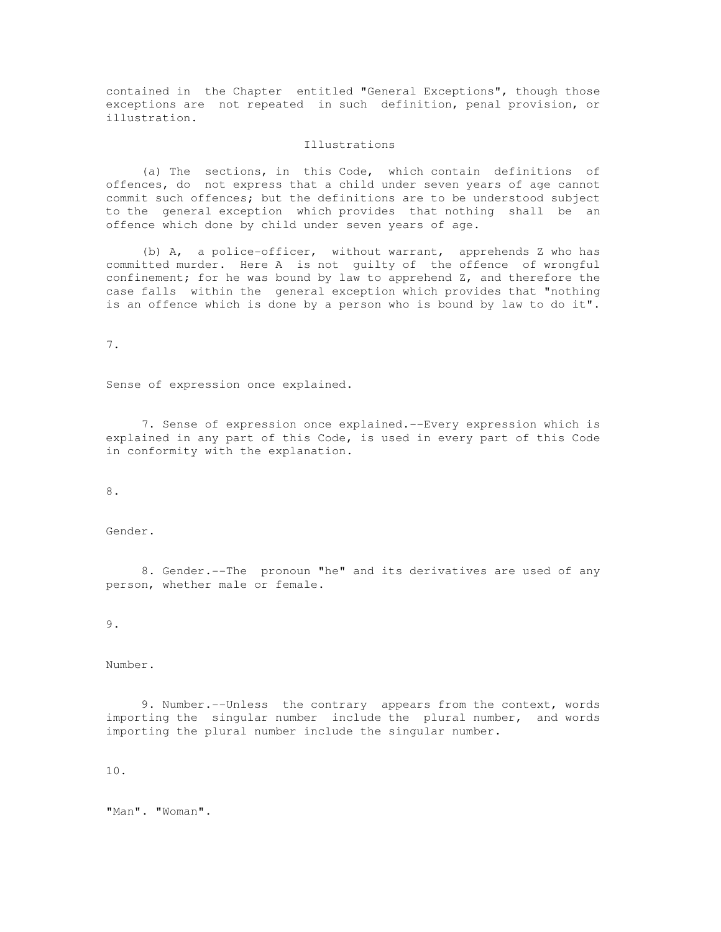contained in the Chapter entitled "General Exceptions", though those exceptions are not repeated in such definition, penal provision, or illustration.

## Illustrations

 (a) The sections, in this Code, which contain definitions of offences, do not express that a child under seven years of age cannot commit such offences; but the definitions are to be understood subject to the general exception which provides that nothing shall be an offence which done by child under seven years of age.

 (b) A, a police-officer, without warrant, apprehends Z who has committed murder. Here A is not guilty of the offence of wrongful confinement; for he was bound by law to apprehend Z, and therefore the case falls within the general exception which provides that "nothing is an offence which is done by a person who is bound by law to do it".

7.

Sense of expression once explained.

 7. Sense of expression once explained.--Every expression which is explained in any part of this Code, is used in every part of this Code in conformity with the explanation.

8.

Gender.

 8. Gender.--The pronoun "he" and its derivatives are used of any person, whether male or female.

9.

Number.

 9. Number.--Unless the contrary appears from the context, words importing the singular number include the plural number, and words importing the plural number include the singular number.

10.

"Man". "Woman".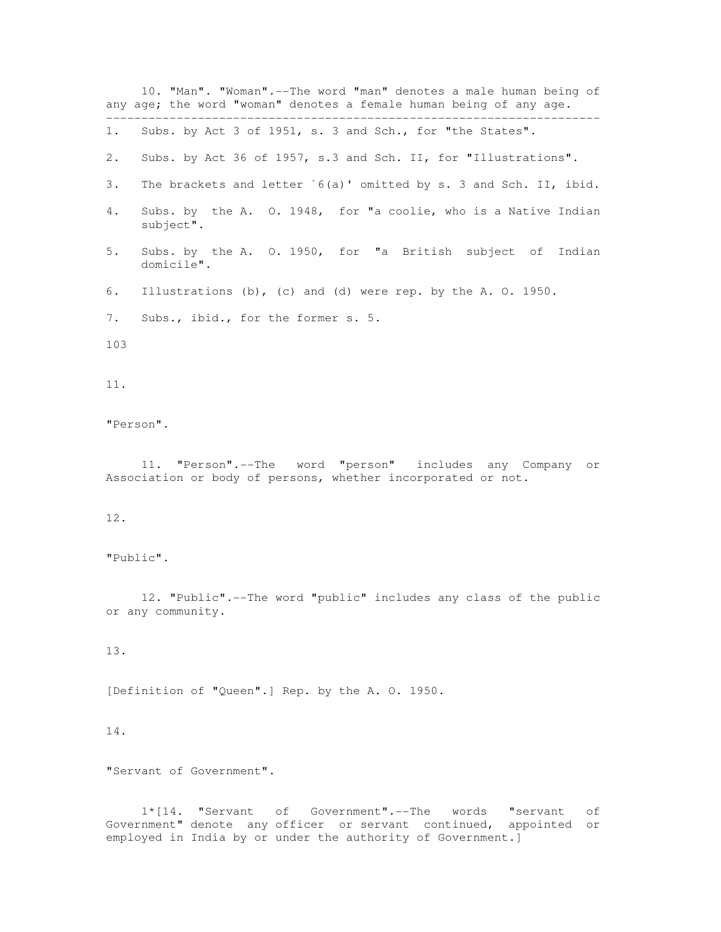10. "Man". "Woman".--The word "man" denotes a male human being of any age; the word "woman" denotes a female human being of any age. ---------------------------------------------------------------------- 1. Subs. by Act 3 of 1951, s. 3 and Sch., for "the States". 2. Subs. by Act 36 of 1957, s.3 and Sch. II, for "Illustrations". 3. The brackets and letter `6(a)' omitted by s. 3 and Sch. II, ibid. 4. Subs. by the A. O. 1948, for "a coolie, who is a Native Indian subject". 5. Subs. by the A. O. 1950, for "a British subject of Indian domicile". 6. Illustrations (b), (c) and (d) were rep. by the A. O. 1950. 7. Subs., ibid., for the former s. 5. 103 11.

"Person".

 11. "Person".--The word "person" includes any Company or Association or body of persons, whether incorporated or not.

# 12.

"Public".

 12. "Public".--The word "public" includes any class of the public or any community.

## 13.

[Definition of "Queen".] Rep. by the A. O. 1950.

# 14.

"Servant of Government".

 1\*[14. "Servant of Government".--The words "servant of Government" denote any officer or servant continued, appointed or employed in India by or under the authority of Government.]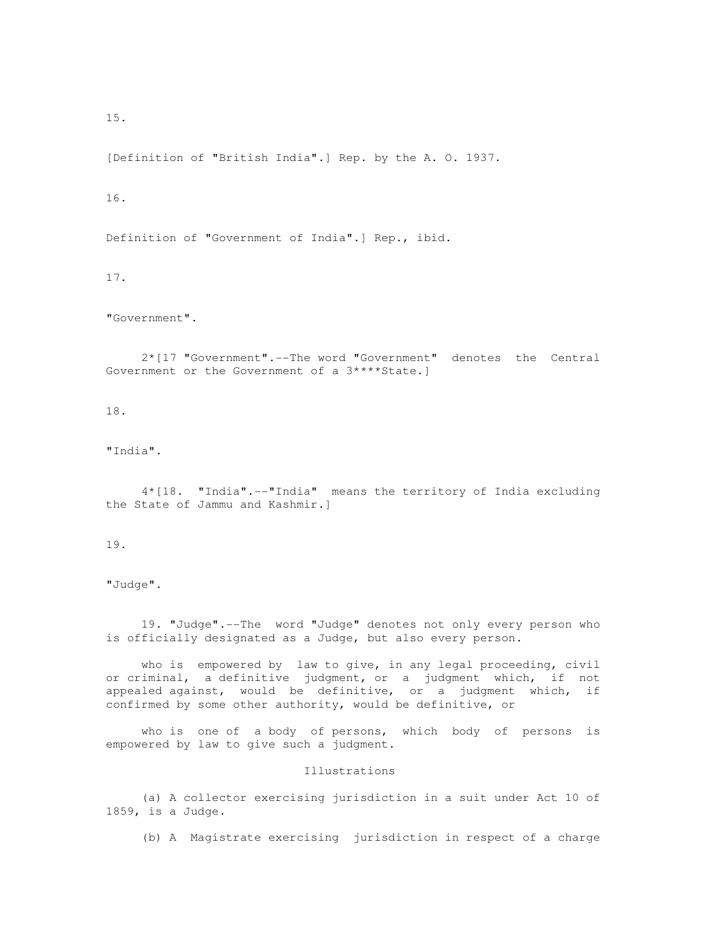15.

[Definition of "British India".] Rep. by the A. O. 1937.

# 16.

Definition of "Government of India".] Rep., ibid.

## 17.

"Government".

 2\*[17 "Government".--The word "Government" denotes the Central Government or the Government of a 3\*\*\*\*State.]

# 18.

"India".

 4\*[18. "India".--"India" means the territory of India excluding the State of Jammu and Kashmir.]

## 19.

"Judge".

 19. "Judge".--The word "Judge" denotes not only every person who is officially designated as a Judge, but also every person.

 who is empowered by law to give, in any legal proceeding, civil or criminal, a definitive judgment, or a judgment which, if not appealed against, would be definitive, or a judgment which, if confirmed by some other authority, would be definitive, or

 who is one of a body of persons, which body of persons is empowered by law to give such a judgment.

## Illustrations

 (a) A collector exercising jurisdiction in a suit under Act 10 of 1859, is a Judge.

(b) A Magistrate exercising jurisdiction in respect of a charge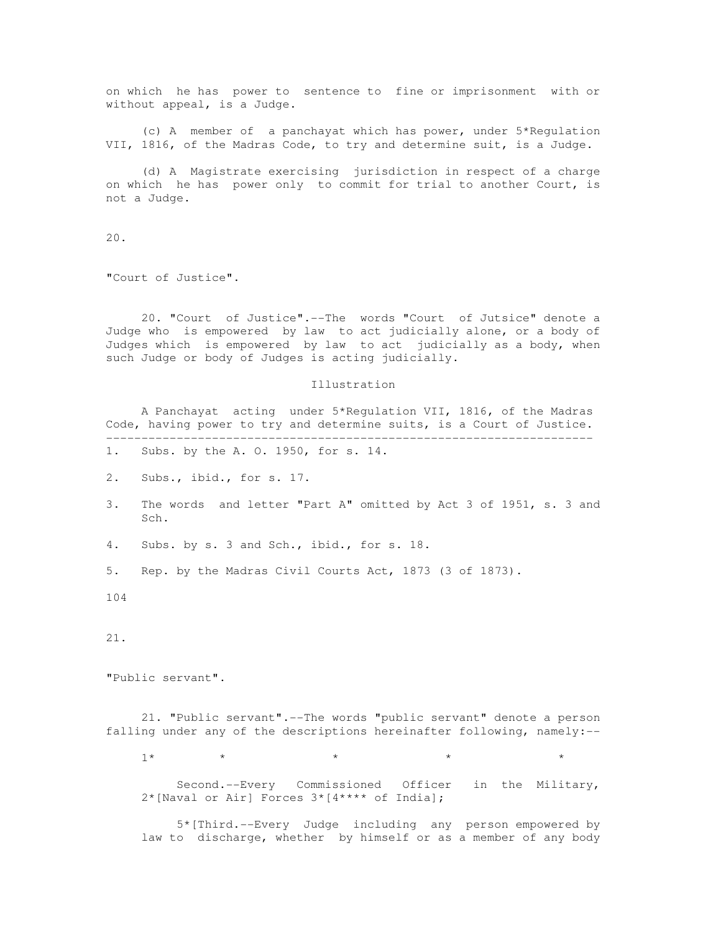on which he has power to sentence to fine or imprisonment with or without appeal, is a Judge.

 (c) A member of a panchayat which has power, under 5\*Regulation VII, 1816, of the Madras Code, to try and determine suit, is a Judge.

 (d) A Magistrate exercising jurisdiction in respect of a charge on which he has power only to commit for trial to another Court, is not a Judge.

20.

"Court of Justice".

 20. "Court of Justice".--The words "Court of Jutsice" denote a Judge who is empowered by law to act judicially alone, or a body of Judges which is empowered by law to act judicially as a body, when such Judge or body of Judges is acting judicially.

## Illustration

|                                                                                                                                             | A Panchayat acting under 5*Regulation VII, 1816, of the Madras<br>Code, having power to try and determine suits, is a Court of Justice. |  |  |  |  |  |  |  |
|---------------------------------------------------------------------------------------------------------------------------------------------|-----------------------------------------------------------------------------------------------------------------------------------------|--|--|--|--|--|--|--|
| 1.                                                                                                                                          | Subs. by the A. O. 1950, for s. 14.                                                                                                     |  |  |  |  |  |  |  |
| 2.                                                                                                                                          | Subs., ibid., for s. 17.                                                                                                                |  |  |  |  |  |  |  |
| 3.                                                                                                                                          | The words and letter "Part A" omitted by Act 3 of 1951, s. 3 and<br>Sch.                                                                |  |  |  |  |  |  |  |
| 4.                                                                                                                                          | Subs. by s. 3 and Sch., ibid., for s. 18.                                                                                               |  |  |  |  |  |  |  |
| 5.                                                                                                                                          | Rep. by the Madras Civil Courts Act, 1873 (3 of 1873).                                                                                  |  |  |  |  |  |  |  |
| 104                                                                                                                                         |                                                                                                                                         |  |  |  |  |  |  |  |
| 21.                                                                                                                                         |                                                                                                                                         |  |  |  |  |  |  |  |
| "Public servant".                                                                                                                           |                                                                                                                                         |  |  |  |  |  |  |  |
| 21. "Public servant".--The words "public servant" denote a person<br>falling under any of the descriptions hereinafter following, namely:-- |                                                                                                                                         |  |  |  |  |  |  |  |
|                                                                                                                                             | $1*$<br>$\star$<br>$^\star$<br>$^\star$<br>$^\star$                                                                                     |  |  |  |  |  |  |  |
|                                                                                                                                             | Second.--Every Commissioned Officer in the Military,<br>2* [Naval or Air] Forces 3* [4**** of India];                                   |  |  |  |  |  |  |  |
|                                                                                                                                             | 5*[Third.--Every Judge including any person empowered by<br>law to discharge, whether by himself or as a member of any body             |  |  |  |  |  |  |  |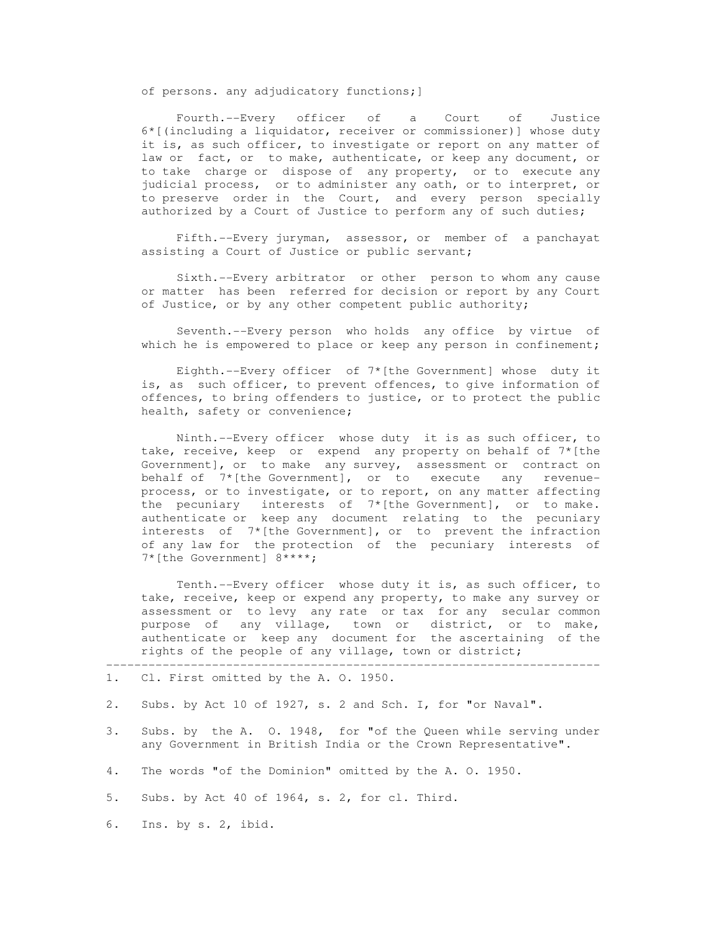of persons. any adjudicatory functions;]

 Fourth.--Every officer of a Court of Justice 6\*[(including a liquidator, receiver or commissioner)] whose duty it is, as such officer, to investigate or report on any matter of law or fact, or to make, authenticate, or keep any document, or to take charge or dispose of any property, or to execute any judicial process, or to administer any oath, or to interpret, or to preserve order in the Court, and every person specially authorized by a Court of Justice to perform any of such duties;

 Fifth.--Every juryman, assessor, or member of a panchayat assisting a Court of Justice or public servant;

 Sixth.--Every arbitrator or other person to whom any cause or matter has been referred for decision or report by any Court of Justice, or by any other competent public authority;

 Seventh.--Every person who holds any office by virtue of which he is empowered to place or keep any person in confinement;

 Eighth.--Every officer of 7\*[the Government] whose duty it is, as such officer, to prevent offences, to give information of offences, to bring offenders to justice, or to protect the public health, safety or convenience;

 Ninth.--Every officer whose duty it is as such officer, to take, receive, keep or expend any property on behalf of 7\*[the Government], or to make any survey, assessment or contract on behalf of 7\*[the Government], or to execute any revenue process, or to investigate, or to report, on any matter affecting the pecuniary interests of 7\*[the Government], or to make. authenticate or keep any document relating to the pecuniary interests of 7\*[the Government], or to prevent the infraction of any law for the protection of the pecuniary interests of 7\*[the Government] 8\*\*\*\*;

 Tenth.--Every officer whose duty it is, as such officer, to take, receive, keep or expend any property, to make any survey or assessment or to levy any rate or tax for any secular common purpose of any village, town or district, or to make, authenticate or keep any document for the ascertaining of the rights of the people of any village, town or district;

1. Cl. First omitted by the A. O. 1950.

- 2. Subs. by Act 10 of 1927, s. 2 and Sch. I, for "or Naval".
- 3. Subs. by the A. O. 1948, for "of the Queen while serving under any Government in British India or the Crown Representative".

----------------------------------------------------------------------

- 4. The words "of the Dominion" omitted by the A. O. 1950.
- 5. Subs. by Act 40 of 1964, s. 2, for cl. Third.
- 6. Ins. by s. 2, ibid.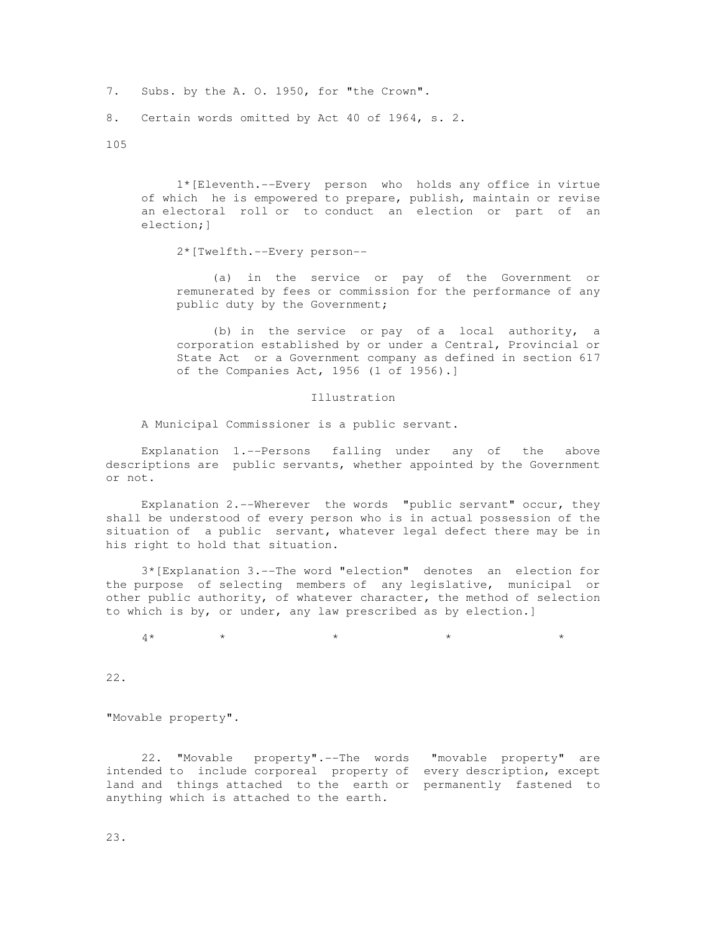7. Subs. by the A. O. 1950, for "the Crown".

8. Certain words omitted by Act 40 of 1964, s. 2.

105

 1\*[Eleventh.--Every person who holds any office in virtue of which he is empowered to prepare, publish, maintain or revise an electoral roll or to conduct an election or part of an election;]

2\*[Twelfth.--Every person--

 (a) in the service or pay of the Government or remunerated by fees or commission for the performance of any public duty by the Government;

 (b) in the service or pay of a local authority, a corporation established by or under a Central, Provincial or State Act or a Government company as defined in section 617 of the Companies Act, 1956 (1 of 1956).]

## Illustration

A Municipal Commissioner is a public servant.

 Explanation 1.--Persons falling under any of the above descriptions are public servants, whether appointed by the Government or not.

 Explanation 2.--Wherever the words "public servant" occur, they shall be understood of every person who is in actual possession of the situation of a public servant, whatever legal defect there may be in his right to hold that situation.

 3\*[Explanation 3.--The word "election" denotes an election for the purpose of selecting members of any legislative, municipal or other public authority, of whatever character, the method of selection to which is by, or under, any law prescribed as by election.]

 $4*$  \* \* \* \* \* \* \* \*

22.

"Movable property".

 22. "Movable property".--The words "movable property" are intended to include corporeal property of every description, except land and things attached to the earth or permanently fastened to anything which is attached to the earth.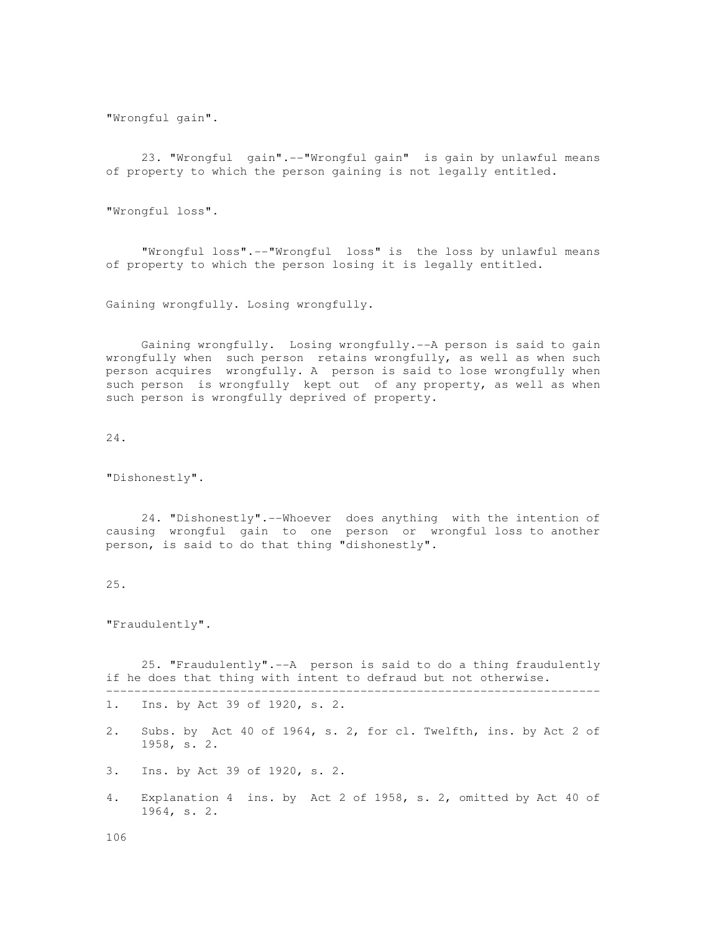"Wrongful gain".

 23. "Wrongful gain".--"Wrongful gain" is gain by unlawful means of property to which the person gaining is not legally entitled.

"Wrongful loss".

 "Wrongful loss".--"Wrongful loss" is the loss by unlawful means of property to which the person losing it is legally entitled.

Gaining wrongfully. Losing wrongfully.

 Gaining wrongfully. Losing wrongfully.--A person is said to gain wrongfully when such person retains wrongfully, as well as when such person acquires wrongfully. A person is said to lose wrongfully when such person is wrongfully kept out of any property, as well as when such person is wrongfully deprived of property.

24.

"Dishonestly".

 24. "Dishonestly".--Whoever does anything with the intention of causing wrongful gain to one person or wrongful loss to another person, is said to do that thing "dishonestly".

25.

"Fraudulently".

 25. "Fraudulently".--A person is said to do a thing fraudulently if he does that thing with intent to defraud but not otherwise. ----------------------------------------------------------------------

1. Ins. by Act 39 of 1920, s. 2.

- 2. Subs. by Act 40 of 1964, s. 2, for cl. Twelfth, ins. by Act 2 of 1958, s. 2.
- 3. Ins. by Act 39 of 1920, s. 2.
- 4. Explanation 4 ins. by Act 2 of 1958, s. 2, omitted by Act 40 of 1964, s. 2.

106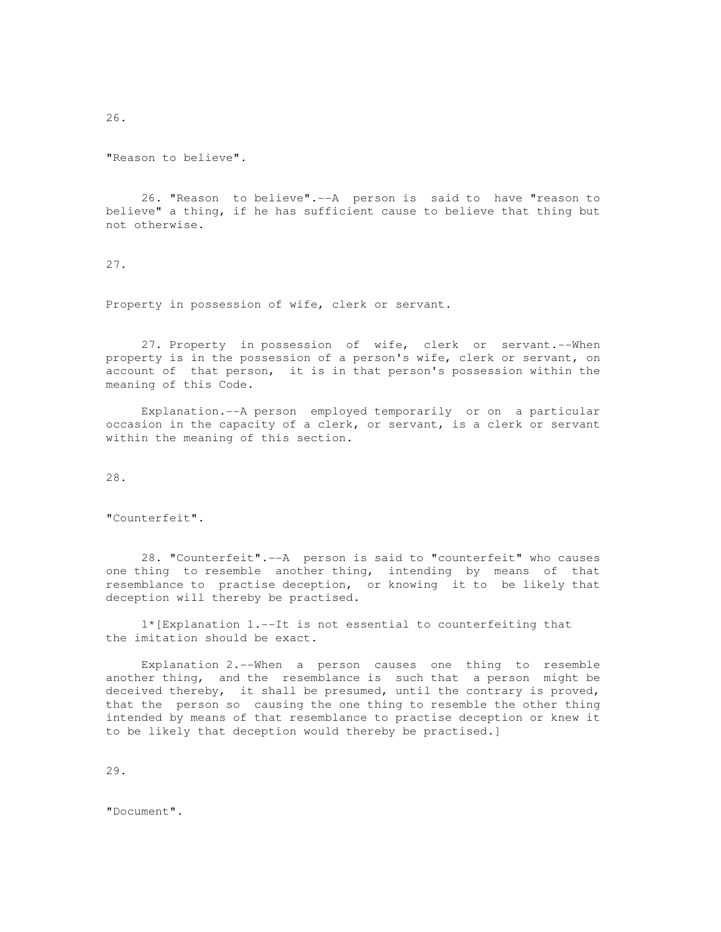"Reason to believe".

 26. "Reason to believe".--A person is said to have "reason to believe" a thing, if he has sufficient cause to believe that thing but not otherwise.

27.

Property in possession of wife, clerk or servant.

 27. Property in possession of wife, clerk or servant.--When property is in the possession of a person's wife, clerk or servant, on account of that person, it is in that person's possession within the meaning of this Code.

 Explanation.--A person employed temporarily or on a particular occasion in the capacity of a clerk, or servant, is a clerk or servant within the meaning of this section.

28.

"Counterfeit".

 28. "Counterfeit".--A person is said to "counterfeit" who causes one thing to resemble another thing, intending by means of that resemblance to practise deception, or knowing it to be likely that deception will thereby be practised.

 1\*[Explanation 1.--It is not essential to counterfeiting that the imitation should be exact.

 Explanation 2.--When a person causes one thing to resemble another thing, and the resemblance is such that a person might be deceived thereby, it shall be presumed, until the contrary is proved, that the person so causing the one thing to resemble the other thing intended by means of that resemblance to practise deception or knew it to be likely that deception would thereby be practised.]

29.

"Document".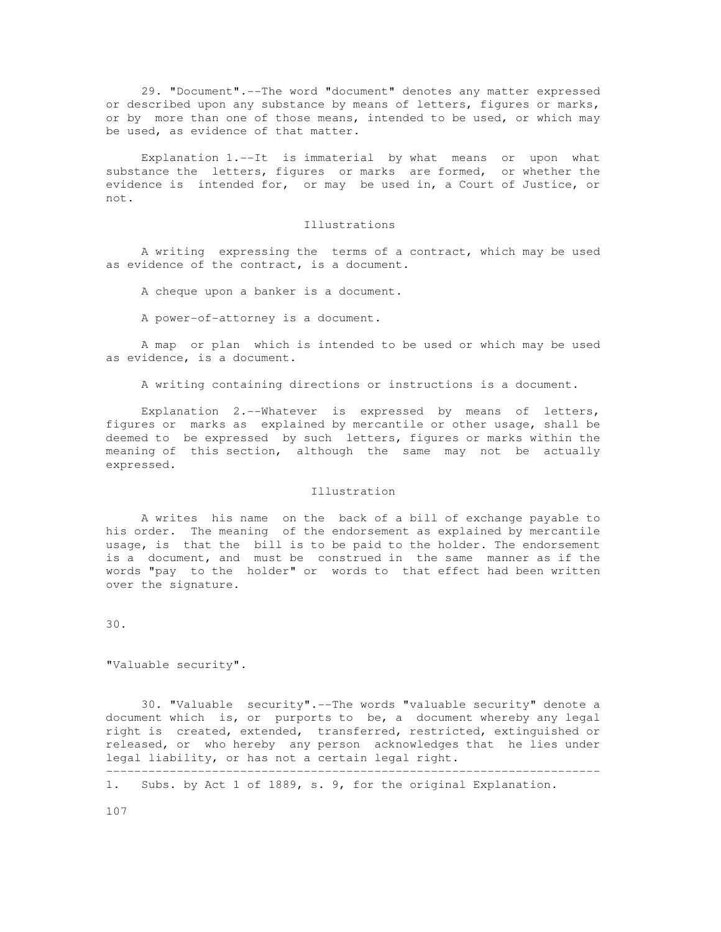29. "Document".--The word "document" denotes any matter expressed or described upon any substance by means of letters, figures or marks, or by more than one of those means, intended to be used, or which may be used, as evidence of that matter.

 Explanation 1.--It is immaterial by what means or upon what substance the letters, figures or marks are formed, or whether the evidence is intended for, or may be used in, a Court of Justice, or not.

#### Illustrations

 A writing expressing the terms of a contract, which may be used as evidence of the contract, is a document.

A cheque upon a banker is a document.

A power-of-attorney is a document.

 A map or plan which is intended to be used or which may be used as evidence, is a document.

A writing containing directions or instructions is a document.

 Explanation 2.--Whatever is expressed by means of letters, figures or marks as explained by mercantile or other usage, shall be deemed to be expressed by such letters, figures or marks within the meaning of this section, although the same may not be actually expressed.

## Illustration

 A writes his name on the back of a bill of exchange payable to his order. The meaning of the endorsement as explained by mercantile usage, is that the bill is to be paid to the holder. The endorsement is a document, and must be construed in the same manner as if the words "pay to the holder" or words to that effect had been written over the signature.

30.

"Valuable security".

 30. "Valuable security".--The words "valuable security" denote a document which is, or purports to be, a document whereby any legal right is created, extended, transferred, restricted, extinguished or released, or who hereby any person acknowledges that he lies under legal liability, or has not a certain legal right.

---------------------------------------------------------------------- 1. Subs. by Act 1 of 1889, s. 9, for the original Explanation.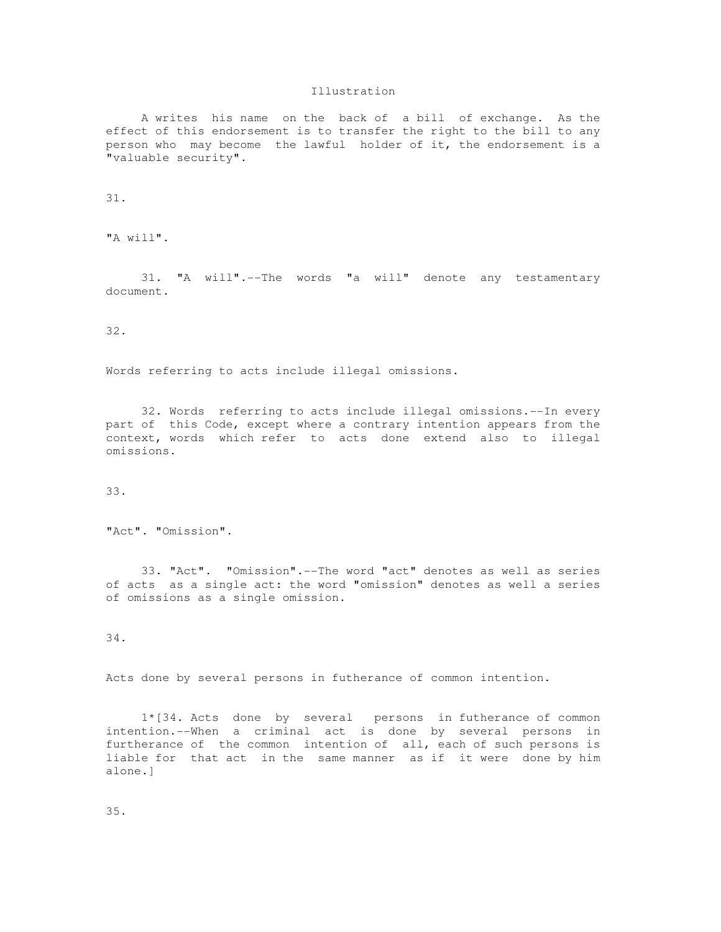## Illustration

 A writes his name on the back of a bill of exchange. As the effect of this endorsement is to transfer the right to the bill to any person who may become the lawful holder of it, the endorsement is a "valuable security".

31.

"A will".

 31. "A will".--The words "a will" denote any testamentary document.

## 32.

Words referring to acts include illegal omissions.

 32. Words referring to acts include illegal omissions.--In every part of this Code, except where a contrary intention appears from the context, words which refer to acts done extend also to illegal omissions.

33.

"Act". "Omission".

 33. "Act". "Omission".--The word "act" denotes as well as series of acts as a single act: the word "omission" denotes as well a series of omissions as a single omission.

## 34.

Acts done by several persons in futherance of common intention.

 1\*[34. Acts done by several persons in futherance of common intention.--When a criminal act is done by several persons in furtherance of the common intention of all, each of such persons is liable for that act in the same manner as if it were done by him alone.]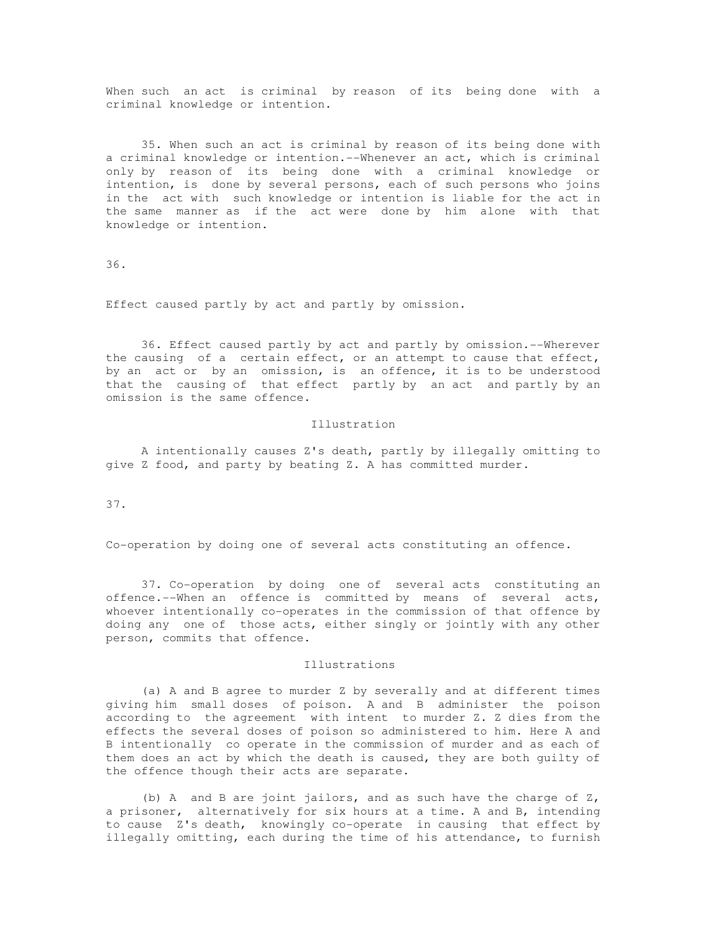When such an act is criminal by reason of its being done with a criminal knowledge or intention.

 35. When such an act is criminal by reason of its being done with a criminal knowledge or intention.--Whenever an act, which is criminal only by reason of its being done with a criminal knowledge or intention, is done by several persons, each of such persons who joins in the act with such knowledge or intention is liable for the act in the same manner as if the act were done by him alone with that knowledge or intention.

36.

Effect caused partly by act and partly by omission.

 36. Effect caused partly by act and partly by omission.--Wherever the causing of a certain effect, or an attempt to cause that effect, by an act or by an omission, is an offence, it is to be understood that the causing of that effect partly by an act and partly by an omission is the same offence.

## Illustration

 A intentionally causes Z's death, partly by illegally omitting to give Z food, and party by beating Z. A has committed murder.

37.

Co-operation by doing one of several acts constituting an offence.

 37. Co-operation by doing one of several acts constituting an offence.--When an offence is committed by means of several acts, whoever intentionally co-operates in the commission of that offence by doing any one of those acts, either singly or jointly with any other person, commits that offence.

#### Illustrations

 (a) A and B agree to murder Z by severally and at different times giving him small doses of poison. A and B administer the poison according to the agreement with intent to murder Z. Z dies from the effects the several doses of poison so administered to him. Here A and B intentionally co operate in the commission of murder and as each of them does an act by which the death is caused, they are both guilty of the offence though their acts are separate.

 (b) A and B are joint jailors, and as such have the charge of Z, a prisoner, alternatively for six hours at a time. A and B, intending to cause Z's death, knowingly co-operate in causing that effect by illegally omitting, each during the time of his attendance, to furnish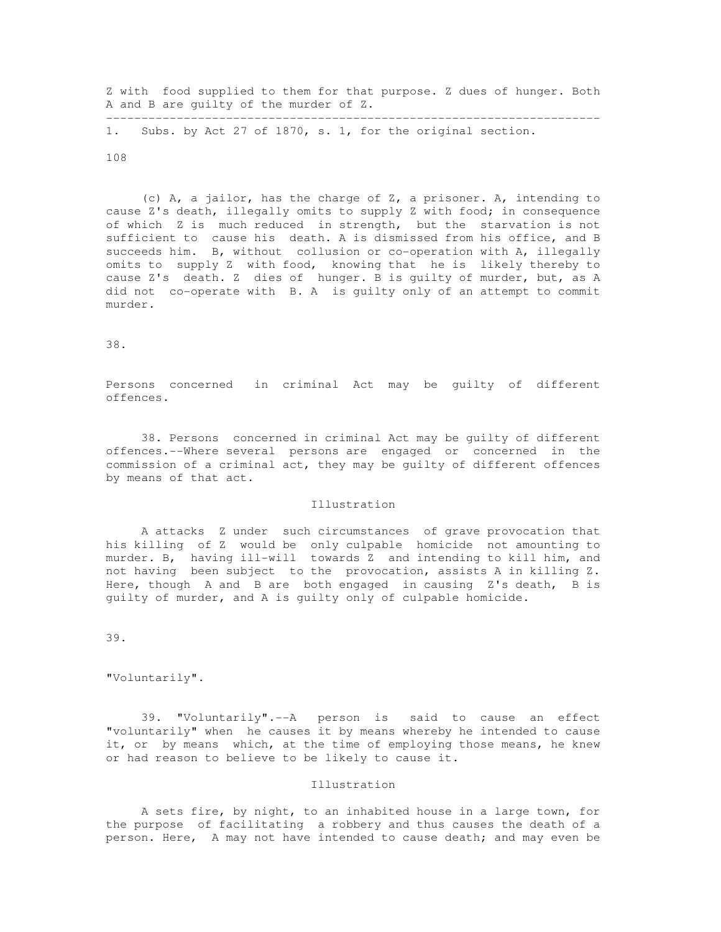Z with food supplied to them for that purpose. Z dues of hunger. Both A and B are guilty of the murder of Z. ----------------------------------------------------------------------

1. Subs. by Act 27 of 1870, s. 1, for the original section.

108

 (c) A, a jailor, has the charge of Z, a prisoner. A, intending to cause Z's death, illegally omits to supply Z with food; in consequence of which Z is much reduced in strength, but the starvation is not sufficient to cause his death. A is dismissed from his office, and B succeeds him. B, without collusion or co-operation with A, illegally omits to supply Z with food, knowing that he is likely thereby to cause Z's death. Z dies of hunger. B is guilty of murder, but, as A did not co-operate with B. A is guilty only of an attempt to commit murder.

38.

Persons concerned in criminal Act may be guilty of different offences.

 38. Persons concerned in criminal Act may be guilty of different offences.--Where several persons are engaged or concerned in the commission of a criminal act, they may be guilty of different offences by means of that act.

## Illustration

 A attacks Z under such circumstances of grave provocation that his killing of Z would be only culpable homicide not amounting to murder. B, having ill-will towards Z and intending to kill him, and not having been subject to the provocation, assists A in killing Z. Here, though A and B are both engaged in causing Z's death, B is guilty of murder, and A is guilty only of culpable homicide.

39.

"Voluntarily".

 39. "Voluntarily".--A person is said to cause an effect "voluntarily" when he causes it by means whereby he intended to cause it, or by means which, at the time of employing those means, he knew or had reason to believe to be likely to cause it.

## Illustration

 A sets fire, by night, to an inhabited house in a large town, for the purpose of facilitating a robbery and thus causes the death of a person. Here, A may not have intended to cause death; and may even be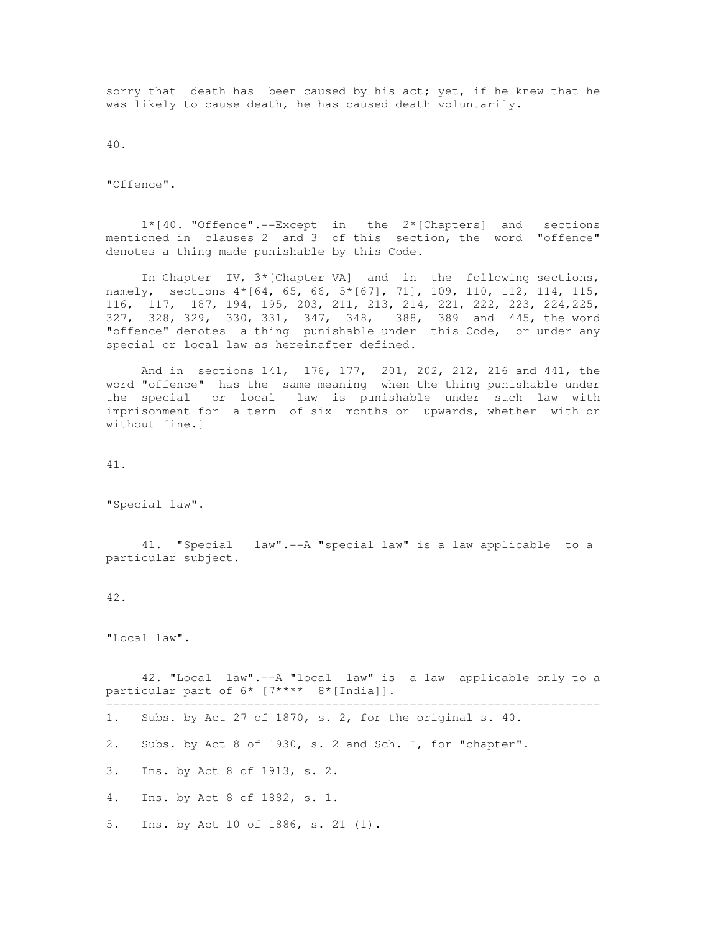sorry that death has been caused by his act; yet, if he knew that he was likely to cause death, he has caused death voluntarily.

40.

"Offence".

 1\*[40. "Offence".--Except in the 2\*[Chapters] and sections mentioned in clauses 2 and 3 of this section, the word "offence" denotes a thing made punishable by this Code.

 In Chapter IV, 3\*[Chapter VA] and in the following sections, namely, sections 4\*[64, 65, 66, 5\*[67], 71], 109, 110, 112, 114, 115, 116, 117, 187, 194, 195, 203, 211, 213, 214, 221, 222, 223, 224,225, 327, 328, 329, 330, 331, 347, 348, 388, 389 and 445, the word "offence" denotes a thing punishable under this Code, or under any special or local law as hereinafter defined.

 And in sections 141, 176, 177, 201, 202, 212, 216 and 441, the word "offence" has the same meaning when the thing punishable under the special or local law is punishable under such law with imprisonment for a term of six months or upwards, whether with or without fine.]

41.

"Special law".

 41. "Special law".--A "special law" is a law applicable to a particular subject.

42.

"Local law".

 42. "Local law".--A "local law" is a law applicable only to a particular part of 6\* [7\*\*\*\* 8\*[India]]. ---------------------------------------------------------------------- 1. Subs. by Act 27 of 1870, s. 2, for the original s. 40. 2. Subs. by Act 8 of 1930, s. 2 and Sch. I, for "chapter". 3. Ins. by Act 8 of 1913, s. 2. 4. Ins. by Act 8 of 1882, s. 1. 5. Ins. by Act 10 of 1886, s. 21 (1).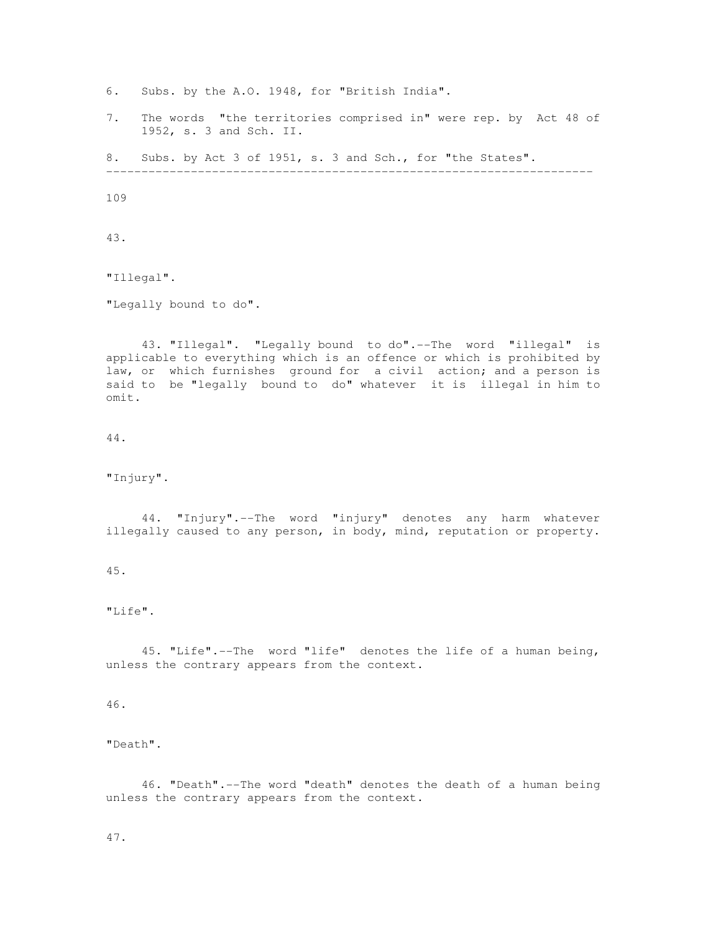6. Subs. by the A.O. 1948, for "British India".

7. The words "the territories comprised in" were rep. by Act 48 of 1952, s. 3 and Sch. II.

---------------------------------------------------------------------

8. Subs. by Act 3 of 1951, s. 3 and Sch., for "the States".

109

43.

"Illegal".

"Legally bound to do".

 43. "Illegal". "Legally bound to do".--The word "illegal" is applicable to everything which is an offence or which is prohibited by law, or which furnishes ground for a civil action; and a person is said to be "legally bound to do" whatever it is illegal in him to omit.

44.

"Injury".

 44. "Injury".--The word "injury" denotes any harm whatever illegally caused to any person, in body, mind, reputation or property.

# 45.

"Life".

 45. "Life".--The word "life" denotes the life of a human being, unless the contrary appears from the context.

# 46.

"Death".

 46. "Death".--The word "death" denotes the death of a human being unless the contrary appears from the context.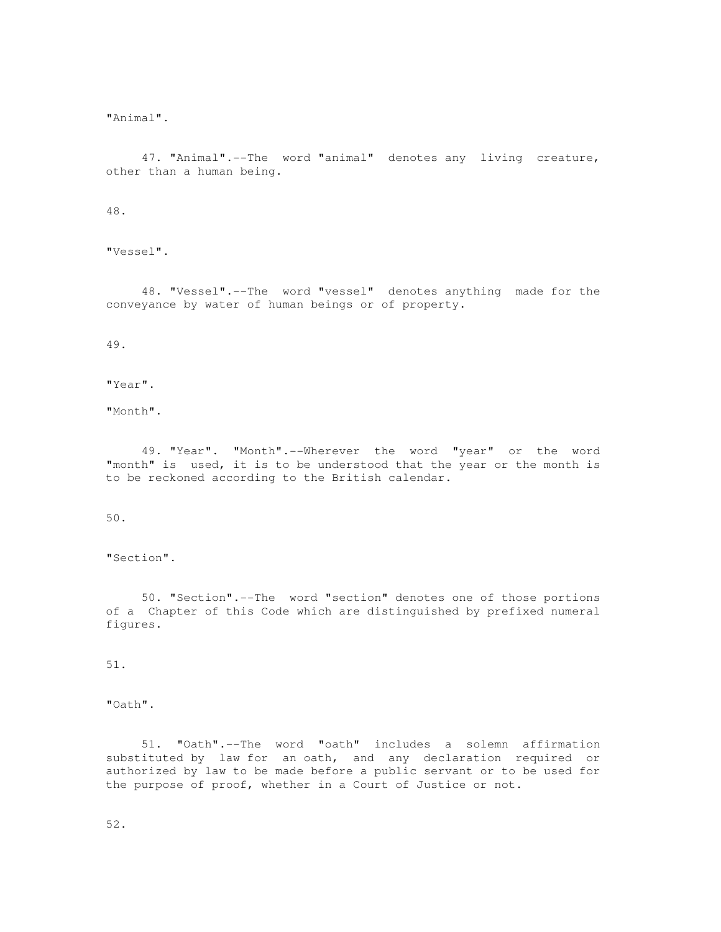"Animal".

 47. "Animal".--The word "animal" denotes any living creature, other than a human being.

48.

"Vessel".

 48. "Vessel".--The word "vessel" denotes anything made for the conveyance by water of human beings or of property.

49.

"Year".

"Month".

 49. "Year". "Month".--Wherever the word "year" or the word "month" is used, it is to be understood that the year or the month is to be reckoned according to the British calendar.

50.

"Section".

 50. "Section".--The word "section" denotes one of those portions of a Chapter of this Code which are distinguished by prefixed numeral figures.

51.

"Oath".

 51. "Oath".--The word "oath" includes a solemn affirmation substituted by law for an oath, and any declaration required or authorized by law to be made before a public servant or to be used for the purpose of proof, whether in a Court of Justice or not.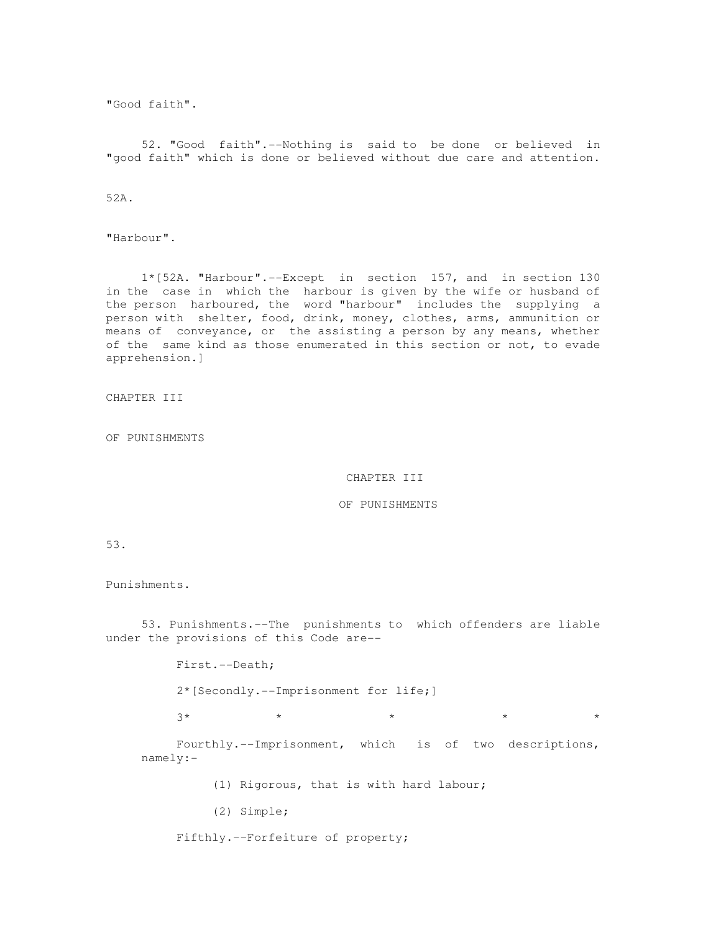"Good faith".

 52. "Good faith".--Nothing is said to be done or believed in "good faith" which is done or believed without due care and attention.

52A.

"Harbour".

 1\*[52A. "Harbour".--Except in section 157, and in section 130 in the case in which the harbour is given by the wife or husband of the person harboured, the word "harbour" includes the supplying a person with shelter, food, drink, money, clothes, arms, ammunition or means of conveyance, or the assisting a person by any means, whether of the same kind as those enumerated in this section or not, to evade apprehension.]

CHAPTER III

OF PUNISHMENTS

CHAPTER III

OF PUNISHMENTS

53.

Punishments.

 53. Punishments.--The punishments to which offenders are liable under the provisions of this Code are--

First.--Death;

2\*[Secondly.--Imprisonment for life;]

 $3*$  \* \* \* \* \* \* \* \* \* \*

 Fourthly.--Imprisonment, which is of two descriptions, namely:-

(1) Rigorous, that is with hard labour;

(2) Simple;

Fifthly.--Forfeiture of property;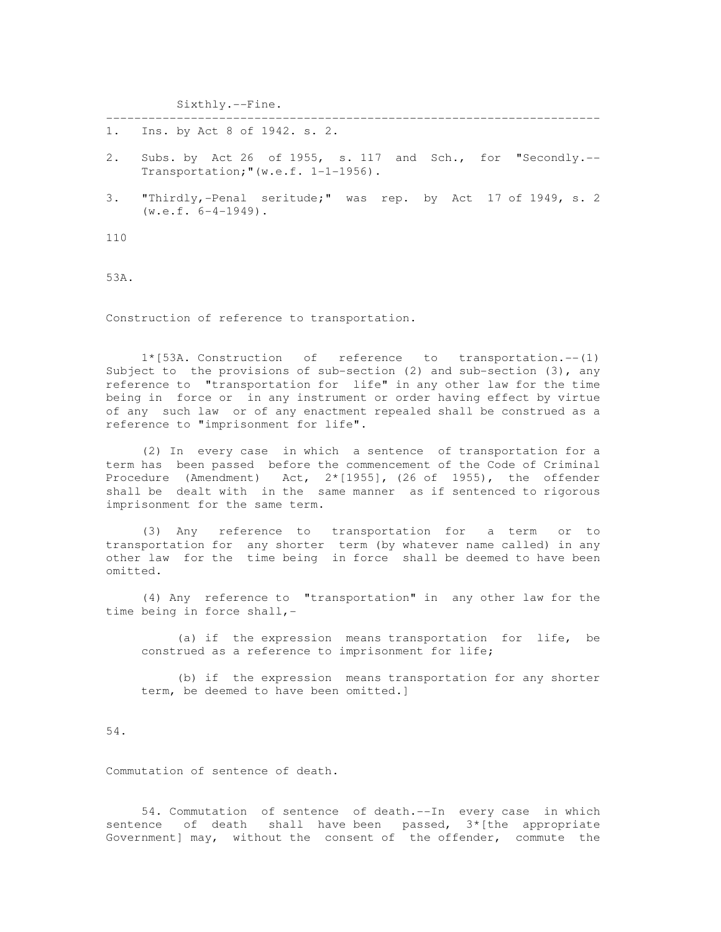Sixthly.--Fine.

|    | 1. Ins. by Act 8 of 1942. s. 2.                                                                            |  |  |  |
|----|------------------------------------------------------------------------------------------------------------|--|--|--|
| 2. | Subs. by Act 26 of 1955, s. 117 and Sch., for "Secondly.--<br>Transportation; $\sqrt{(w.e.f. 1-1-1956)}$ . |  |  |  |
|    | 3. "Thirdly,-Penal seritude;" was rep. by Act 17 of 1949, s. 2<br>$(w.e.f. 6-4-1949)$ .                    |  |  |  |

110

53A.

Construction of reference to transportation.

 1\*[53A. Construction of reference to transportation.--(1) Subject to the provisions of sub-section (2) and sub-section (3), any reference to "transportation for life" in any other law for the time being in force or in any instrument or order having effect by virtue of any such law or of any enactment repealed shall be construed as a reference to "imprisonment for life".

 (2) In every case in which a sentence of transportation for a term has been passed before the commencement of the Code of Criminal Procedure (Amendment) Act,  $2*(1955)$ ,  $(26$  of  $1955)$ , the offender shall be dealt with in the same manner as if sentenced to rigorous imprisonment for the same term.

 (3) Any reference to transportation for a term or to transportation for any shorter term (by whatever name called) in any other law for the time being in force shall be deemed to have been omitted.

 (4) Any reference to "transportation" in any other law for the time being in force shall,-

 (a) if the expression means transportation for life, be construed as a reference to imprisonment for life;

 (b) if the expression means transportation for any shorter term, be deemed to have been omitted.]

54.

Commutation of sentence of death.

 54. Commutation of sentence of death.--In every case in which sentence of death shall have been passed, 3\*[the appropriate Government] may, without the consent of the offender, commute the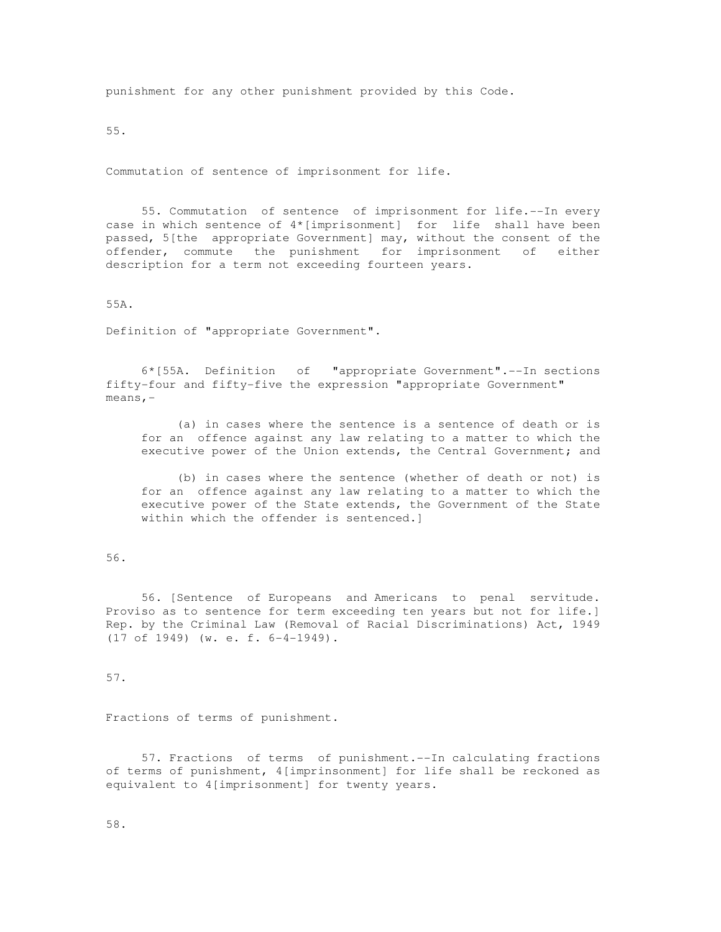punishment for any other punishment provided by this Code.

## 55.

Commutation of sentence of imprisonment for life.

 55. Commutation of sentence of imprisonment for life.--In every case in which sentence of 4\*[imprisonment] for life shall have been passed, 5[the appropriate Government] may, without the consent of the offender, commute the punishment for imprisonment of either description for a term not exceeding fourteen years.

#### 55A.

Definition of "appropriate Government".

 6\*[55A. Definition of "appropriate Government".--In sections fifty-four and fifty-five the expression "appropriate Government" means,-

 (a) in cases where the sentence is a sentence of death or is for an offence against any law relating to a matter to which the executive power of the Union extends, the Central Government; and

 (b) in cases where the sentence (whether of death or not) is for an offence against any law relating to a matter to which the executive power of the State extends, the Government of the State within which the offender is sentenced.]

## 56.

 56. [Sentence of Europeans and Americans to penal servitude. Proviso as to sentence for term exceeding ten years but not for life.] Rep. by the Criminal Law (Removal of Racial Discriminations) Act, 1949 (17 of 1949) (w. e. f. 6-4-1949).

57.

Fractions of terms of punishment.

 57. Fractions of terms of punishment.--In calculating fractions of terms of punishment, 4[imprinsonment] for life shall be reckoned as equivalent to 4[imprisonment] for twenty years.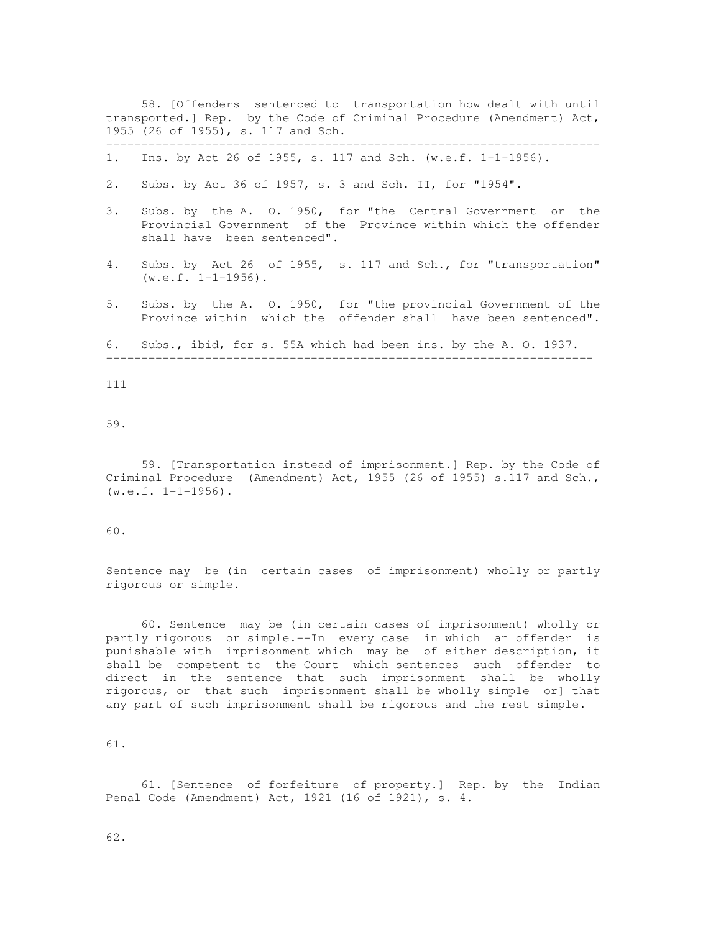58. [Offenders sentenced to transportation how dealt with until transported.] Rep. by the Code of Criminal Procedure (Amendment) Act, 1955 (26 of 1955), s. 117 and Sch. ---------------------------------------------------------------------- 1. Ins. by Act 26 of 1955, s. 117 and Sch. (w.e.f. 1-1-1956). 2. Subs. by Act 36 of 1957, s. 3 and Sch. II, for "1954". 3. Subs. by the A. O. 1950, for "the Central Government or the Provincial Government of the Province within which the offender shall have been sentenced". 4. Subs. by Act 26 of 1955, s. 117 and Sch., for "transportation"  $(w.e.f. 1-1-1956)$ . 5. Subs. by the A. O. 1950, for "the provincial Government of the Province within which the offender shall have been sentenced". 6. Subs., ibid, for s. 55A which had been ins. by the A. O. 1937. --------------------------------------------------------------------- 111 59.

 59. [Transportation instead of imprisonment.] Rep. by the Code of Criminal Procedure (Amendment) Act, 1955 (26 of 1955) s.117 and Sch.,  $(w.e.f. 1-1-1956)$ .

## 60.

Sentence may be (in certain cases of imprisonment) wholly or partly rigorous or simple.

 60. Sentence may be (in certain cases of imprisonment) wholly or partly rigorous or simple.--In every case in which an offender is punishable with imprisonment which may be of either description, it shall be competent to the Court which sentences such offender to direct in the sentence that such imprisonment shall be wholly rigorous, or that such imprisonment shall be wholly simple or] that any part of such imprisonment shall be rigorous and the rest simple.

61.

 61. [Sentence of forfeiture of property.] Rep. by the Indian Penal Code (Amendment) Act, 1921 (16 of 1921), s. 4.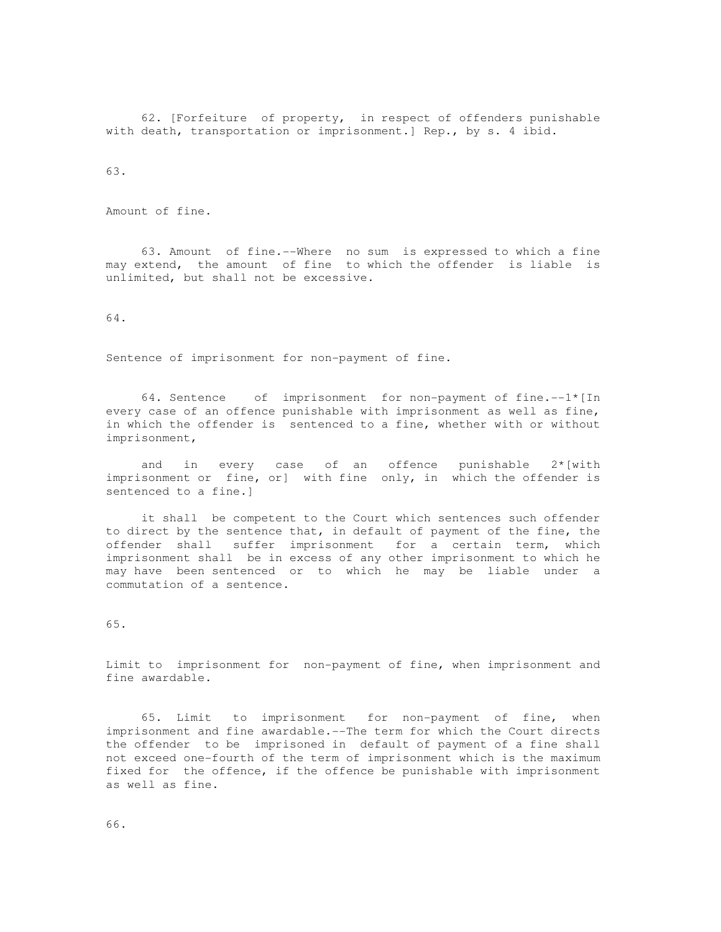62. [Forfeiture of property, in respect of offenders punishable with death, transportation or imprisonment.] Rep., by s. 4 ibid.

63.

Amount of fine.

 63. Amount of fine.--Where no sum is expressed to which a fine may extend, the amount of fine to which the offender is liable is unlimited, but shall not be excessive.

64.

Sentence of imprisonment for non-payment of fine.

 64. Sentence of imprisonment for non-payment of fine.--1\*[In every case of an offence punishable with imprisonment as well as fine, in which the offender is sentenced to a fine, whether with or without imprisonment,

 and in every case of an offence punishable 2\*[with imprisonment or fine, or] with fine only, in which the offender is sentenced to a fine.]

 it shall be competent to the Court which sentences such offender to direct by the sentence that, in default of payment of the fine, the offender shall suffer imprisonment for a certain term, which imprisonment shall be in excess of any other imprisonment to which he may have been sentenced or to which he may be liable under a commutation of a sentence.

65.

Limit to imprisonment for non-payment of fine, when imprisonment and fine awardable.

 65. Limit to imprisonment for non-payment of fine, when imprisonment and fine awardable.--The term for which the Court directs the offender to be imprisoned in default of payment of a fine shall not exceed one-fourth of the term of imprisonment which is the maximum fixed for the offence, if the offence be punishable with imprisonment as well as fine.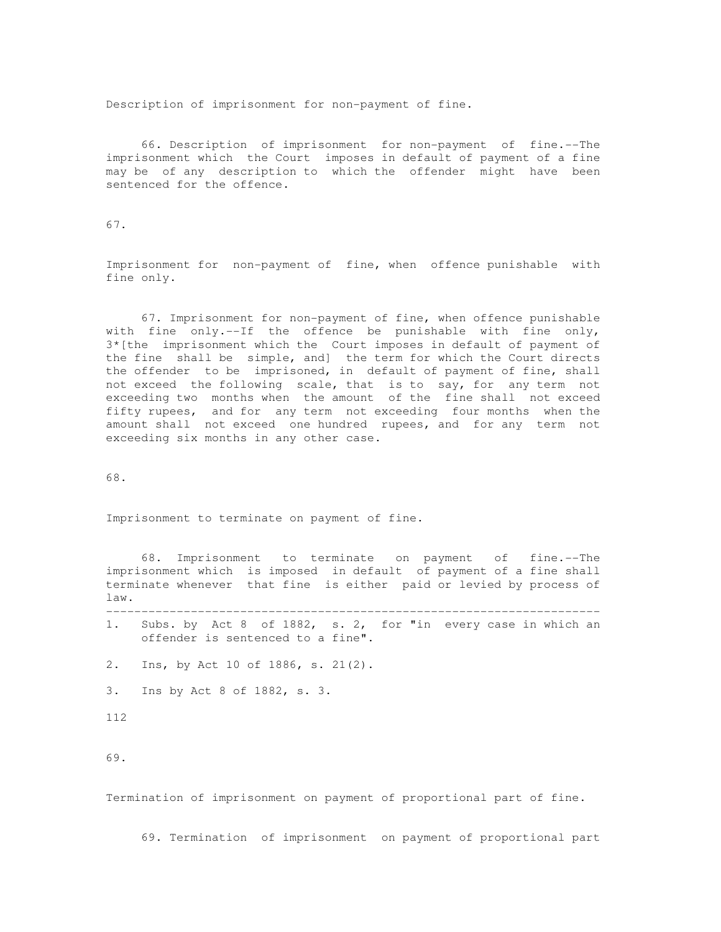Description of imprisonment for non-payment of fine.

 66. Description of imprisonment for non-payment of fine.--The imprisonment which the Court imposes in default of payment of a fine may be of any description to which the offender might have been sentenced for the offence.

67.

Imprisonment for non-payment of fine, when offence punishable with fine only.

 67. Imprisonment for non-payment of fine, when offence punishable with fine only. $-If$  the offence be punishable with fine only, 3\*[the imprisonment which the Court imposes in default of payment of the fine shall be simple, and] the term for which the Court directs the offender to be imprisoned, in default of payment of fine, shall not exceed the following scale, that is to say, for any term not exceeding two months when the amount of the fine shall not exceed fifty rupees, and for any term not exceeding four months when the amount shall not exceed one hundred rupees, and for any term not exceeding six months in any other case.

68.

Imprisonment to terminate on payment of fine.

 68. Imprisonment to terminate on payment of fine.--The imprisonment which is imposed in default of payment of a fine shall terminate whenever that fine is either paid or levied by process of law.

1. Subs. by Act 8 of 1882, s. 2, for "in every case in which an offender is sentenced to a fine".

----------------------------------------------------------------------

2. Ins, by Act 10 of 1886, s. 21(2).

3. Ins by Act 8 of 1882, s. 3.

112

69.

Termination of imprisonment on payment of proportional part of fine.

69. Termination of imprisonment on payment of proportional part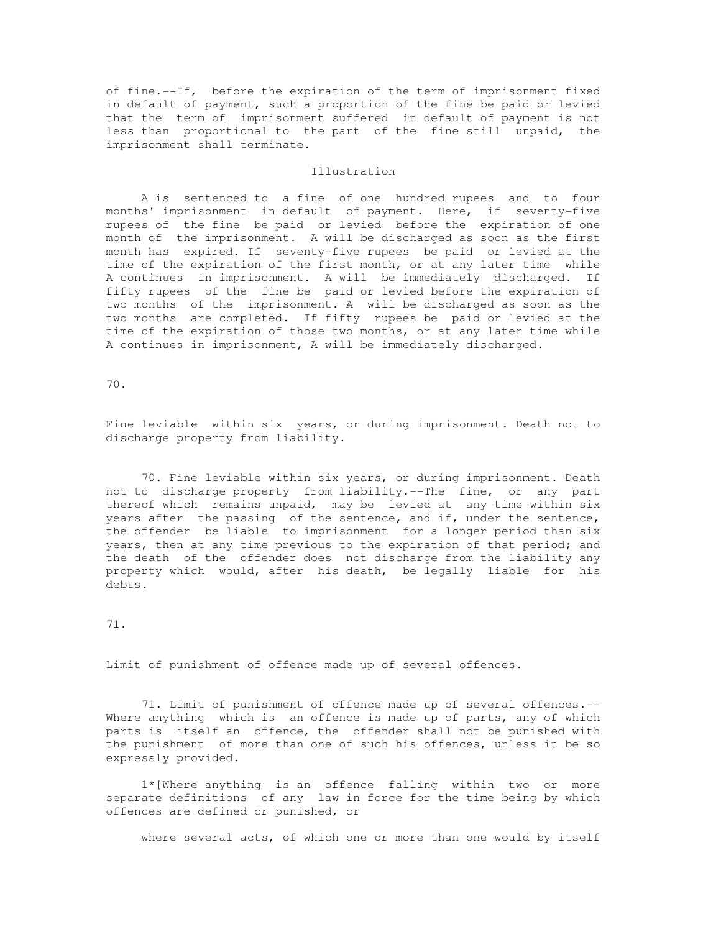of fine.--If, before the expiration of the term of imprisonment fixed in default of payment, such a proportion of the fine be paid or levied that the term of imprisonment suffered in default of payment is not less than proportional to the part of the fine still unpaid, the imprisonment shall terminate.

### Illustration

 A is sentenced to a fine of one hundred rupees and to four months' imprisonment in default of payment. Here, if seventy-five rupees of the fine be paid or levied before the expiration of one month of the imprisonment. A will be discharged as soon as the first month has expired. If seventy-five rupees be paid or levied at the time of the expiration of the first month, or at any later time while A continues in imprisonment. A will be immediately discharged. If fifty rupees of the fine be paid or levied before the expiration of two months of the imprisonment. A will be discharged as soon as the two months are completed. If fifty rupees be paid or levied at the time of the expiration of those two months, or at any later time while A continues in imprisonment, A will be immediately discharged.

70.

Fine leviable within six years, or during imprisonment. Death not to discharge property from liability.

 70. Fine leviable within six years, or during imprisonment. Death not to discharge property from liability.--The fine, or any part thereof which remains unpaid, may be levied at any time within six years after the passing of the sentence, and if, under the sentence, the offender be liable to imprisonment for a longer period than six years, then at any time previous to the expiration of that period; and the death of the offender does not discharge from the liability any property which would, after his death, be legally liable for his debts.

71.

Limit of punishment of offence made up of several offences.

 71. Limit of punishment of offence made up of several offences.-- Where anything which is an offence is made up of parts, any of which parts is itself an offence, the offender shall not be punished with the punishment of more than one of such his offences, unless it be so expressly provided.

 1\*[Where anything is an offence falling within two or more separate definitions of any law in force for the time being by which offences are defined or punished, or

where several acts, of which one or more than one would by itself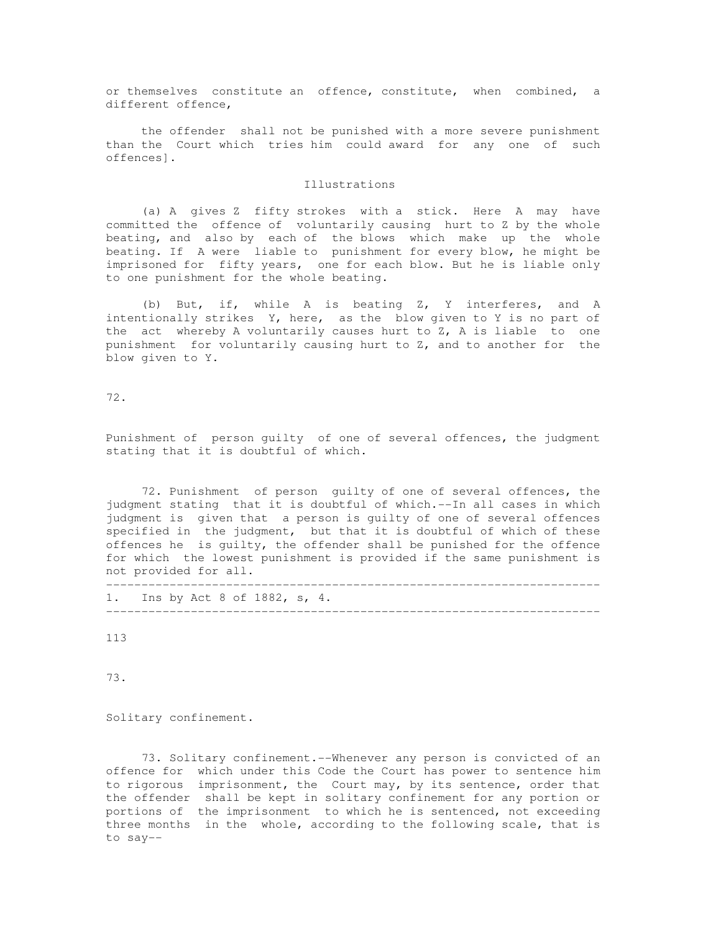or themselves constitute an offence, constitute, when combined, a different offence,

 the offender shall not be punished with a more severe punishment than the Court which tries him could award for any one of such offences].

## Illustrations

 (a) A gives Z fifty strokes with a stick. Here A may have committed the offence of voluntarily causing hurt to Z by the whole beating, and also by each of the blows which make up the whole beating. If A were liable to punishment for every blow, he might be imprisoned for fifty years, one for each blow. But he is liable only to one punishment for the whole beating.

 (b) But, if, while A is beating Z, Y interferes, and A intentionally strikes Y, here, as the blow given to Y is no part of the act whereby A voluntarily causes hurt to Z, A is liable to one punishment for voluntarily causing hurt to Z, and to another for the blow given to Y.

## 72.

Punishment of person guilty of one of several offences, the judgment stating that it is doubtful of which.

 72. Punishment of person guilty of one of several offences, the judgment stating that it is doubtful of which.--In all cases in which judgment is given that a person is guilty of one of several offences specified in the judgment, but that it is doubtful of which of these offences he is guilty, the offender shall be punished for the offence for which the lowest punishment is provided if the same punishment is not provided for all.

---------------------------------------------------------------------- 1. Ins by Act 8 of 1882, s, 4. ----------------------------------------------------------------------

113

73.

Solitary confinement.

 73. Solitary confinement.--Whenever any person is convicted of an offence for which under this Code the Court has power to sentence him to rigorous imprisonment, the Court may, by its sentence, order that the offender shall be kept in solitary confinement for any portion or portions of the imprisonment to which he is sentenced, not exceeding three months in the whole, according to the following scale, that is to say--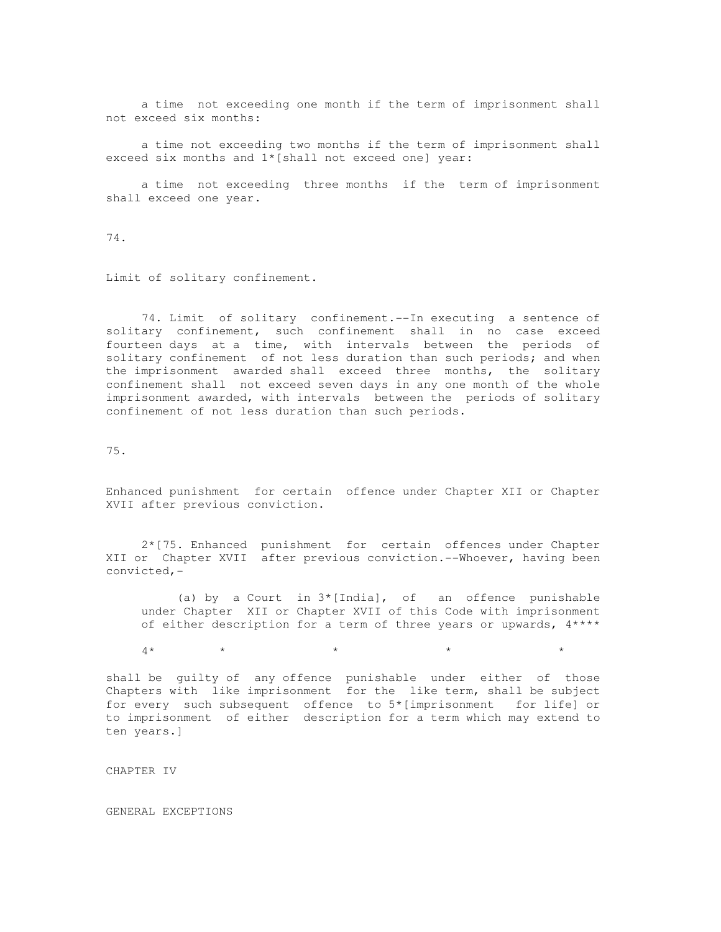a time not exceeding one month if the term of imprisonment shall not exceed six months:

 a time not exceeding two months if the term of imprisonment shall exceed six months and 1\*[shall not exceed one] year:

 a time not exceeding three months if the term of imprisonment shall exceed one year.

74.

Limit of solitary confinement.

 74. Limit of solitary confinement.--In executing a sentence of solitary confinement, such confinement shall in no case exceed fourteen days at a time, with intervals between the periods of solitary confinement of not less duration than such periods; and when the imprisonment awarded shall exceed three months, the solitary confinement shall not exceed seven days in any one month of the whole imprisonment awarded, with intervals between the periods of solitary confinement of not less duration than such periods.

75.

Enhanced punishment for certain offence under Chapter XII or Chapter XVII after previous conviction.

 2\*[75. Enhanced punishment for certain offences under Chapter XII or Chapter XVII after previous conviction.--Whoever, having been convicted,-

 (a) by a Court in 3\*[India], of an offence punishable under Chapter XII or Chapter XVII of this Code with imprisonment of either description for a term of three years or upwards, 4\*\*\*\*

 $4 \star$  \* \* \* \* \* \* \* \* \*

shall be guilty of any offence punishable under either of those Chapters with like imprisonment for the like term, shall be subject for every such subsequent offence to 5\*[imprisonment for life] or to imprisonment of either description for a term which may extend to ten years.]

CHAPTER IV

GENERAL EXCEPTIONS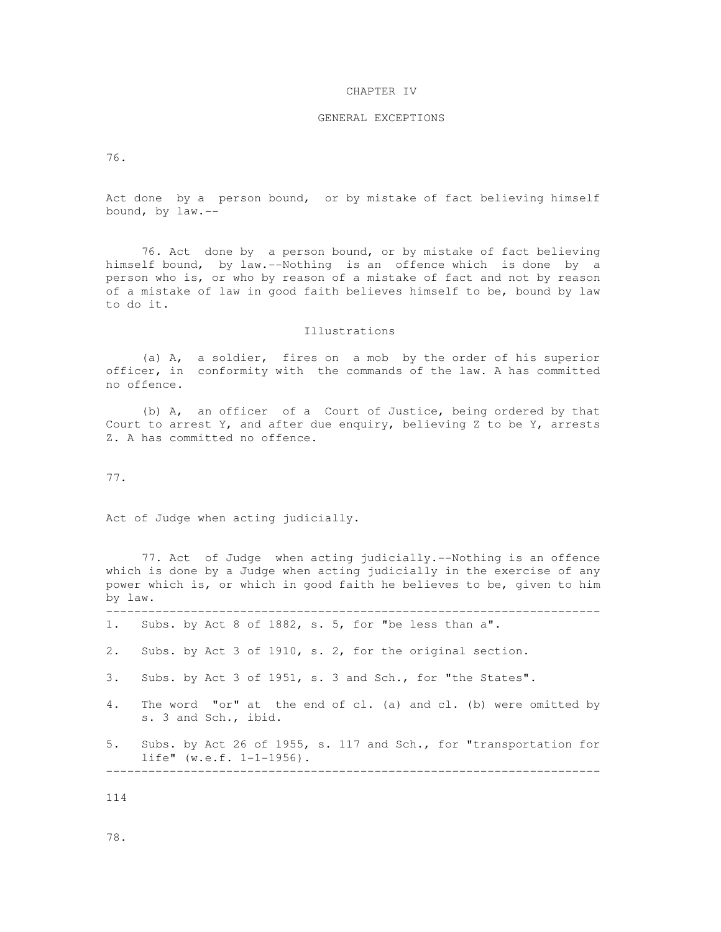## CHAPTER IV

#### GENERAL EXCEPTIONS

76.

Act done by a person bound, or by mistake of fact believing himself bound, by law.--

 76. Act done by a person bound, or by mistake of fact believing himself bound, by law.--Nothing is an offence which is done by a person who is, or who by reason of a mistake of fact and not by reason of a mistake of law in good faith believes himself to be, bound by law to do it.

## Illustrations

 (a) A, a soldier, fires on a mob by the order of his superior officer, in conformity with the commands of the law. A has committed no offence.

 (b) A, an officer of a Court of Justice, being ordered by that Court to arrest Y, and after due enquiry, believing Z to be Y, arrests Z. A has committed no offence.

77.

Act of Judge when acting judicially.

 77. Act of Judge when acting judicially.--Nothing is an offence which is done by a Judge when acting judicially in the exercise of any power which is, or which in good faith he believes to be, given to him by law.

----------------------------------------------------------------------

1. Subs. by Act 8 of 1882, s. 5, for "be less than a". 2. Subs. by Act 3 of 1910, s. 2, for the original section. 3. Subs. by Act 3 of 1951, s. 3 and Sch., for "the States". 4. The word "or" at the end of cl. (a) and cl. (b) were omitted by s. 3 and Sch., ibid. 5. Subs. by Act 26 of 1955, s. 117 and Sch., for "transportation for life" (w.e.f. 1-1-1956). ----------------------------------------------------------------------

114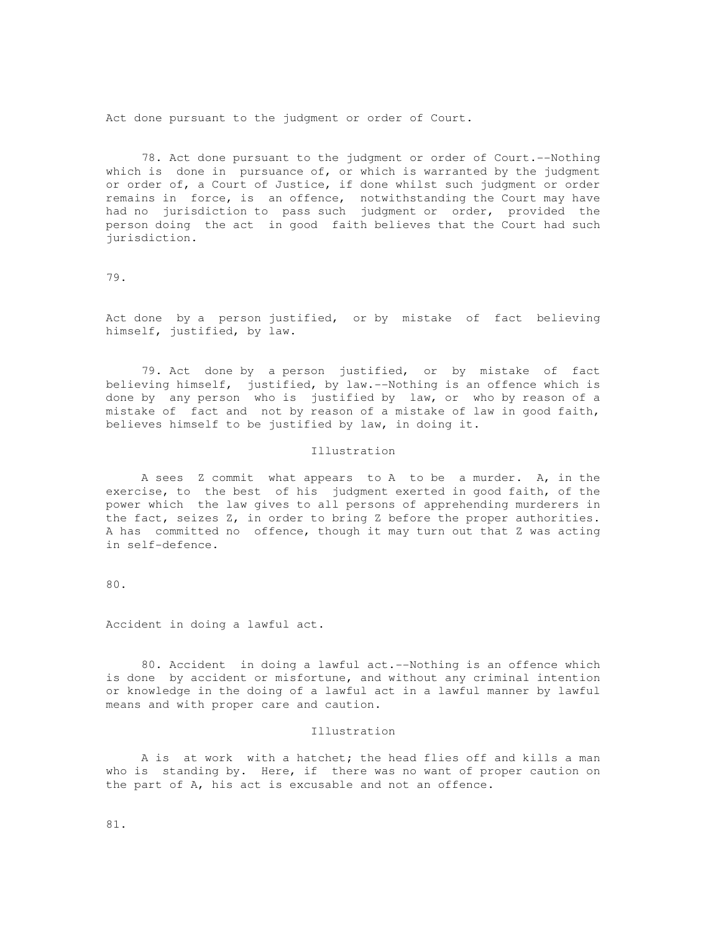Act done pursuant to the judgment or order of Court.

 78. Act done pursuant to the judgment or order of Court.--Nothing which is done in pursuance of, or which is warranted by the judgment or order of, a Court of Justice, if done whilst such judgment or order remains in force, is an offence, notwithstanding the Court may have had no jurisdiction to pass such judgment or order, provided the person doing the act in good faith believes that the Court had such jurisdiction.

79.

Act done by a person justified, or by mistake of fact believing himself, justified, by law.

 79. Act done by a person justified, or by mistake of fact believing himself, justified, by law.--Nothing is an offence which is done by any person who is justified by law, or who by reason of a mistake of fact and not by reason of a mistake of law in good faith, believes himself to be justified by law, in doing it.

#### Illustration

 A sees Z commit what appears to A to be a murder. A, in the exercise, to the best of his judgment exerted in good faith, of the power which the law gives to all persons of apprehending murderers in the fact, seizes Z, in order to bring Z before the proper authorities. A has committed no offence, though it may turn out that Z was acting in self-defence.

80.

Accident in doing a lawful act.

 80. Accident in doing a lawful act.--Nothing is an offence which is done by accident or misfortune, and without any criminal intention or knowledge in the doing of a lawful act in a lawful manner by lawful means and with proper care and caution.

## Illustration

 A is at work with a hatchet; the head flies off and kills a man who is standing by. Here, if there was no want of proper caution on the part of A, his act is excusable and not an offence.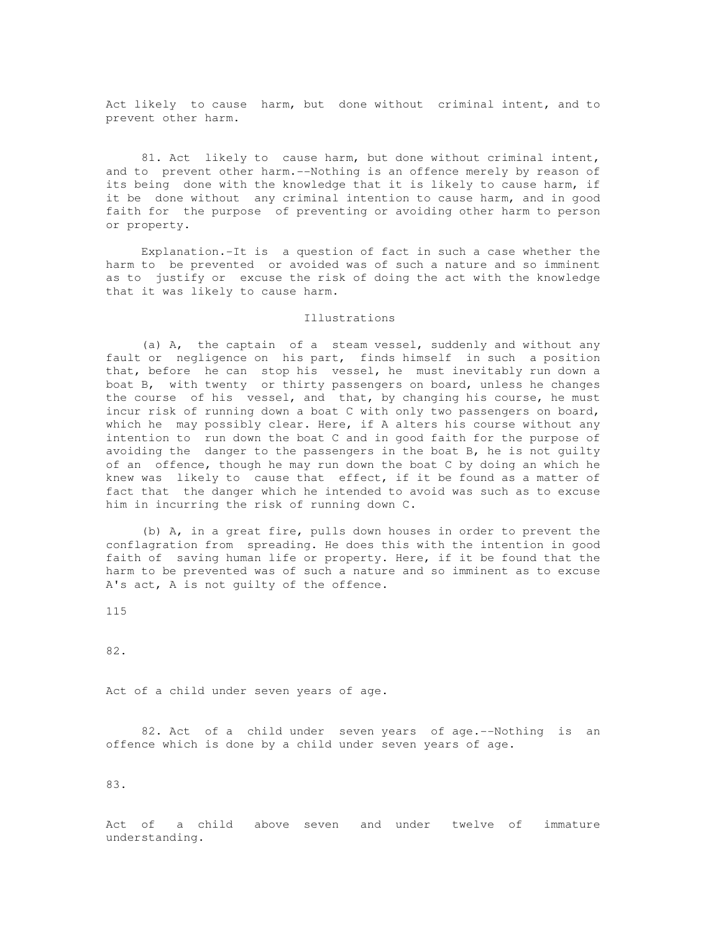Act likely to cause harm, but done without criminal intent, and to prevent other harm.

 81. Act likely to cause harm, but done without criminal intent, and to prevent other harm.--Nothing is an offence merely by reason of its being done with the knowledge that it is likely to cause harm, if it be done without any criminal intention to cause harm, and in good faith for the purpose of preventing or avoiding other harm to person or property.

 Explanation.-It is a question of fact in such a case whether the harm to be prevented or avoided was of such a nature and so imminent as to justify or excuse the risk of doing the act with the knowledge that it was likely to cause harm.

## Illustrations

 (a) A, the captain of a steam vessel, suddenly and without any fault or negligence on his part, finds himself in such a position that, before he can stop his vessel, he must inevitably run down a boat B, with twenty or thirty passengers on board, unless he changes the course of his vessel, and that, by changing his course, he must incur risk of running down a boat C with only two passengers on board, which he may possibly clear. Here, if A alters his course without any intention to run down the boat C and in good faith for the purpose of avoiding the danger to the passengers in the boat B, he is not guilty of an offence, though he may run down the boat C by doing an which he knew was likely to cause that effect, if it be found as a matter of fact that the danger which he intended to avoid was such as to excuse him in incurring the risk of running down C.

 (b) A, in a great fire, pulls down houses in order to prevent the conflagration from spreading. He does this with the intention in good faith of saving human life or property. Here, if it be found that the harm to be prevented was of such a nature and so imminent as to excuse A's act, A is not guilty of the offence.

115

82.

Act of a child under seven years of age.

 82. Act of a child under seven years of age.--Nothing is an offence which is done by a child under seven years of age.

83.

Act of a child above seven and under twelve of immature understanding.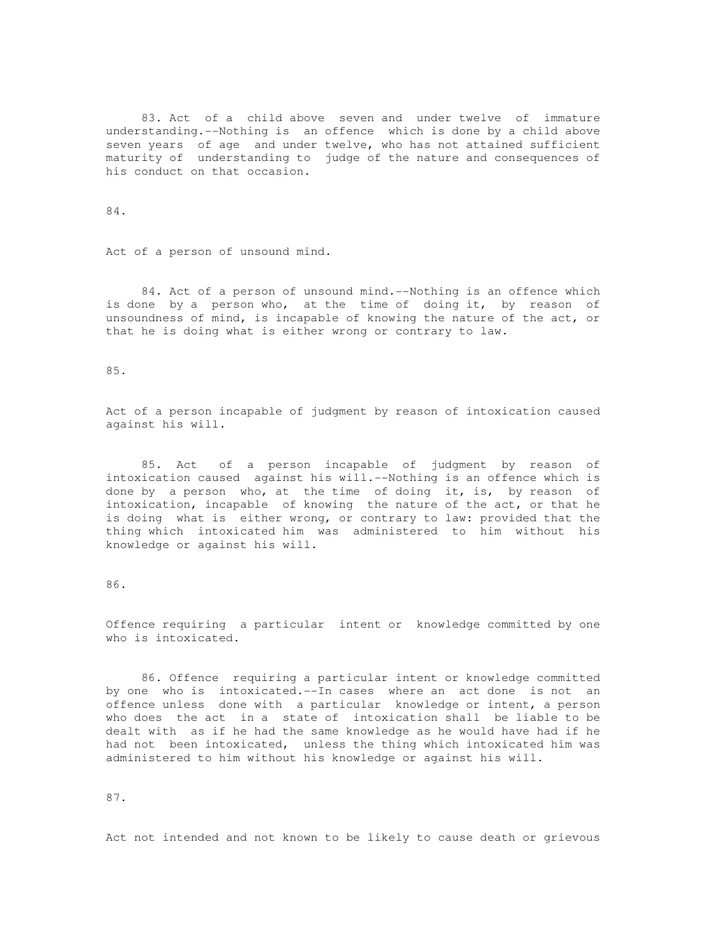83. Act of a child above seven and under twelve of immature understanding.--Nothing is an offence which is done by a child above seven years of age and under twelve, who has not attained sufficient maturity of understanding to judge of the nature and consequences of his conduct on that occasion.

84.

Act of a person of unsound mind.

 84. Act of a person of unsound mind.--Nothing is an offence which is done by a person who, at the time of doing it, by reason of unsoundness of mind, is incapable of knowing the nature of the act, or that he is doing what is either wrong or contrary to law.

85.

Act of a person incapable of judgment by reason of intoxication caused against his will.

 85. Act of a person incapable of judgment by reason of intoxication caused against his will.--Nothing is an offence which is done by a person who, at the time of doing it, is, by reason of intoxication, incapable of knowing the nature of the act, or that he is doing what is either wrong, or contrary to law: provided that the thing which intoxicated him was administered to him without his knowledge or against his will.

86.

Offence requiring a particular intent or knowledge committed by one who is intoxicated.

 86. Offence requiring a particular intent or knowledge committed by one who is intoxicated.--In cases where an act done is not an offence unless done with a particular knowledge or intent, a person who does the act in a state of intoxication shall be liable to be dealt with as if he had the same knowledge as he would have had if he had not been intoxicated, unless the thing which intoxicated him was administered to him without his knowledge or against his will.

87.

Act not intended and not known to be likely to cause death or grievous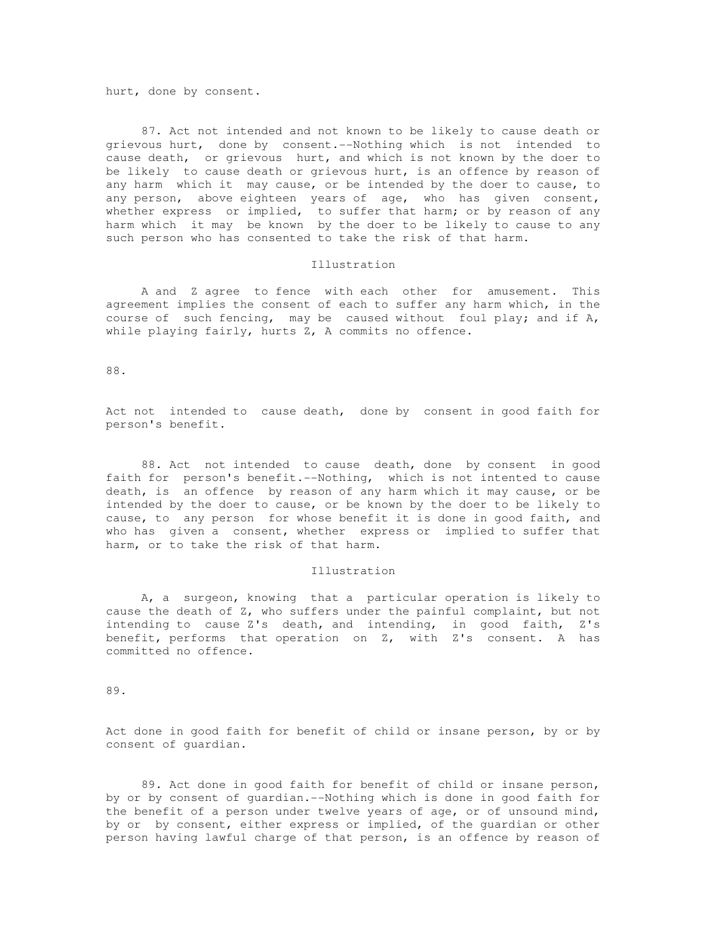hurt, done by consent.

 87. Act not intended and not known to be likely to cause death or grievous hurt, done by consent.--Nothing which is not intended to cause death, or grievous hurt, and which is not known by the doer to be likely to cause death or grievous hurt, is an offence by reason of any harm which it may cause, or be intended by the doer to cause, to any person, above eighteen years of age, who has given consent, whether express or implied, to suffer that harm; or by reason of any harm which it may be known by the doer to be likely to cause to any such person who has consented to take the risk of that harm.

## Illustration

 A and Z agree to fence with each other for amusement. This agreement implies the consent of each to suffer any harm which, in the course of such fencing, may be caused without foul play; and if A, while playing fairly, hurts Z, A commits no offence.

88.

Act not intended to cause death, done by consent in good faith for person's benefit.

 88. Act not intended to cause death, done by consent in good faith for person's benefit.--Nothing, which is not intented to cause death, is an offence by reason of any harm which it may cause, or be intended by the doer to cause, or be known by the doer to be likely to cause, to any person for whose benefit it is done in good faith, and who has given a consent, whether express or implied to suffer that harm, or to take the risk of that harm.

## Illustration

 A, a surgeon, knowing that a particular operation is likely to cause the death of Z, who suffers under the painful complaint, but not intending to cause Z's death, and intending, in good faith, Z's benefit, performs that operation on Z, with Z's consent. A has committed no offence.

89.

Act done in good faith for benefit of child or insane person, by or by consent of guardian.

 89. Act done in good faith for benefit of child or insane person, by or by consent of guardian.--Nothing which is done in good faith for the benefit of a person under twelve years of age, or of unsound mind, by or by consent, either express or implied, of the guardian or other person having lawful charge of that person, is an offence by reason of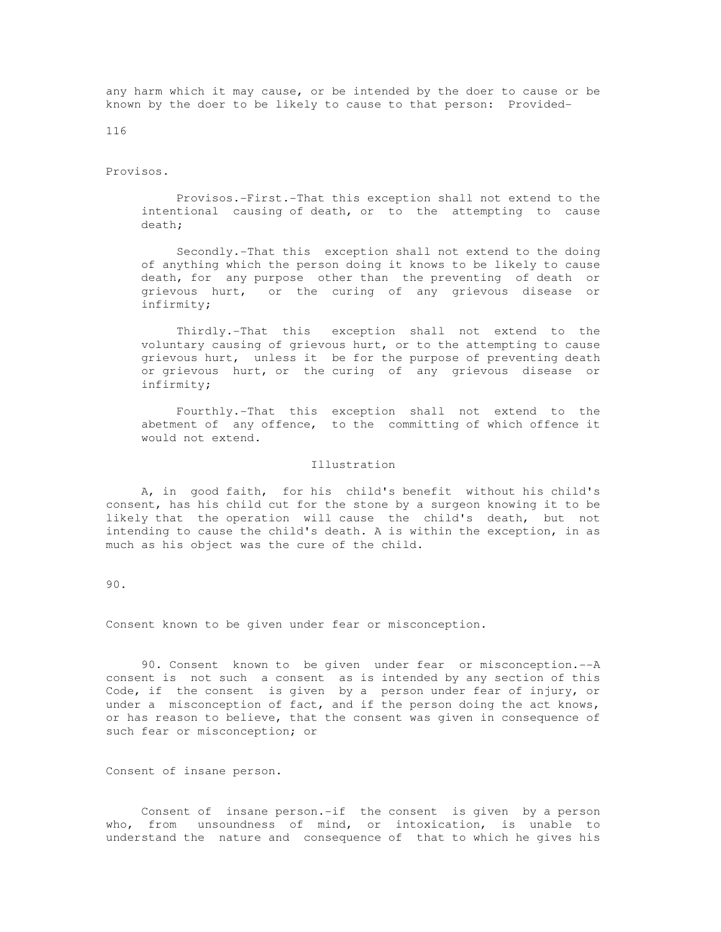any harm which it may cause, or be intended by the doer to cause or be known by the doer to be likely to cause to that person: Provided-

116

Provisos.

 Provisos.-First.-That this exception shall not extend to the intentional causing of death, or to the attempting to cause death;

 Secondly.-That this exception shall not extend to the doing of anything which the person doing it knows to be likely to cause death, for any purpose other than the preventing of death or grievous hurt, or the curing of any grievous disease or infirmity;

 Thirdly.-That this exception shall not extend to the voluntary causing of grievous hurt, or to the attempting to cause grievous hurt, unless it be for the purpose of preventing death or grievous hurt, or the curing of any grievous disease or infirmity;

 Fourthly.-That this exception shall not extend to the abetment of any offence, to the committing of which offence it would not extend.

## Illustration

 A, in good faith, for his child's benefit without his child's consent, has his child cut for the stone by a surgeon knowing it to be likely that the operation will cause the child's death, but not intending to cause the child's death. A is within the exception, in as much as his object was the cure of the child.

90.

Consent known to be given under fear or misconception.

 90. Consent known to be given under fear or misconception.--A consent is not such a consent as is intended by any section of this Code, if the consent is given by a person under fear of injury, or under a misconception of fact, and if the person doing the act knows, or has reason to believe, that the consent was given in consequence of such fear or misconception; or

Consent of insane person.

 Consent of insane person.-if the consent is given by a person who, from unsoundness of mind, or intoxication, is unable to understand the nature and consequence of that to which he gives his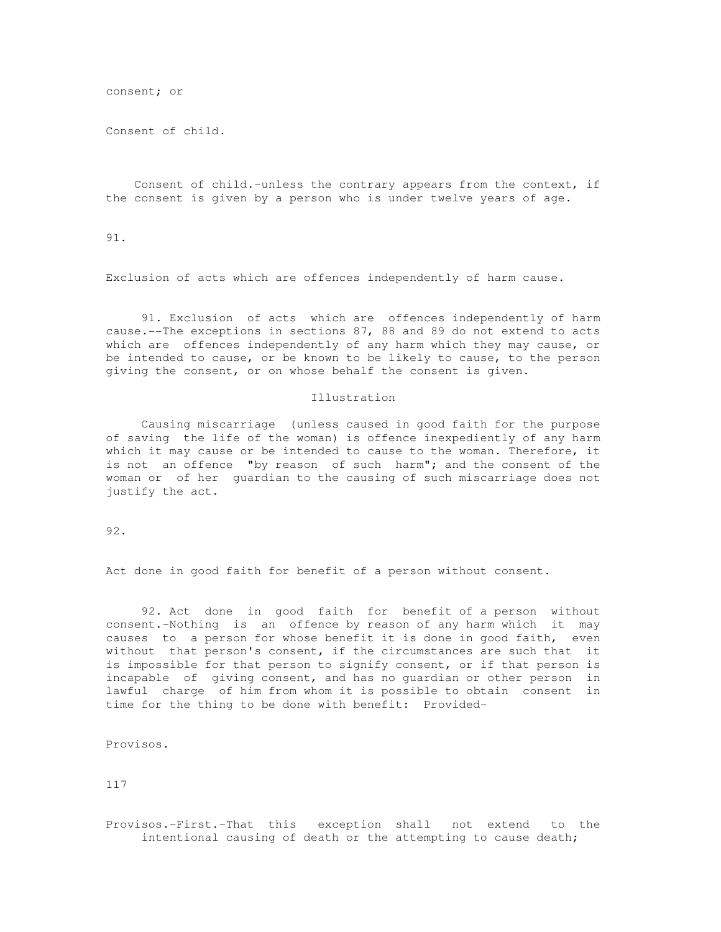consent; or

Consent of child.

 Consent of child.-unless the contrary appears from the context, if the consent is given by a person who is under twelve years of age.

91.

Exclusion of acts which are offences independently of harm cause.

 91. Exclusion of acts which are offences independently of harm cause.--The exceptions in sections 87, 88 and 89 do not extend to acts which are offences independently of any harm which they may cause, or be intended to cause, or be known to be likely to cause, to the person giving the consent, or on whose behalf the consent is given.

## Illustration

 Causing miscarriage (unless caused in good faith for the purpose of saving the life of the woman) is offence inexpediently of any harm which it may cause or be intended to cause to the woman. Therefore, it is not an offence "by reason of such harm"; and the consent of the woman or of her guardian to the causing of such miscarriage does not justify the act.

92.

Act done in good faith for benefit of a person without consent.

 92. Act done in good faith for benefit of a person without consent.-Nothing is an offence by reason of any harm which it may causes to a person for whose benefit it is done in good faith, even without that person's consent, if the circumstances are such that it is impossible for that person to signify consent, or if that person is incapable of giving consent, and has no guardian or other person in lawful charge of him from whom it is possible to obtain consent in time for the thing to be done with benefit: Provided-

Provisos.

117

Provisos.-First.-That this exception shall not extend to the intentional causing of death or the attempting to cause death;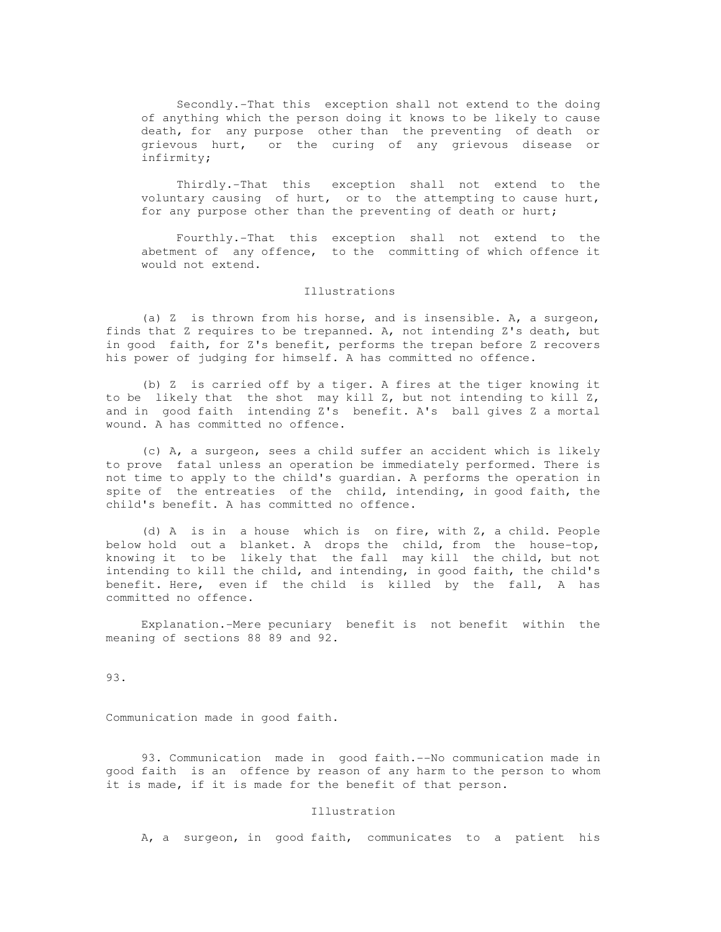Secondly.-That this exception shall not extend to the doing of anything which the person doing it knows to be likely to cause death, for any purpose other than the preventing of death or grievous hurt, or the curing of any grievous disease or infirmity;

 Thirdly.-That this exception shall not extend to the voluntary causing of hurt, or to the attempting to cause hurt, for any purpose other than the preventing of death or hurt;

 Fourthly.-That this exception shall not extend to the abetment of any offence, to the committing of which offence it would not extend.

## Illustrations

 (a) Z is thrown from his horse, and is insensible. A, a surgeon, finds that Z requires to be trepanned. A, not intending Z's death, but in good faith, for Z's benefit, performs the trepan before Z recovers his power of judging for himself. A has committed no offence.

 (b) Z is carried off by a tiger. A fires at the tiger knowing it to be likely that the shot may kill Z, but not intending to kill Z, and in good faith intending Z's benefit. A's ball gives Z a mortal wound. A has committed no offence.

 (c) A, a surgeon, sees a child suffer an accident which is likely to prove fatal unless an operation be immediately performed. There is not time to apply to the child's guardian. A performs the operation in spite of the entreaties of the child, intending, in good faith, the child's benefit. A has committed no offence.

 (d) A is in a house which is on fire, with Z, a child. People below hold out a blanket. A drops the child, from the house-top, knowing it to be likely that the fall may kill the child, but not intending to kill the child, and intending, in good faith, the child's benefit. Here, even if the child is killed by the fall, A has committed no offence.

 Explanation.-Mere pecuniary benefit is not benefit within the meaning of sections 88 89 and 92.

93.

Communication made in good faith.

 93. Communication made in good faith.--No communication made in good faith is an offence by reason of any harm to the person to whom it is made, if it is made for the benefit of that person.

## Illustration

A, a surgeon, in good faith, communicates to a patient his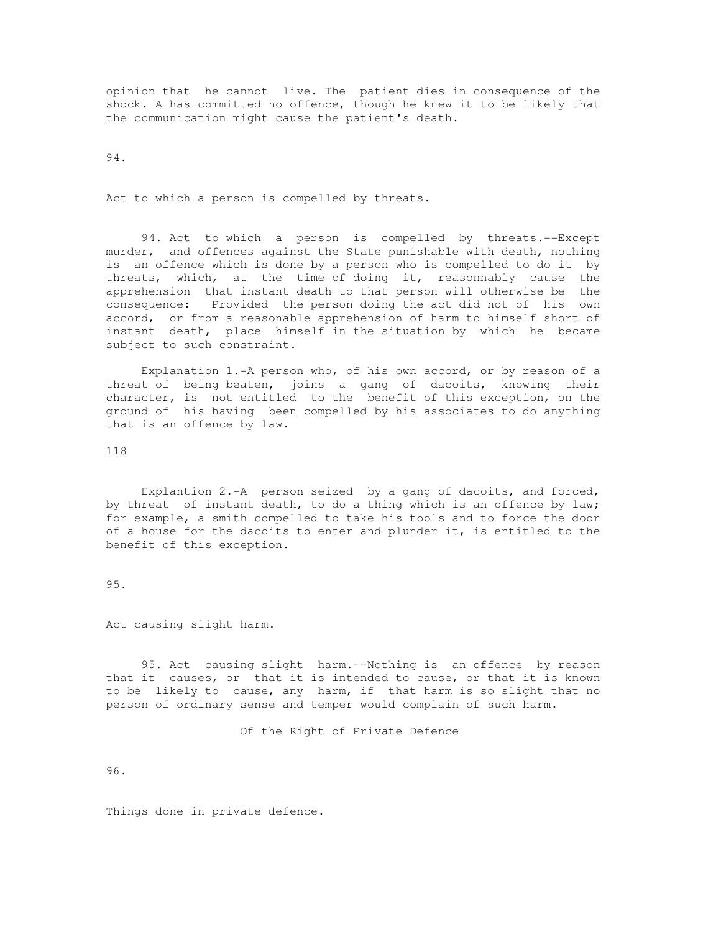opinion that he cannot live. The patient dies in consequence of the shock. A has committed no offence, though he knew it to be likely that the communication might cause the patient's death.

94.

Act to which a person is compelled by threats.

 94. Act to which a person is compelled by threats.--Except murder, and offences against the State punishable with death, nothing is an offence which is done by a person who is compelled to do it by threats, which, at the time of doing it, reasonnably cause the apprehension that instant death to that person will otherwise be the consequence: Provided the person doing the act did not of his own accord, or from a reasonable apprehension of harm to himself short of instant death, place himself in the situation by which he became subject to such constraint.

 Explanation 1.-A person who, of his own accord, or by reason of a threat of being beaten, joins a gang of dacoits, knowing their character, is not entitled to the benefit of this exception, on the ground of his having been compelled by his associates to do anything that is an offence by law.

118

 Explantion 2.-A person seized by a gang of dacoits, and forced, by threat of instant death, to do a thing which is an offence by law; for example, a smith compelled to take his tools and to force the door of a house for the dacoits to enter and plunder it, is entitled to the benefit of this exception.

95.

Act causing slight harm.

 95. Act causing slight harm.--Nothing is an offence by reason that it causes, or that it is intended to cause, or that it is known to be likely to cause, any harm, if that harm is so slight that no person of ordinary sense and temper would complain of such harm.

Of the Right of Private Defence

96.

Things done in private defence.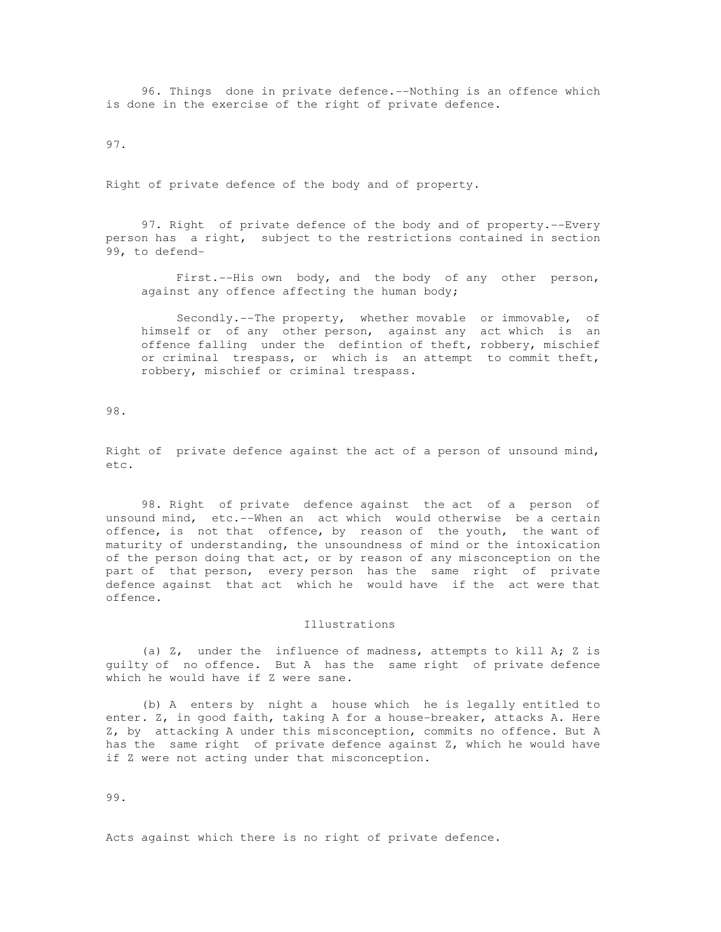96. Things done in private defence.--Nothing is an offence which is done in the exercise of the right of private defence.

97.

Right of private defence of the body and of property.

 97. Right of private defence of the body and of property.--Every person has a right, subject to the restrictions contained in section 99, to defend-

First.--His own body, and the body of any other person, against any offence affecting the human body;

 Secondly.--The property, whether movable or immovable, of himself or of any other person, against any act which is an offence falling under the defintion of theft, robbery, mischief or criminal trespass, or which is an attempt to commit theft, robbery, mischief or criminal trespass.

98.

Right of private defence against the act of a person of unsound mind, etc.

 98. Right of private defence against the act of a person of unsound mind, etc.--When an act which would otherwise be a certain offence, is not that offence, by reason of the youth, the want of maturity of understanding, the unsoundness of mind or the intoxication of the person doing that act, or by reason of any misconception on the part of that person, every person has the same right of private defence against that act which he would have if the act were that offence.

# Illustrations

 (a) Z, under the influence of madness, attempts to kill A; Z is guilty of no offence. But A has the same right of private defence which he would have if Z were sane.

 (b) A enters by night a house which he is legally entitled to enter. Z, in good faith, taking A for a house-breaker, attacks A. Here Z, by attacking A under this misconception, commits no offence. But A has the same right of private defence against Z, which he would have if Z were not acting under that misconception.

99.

Acts against which there is no right of private defence.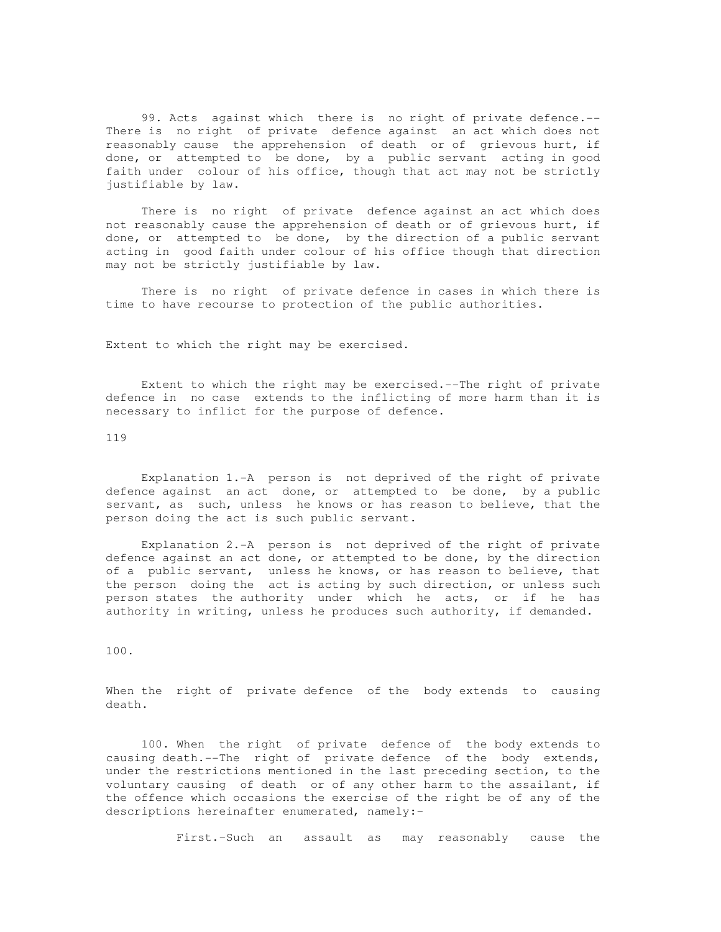99. Acts against which there is no right of private defence.-- There is no right of private defence against an act which does not reasonably cause the apprehension of death or of grievous hurt, if done, or attempted to be done, by a public servant acting in good faith under colour of his office, though that act may not be strictly justifiable by law.

 There is no right of private defence against an act which does not reasonably cause the apprehension of death or of grievous hurt, if done, or attempted to be done, by the direction of a public servant acting in good faith under colour of his office though that direction may not be strictly justifiable by law.

 There is no right of private defence in cases in which there is time to have recourse to protection of the public authorities.

Extent to which the right may be exercised.

 Extent to which the right may be exercised.--The right of private defence in no case extends to the inflicting of more harm than it is necessary to inflict for the purpose of defence.

119

 Explanation 1.-A person is not deprived of the right of private defence against an act done, or attempted to be done, by a public servant, as such, unless he knows or has reason to believe, that the person doing the act is such public servant.

 Explanation 2.-A person is not deprived of the right of private defence against an act done, or attempted to be done, by the direction of a public servant, unless he knows, or has reason to believe, that the person doing the act is acting by such direction, or unless such person states the authority under which he acts, or if he has authority in writing, unless he produces such authority, if demanded.

100.

When the right of private defence of the body extends to causing death.

 100. When the right of private defence of the body extends to causing death.--The right of private defence of the body extends, under the restrictions mentioned in the last preceding section, to the voluntary causing of death or of any other harm to the assailant, if the offence which occasions the exercise of the right be of any of the descriptions hereinafter enumerated, namely:-

First.-Such an assault as may reasonably cause the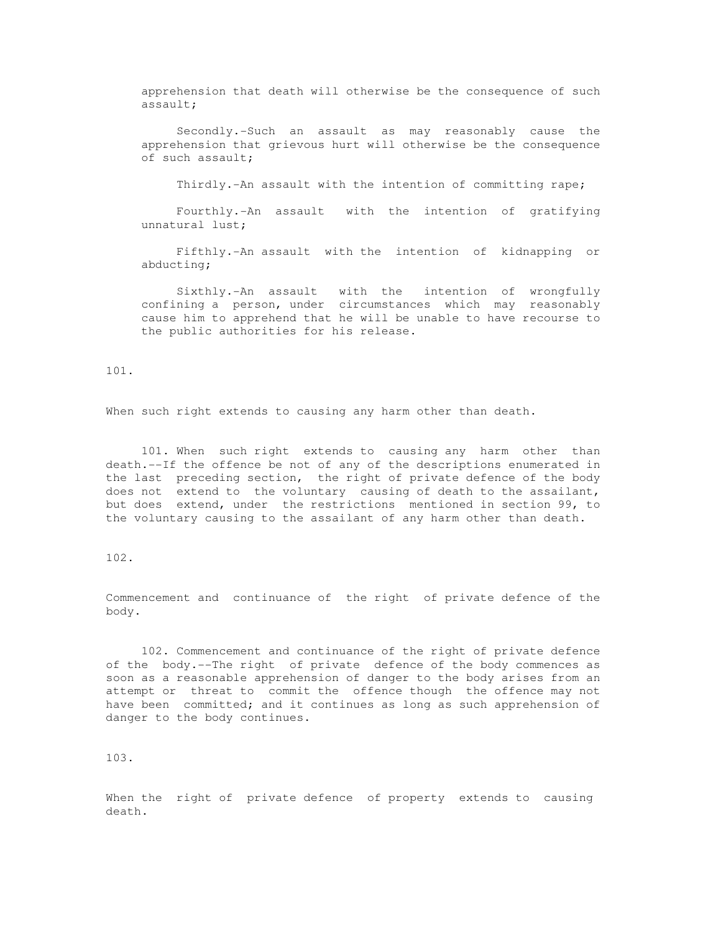apprehension that death will otherwise be the consequence of such assault;

 Secondly.-Such an assault as may reasonably cause the apprehension that grievous hurt will otherwise be the consequence of such assault;

Thirdly.-An assault with the intention of committing rape;

 Fourthly.-An assault with the intention of gratifying unnatural lust;

 Fifthly.-An assault with the intention of kidnapping or abducting;

 Sixthly.-An assault with the intention of wrongfully confining a person, under circumstances which may reasonably cause him to apprehend that he will be unable to have recourse to the public authorities for his release.

101.

When such right extends to causing any harm other than death.

 101. When such right extends to causing any harm other than death.--If the offence be not of any of the descriptions enumerated in the last preceding section, the right of private defence of the body does not extend to the voluntary causing of death to the assailant, but does extend, under the restrictions mentioned in section 99, to the voluntary causing to the assailant of any harm other than death.

102.

Commencement and continuance of the right of private defence of the body.

 102. Commencement and continuance of the right of private defence of the body.--The right of private defence of the body commences as soon as a reasonable apprehension of danger to the body arises from an attempt or threat to commit the offence though the offence may not have been committed; and it continues as long as such apprehension of danger to the body continues.

103.

When the right of private defence of property extends to causing death.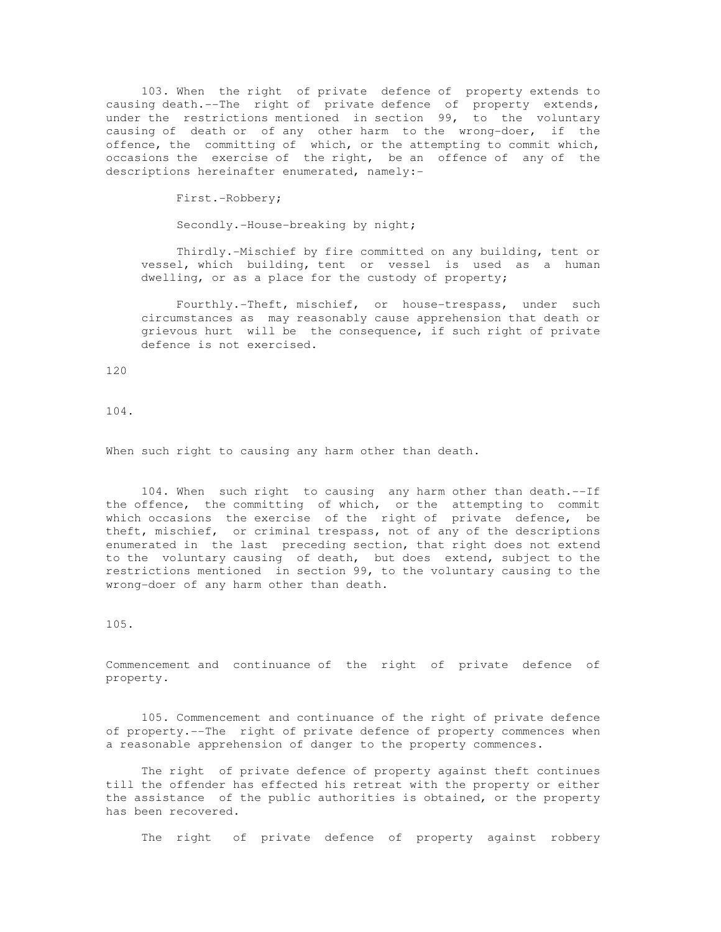103. When the right of private defence of property extends to causing death.--The right of private defence of property extends, under the restrictions mentioned in section 99, to the voluntary causing of death or of any other harm to the wrong-doer, if the offence, the committing of which, or the attempting to commit which, occasions the exercise of the right, be an offence of any of the descriptions hereinafter enumerated, namely:-

First.-Robbery;

Secondly.-House-breaking by night;

 Thirdly.-Mischief by fire committed on any building, tent or vessel, which building, tent or vessel is used as a human dwelling, or as a place for the custody of property;

 Fourthly.-Theft, mischief, or house-trespass, under such circumstances as may reasonably cause apprehension that death or grievous hurt will be the consequence, if such right of private defence is not exercised.

120

104.

When such right to causing any harm other than death.

 104. When such right to causing any harm other than death.--If the offence, the committing of which, or the attempting to commit which occasions the exercise of the right of private defence, be theft, mischief, or criminal trespass, not of any of the descriptions enumerated in the last preceding section, that right does not extend to the voluntary causing of death, but does extend, subject to the restrictions mentioned in section 99, to the voluntary causing to the wrong-doer of any harm other than death.

105.

Commencement and continuance of the right of private defence of property.

 105. Commencement and continuance of the right of private defence of property.--The right of private defence of property commences when a reasonable apprehension of danger to the property commences.

 The right of private defence of property against theft continues till the offender has effected his retreat with the property or either the assistance of the public authorities is obtained, or the property has been recovered.

The right of private defence of property against robbery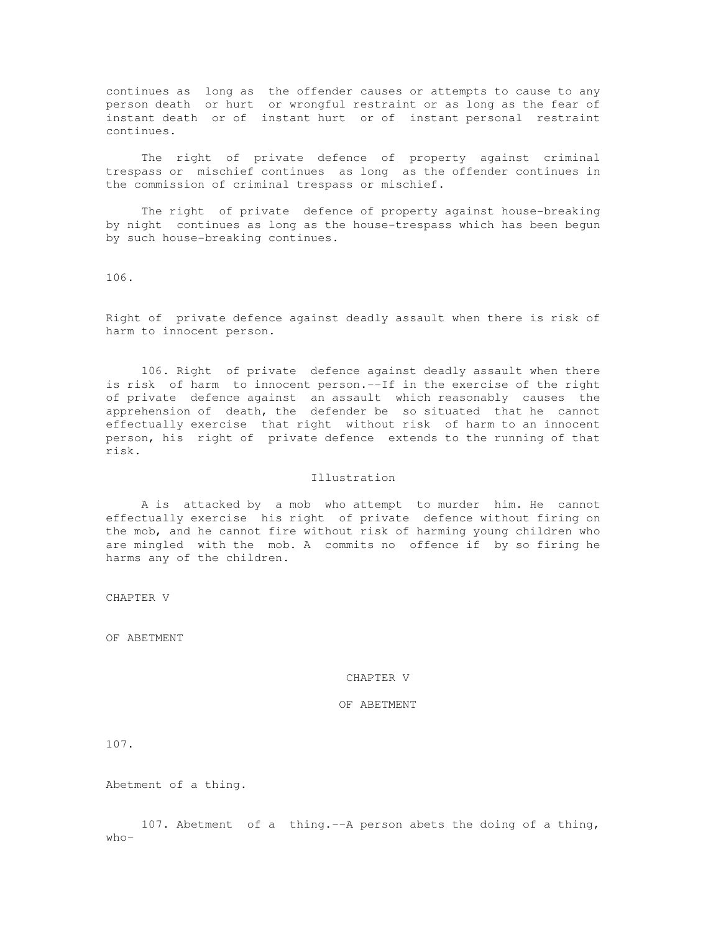continues as long as the offender causes or attempts to cause to any person death or hurt or wrongful restraint or as long as the fear of instant death or of instant hurt or of instant personal restraint continues.

 The right of private defence of property against criminal trespass or mischief continues as long as the offender continues in the commission of criminal trespass or mischief.

 The right of private defence of property against house-breaking by night continues as long as the house-trespass which has been begun by such house-breaking continues.

106.

Right of private defence against deadly assault when there is risk of harm to innocent person.

 106. Right of private defence against deadly assault when there is risk of harm to innocent person.--If in the exercise of the right of private defence against an assault which reasonably causes the apprehension of death, the defender be so situated that he cannot effectually exercise that right without risk of harm to an innocent person, his right of private defence extends to the running of that risk.

## Illustration

 A is attacked by a mob who attempt to murder him. He cannot effectually exercise his right of private defence without firing on the mob, and he cannot fire without risk of harming young children who are mingled with the mob. A commits no offence if by so firing he harms any of the children.

CHAPTER V

OF ABETMENT

#### CHAPTER V

### OF ABETMENT

107.

Abetment of a thing.

 107. Abetment of a thing.--A person abets the doing of a thing,  $who-$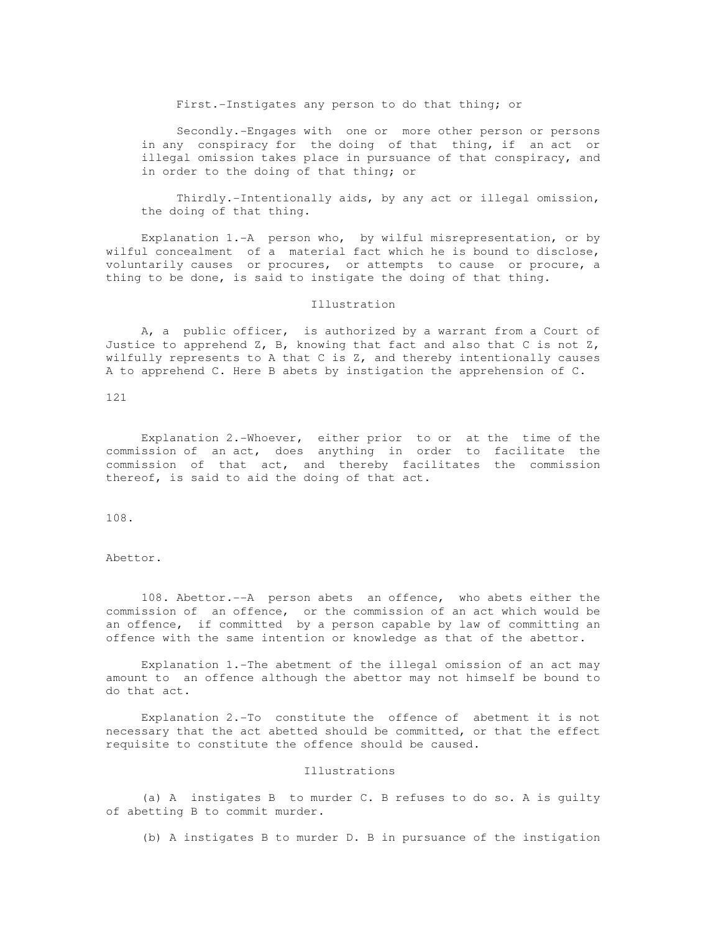First.-Instigates any person to do that thing; or

 Secondly.-Engages with one or more other person or persons in any conspiracy for the doing of that thing, if an act or illegal omission takes place in pursuance of that conspiracy, and in order to the doing of that thing; or

 Thirdly.-Intentionally aids, by any act or illegal omission, the doing of that thing.

 Explanation 1.-A person who, by wilful misrepresentation, or by wilful concealment of a material fact which he is bound to disclose, voluntarily causes or procures, or attempts to cause or procure, a thing to be done, is said to instigate the doing of that thing.

#### Illustration

 A, a public officer, is authorized by a warrant from a Court of Justice to apprehend  $Z$ , B, knowing that fact and also that C is not  $Z$ , wilfully represents to A that C is Z, and thereby intentionally causes A to apprehend C. Here B abets by instigation the apprehension of C.

121

 Explanation 2.-Whoever, either prior to or at the time of the commission of an act, does anything in order to facilitate the commission of that act, and thereby facilitates the commission thereof, is said to aid the doing of that act.

108.

Abettor.

 108. Abettor.--A person abets an offence, who abets either the commission of an offence, or the commission of an act which would be an offence, if committed by a person capable by law of committing an offence with the same intention or knowledge as that of the abettor.

 Explanation 1.-The abetment of the illegal omission of an act may amount to an offence although the abettor may not himself be bound to do that act.

 Explanation 2.-To constitute the offence of abetment it is not necessary that the act abetted should be committed, or that the effect requisite to constitute the offence should be caused.

## Illustrations

 (a) A instigates B to murder C. B refuses to do so. A is guilty of abetting B to commit murder.

(b) A instigates B to murder D. B in pursuance of the instigation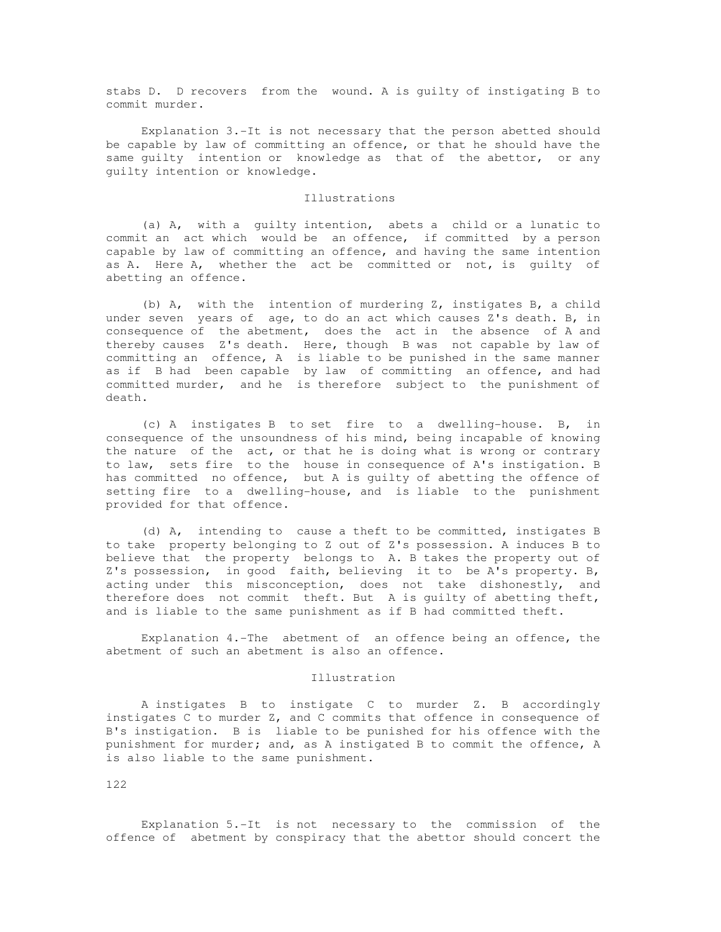stabs D. D recovers from the wound. A is guilty of instigating B to commit murder.

 Explanation 3.-It is not necessary that the person abetted should be capable by law of committing an offence, or that he should have the same quilty intention or knowledge as that of the abettor, or any guilty intention or knowledge.

### Illustrations

 (a) A, with a guilty intention, abets a child or a lunatic to commit an act which would be an offence, if committed by a person capable by law of committing an offence, and having the same intention as A. Here A, whether the act be committed or not, is guilty of abetting an offence.

 (b) A, with the intention of murdering Z, instigates B, a child under seven years of age, to do an act which causes Z's death. B, in consequence of the abetment, does the act in the absence of A and thereby causes Z's death. Here, though B was not capable by law of committing an offence, A is liable to be punished in the same manner as if B had been capable by law of committing an offence, and had committed murder, and he is therefore subject to the punishment of death.

 (c) A instigates B to set fire to a dwelling-house. B, in consequence of the unsoundness of his mind, being incapable of knowing the nature of the act, or that he is doing what is wrong or contrary to law, sets fire to the house in consequence of A's instigation. B has committed no offence, but A is guilty of abetting the offence of setting fire to a dwelling-house, and is liable to the punishment provided for that offence.

 (d) A, intending to cause a theft to be committed, instigates B to take property belonging to Z out of Z's possession. A induces B to believe that the property belongs to A. B takes the property out of Z's possession, in good faith, believing it to be A's property. B, acting under this misconception, does not take dishonestly, and therefore does not commit theft. But A is guilty of abetting theft, and is liable to the same punishment as if B had committed theft.

 Explanation 4.-The abetment of an offence being an offence, the abetment of such an abetment is also an offence.

#### Illustration

 A instigates B to instigate C to murder Z. B accordingly instigates C to murder Z, and C commits that offence in consequence of B's instigation. B is liable to be punished for his offence with the punishment for murder; and, as A instigated B to commit the offence, A is also liable to the same punishment.

122

 Explanation 5.-It is not necessary to the commission of the offence of abetment by conspiracy that the abettor should concert the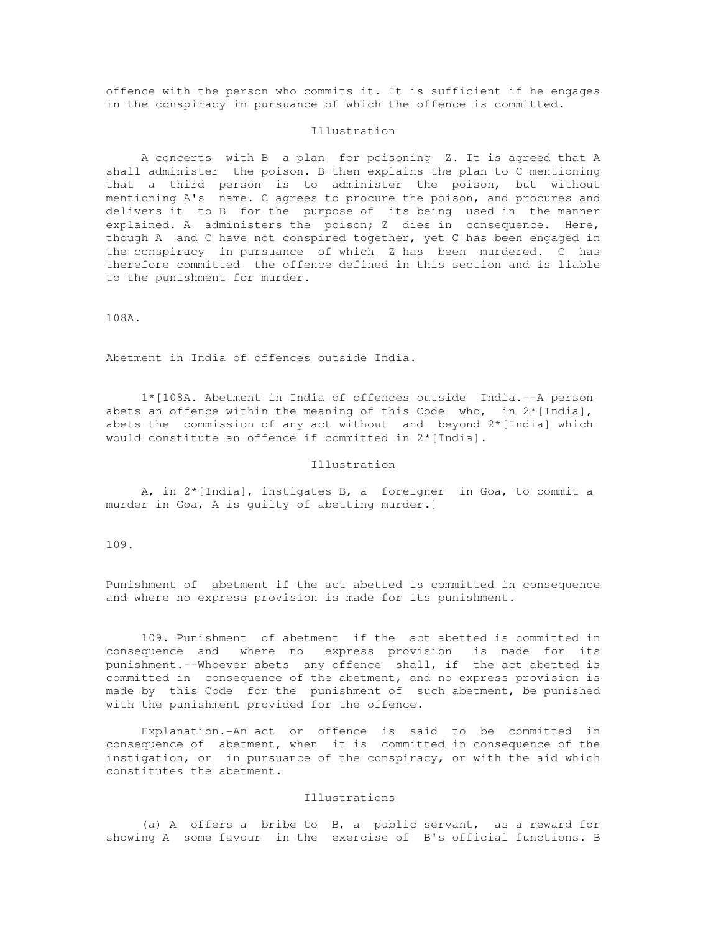offence with the person who commits it. It is sufficient if he engages in the conspiracy in pursuance of which the offence is committed.

#### Illustration

 A concerts with B a plan for poisoning Z. It is agreed that A shall administer the poison. B then explains the plan to C mentioning that a third person is to administer the poison, but without mentioning A's name. C agrees to procure the poison, and procures and delivers it to B for the purpose of its being used in the manner explained. A administers the poison; Z dies in consequence. Here, though A and C have not conspired together, yet C has been engaged in the conspiracy in pursuance of which Z has been murdered. C has therefore committed the offence defined in this section and is liable to the punishment for murder.

108A.

Abetment in India of offences outside India.

 1\*[108A. Abetment in India of offences outside India.--A person abets an offence within the meaning of this Code who, in  $2^*$ [India], abets the commission of any act without and beyond  $2*(\text{India}]$  which would constitute an offence if committed in 2\*[India].

#### Illustration

 A, in 2\*[India], instigates B, a foreigner in Goa, to commit a murder in Goa, A is guilty of abetting murder.]

109.

Punishment of abetment if the act abetted is committed in consequence and where no express provision is made for its punishment.

 109. Punishment of abetment if the act abetted is committed in consequence and where no express provision is made for its punishment.--Whoever abets any offence shall, if the act abetted is committed in consequence of the abetment, and no express provision is made by this Code for the punishment of such abetment, be punished with the punishment provided for the offence.

 Explanation.-An act or offence is said to be committed in consequence of abetment, when it is committed in consequence of the instigation, or in pursuance of the conspiracy, or with the aid which constitutes the abetment.

#### Illustrations

 (a) A offers a bribe to B, a public servant, as a reward for showing A some favour in the exercise of B's official functions. B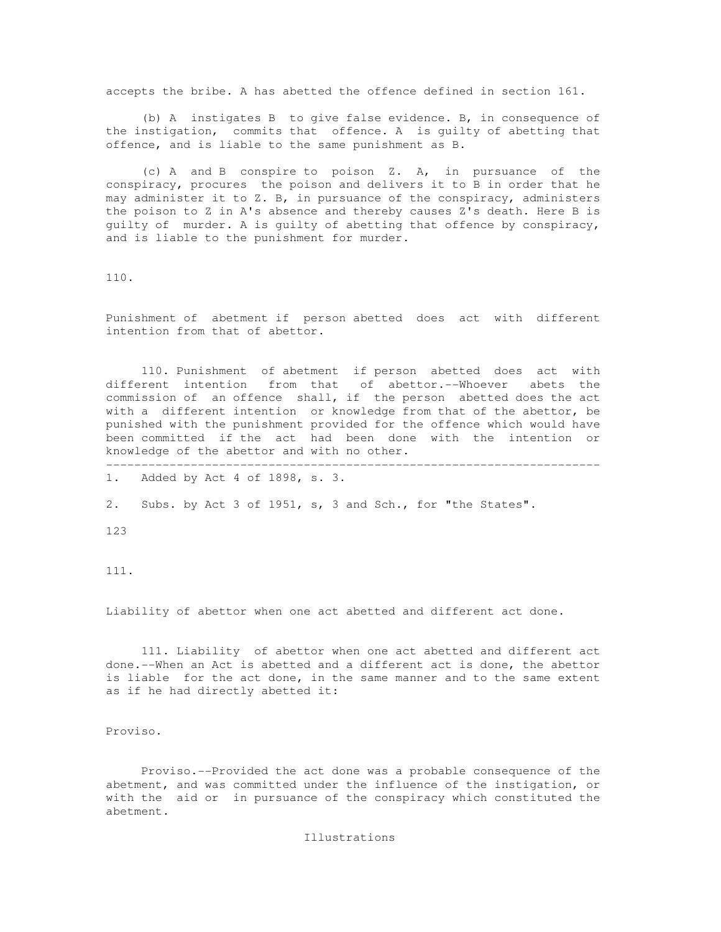accepts the bribe. A has abetted the offence defined in section 161.

 (b) A instigates B to give false evidence. B, in consequence of the instigation, commits that offence. A is guilty of abetting that offence, and is liable to the same punishment as B.

 (c) A and B conspire to poison Z. A, in pursuance of the conspiracy, procures the poison and delivers it to B in order that he may administer it to Z. B, in pursuance of the conspiracy, administers the poison to Z in A's absence and thereby causes Z's death. Here B is guilty of murder. A is guilty of abetting that offence by conspiracy, and is liable to the punishment for murder.

110.

Punishment of abetment if person abetted does act with different intention from that of abettor.

 110. Punishment of abetment if person abetted does act with different intention from that of abettor.--Whoever abets the commission of an offence shall, if the person abetted does the act with a different intention or knowledge from that of the abettor, be punished with the punishment provided for the offence which would have been committed if the act had been done with the intention or knowledge of the abettor and with no other. ----------------------------------------------------------------------

1. Added by Act 4 of 1898, s. 3.

2. Subs. by Act 3 of 1951, s, 3 and Sch., for "the States".

123

111.

Liability of abettor when one act abetted and different act done.

 111. Liability of abettor when one act abetted and different act done.--When an Act is abetted and a different act is done, the abettor is liable for the act done, in the same manner and to the same extent as if he had directly abetted it:

Proviso.

 Proviso.--Provided the act done was a probable consequence of the abetment, and was committed under the influence of the instigation, or with the aid or in pursuance of the conspiracy which constituted the abetment.

Illustrations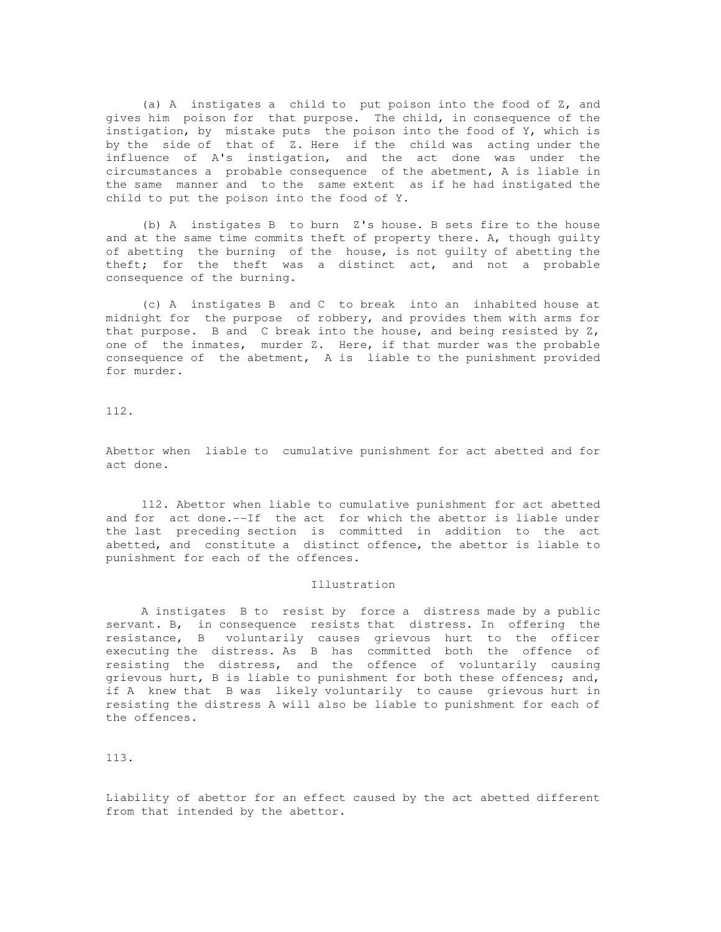(a) A instigates a child to put poison into the food of Z, and gives him poison for that purpose. The child, in consequence of the instigation, by mistake puts the poison into the food of Y, which is by the side of that of Z. Here if the child was acting under the influence of A's instigation, and the act done was under the circumstances a probable consequence of the abetment, A is liable in the same manner and to the same extent as if he had instigated the child to put the poison into the food of Y.

 (b) A instigates B to burn Z's house. B sets fire to the house and at the same time commits theft of property there. A, though guilty of abetting the burning of the house, is not guilty of abetting the theft; for the theft was a distinct act, and not a probable consequence of the burning.

 (c) A instigates B and C to break into an inhabited house at midnight for the purpose of robbery, and provides them with arms for that purpose. B and C break into the house, and being resisted by Z, one of the inmates, murder Z. Here, if that murder was the probable consequence of the abetment, A is liable to the punishment provided for murder.

# 112.

Abettor when liable to cumulative punishment for act abetted and for act done.

 112. Abettor when liable to cumulative punishment for act abetted and for act done.--If the act for which the abettor is liable under the last preceding section is committed in addition to the act abetted, and constitute a distinct offence, the abettor is liable to punishment for each of the offences.

## Illustration

 A instigates B to resist by force a distress made by a public servant. B, in consequence resists that distress. In offering the resistance, B voluntarily causes grievous hurt to the officer executing the distress. As B has committed both the offence of resisting the distress, and the offence of voluntarily causing grievous hurt, B is liable to punishment for both these offences; and, if A knew that B was likely voluntarily to cause grievous hurt in resisting the distress A will also be liable to punishment for each of the offences.

# 113.

Liability of abettor for an effect caused by the act abetted different from that intended by the abettor.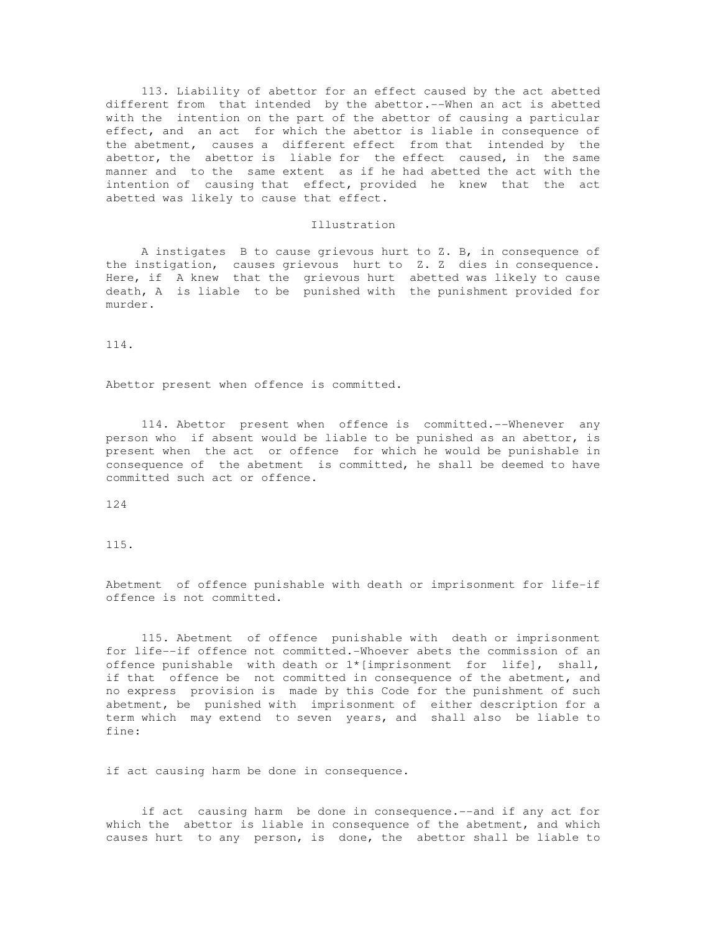113. Liability of abettor for an effect caused by the act abetted different from that intended by the abettor.--When an act is abetted with the intention on the part of the abettor of causing a particular effect, and an act for which the abettor is liable in consequence of the abetment, causes a different effect from that intended by the abettor, the abettor is liable for the effect caused, in the same manner and to the same extent as if he had abetted the act with the intention of causing that effect, provided he knew that the act abetted was likely to cause that effect.

#### Illustration

 A instigates B to cause grievous hurt to Z. B, in consequence of the instigation, causes grievous hurt to Z. Z dies in consequence. Here, if A knew that the grievous hurt abetted was likely to cause death, A is liable to be punished with the punishment provided for murder.

114.

Abettor present when offence is committed.

 114. Abettor present when offence is committed.--Whenever any person who if absent would be liable to be punished as an abettor, is present when the act or offence for which he would be punishable in consequence of the abetment is committed, he shall be deemed to have committed such act or offence.

124

115.

Abetment of offence punishable with death or imprisonment for life-if offence is not committed.

 115. Abetment of offence punishable with death or imprisonment for life--if offence not committed.-Whoever abets the commission of an offence punishable with death or 1\*[imprisonment for life], shall, if that offence be not committed in consequence of the abetment, and no express provision is made by this Code for the punishment of such abetment, be punished with imprisonment of either description for a term which may extend to seven years, and shall also be liable to fine:

if act causing harm be done in consequence.

 if act causing harm be done in consequence.--and if any act for which the abettor is liable in consequence of the abetment, and which causes hurt to any person, is done, the abettor shall be liable to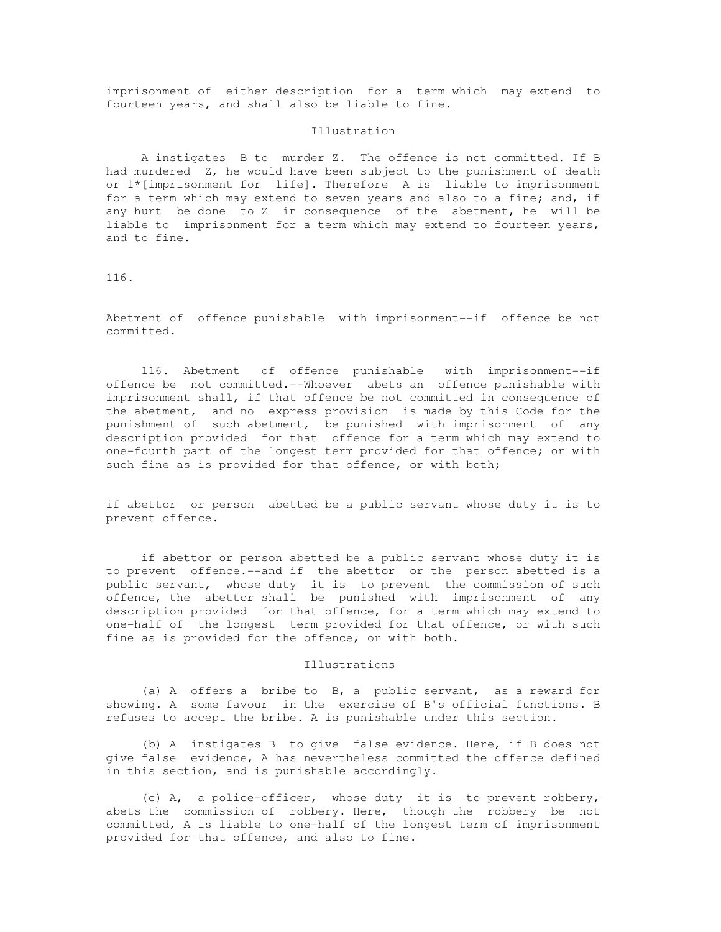imprisonment of either description for a term which may extend to fourteen years, and shall also be liable to fine.

#### Illustration

 A instigates B to murder Z. The offence is not committed. If B had murdered Z, he would have been subject to the punishment of death or 1\*[imprisonment for life]. Therefore A is liable to imprisonment for a term which may extend to seven years and also to a fine; and, if any hurt be done to Z in consequence of the abetment, he will be liable to imprisonment for a term which may extend to fourteen years, and to fine.

# 116.

Abetment of offence punishable with imprisonment--if offence be not committed.

 116. Abetment of offence punishable with imprisonment--if offence be not committed.--Whoever abets an offence punishable with imprisonment shall, if that offence be not committed in consequence of the abetment, and no express provision is made by this Code for the punishment of such abetment, be punished with imprisonment of any description provided for that offence for a term which may extend to one-fourth part of the longest term provided for that offence; or with such fine as is provided for that offence, or with both;

if abettor or person abetted be a public servant whose duty it is to prevent offence.

 if abettor or person abetted be a public servant whose duty it is to prevent offence.--and if the abettor or the person abetted is a public servant, whose duty it is to prevent the commission of such offence, the abettor shall be punished with imprisonment of any description provided for that offence, for a term which may extend to one-half of the longest term provided for that offence, or with such fine as is provided for the offence, or with both.

#### Illustrations

 (a) A offers a bribe to B, a public servant, as a reward for showing. A some favour in the exercise of B's official functions. B refuses to accept the bribe. A is punishable under this section.

 (b) A instigates B to give false evidence. Here, if B does not give false evidence, A has nevertheless committed the offence defined in this section, and is punishable accordingly.

 (c) A, a police-officer, whose duty it is to prevent robbery, abets the commission of robbery. Here, though the robbery be not committed, A is liable to one-half of the longest term of imprisonment provided for that offence, and also to fine.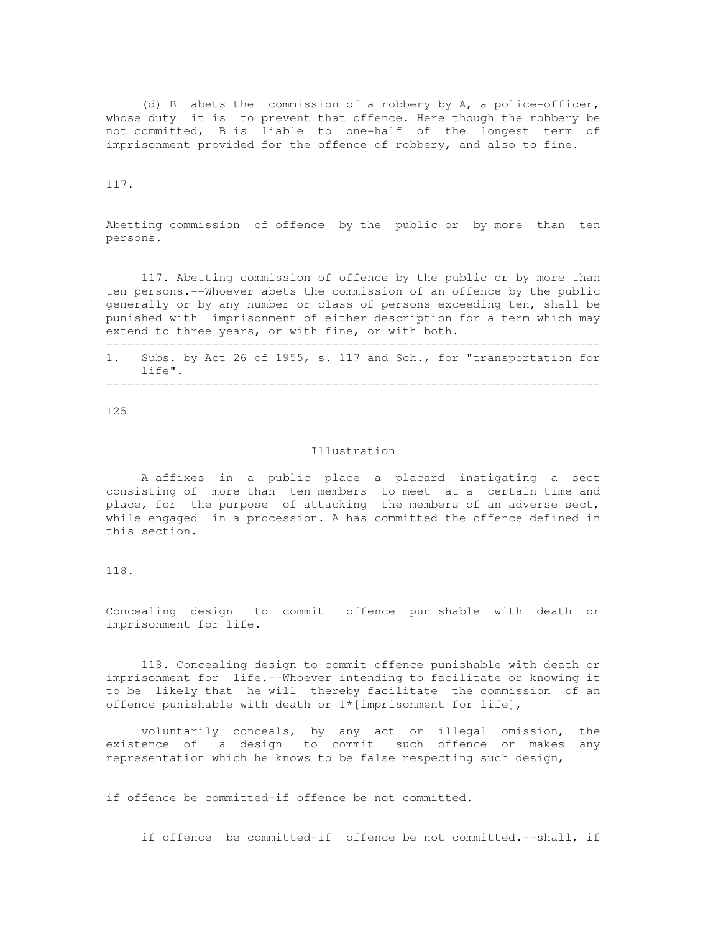(d) B abets the commission of a robbery by A, a police-officer, whose duty it is to prevent that offence. Here though the robbery be not committed, B is liable to one-half of the longest term of imprisonment provided for the offence of robbery, and also to fine.

117.

Abetting commission of offence by the public or by more than ten persons.

 117. Abetting commission of offence by the public or by more than ten persons.--Whoever abets the commission of an offence by the public generally or by any number or class of persons exceeding ten, shall be punished with imprisonment of either description for a term which may extend to three years, or with fine, or with both. ----------------------------------------------------------------------

1. Subs. by Act 26 of 1955, s. 117 and Sch., for "transportation for life". ----------------------------------------------------------------------

125

### Illustration

 A affixes in a public place a placard instigating a sect consisting of more than ten members to meet at a certain time and place, for the purpose of attacking the members of an adverse sect, while engaged in a procession. A has committed the offence defined in this section.

118.

Concealing design to commit offence punishable with death or imprisonment for life.

 118. Concealing design to commit offence punishable with death or imprisonment for life.--Whoever intending to facilitate or knowing it to be likely that he will thereby facilitate the commission of an offence punishable with death or 1\*[imprisonment for life],

 voluntarily conceals, by any act or illegal omission, the existence of a design to commit such offence or makes any representation which he knows to be false respecting such design,

if offence be committed-if offence be not committed.

if offence be committed-if offence be not committed.--shall, if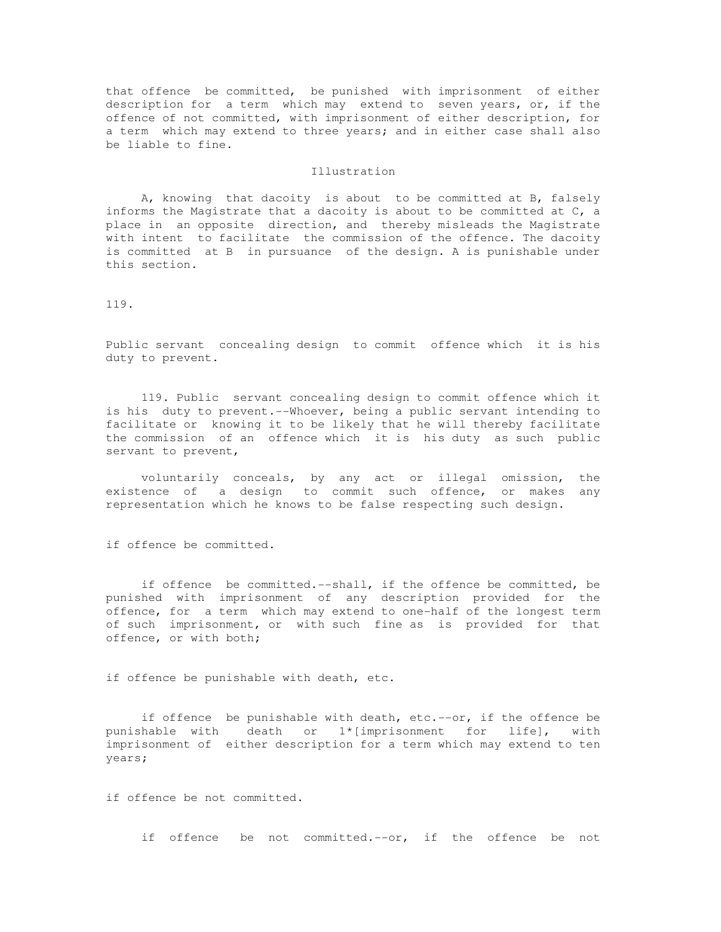that offence be committed, be punished with imprisonment of either description for a term which may extend to seven years, or, if the offence of not committed, with imprisonment of either description, for a term which may extend to three years; and in either case shall also be liable to fine.

#### Illustration

 A, knowing that dacoity is about to be committed at B, falsely informs the Magistrate that a dacoity is about to be committed at  $C$ , a place in an opposite direction, and thereby misleads the Magistrate with intent to facilitate the commission of the offence. The dacoity is committed at B in pursuance of the design. A is punishable under this section.

119.

Public servant concealing design to commit offence which it is his duty to prevent.

 119. Public servant concealing design to commit offence which it is his duty to prevent.--Whoever, being a public servant intending to facilitate or knowing it to be likely that he will thereby facilitate the commission of an offence which it is his duty as such public servant to prevent,

 voluntarily conceals, by any act or illegal omission, the existence of a design to commit such offence, or makes any representation which he knows to be false respecting such design.

if offence be committed.

 if offence be committed.--shall, if the offence be committed, be punished with imprisonment of any description provided for the offence, for a term which may extend to one-half of the longest term of such imprisonment, or with such fine as is provided for that offence, or with both;

if offence be punishable with death, etc.

 if offence be punishable with death, etc.--or, if the offence be punishable with death or 1\*[imprisonment for life], with imprisonment of either description for a term which may extend to ten years;

if offence be not committed.

if offence be not committed.--or, if the offence be not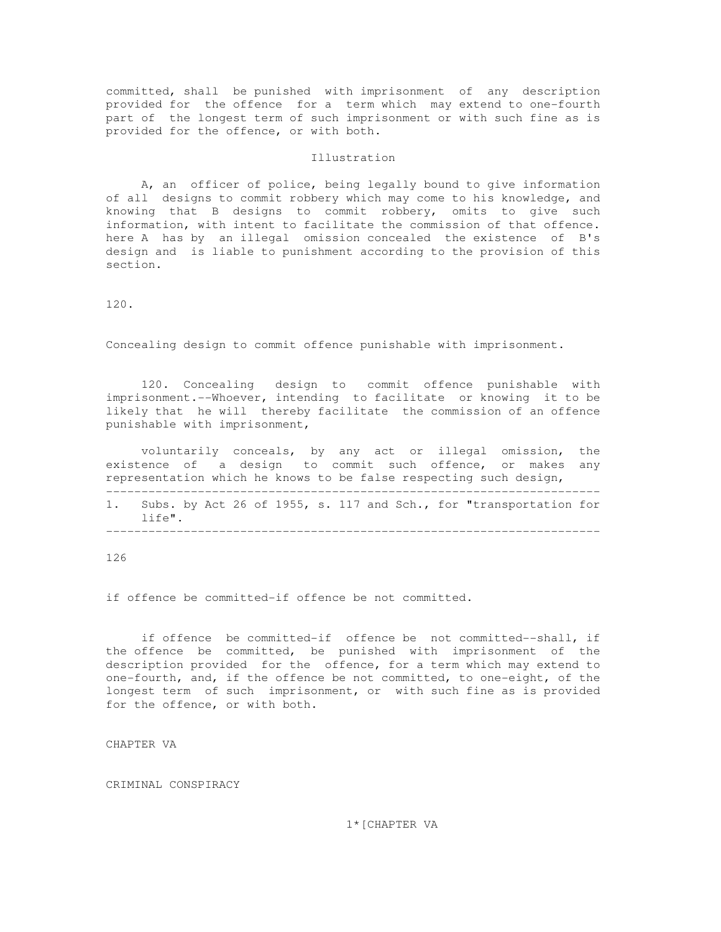committed, shall be punished with imprisonment of any description provided for the offence for a term which may extend to one-fourth part of the longest term of such imprisonment or with such fine as is provided for the offence, or with both.

### Illustration

 A, an officer of police, being legally bound to give information of all designs to commit robbery which may come to his knowledge, and knowing that B designs to commit robbery, omits to give such information, with intent to facilitate the commission of that offence. here A has by an illegal omission concealed the existence of B's design and is liable to punishment according to the provision of this section.

120.

Concealing design to commit offence punishable with imprisonment.

 120. Concealing design to commit offence punishable with imprisonment.--Whoever, intending to facilitate or knowing it to be likely that he will thereby facilitate the commission of an offence punishable with imprisonment,

 voluntarily conceals, by any act or illegal omission, the existence of a design to commit such offence, or makes any representation which he knows to be false respecting such design, ----------------------------------------------------------------------

1. Subs. by Act 26 of 1955, s. 117 and Sch., for "transportation for life". ----------------------------------------------------------------------

126

if offence be committed-if offence be not committed.

 if offence be committed-if offence be not committed--shall, if the offence be committed, be punished with imprisonment of the description provided for the offence, for a term which may extend to one-fourth, and, if the offence be not committed, to one-eight, of the longest term of such imprisonment, or with such fine as is provided for the offence, or with both.

CHAPTER VA

CRIMINAL CONSPIRACY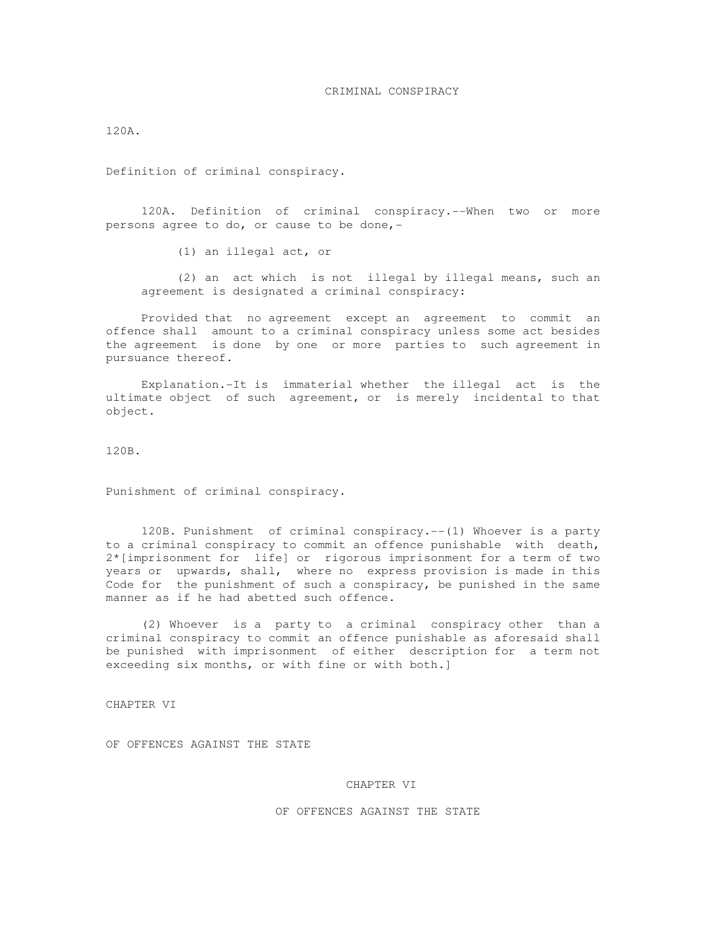120A.

Definition of criminal conspiracy.

 120A. Definition of criminal conspiracy.--When two or more persons agree to do, or cause to be done,-

(1) an illegal act, or

 (2) an act which is not illegal by illegal means, such an agreement is designated a criminal conspiracy:

 Provided that no agreement except an agreement to commit an offence shall amount to a criminal conspiracy unless some act besides the agreement is done by one or more parties to such agreement in pursuance thereof.

 Explanation.-It is immaterial whether the illegal act is the ultimate object of such agreement, or is merely incidental to that object.

120B.

Punishment of criminal conspiracy.

 120B. Punishment of criminal conspiracy.--(1) Whoever is a party to a criminal conspiracy to commit an offence punishable with death, 2\*[imprisonment for life] or rigorous imprisonment for a term of two years or upwards, shall, where no express provision is made in this Code for the punishment of such a conspiracy, be punished in the same manner as if he had abetted such offence.

 (2) Whoever is a party to a criminal conspiracy other than a criminal conspiracy to commit an offence punishable as aforesaid shall be punished with imprisonment of either description for a term not exceeding six months, or with fine or with both.]

CHAPTER VI

OF OFFENCES AGAINST THE STATE

CHAPTER VI

OF OFFENCES AGAINST THE STATE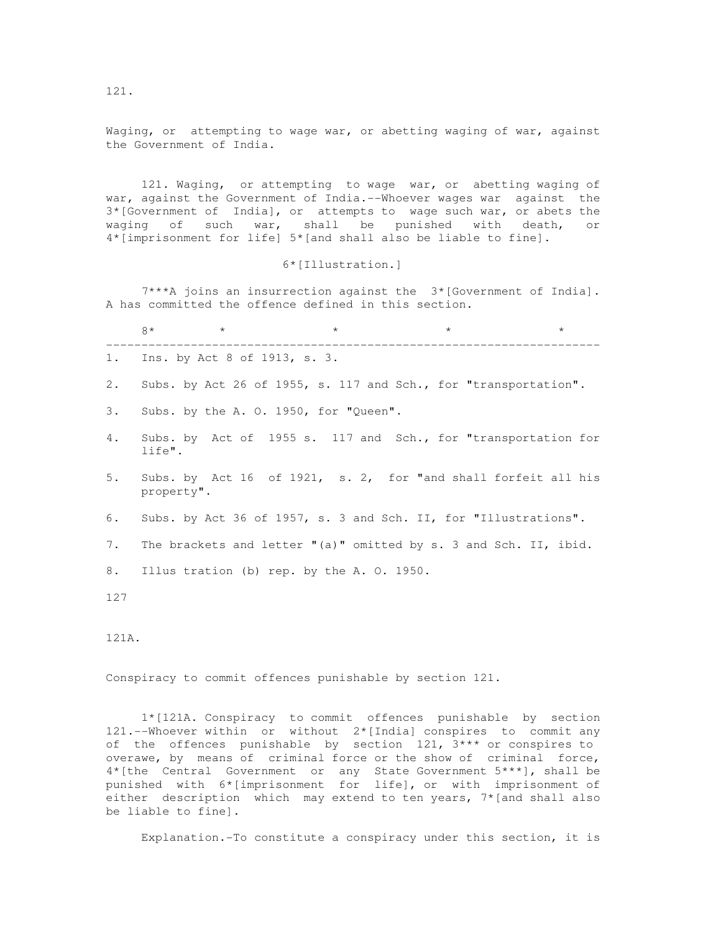Waging, or attempting to wage war, or abetting waging of war, against the Government of India.

 121. Waging, or attempting to wage war, or abetting waging of war, against the Government of India.--Whoever wages war against the 3\*[Government of India], or attempts to wage such war, or abets the waging of such war, shall be punished with death, or 4\*[imprisonment for life] 5\*[and shall also be liable to fine].

6\*[Illustration.]

 7\*\*\*A joins an insurrection against the 3\*[Government of India]. A has committed the offence defined in this section.

 $8* \qquad \qquad * \qquad \qquad * \qquad \qquad * \qquad \qquad * \qquad \qquad * \qquad \qquad$ ---------------------------------------------------------------------- 1. Ins. by Act 8 of 1913, s. 3. 2. Subs. by Act 26 of 1955, s. 117 and Sch., for "transportation". 3. Subs. by the A. O. 1950, for "Queen". 4. Subs. by Act of 1955 s. 117 and Sch., for "transportation for life". 5. Subs. by Act 16 of 1921, s. 2, for "and shall forfeit all his property". 6. Subs. by Act 36 of 1957, s. 3 and Sch. II, for "Illustrations". 7. The brackets and letter "(a)" omitted by s. 3 and Sch. II, ibid. 8. Illus tration (b) rep. by the A. O. 1950. 127

121A.

Conspiracy to commit offences punishable by section 121.

 1\*[121A. Conspiracy to commit offences punishable by section 121.--Whoever within or without 2\*[India] conspires to commit any of the offences punishable by section 121, 3\*\*\* or conspires to overawe, by means of criminal force or the show of criminal force, 4\*[the Central Government or any State Government 5\*\*\*], shall be punished with 6\*[imprisonment for life], or with imprisonment of either description which may extend to ten years, 7\*[and shall also be liable to fine].

Explanation.-To constitute a conspiracy under this section, it is

121.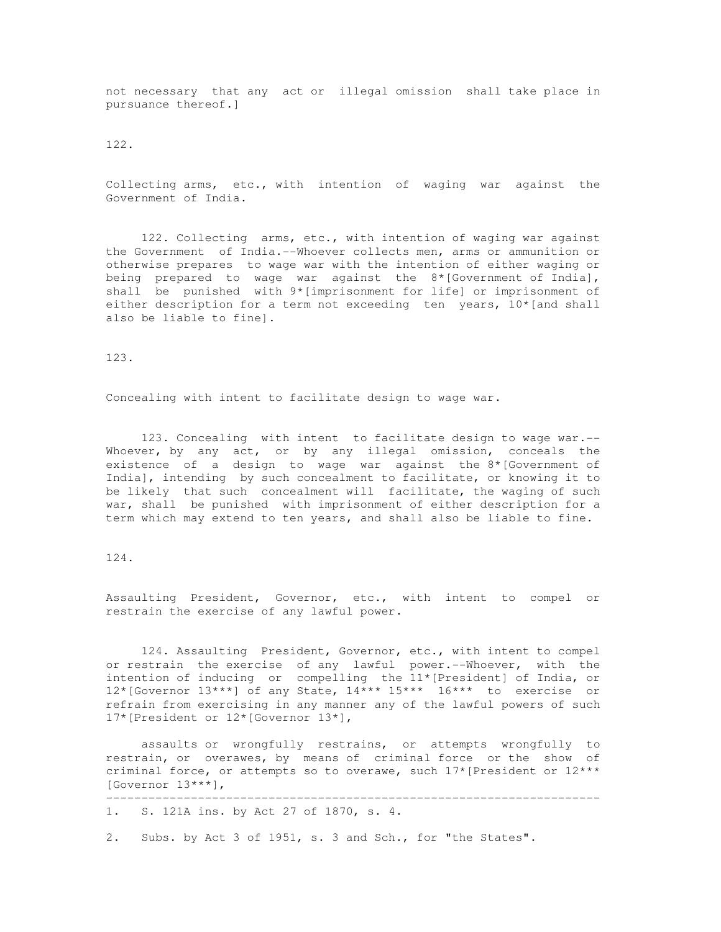not necessary that any act or illegal omission shall take place in pursuance thereof.]

122.

Collecting arms, etc., with intention of waging war against the Government of India.

 122. Collecting arms, etc., with intention of waging war against the Government of India.--Whoever collects men, arms or ammunition or otherwise prepares to wage war with the intention of either waging or being prepared to wage war against the 8\*[Government of India], shall be punished with 9\*[imprisonment for life] or imprisonment of either description for a term not exceeding ten years, 10\*[and shall also be liable to fine].

123.

Concealing with intent to facilitate design to wage war.

 123. Concealing with intent to facilitate design to wage war.-- Whoever, by any act, or by any illegal omission, conceals the existence of a design to wage war against the 8\*[Government of India], intending by such concealment to facilitate, or knowing it to be likely that such concealment will facilitate, the waging of such war, shall be punished with imprisonment of either description for a term which may extend to ten years, and shall also be liable to fine.

124.

Assaulting President, Governor, etc., with intent to compel or restrain the exercise of any lawful power.

 124. Assaulting President, Governor, etc., with intent to compel or restrain the exercise of any lawful power.--Whoever, with the intention of inducing or compelling the 11\*[President] of India, or 12\*[Governor 13\*\*\*] of any State, 14\*\*\* 15\*\*\* 16\*\*\* to exercise or refrain from exercising in any manner any of the lawful powers of such 17\*[President or 12\*[Governor 13\*],

 assaults or wrongfully restrains, or attempts wrongfully to restrain, or overawes, by means of criminal force or the show of criminal force, or attempts so to overawe, such 17\*[President or 12\*\*\* [Governor 13\*\*\*],

----------------------------------------------------------------------

1. S. 121A ins. by Act 27 of 1870, s. 4.

2. Subs. by Act 3 of 1951, s. 3 and Sch., for "the States".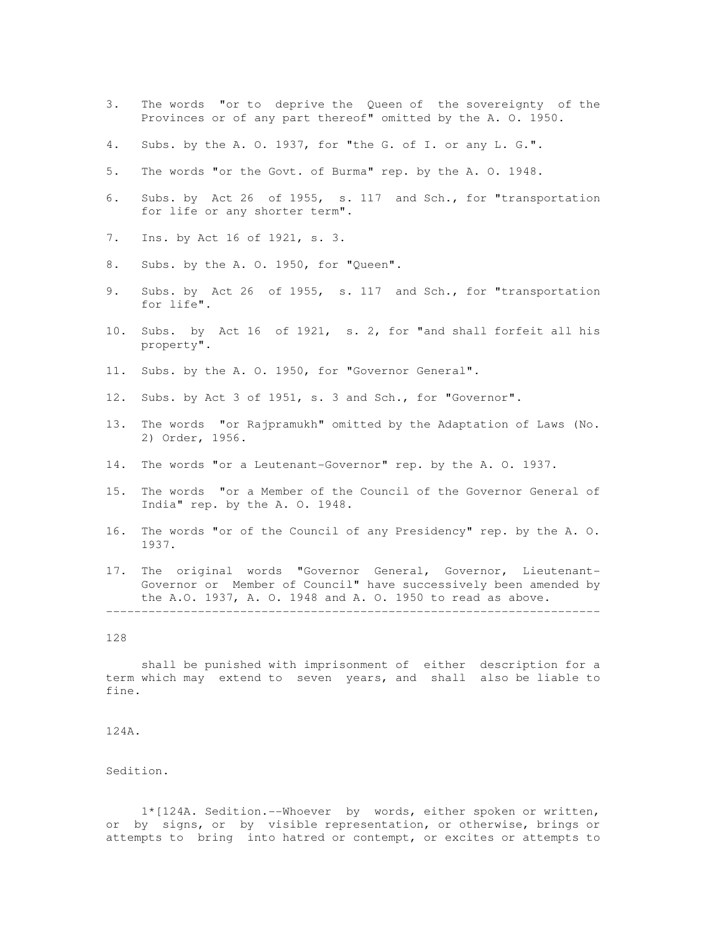- 3. The words "or to deprive the Queen of the sovereignty of the Provinces or of any part thereof" omitted by the A. O. 1950.
- 4. Subs. by the A. O. 1937, for "the G. of I. or any L. G.".
- 5. The words "or the Govt. of Burma" rep. by the A. O. 1948.
- 6. Subs. by Act 26 of 1955, s. 117 and Sch., for "transportation for life or any shorter term".
- 7. Ins. by Act 16 of 1921, s. 3.
- 8. Subs. by the A. O. 1950, for "Queen".
- 9. Subs. by Act 26 of 1955, s. 117 and Sch., for "transportation for life".
- 10. Subs. by Act 16 of 1921, s. 2, for "and shall forfeit all his property".
- 11. Subs. by the A. O. 1950, for "Governor General".
- 12. Subs. by Act 3 of 1951, s. 3 and Sch., for "Governor".
- 13. The words "or Rajpramukh" omitted by the Adaptation of Laws (No. 2) Order, 1956.
- 14. The words "or a Leutenant-Governor" rep. by the A. O. 1937.
- 15. The words "or a Member of the Council of the Governor General of India" rep. by the A. O. 1948.
- 16. The words "or of the Council of any Presidency" rep. by the A. O. 1937.
- 17. The original words "Governor General, Governor, Lieutenant- Governor or Member of Council" have successively been amended by the A.O. 1937, A. O. 1948 and A. O. 1950 to read as above. ----------------------------------------------------------------------

#### 128

 shall be punished with imprisonment of either description for a term which may extend to seven years, and shall also be liable to fine.

### 124A.

# Sedition.

 1\*[124A. Sedition.--Whoever by words, either spoken or written, or by signs, or by visible representation, or otherwise, brings or attempts to bring into hatred or contempt, or excites or attempts to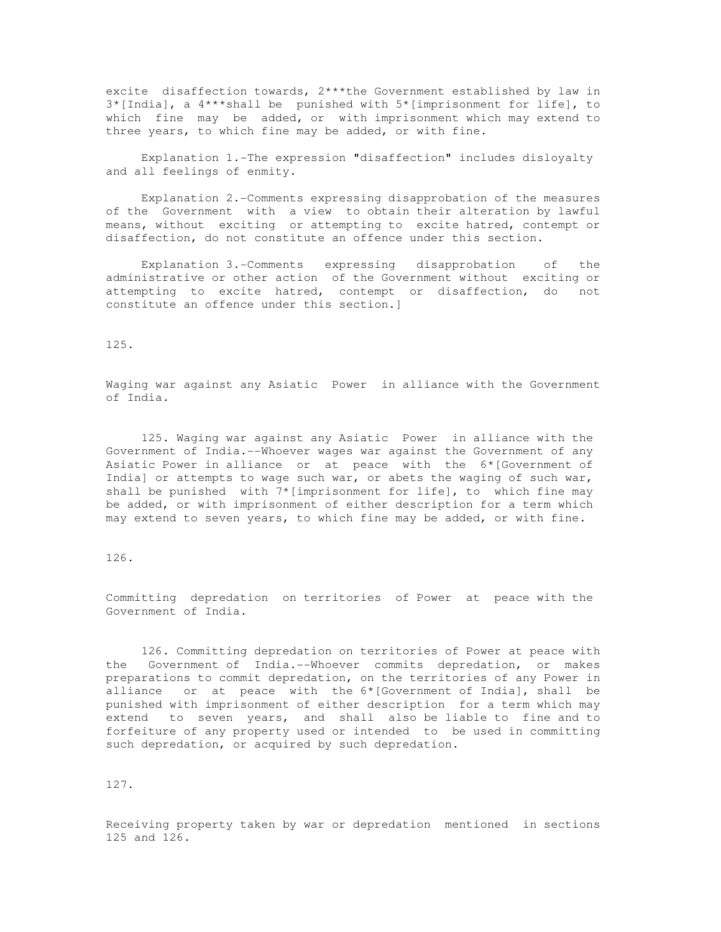excite disaffection towards, 2\*\*\*the Government established by law in 3\*[India], a 4\*\*\*shall be punished with 5\*[imprisonment for life], to which fine may be added, or with imprisonment which may extend to three years, to which fine may be added, or with fine.

 Explanation 1.-The expression "disaffection" includes disloyalty and all feelings of enmity.

 Explanation 2.-Comments expressing disapprobation of the measures of the Government with a view to obtain their alteration by lawful means, without exciting or attempting to excite hatred, contempt or disaffection, do not constitute an offence under this section.

 Explanation 3.-Comments expressing disapprobation of the administrative or other action of the Government without exciting or attempting to excite hatred, contempt or disaffection, do not constitute an offence under this section.]

125.

Waging war against any Asiatic Power in alliance with the Government of India.

 125. Waging war against any Asiatic Power in alliance with the Government of India.--Whoever wages war against the Government of any Asiatic Power in alliance or at peace with the 6\*[Government of India] or attempts to wage such war, or abets the waging of such war, shall be punished with 7\*[imprisonment for life], to which fine may be added, or with imprisonment of either description for a term which may extend to seven years, to which fine may be added, or with fine.

126.

Committing depredation on territories of Power at peace with the Government of India.

 126. Committing depredation on territories of Power at peace with the Government of India.--Whoever commits depredation, or makes preparations to commit depredation, on the territories of any Power in alliance or at peace with the 6\*[Government of India], shall be punished with imprisonment of either description for a term which may extend to seven years, and shall also be liable to fine and to forfeiture of any property used or intended to be used in committing such depredation, or acquired by such depredation.

127.

Receiving property taken by war or depredation mentioned in sections 125 and 126.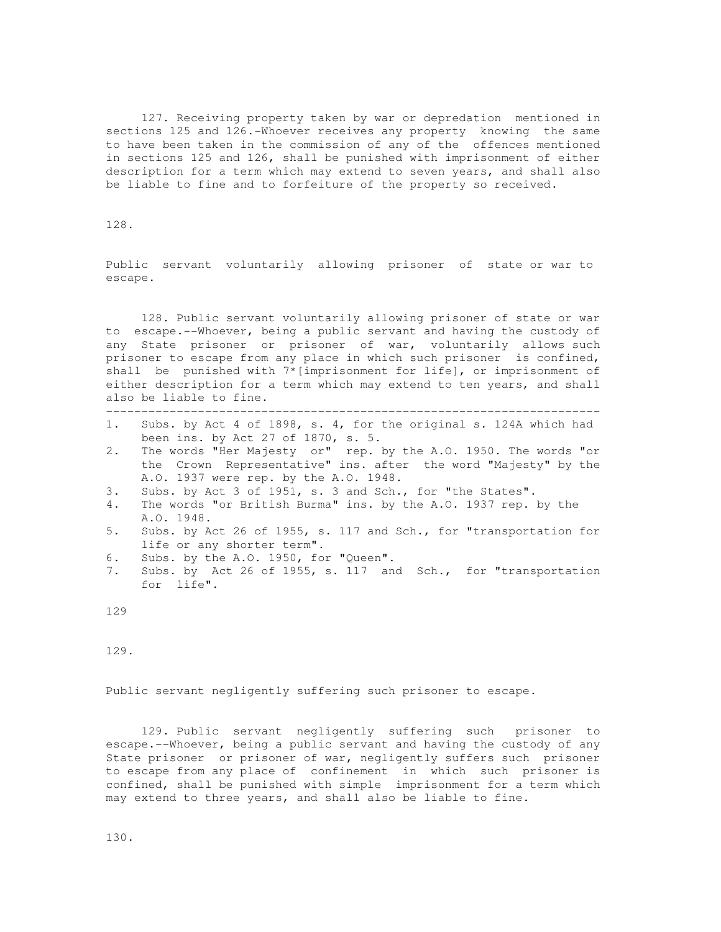127. Receiving property taken by war or depredation mentioned in sections 125 and 126.-Whoever receives any property knowing the same to have been taken in the commission of any of the offences mentioned in sections 125 and 126, shall be punished with imprisonment of either description for a term which may extend to seven years, and shall also be liable to fine and to forfeiture of the property so received.

128.

Public servant voluntarily allowing prisoner of state or war to escape.

 128. Public servant voluntarily allowing prisoner of state or war to escape.--Whoever, being a public servant and having the custody of any State prisoner or prisoner of war, voluntarily allows such prisoner to escape from any place in which such prisoner is confined, shall be punished with 7\*[imprisonment for life], or imprisonment of either description for a term which may extend to ten years, and shall also be liable to fine.

1. Subs. by Act 4 of 1898, s. 4, for the original s. 124A which had been ins. by Act 27 of 1870, s. 5.

----------------------------------------------------------------------

- 2. The words "Her Majesty or" rep. by the A.O. 1950. The words "or the Crown Representative" ins. after the word "Majesty" by the A.O. 1937 were rep. by the A.O. 1948.
- 3. Subs. by Act 3 of 1951, s. 3 and Sch., for "the States".
- 4. The words "or British Burma" ins. by the A.O. 1937 rep. by the A.O. 1948.
- 5. Subs. by Act 26 of 1955, s. 117 and Sch., for "transportation for life or any shorter term".
- 6. Subs. by the A.O. 1950, for "Queen".
- 7. Subs. by Act 26 of 1955, s. 117 and Sch., for "transportation for life".

129

129.

Public servant negligently suffering such prisoner to escape.

 129. Public servant negligently suffering such prisoner to escape.--Whoever, being a public servant and having the custody of any State prisoner or prisoner of war, negligently suffers such prisoner to escape from any place of confinement in which such prisoner is confined, shall be punished with simple imprisonment for a term which may extend to three years, and shall also be liable to fine.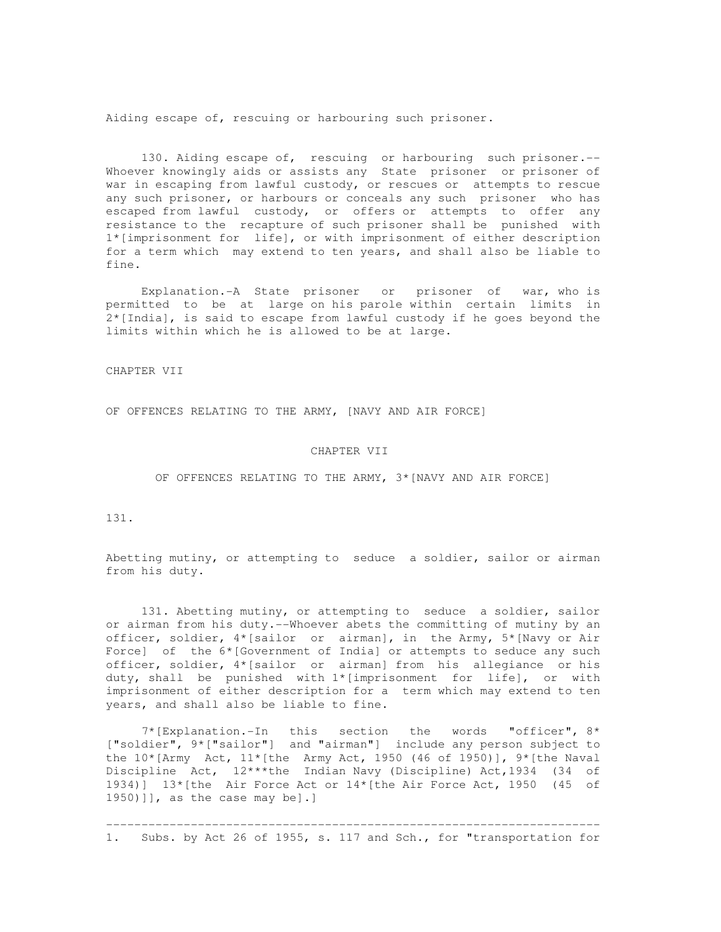Aiding escape of, rescuing or harbouring such prisoner.

 130. Aiding escape of, rescuing or harbouring such prisoner.-- Whoever knowingly aids or assists any State prisoner or prisoner of war in escaping from lawful custody, or rescues or attempts to rescue any such prisoner, or harbours or conceals any such prisoner who has escaped from lawful custody, or offers or attempts to offer any resistance to the recapture of such prisoner shall be punished with 1\*[imprisonment for life], or with imprisonment of either description for a term which may extend to ten years, and shall also be liable to fine.

 Explanation.-A State prisoner or prisoner of war, who is permitted to be at large on his parole within certain limits in 2\*[India], is said to escape from lawful custody if he goes beyond the limits within which he is allowed to be at large.

CHAPTER VII

OF OFFENCES RELATING TO THE ARMY, [NAVY AND AIR FORCE]

### CHAPTER VII

OF OFFENCES RELATING TO THE ARMY, 3\*[NAVY AND AIR FORCE]

131.

Abetting mutiny, or attempting to seduce a soldier, sailor or airman from his duty.

 131. Abetting mutiny, or attempting to seduce a soldier, sailor or airman from his duty.--Whoever abets the committing of mutiny by an officer, soldier, 4\*[sailor or airman], in the Army, 5\*[Navy or Air Force] of the 6\*[Government of India] or attempts to seduce any such officer, soldier, 4\*[sailor or airman] from his allegiance or his duty, shall be punished with 1\*[imprisonment for life], or with imprisonment of either description for a term which may extend to ten years, and shall also be liable to fine.

 7\*[Explanation.-In this section the words "officer", 8\* ["soldier", 9\*["sailor"] and "airman"] include any person subject to the 10\*[Army Act, 11\*[the Army Act, 1950 (46 of 1950)], 9\*[the Naval Discipline Act, 12\*\*\*the Indian Navy (Discipline) Act,1934 (34 of 1934)] 13\*[the Air Force Act or 14\*[the Air Force Act, 1950 (45 of  $1950$ )]], as the case may be].]

---------------------------------------------------------------------- 1. Subs. by Act 26 of 1955, s. 117 and Sch., for "transportation for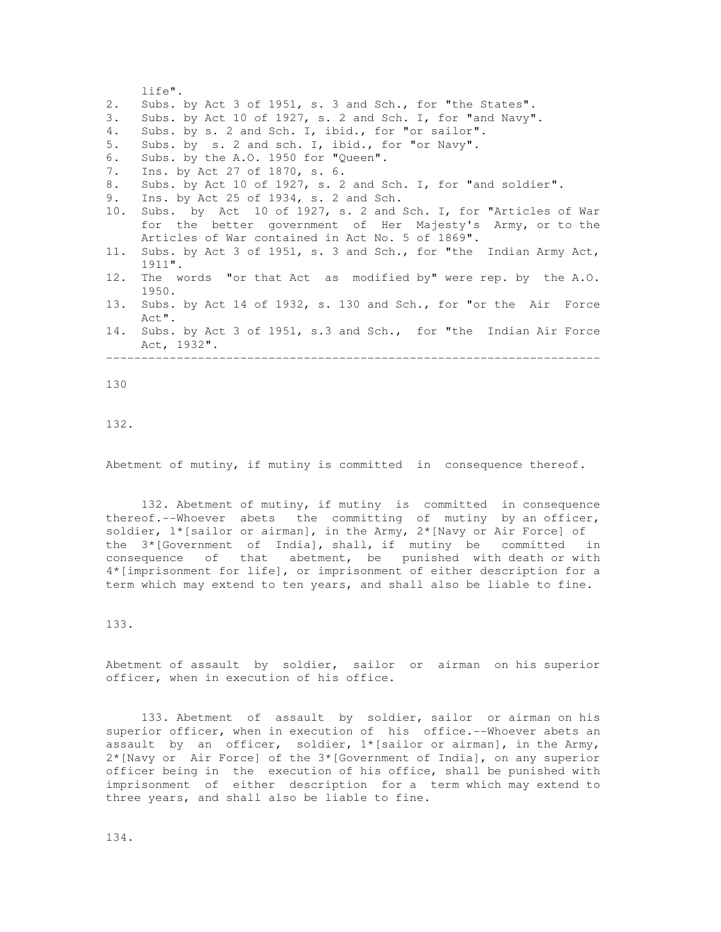|     | life".                                                              |
|-----|---------------------------------------------------------------------|
| 2.  | Subs. by Act 3 of 1951, s. 3 and Sch., for "the States".            |
| 3.  | Subs. by Act 10 of 1927, s. 2 and Sch. I, for "and Navy".           |
| 4.  | Subs. by s. 2 and Sch. I, ibid., for "or sailor".                   |
| 5.  | Subs. by s. 2 and sch. I, ibid., for "or Navy".                     |
| 6.  | Subs. by the A.O. 1950 for "Queen".                                 |
| 7.  | Ins. by Act 27 of 1870, s. 6.                                       |
| 8.  | Subs. by Act 10 of 1927, s. 2 and Sch. I, for "and soldier".        |
| 9.  | Ins. by Act 25 of 1934, s. 2 and Sch.                               |
| 10. | Subs. by Act 10 of 1927, s. 2 and Sch. I, for "Articles of War      |
|     | for the better government of Her Majesty's Army, or to the          |
|     | Articles of War contained in Act No. 5 of 1869".                    |
| 11. | Subs. by Act 3 of 1951, s. 3 and Sch., for "the Indian Army Act,    |
|     | $1911$ ".                                                           |
| 12. | The words "or that Act as modified by" were rep. by the A.O.        |
|     | 1950.                                                               |
| 13. | Subs. by Act 14 of 1932, s. 130 and Sch., for "or the Air Force     |
|     | Act".                                                               |
|     | 14. Subs. by Act 3 of 1951, s.3 and Sch., for "the Indian Air Force |
|     | Act, 1932".                                                         |
|     |                                                                     |
|     |                                                                     |

130

132.

Abetment of mutiny, if mutiny is committed in consequence thereof.

 132. Abetment of mutiny, if mutiny is committed in consequence thereof.--Whoever abets the committing of mutiny by an officer, soldier,  $1*($ sailor or airman], in the Army,  $2*($ Navy or Air Force] of the 3\*[Government of India], shall, if mutiny be committed in consequence of that abetment, be punished with death or with 4\*[imprisonment for life], or imprisonment of either description for a term which may extend to ten years, and shall also be liable to fine.

133.

Abetment of assault by soldier, sailor or airman on his superior officer, when in execution of his office.

 133. Abetment of assault by soldier, sailor or airman on his superior officer, when in execution of his office.--Whoever abets an assault by an officer, soldier,  $1*(sailor or airman)$ , in the Army, 2\*[Navy or Air Force] of the 3\*[Government of India], on any superior officer being in the execution of his office, shall be punished with imprisonment of either description for a term which may extend to three years, and shall also be liable to fine.

134.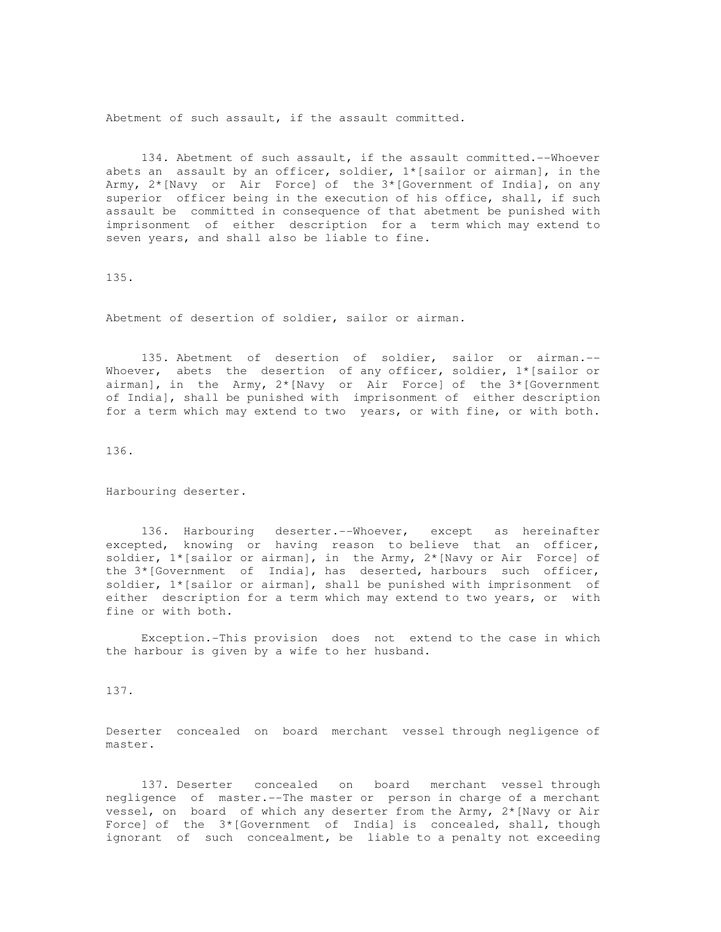Abetment of such assault, if the assault committed.

 134. Abetment of such assault, if the assault committed.--Whoever abets an assault by an officer, soldier,  $1*($ sailor or airman], in the Army,  $2*(\text{Navy}$  or Air Force] of the  $3*(\text{Government}$  of India], on any superior officer being in the execution of his office, shall, if such assault be committed in consequence of that abetment be punished with imprisonment of either description for a term which may extend to seven years, and shall also be liable to fine.

135.

Abetment of desertion of soldier, sailor or airman.

 135. Abetment of desertion of soldier, sailor or airman.-- Whoever, abets the desertion of any officer, soldier,  $1*(sailor or$ airman], in the Army,  $2*(Navy$  or Air Force] of the  $3*(Gover$ overnment of India], shall be punished with imprisonment of either description for a term which may extend to two years, or with fine, or with both.

136.

Harbouring deserter.

 136. Harbouring deserter.--Whoever, except as hereinafter excepted, knowing or having reason to believe that an officer, soldier, 1\*[sailor or airman], in the Army, 2\*[Navy or Air Force] of the 3\*[Government of India], has deserted, harbours such officer, soldier,  $1$ <sup>\*</sup>[sailor or airman], shall be punished with imprisonment of either description for a term which may extend to two years, or with fine or with both.

 Exception.-This provision does not extend to the case in which the harbour is given by a wife to her husband.

137.

Deserter concealed on board merchant vessel through negligence of master.

 137. Deserter concealed on board merchant vessel through negligence of master.--The master or person in charge of a merchant vessel, on board of which any deserter from the Army, 2\*[Navy or Air Force] of the 3\*[Government of India] is concealed, shall, though ignorant of such concealment, be liable to a penalty not exceeding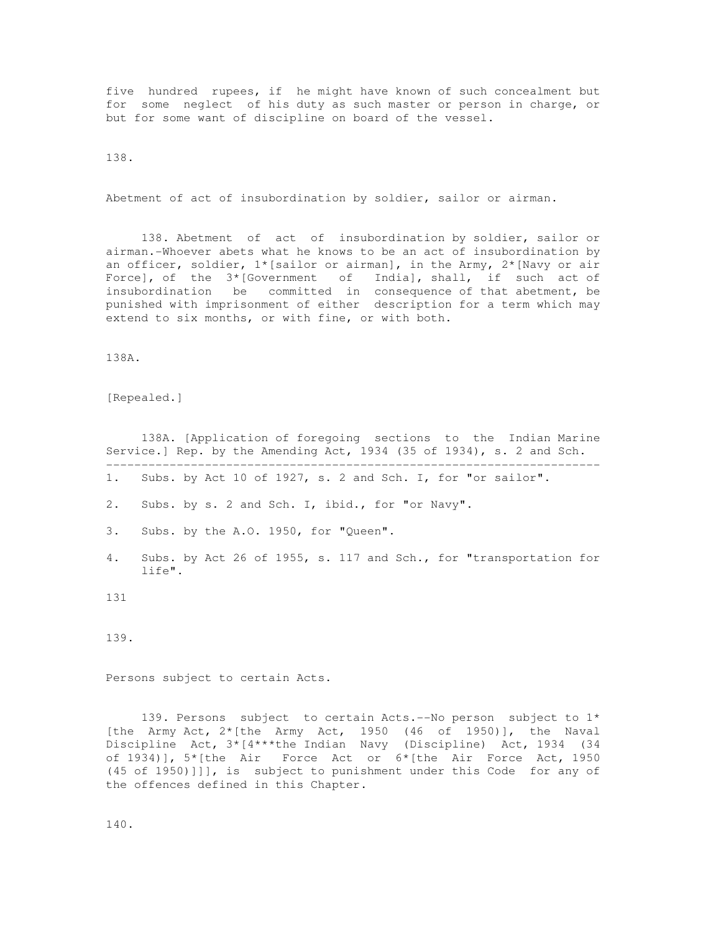five hundred rupees, if he might have known of such concealment but for some neglect of his duty as such master or person in charge, or but for some want of discipline on board of the vessel.

138.

Abetment of act of insubordination by soldier, sailor or airman.

 138. Abetment of act of insubordination by soldier, sailor or airman.-Whoever abets what he knows to be an act of insubordination by an officer, soldier,  $1*($ sailor or airman], in the Army,  $2*($ Navy or air Force], of the  $3*(Government$  of India], shall, if such act of insubordination be committed in consequence of that abetment, be punished with imprisonment of either description for a term which may extend to six months, or with fine, or with both.

138A.

[Repealed.]

 138A. [Application of foregoing sections to the Indian Marine Service.] Rep. by the Amending Act, 1934 (35 of 1934), s. 2 and Sch. ----------------------------------------------------------------------

- 1. Subs. by Act 10 of 1927, s. 2 and Sch. I, for "or sailor".
- 2. Subs. by s. 2 and Sch. I, ibid., for "or Navy".
- 3. Subs. by the A.O. 1950, for "Queen".
- 4. Subs. by Act 26 of 1955, s. 117 and Sch., for "transportation for life".

131

139.

Persons subject to certain Acts.

 139. Persons subject to certain Acts.--No person subject to 1\* [the Army Act, 2\*[the Army Act, 1950 (46 of 1950)], the Naval Discipline Act, 3\*[4\*\*\*the Indian Navy (Discipline) Act, 1934 (34 of 1934)], 5\*[the Air Force Act or 6\*[the Air Force Act, 1950 (45 of 1950)]]], is subject to punishment under this Code for any of the offences defined in this Chapter.

140.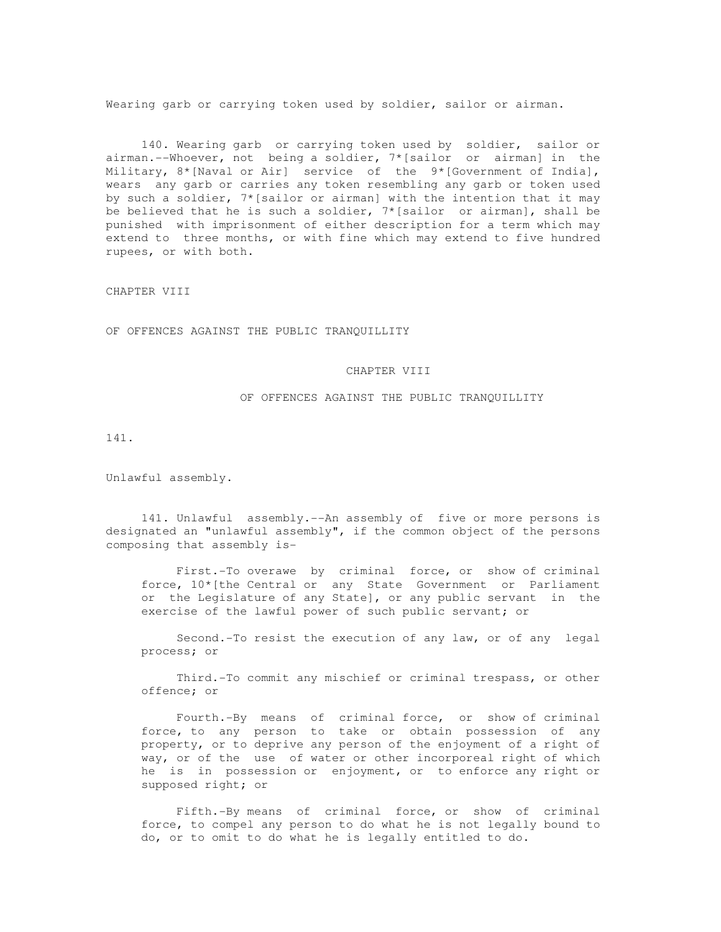Wearing garb or carrying token used by soldier, sailor or airman.

 140. Wearing garb or carrying token used by soldier, sailor or airman.--Whoever, not being a soldier, 7\*[sailor or airman] in the Military, 8\*[Naval or Air] service of the 9\*[Government of India], wears any garb or carries any token resembling any garb or token used by such a soldier, 7\*[sailor or airman] with the intention that it may be believed that he is such a soldier,  $7*(sailor or airman)$ , shall be punished with imprisonment of either description for a term which may extend to three months, or with fine which may extend to five hundred rupees, or with both.

CHAPTER VIII

OF OFFENCES AGAINST THE PUBLIC TRANQUILLITY

# CHAPTER VIII

### OF OFFENCES AGAINST THE PUBLIC TRANQUILLITY

141.

Unlawful assembly.

 141. Unlawful assembly.--An assembly of five or more persons is designated an "unlawful assembly", if the common object of the persons composing that assembly is-

 First.-To overawe by criminal force, or show of criminal force, 10\*[the Central or any State Government or Parliament or the Legislature of any State], or any public servant in the exercise of the lawful power of such public servant; or

 Second.-To resist the execution of any law, or of any legal process; or

 Third.-To commit any mischief or criminal trespass, or other offence; or

 Fourth.-By means of criminal force, or show of criminal force, to any person to take or obtain possession of any property, or to deprive any person of the enjoyment of a right of way, or of the use of water or other incorporeal right of which he is in possession or enjoyment, or to enforce any right or supposed right; or

 Fifth.-By means of criminal force, or show of criminal force, to compel any person to do what he is not legally bound to do, or to omit to do what he is legally entitled to do.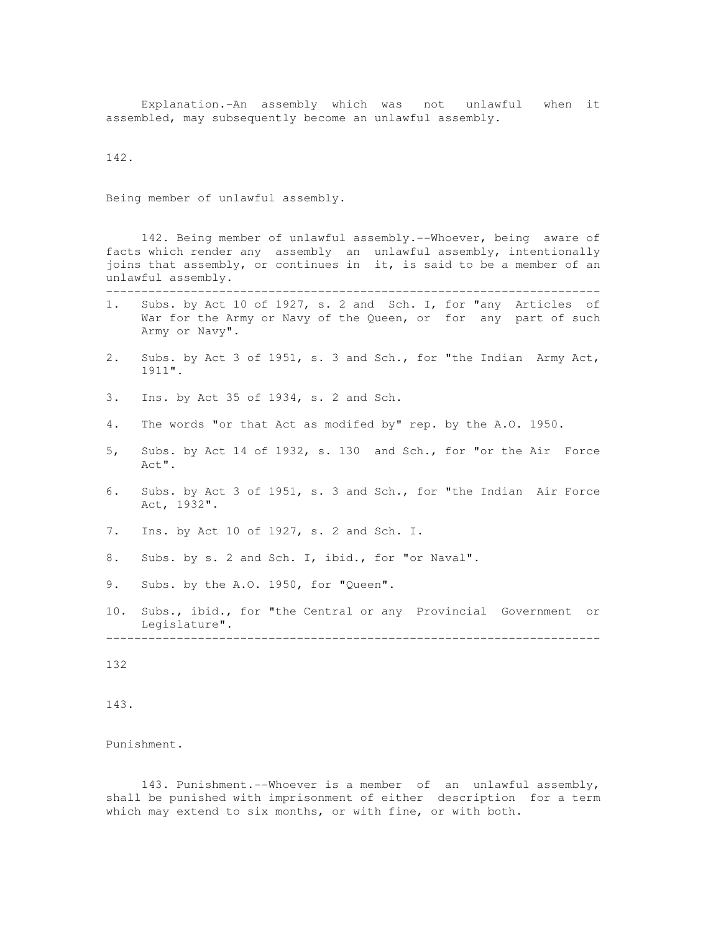Explanation.-An assembly which was not unlawful when it assembled, may subsequently become an unlawful assembly.

142.

Being member of unlawful assembly.

 142. Being member of unlawful assembly.--Whoever, being aware of facts which render any assembly an unlawful assembly, intentionally joins that assembly, or continues in it, is said to be a member of an unlawful assembly.

- ---------------------------------------------------------------------- 1. Subs. by Act 10 of 1927, s. 2 and Sch. I, for "any Articles of War for the Army or Navy of the Queen, or for any part of such Army or Navy".
- 2. Subs. by Act 3 of 1951, s. 3 and Sch., for "the Indian Army Act, 1911".
- 3. Ins. by Act 35 of 1934, s. 2 and Sch.
- 4. The words "or that Act as modifed by" rep. by the A.O. 1950.
- 5, Subs. by Act 14 of 1932, s. 130 and Sch., for "or the Air Force Act".
- 6. Subs. by Act 3 of 1951, s. 3 and Sch., for "the Indian Air Force Act, 1932".
- 7. Ins. by Act 10 of 1927, s. 2 and Sch. I.
- 8. Subs. by s. 2 and Sch. I, ibid., for "or Naval".
- 9. Subs. by the A.O. 1950, for "Queen".
- 10. Subs., ibid., for "the Central or any Provincial Government or Legislature". ----------------------------------------------------------------------

132

143.

Punishment.

 143. Punishment.--Whoever is a member of an unlawful assembly, shall be punished with imprisonment of either description for a term which may extend to six months, or with fine, or with both.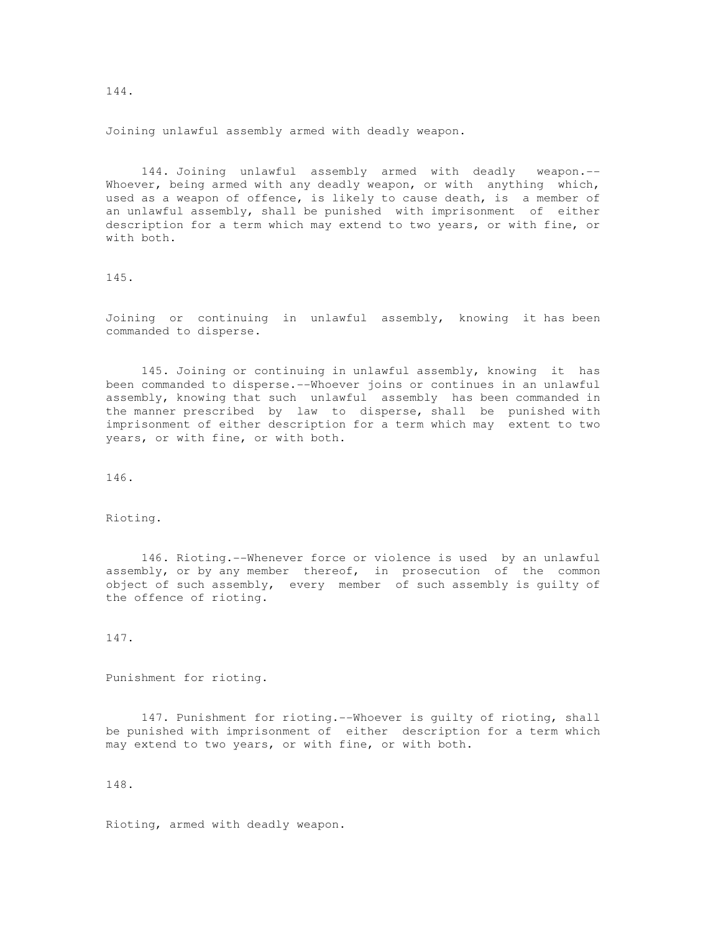Joining unlawful assembly armed with deadly weapon.

 144. Joining unlawful assembly armed with deadly weapon.-- Whoever, being armed with any deadly weapon, or with anything which, used as a weapon of offence, is likely to cause death, is a member of an unlawful assembly, shall be punished with imprisonment of either description for a term which may extend to two years, or with fine, or with both.

# 145.

Joining or continuing in unlawful assembly, knowing it has been commanded to disperse.

 145. Joining or continuing in unlawful assembly, knowing it has been commanded to disperse.--Whoever joins or continues in an unlawful assembly, knowing that such unlawful assembly has been commanded in the manner prescribed by law to disperse, shall be punished with imprisonment of either description for a term which may extent to two years, or with fine, or with both.

146.

Rioting.

 146. Rioting.--Whenever force or violence is used by an unlawful assembly, or by any member thereof, in prosecution of the common object of such assembly, every member of such assembly is guilty of the offence of rioting.

## 147.

Punishment for rioting.

 147. Punishment for rioting.--Whoever is guilty of rioting, shall be punished with imprisonment of either description for a term which may extend to two years, or with fine, or with both.

# 148.

Rioting, armed with deadly weapon.

144.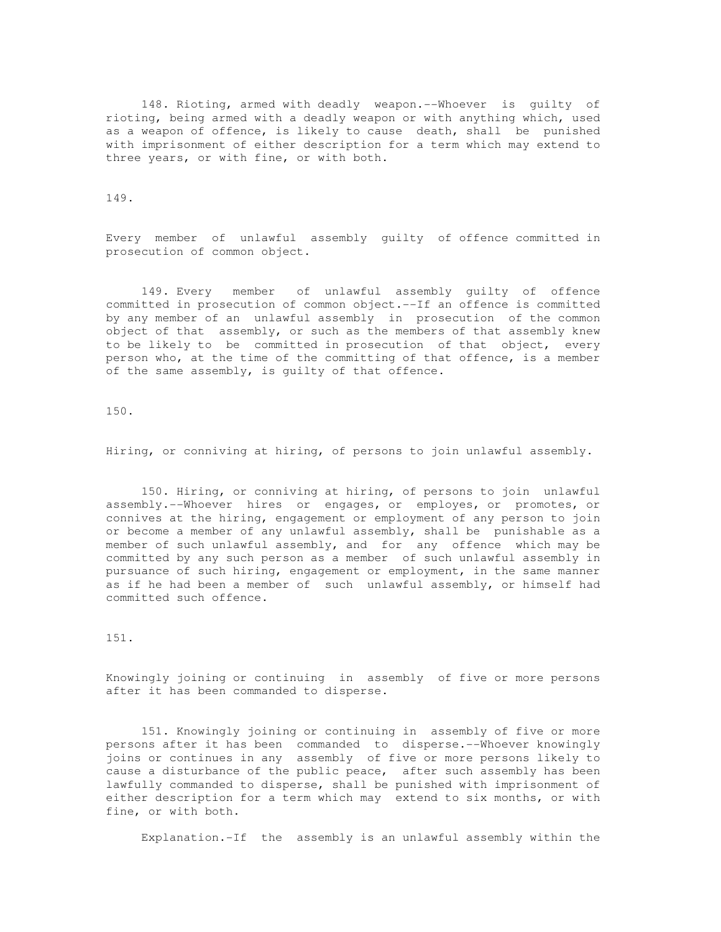148. Rioting, armed with deadly weapon.--Whoever is guilty of rioting, being armed with a deadly weapon or with anything which, used as a weapon of offence, is likely to cause death, shall be punished with imprisonment of either description for a term which may extend to three years, or with fine, or with both.

149.

Every member of unlawful assembly guilty of offence committed in prosecution of common object.

 149. Every member of unlawful assembly guilty of offence committed in prosecution of common object.--If an offence is committed by any member of an unlawful assembly in prosecution of the common object of that assembly, or such as the members of that assembly knew to be likely to be committed in prosecution of that object, every person who, at the time of the committing of that offence, is a member of the same assembly, is guilty of that offence.

150.

Hiring, or conniving at hiring, of persons to join unlawful assembly.

 150. Hiring, or conniving at hiring, of persons to join unlawful assembly.--Whoever hires or engages, or employes, or promotes, or connives at the hiring, engagement or employment of any person to join or become a member of any unlawful assembly, shall be punishable as a member of such unlawful assembly, and for any offence which may be committed by any such person as a member of such unlawful assembly in pursuance of such hiring, engagement or employment, in the same manner as if he had been a member of such unlawful assembly, or himself had committed such offence.

151.

Knowingly joining or continuing in assembly of five or more persons after it has been commanded to disperse.

 151. Knowingly joining or continuing in assembly of five or more persons after it has been commanded to disperse.--Whoever knowingly joins or continues in any assembly of five or more persons likely to cause a disturbance of the public peace, after such assembly has been lawfully commanded to disperse, shall be punished with imprisonment of either description for a term which may extend to six months, or with fine, or with both.

Explanation.-If the assembly is an unlawful assembly within the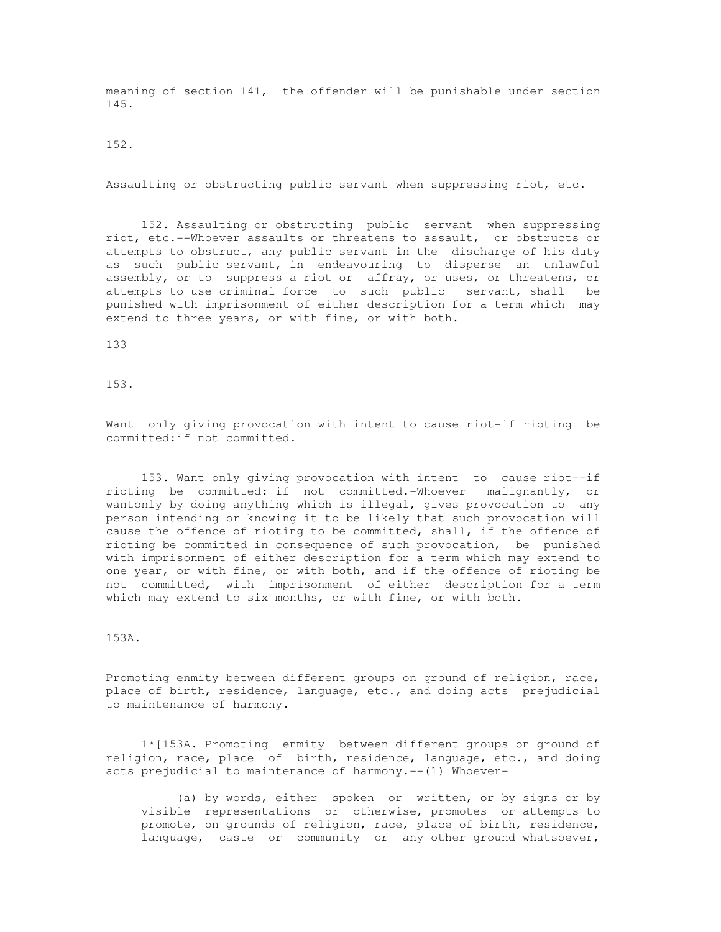meaning of section 141, the offender will be punishable under section 145.

#### 152.

Assaulting or obstructing public servant when suppressing riot, etc.

 152. Assaulting or obstructing public servant when suppressing riot, etc.--Whoever assaults or threatens to assault, or obstructs or attempts to obstruct, any public servant in the discharge of his duty as such public servant, in endeavouring to disperse an unlawful assembly, or to suppress a riot or affray, or uses, or threatens, or attempts to use criminal force to such public servant, shall be punished with imprisonment of either description for a term which may extend to three years, or with fine, or with both.

133

153.

Want only giving provocation with intent to cause riot-if rioting be committed:if not committed.

 153. Want only giving provocation with intent to cause riot--if rioting be committed: if not committed.-Whoever malignantly, or wantonly by doing anything which is illegal, gives provocation to any person intending or knowing it to be likely that such provocation will cause the offence of rioting to be committed, shall, if the offence of rioting be committed in consequence of such provocation, be punished with imprisonment of either description for a term which may extend to one year, or with fine, or with both, and if the offence of rioting be not committed, with imprisonment of either description for a term which may extend to six months, or with fine, or with both.

## 153A.

Promoting enmity between different groups on ground of religion, race, place of birth, residence, language, etc., and doing acts prejudicial to maintenance of harmony.

 1\*[153A. Promoting enmity between different groups on ground of religion, race, place of birth, residence, language, etc., and doing acts prejudicial to maintenance of harmony.--(1) Whoever-

 (a) by words, either spoken or written, or by signs or by visible representations or otherwise, promotes or attempts to promote, on grounds of religion, race, place of birth, residence, language, caste or community or any other ground whatsoever,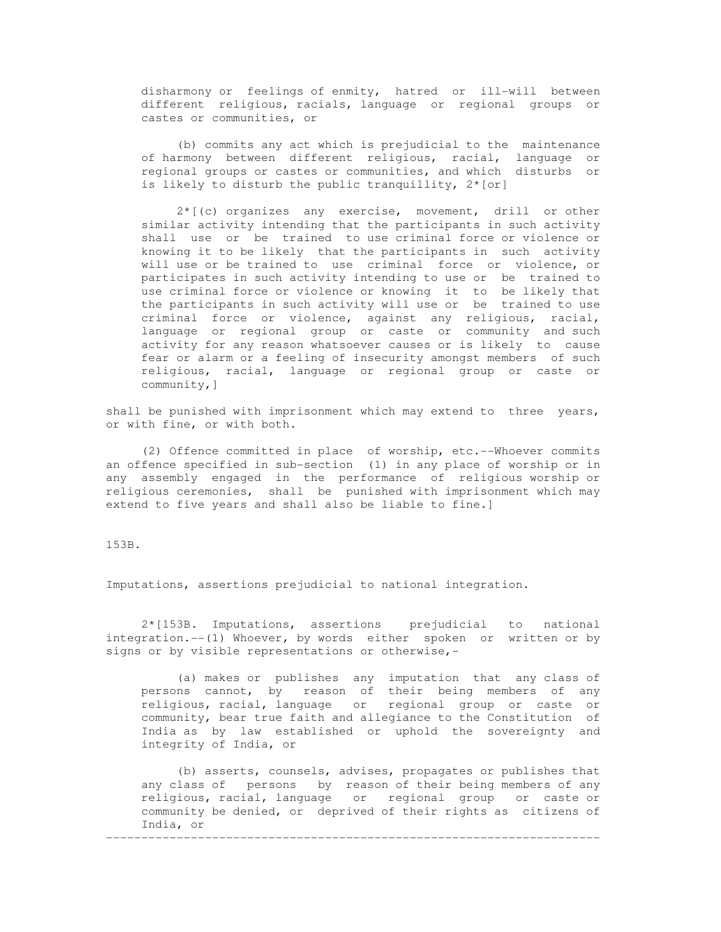disharmony or feelings of enmity, hatred or ill-will between different religious, racials, language or regional groups or castes or communities, or

 (b) commits any act which is prejudicial to the maintenance of harmony between different religious, racial, language or regional groups or castes or communities, and which disturbs or is likely to disturb the public tranquillity, 2\*[or]

 2\*[(c) organizes any exercise, movement, drill or other similar activity intending that the participants in such activity shall use or be trained to use criminal force or violence or knowing it to be likely that the participants in such activity will use or be trained to use criminal force or violence, or participates in such activity intending to use or be trained to use criminal force or violence or knowing it to be likely that the participants in such activity will use or be trained to use criminal force or violence, against any religious, racial, language or regional group or caste or community and such activity for any reason whatsoever causes or is likely to cause fear or alarm or a feeling of insecurity amongst members of such religious, racial, language or regional group or caste or community,]

shall be punished with imprisonment which may extend to three years, or with fine, or with both.

 (2) Offence committed in place of worship, etc.--Whoever commits an offence specified in sub-section (1) in any place of worship or in any assembly engaged in the performance of religious worship or religious ceremonies, shall be punished with imprisonment which may extend to five years and shall also be liable to fine.]

153B.

Imputations, assertions prejudicial to national integration.

 2\*[153B. Imputations, assertions prejudicial to national integration.--(1) Whoever, by words either spoken or written or by signs or by visible representations or otherwise,-

 (a) makes or publishes any imputation that any class of persons cannot, by reason of their being members of any religious, racial, language or regional group or caste or community, bear true faith and allegiance to the Constitution of India as by law established or uphold the sovereignty and integrity of India, or

 (b) asserts, counsels, advises, propagates or publishes that any class of persons by reason of their being members of any religious, racial, language or regional group or caste or community be denied, or deprived of their rights as citizens of India, or ----------------------------------------------------------------------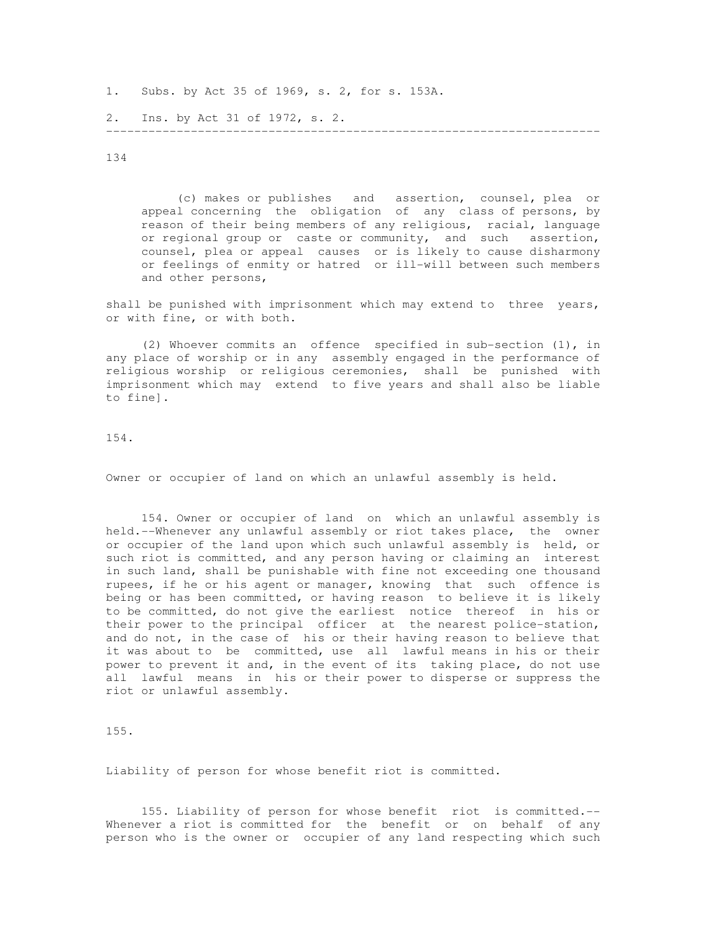1. Subs. by Act 35 of 1969, s. 2, for s. 153A.

2. Ins. by Act 31 of 1972, s. 2. ----------------------------------------------------------------------

134

 (c) makes or publishes and assertion, counsel, plea or appeal concerning the obligation of any class of persons, by reason of their being members of any religious, racial, language or regional group or caste or community, and such assertion, counsel, plea or appeal causes or is likely to cause disharmony or feelings of enmity or hatred or ill-will between such members and other persons,

shall be punished with imprisonment which may extend to three years, or with fine, or with both.

 (2) Whoever commits an offence specified in sub-section (1), in any place of worship or in any assembly engaged in the performance of religious worship or religious ceremonies, shall be punished with imprisonment which may extend to five years and shall also be liable to fine].

154.

Owner or occupier of land on which an unlawful assembly is held.

 154. Owner or occupier of land on which an unlawful assembly is held.--Whenever any unlawful assembly or riot takes place, the owner or occupier of the land upon which such unlawful assembly is held, or such riot is committed, and any person having or claiming an interest in such land, shall be punishable with fine not exceeding one thousand rupees, if he or his agent or manager, knowing that such offence is being or has been committed, or having reason to believe it is likely to be committed, do not give the earliest notice thereof in his or their power to the principal officer at the nearest police-station, and do not, in the case of his or their having reason to believe that it was about to be committed, use all lawful means in his or their power to prevent it and, in the event of its taking place, do not use all lawful means in his or their power to disperse or suppress the riot or unlawful assembly.

155.

Liability of person for whose benefit riot is committed.

 155. Liability of person for whose benefit riot is committed.-- Whenever a riot is committed for the benefit or on behalf of any person who is the owner or occupier of any land respecting which such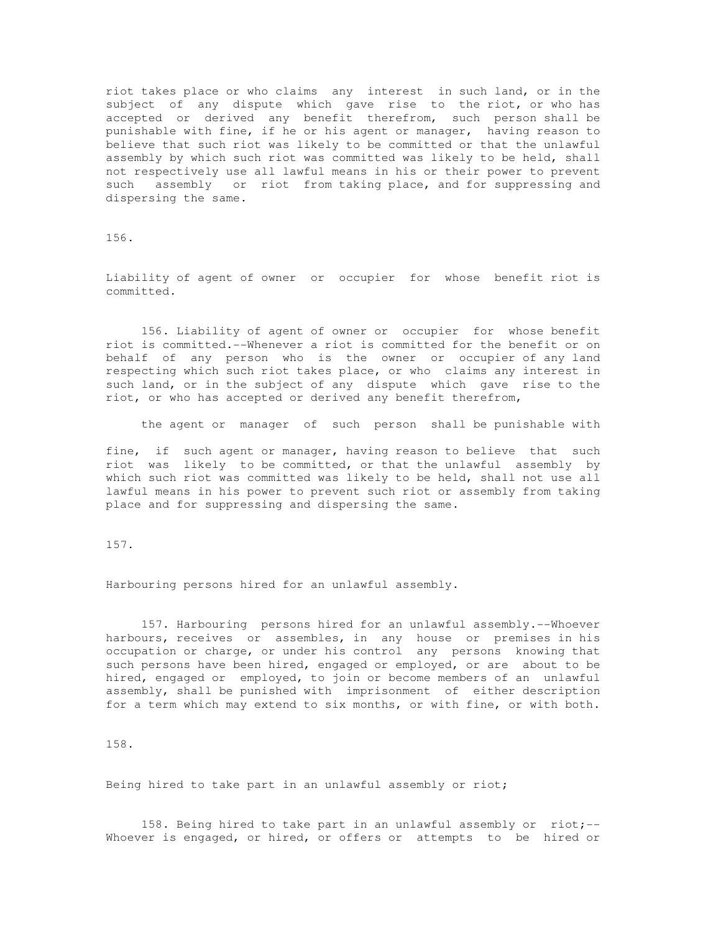riot takes place or who claims any interest in such land, or in the subject of any dispute which gave rise to the riot, or who has accepted or derived any benefit therefrom, such person shall be punishable with fine, if he or his agent or manager, having reason to believe that such riot was likely to be committed or that the unlawful assembly by which such riot was committed was likely to be held, shall not respectively use all lawful means in his or their power to prevent such assembly or riot from taking place, and for suppressing and dispersing the same.

156.

Liability of agent of owner or occupier for whose benefit riot is committed.

 156. Liability of agent of owner or occupier for whose benefit riot is committed.--Whenever a riot is committed for the benefit or on behalf of any person who is the owner or occupier of any land respecting which such riot takes place, or who claims any interest in such land, or in the subject of any dispute which gave rise to the riot, or who has accepted or derived any benefit therefrom,

the agent or manager of such person shall be punishable with

fine, if such agent or manager, having reason to believe that such riot was likely to be committed, or that the unlawful assembly by which such riot was committed was likely to be held, shall not use all lawful means in his power to prevent such riot or assembly from taking place and for suppressing and dispersing the same.

157.

Harbouring persons hired for an unlawful assembly.

 157. Harbouring persons hired for an unlawful assembly.--Whoever harbours, receives or assembles, in any house or premises in his occupation or charge, or under his control any persons knowing that such persons have been hired, engaged or employed, or are about to be hired, engaged or employed, to join or become members of an unlawful assembly, shall be punished with imprisonment of either description for a term which may extend to six months, or with fine, or with both.

158.

Being hired to take part in an unlawful assembly or riot;

 158. Being hired to take part in an unlawful assembly or riot;-- Whoever is engaged, or hired, or offers or attempts to be hired or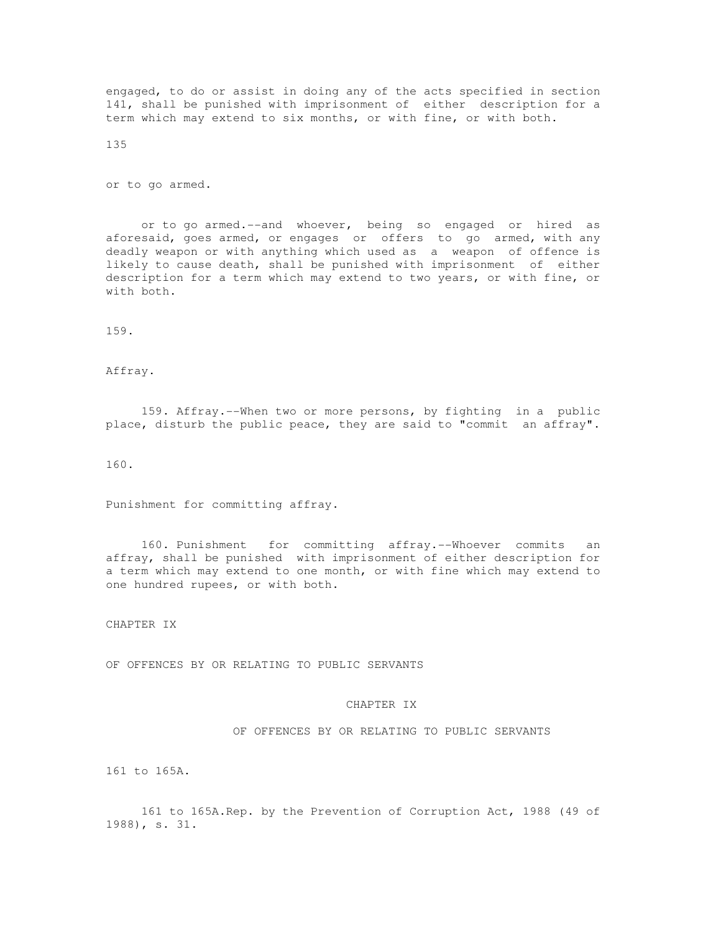engaged, to do or assist in doing any of the acts specified in section 141, shall be punished with imprisonment of either description for a term which may extend to six months, or with fine, or with both.

135

or to go armed.

 or to go armed.--and whoever, being so engaged or hired as aforesaid, goes armed, or engages or offers to go armed, with any deadly weapon or with anything which used as a weapon of offence is likely to cause death, shall be punished with imprisonment of either description for a term which may extend to two years, or with fine, or with both.

159.

Affray.

 159. Affray.--When two or more persons, by fighting in a public place, disturb the public peace, they are said to "commit an affray".

160.

Punishment for committing affray.

 160. Punishment for committing affray.--Whoever commits an affray, shall be punished with imprisonment of either description for a term which may extend to one month, or with fine which may extend to one hundred rupees, or with both.

CHAPTER IX

OF OFFENCES BY OR RELATING TO PUBLIC SERVANTS

### CHAPTER IX

OF OFFENCES BY OR RELATING TO PUBLIC SERVANTS

161 to 165A.

 161 to 165A.Rep. by the Prevention of Corruption Act, 1988 (49 of 1988), s. 31.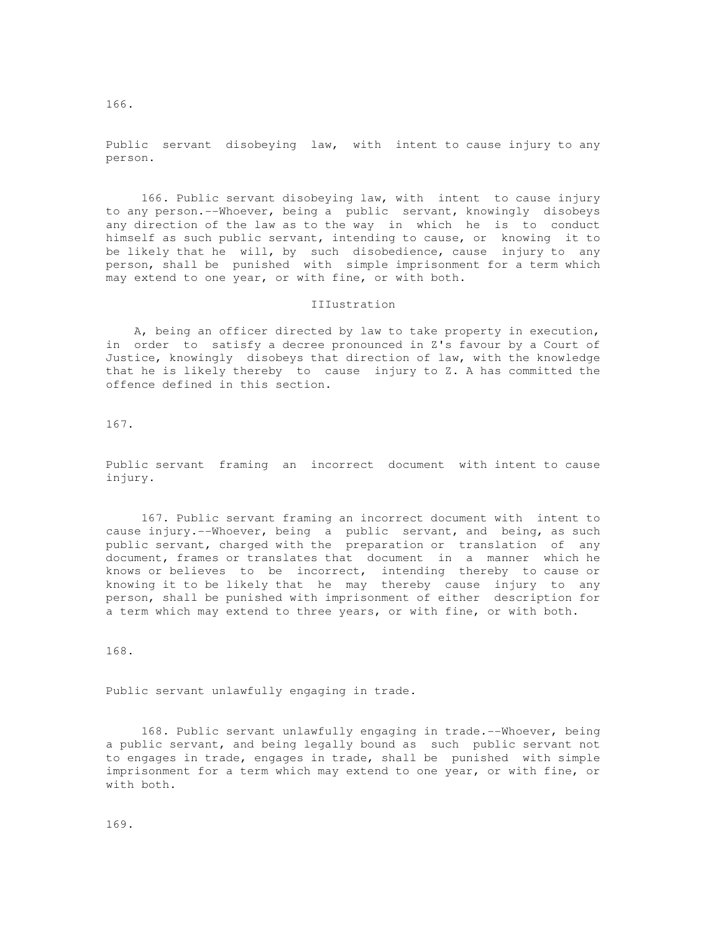Public servant disobeying law, with intent to cause injury to any person.

 166. Public servant disobeying law, with intent to cause injury to any person.--Whoever, being a public servant, knowingly disobeys any direction of the law as to the way in which he is to conduct himself as such public servant, intending to cause, or knowing it to be likely that he will, by such disobedience, cause injury to any person, shall be punished with simple imprisonment for a term which may extend to one year, or with fine, or with both.

### IIIustration

 A, being an officer directed by law to take property in execution, in order to satisfy a decree pronounced in Z's favour by a Court of Justice, knowingly disobeys that direction of law, with the knowledge that he is likely thereby to cause injury to Z. A has committed the offence defined in this section.

167.

Public servant framing an incorrect document with intent to cause injury.

 167. Public servant framing an incorrect document with intent to cause injury.--Whoever, being a public servant, and being, as such public servant, charged with the preparation or translation of any document, frames or translates that document in a manner which he knows or believes to be incorrect, intending thereby to cause or knowing it to be likely that he may thereby cause injury to any person, shall be punished with imprisonment of either description for a term which may extend to three years, or with fine, or with both.

168.

Public servant unlawfully engaging in trade.

 168. Public servant unlawfully engaging in trade.--Whoever, being a public servant, and being legally bound as such public servant not to engages in trade, engages in trade, shall be punished with simple imprisonment for a term which may extend to one year, or with fine, or with both.

169.

166.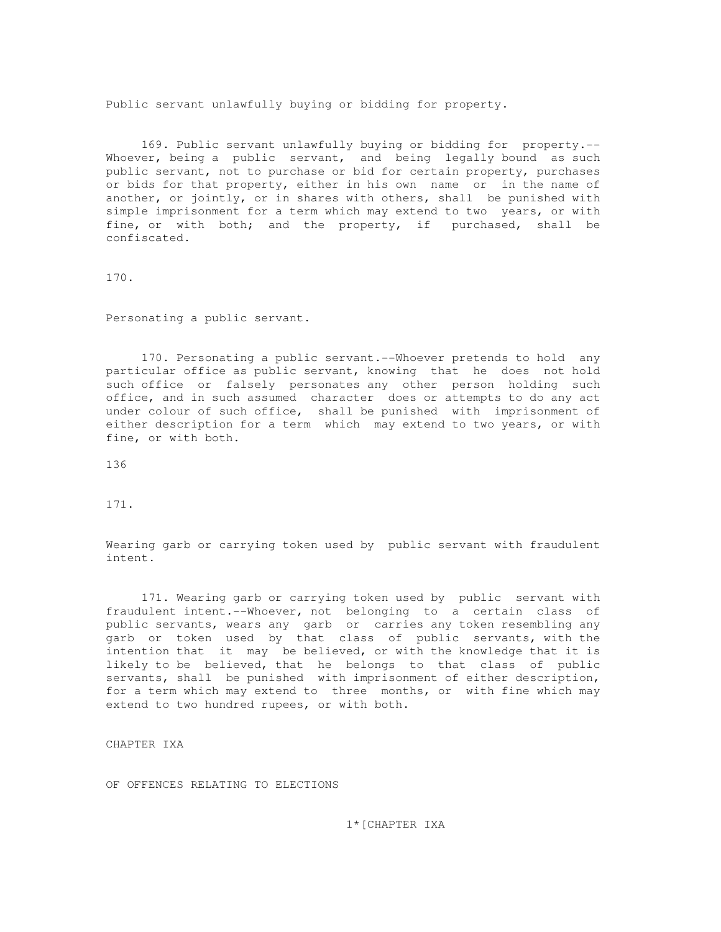Public servant unlawfully buying or bidding for property.

 169. Public servant unlawfully buying or bidding for property.-- Whoever, being a public servant, and being legally bound as such public servant, not to purchase or bid for certain property, purchases or bids for that property, either in his own name or in the name of another, or jointly, or in shares with others, shall be punished with simple imprisonment for a term which may extend to two years, or with fine, or with both; and the property, if purchased, shall be confiscated.

170.

Personating a public servant.

170. Personating a public servant.--Whoever pretends to hold any particular office as public servant, knowing that he does not hold such office or falsely personates any other person holding such office, and in such assumed character does or attempts to do any act under colour of such office, shall be punished with imprisonment of either description for a term which may extend to two years, or with fine, or with both.

136

171.

Wearing garb or carrying token used by public servant with fraudulent intent.

 171. Wearing garb or carrying token used by public servant with fraudulent intent.--Whoever, not belonging to a certain class of public servants, wears any garb or carries any token resembling any garb or token used by that class of public servants, with the intention that it may be believed, or with the knowledge that it is likely to be believed, that he belongs to that class of public servants, shall be punished with imprisonment of either description, for a term which may extend to three months, or with fine which may extend to two hundred rupees, or with both.

CHAPTER IXA

OF OFFENCES RELATING TO ELECTIONS

1\*[CHAPTER IXA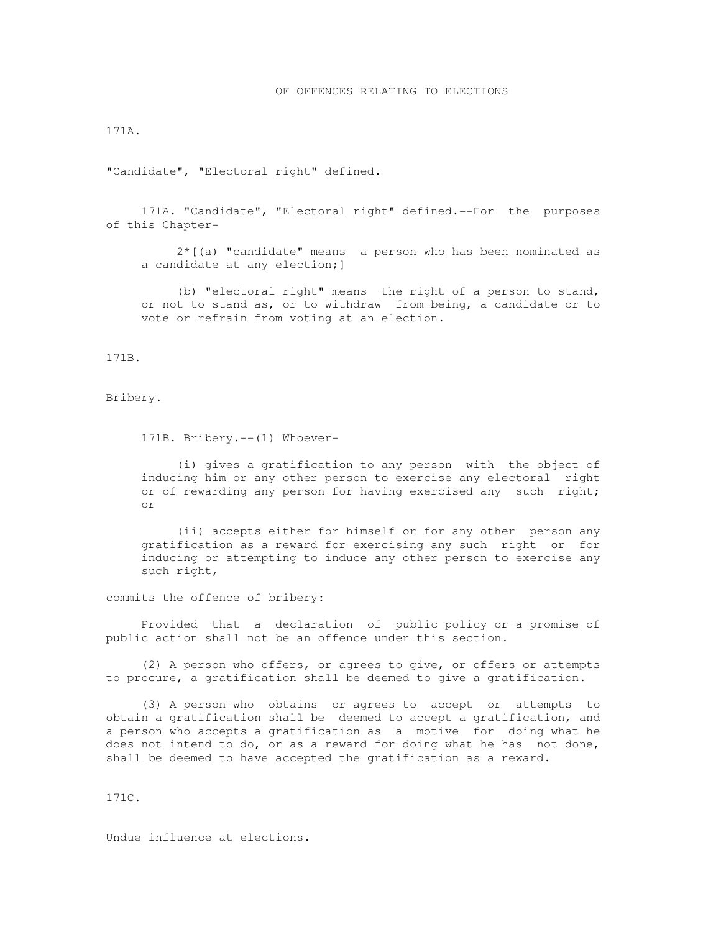## 171A.

"Candidate", "Electoral right" defined.

 171A. "Candidate", "Electoral right" defined.--For the purposes of this Chapter-

 2\*[(a) "candidate" means a person who has been nominated as a candidate at any election;]

 (b) "electoral right" means the right of a person to stand, or not to stand as, or to withdraw from being, a candidate or to vote or refrain from voting at an election.

## 171B.

Bribery.

171B. Bribery.--(1) Whoever-

 (i) gives a gratification to any person with the object of inducing him or any other person to exercise any electoral right or of rewarding any person for having exercised any such right; or

 (ii) accepts either for himself or for any other person any gratification as a reward for exercising any such right or for inducing or attempting to induce any other person to exercise any such right,

commits the offence of bribery:

 Provided that a declaration of public policy or a promise of public action shall not be an offence under this section.

 (2) A person who offers, or agrees to give, or offers or attempts to procure, a gratification shall be deemed to give a gratification.

 (3) A person who obtains or agrees to accept or attempts to obtain a gratification shall be deemed to accept a gratification, and a person who accepts a gratification as a motive for doing what he does not intend to do, or as a reward for doing what he has not done, shall be deemed to have accepted the gratification as a reward.

171C.

Undue influence at elections.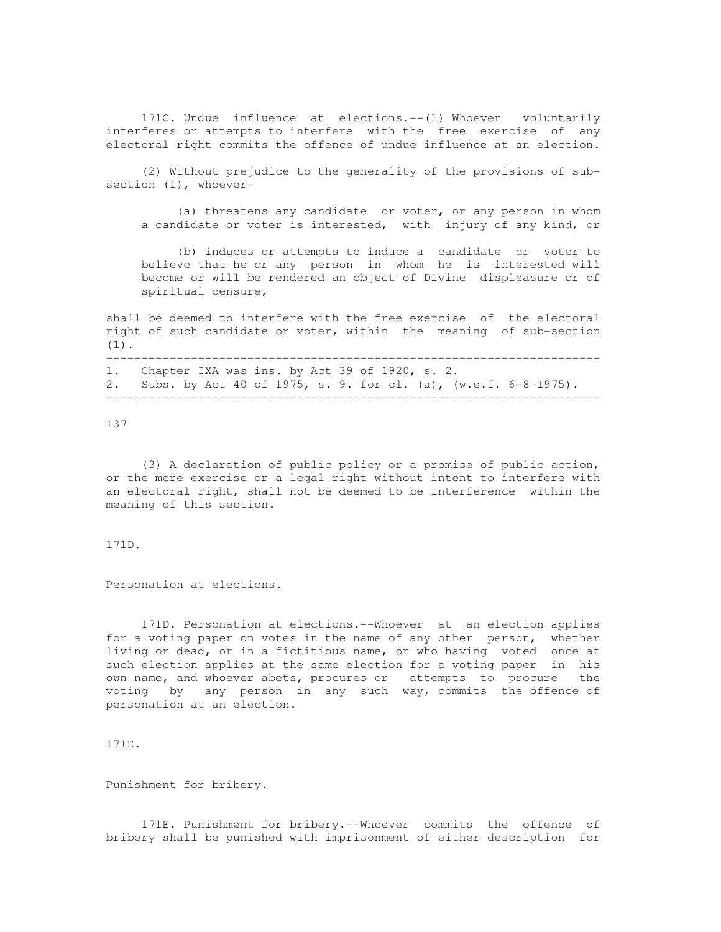171C. Undue influence at elections.--(1) Whoever voluntarily interferes or attempts to interfere with the free exercise of any electoral right commits the offence of undue influence at an election.

 (2) Without prejudice to the generality of the provisions of subsection (1), whoever-

 (a) threatens any candidate or voter, or any person in whom a candidate or voter is interested, with injury of any kind, or

 (b) induces or attempts to induce a candidate or voter to believe that he or any person in whom he is interested will become or will be rendered an object of Divine displeasure or of spiritual censure,

shall be deemed to interfere with the free exercise of the electoral right of such candidate or voter, within the meaning of sub-section (1). ----------------------------------------------------------------------

1. Chapter IXA was ins. by Act 39 of 1920, s. 2. 2. Subs. by Act 40 of 1975, s. 9. for cl. (a), (w.e.f. 6-8-1975). ----------------------------------------------------------------------

137

 (3) A declaration of public policy or a promise of public action, or the mere exercise or a legal right without intent to interfere with an electoral right, shall not be deemed to be interference within the meaning of this section.

171D.

Personation at elections.

 171D. Personation at elections.--Whoever at an election applies for a voting paper on votes in the name of any other person, whether living or dead, or in a fictitious name, or who having voted once at such election applies at the same election for a voting paper in his own name, and whoever abets, procures or attempts to procure the voting by any person in any such way, commits the offence of personation at an election.

171E.

Punishment for bribery.

 171E. Punishment for bribery.--Whoever commits the offence of bribery shall be punished with imprisonment of either description for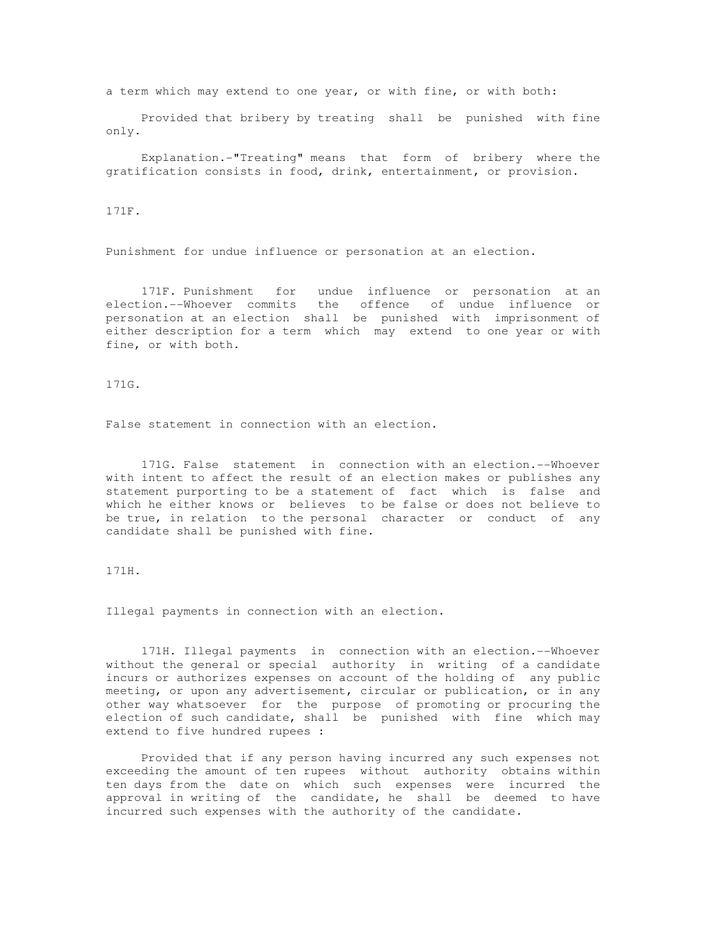a term which may extend to one year, or with fine, or with both:

 Provided that bribery by treating shall be punished with fine only.

 Explanation.-"Treating" means that form of bribery where the gratification consists in food, drink, entertainment, or provision.

171F.

Punishment for undue influence or personation at an election.

 171F. Punishment for undue influence or personation at an election.--Whoever commits the offence of undue influence or personation at an election shall be punished with imprisonment of either description for a term which may extend to one year or with fine, or with both.

171G.

False statement in connection with an election.

 171G. False statement in connection with an election.--Whoever with intent to affect the result of an election makes or publishes any statement purporting to be a statement of fact which is false and which he either knows or believes to be false or does not believe to be true, in relation to the personal character or conduct of any candidate shall be punished with fine.

171H.

Illegal payments in connection with an election.

 171H. Illegal payments in connection with an election.--Whoever without the general or special authority in writing of a candidate incurs or authorizes expenses on account of the holding of any public meeting, or upon any advertisement, circular or publication, or in any other way whatsoever for the purpose of promoting or procuring the election of such candidate, shall be punished with fine which may extend to five hundred rupees :

 Provided that if any person having incurred any such expenses not exceeding the amount of ten rupees without authority obtains within ten days from the date on which such expenses were incurred the approval in writing of the candidate, he shall be deemed to have incurred such expenses with the authority of the candidate.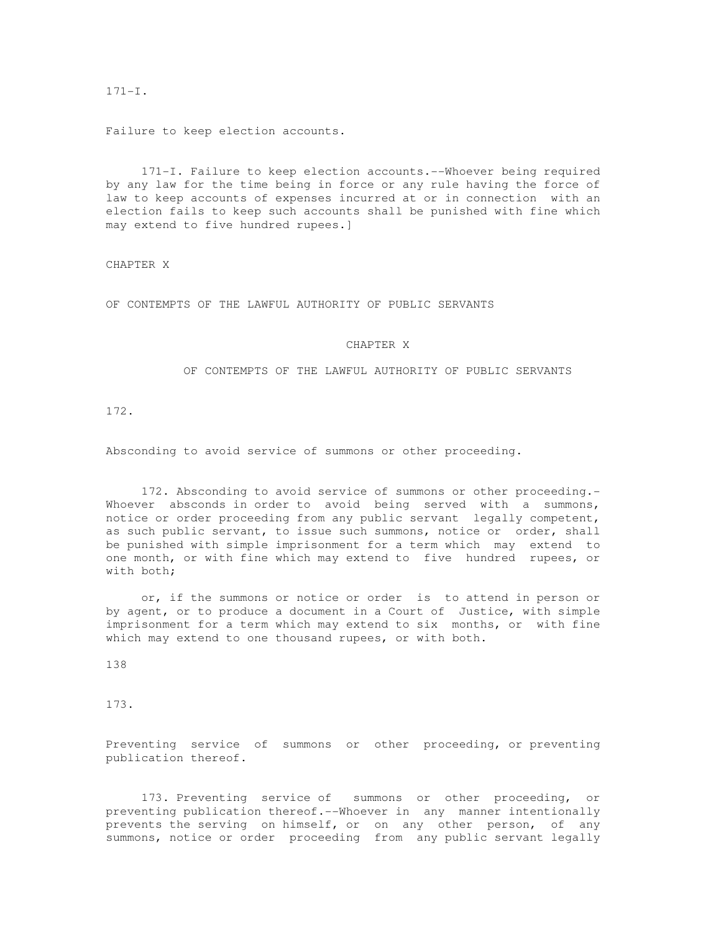$171 - T$ .

Failure to keep election accounts.

 171-I. Failure to keep election accounts.--Whoever being required by any law for the time being in force or any rule having the force of law to keep accounts of expenses incurred at or in connection with an election fails to keep such accounts shall be punished with fine which may extend to five hundred rupees.]

CHAPTER X

OF CONTEMPTS OF THE LAWFUL AUTHORITY OF PUBLIC SERVANTS

#### CHAPTER X

OF CONTEMPTS OF THE LAWFUL AUTHORITY OF PUBLIC SERVANTS

172.

Absconding to avoid service of summons or other proceeding.

 172. Absconding to avoid service of summons or other proceeding.- Whoever absconds in order to avoid being served with a summons, notice or order proceeding from any public servant legally competent, as such public servant, to issue such summons, notice or order, shall be punished with simple imprisonment for a term which may extend to one month, or with fine which may extend to five hundred rupees, or with both;

 or, if the summons or notice or order is to attend in person or by agent, or to produce a document in a Court of Justice, with simple imprisonment for a term which may extend to six months, or with fine which may extend to one thousand rupees, or with both.

138

173.

Preventing service of summons or other proceeding, or preventing publication thereof.

 173. Preventing service of summons or other proceeding, or preventing publication thereof.--Whoever in any manner intentionally prevents the serving on himself, or on any other person, of any summons, notice or order proceeding from any public servant legally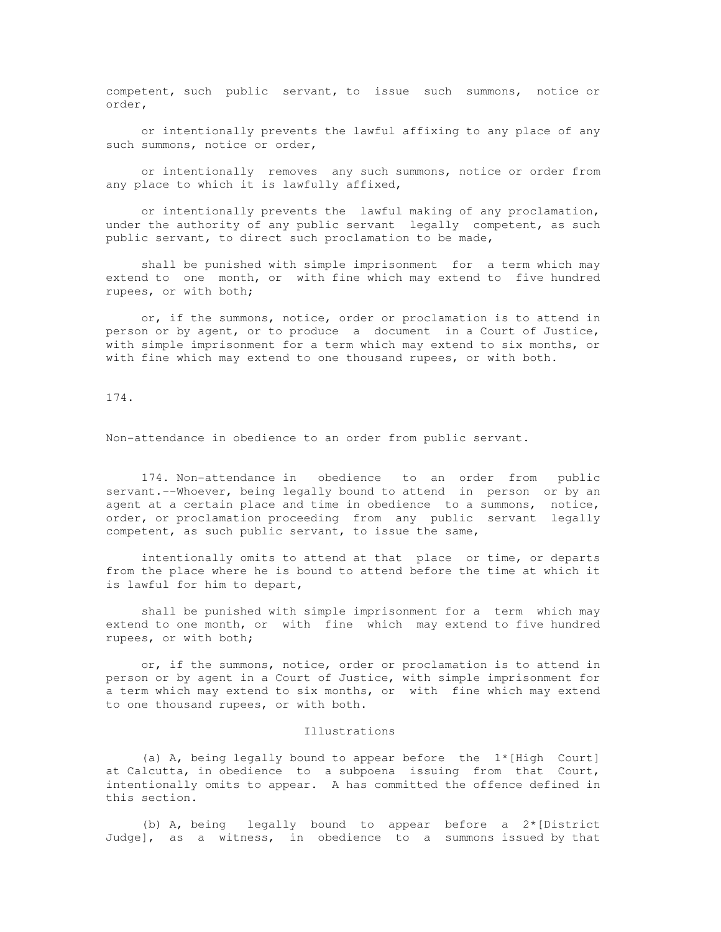competent, such public servant, to issue such summons, notice or order,

 or intentionally prevents the lawful affixing to any place of any such summons, notice or order,

 or intentionally removes any such summons, notice or order from any place to which it is lawfully affixed,

 or intentionally prevents the lawful making of any proclamation, under the authority of any public servant legally competent, as such public servant, to direct such proclamation to be made,

 shall be punished with simple imprisonment for a term which may extend to one month, or with fine which may extend to five hundred rupees, or with both;

 or, if the summons, notice, order or proclamation is to attend in person or by agent, or to produce a document in a Court of Justice, with simple imprisonment for a term which may extend to six months, or with fine which may extend to one thousand rupees, or with both.

174.

Non-attendance in obedience to an order from public servant.

 174. Non-attendance in obedience to an order from public servant.--Whoever, being legally bound to attend in person or by an agent at a certain place and time in obedience to a summons, notice, order, or proclamation proceeding from any public servant legally competent, as such public servant, to issue the same,

 intentionally omits to attend at that place or time, or departs from the place where he is bound to attend before the time at which it is lawful for him to depart,

 shall be punished with simple imprisonment for a term which may extend to one month, or with fine which may extend to five hundred rupees, or with both;

 or, if the summons, notice, order or proclamation is to attend in person or by agent in a Court of Justice, with simple imprisonment for a term which may extend to six months, or with fine which may extend to one thousand rupees, or with both.

# Illustrations

 (a) A, being legally bound to appear before the 1\*[High Court] at Calcutta, in obedience to a subpoena issuing from that Court, intentionally omits to appear. A has committed the offence defined in this section.

 (b) A, being legally bound to appear before a 2\*[District Judge], as a witness, in obedience to a summons issued by that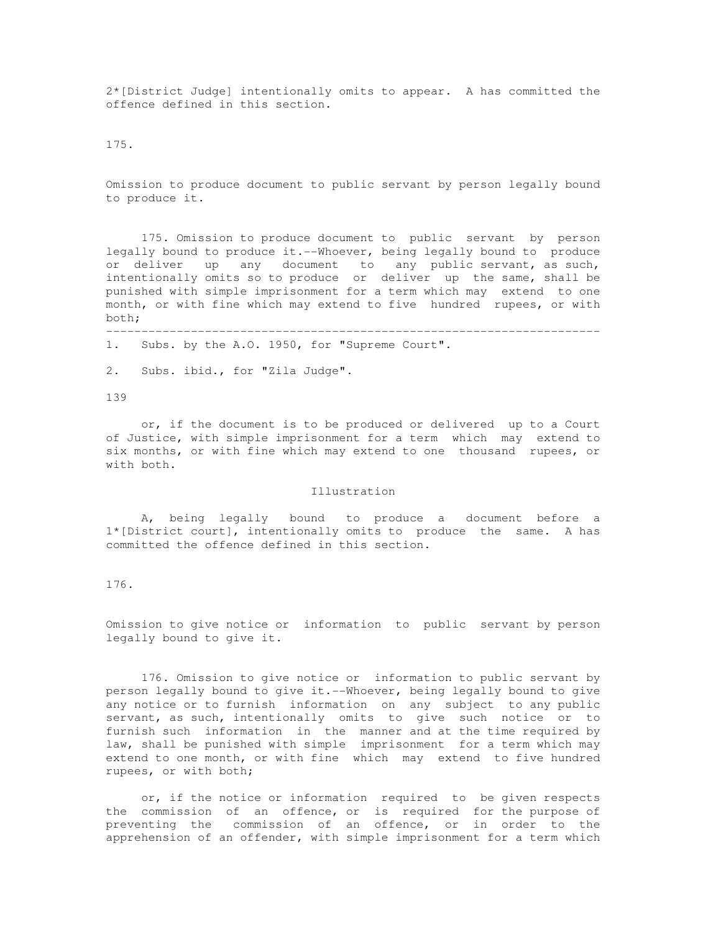2\*[District Judge] intentionally omits to appear. A has committed the offence defined in this section.

175.

Omission to produce document to public servant by person legally bound to produce it.

 175. Omission to produce document to public servant by person legally bound to produce it.--Whoever, being legally bound to produce or deliver up any document to any public servant, as such, intentionally omits so to produce or deliver up the same, shall be punished with simple imprisonment for a term which may extend to one month, or with fine which may extend to five hundred rupees, or with both;

---------------------------------------------------------------------- 1. Subs. by the A.O. 1950, for "Supreme Court".

2. Subs. ibid., for "Zila Judge".

139

 or, if the document is to be produced or delivered up to a Court of Justice, with simple imprisonment for a term which may extend to six months, or with fine which may extend to one thousand rupees, or with both.

#### Illustration

 A, being legally bound to produce a document before a 1\*[District court], intentionally omits to produce the same. A has committed the offence defined in this section.

176.

Omission to give notice or information to public servant by person legally bound to give it.

 176. Omission to give notice or information to public servant by person legally bound to give it.--Whoever, being legally bound to give any notice or to furnish information on any subject to any public servant, as such, intentionally omits to give such notice or to furnish such information in the manner and at the time required by law, shall be punished with simple imprisonment for a term which may extend to one month, or with fine which may extend to five hundred rupees, or with both;

 or, if the notice or information required to be given respects the commission of an offence, or is required for the purpose of preventing the commission of an offence, or in order to the apprehension of an offender, with simple imprisonment for a term which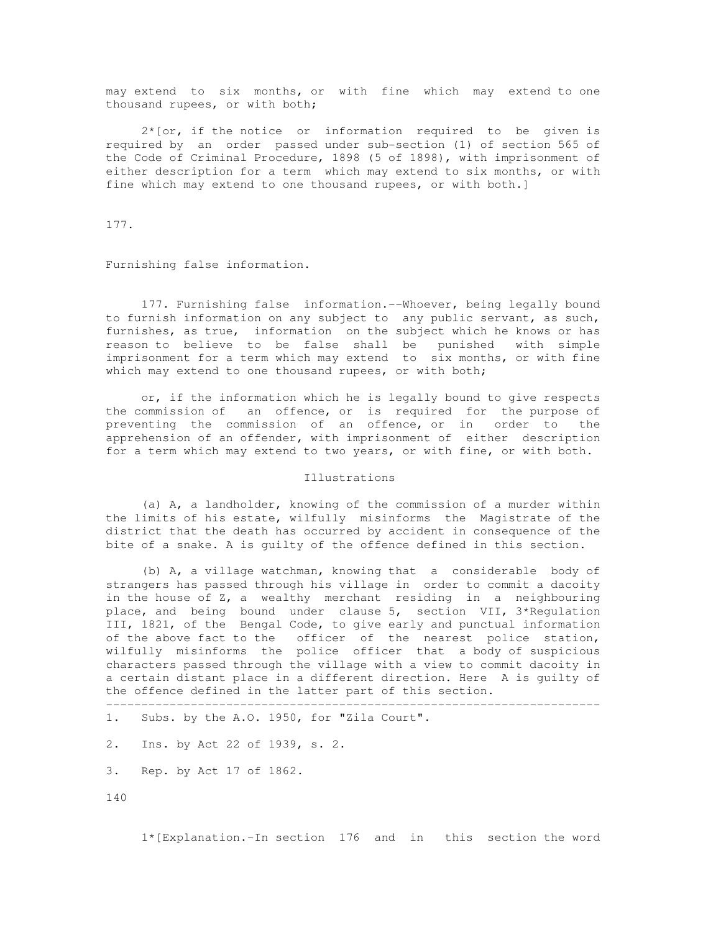may extend to six months, or with fine which may extend to one thousand rupees, or with both;

 2\*[or, if the notice or information required to be given is required by an order passed under sub-section (1) of section 565 of the Code of Criminal Procedure, 1898 (5 of 1898), with imprisonment of either description for a term which may extend to six months, or with fine which may extend to one thousand rupees, or with both.]

177.

Furnishing false information.

 177. Furnishing false information.--Whoever, being legally bound to furnish information on any subject to any public servant, as such, furnishes, as true, information on the subject which he knows or has reason to believe to be false shall be punished with simple imprisonment for a term which may extend to six months, or with fine which may extend to one thousand rupees, or with both;

 or, if the information which he is legally bound to give respects the commission of an offence, or is required for the purpose of preventing the commission of an offence, or in order to the apprehension of an offender, with imprisonment of either description for a term which may extend to two years, or with fine, or with both.

#### Illustrations

 (a) A, a landholder, knowing of the commission of a murder within the limits of his estate, wilfully misinforms the Magistrate of the district that the death has occurred by accident in consequence of the bite of a snake. A is guilty of the offence defined in this section.

 (b) A, a village watchman, knowing that a considerable body of strangers has passed through his village in order to commit a dacoity in the house of Z, a wealthy merchant residing in a neighbouring place, and being bound under clause 5, section VII, 3\*Regulation III, 1821, of the Bengal Code, to give early and punctual information of the above fact to the officer of the nearest police station, wilfully misinforms the police officer that a body of suspicious characters passed through the village with a view to commit dacoity in a certain distant place in a different direction. Here A is guilty of the offence defined in the latter part of this section. ----------------------------------------------------------------------

1. Subs. by the A.O. 1950, for "Zila Court".

2. Ins. by Act 22 of 1939, s. 2.

3. Rep. by Act 17 of 1862.

140

1\*[Explanation.-In section 176 and in this section the word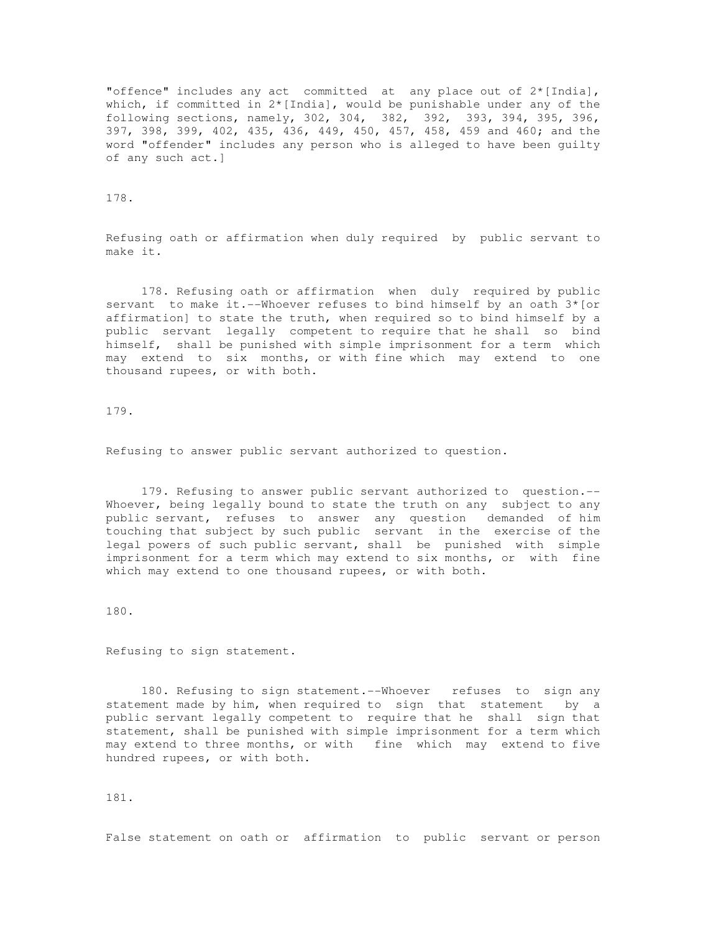"offence" includes any act committed at any place out of  $2*(\text{India})$ , which, if committed in 2\*[India], would be punishable under any of the following sections, namely, 302, 304, 382, 392, 393, 394, 395, 396, 397, 398, 399, 402, 435, 436, 449, 450, 457, 458, 459 and 460; and the word "offender" includes any person who is alleged to have been guilty of any such act.]

178.

Refusing oath or affirmation when duly required by public servant to make it.

 178. Refusing oath or affirmation when duly required by public servant to make it.--Whoever refuses to bind himself by an oath 3\*[or affirmation] to state the truth, when required so to bind himself by a public servant legally competent to require that he shall so bind himself, shall be punished with simple imprisonment for a term which may extend to six months, or with fine which may extend to one thousand rupees, or with both.

179.

Refusing to answer public servant authorized to question.

 179. Refusing to answer public servant authorized to question.-- Whoever, being legally bound to state the truth on any subject to any public servant, refuses to answer any question demanded of him touching that subject by such public servant in the exercise of the legal powers of such public servant, shall be punished with simple imprisonment for a term which may extend to six months, or with fine which may extend to one thousand rupees, or with both.

180.

Refusing to sign statement.

 180. Refusing to sign statement.--Whoever refuses to sign any statement made by him, when required to sign that statement by a public servant legally competent to require that he shall sign that statement, shall be punished with simple imprisonment for a term which may extend to three months, or with fine which may extend to five hundred rupees, or with both.

181.

False statement on oath or affirmation to public servant or person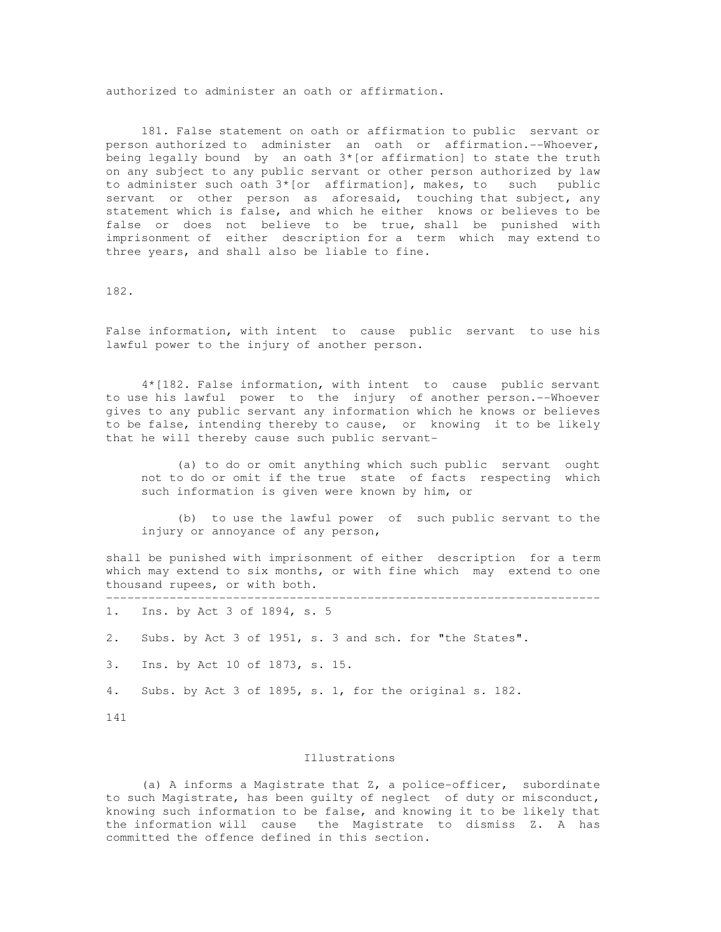authorized to administer an oath or affirmation.

 181. False statement on oath or affirmation to public servant or person authorized to administer an oath or affirmation.--Whoever, being legally bound by an oath 3\*[or affirmation] to state the truth on any subject to any public servant or other person authorized by law to administer such oath  $3*(or$  affirmation], makes, to such public servant or other person as aforesaid, touching that subject, any statement which is false, and which he either knows or believes to be false or does not believe to be true, shall be punished with imprisonment of either description for a term which may extend to three years, and shall also be liable to fine.

182.

False information, with intent to cause public servant to use his lawful power to the injury of another person.

 4\*[182. False information, with intent to cause public servant to use his lawful power to the injury of another person.--Whoever gives to any public servant any information which he knows or believes to be false, intending thereby to cause, or knowing it to be likely that he will thereby cause such public servant-

 (a) to do or omit anything which such public servant ought not to do or omit if the true state of facts respecting which such information is given were known by him, or

 (b) to use the lawful power of such public servant to the injury or annoyance of any person,

shall be punished with imprisonment of either description for a term which may extend to six months, or with fine which may extend to one thousand rupees, or with both. ----------------------------------------------------------------------

- 1. Ins. by Act 3 of 1894, s. 5
- 2. Subs. by Act 3 of 1951, s. 3 and sch. for "the States".
- 3. Ins. by Act 10 of 1873, s. 15.
- 4. Subs. by Act 3 of 1895, s. 1, for the original s. 182.

141

### Illustrations

 (a) A informs a Magistrate that Z, a police-officer, subordinate to such Magistrate, has been guilty of neglect of duty or misconduct, knowing such information to be false, and knowing it to be likely that the information will cause the Magistrate to dismiss Z. A has committed the offence defined in this section.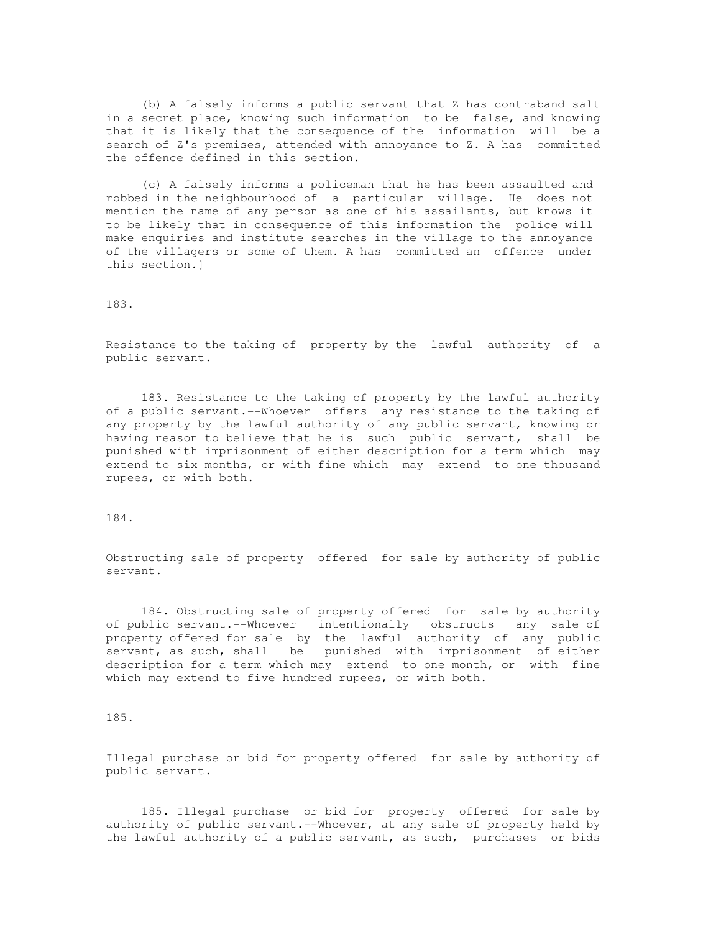(b) A falsely informs a public servant that Z has contraband salt in a secret place, knowing such information to be false, and knowing that it is likely that the consequence of the information will be a search of Z's premises, attended with annoyance to Z. A has committed the offence defined in this section.

 (c) A falsely informs a policeman that he has been assaulted and robbed in the neighbourhood of a particular village. He does not mention the name of any person as one of his assailants, but knows it to be likely that in consequence of this information the police will make enquiries and institute searches in the village to the annoyance of the villagers or some of them. A has committed an offence under this section.]

183.

Resistance to the taking of property by the lawful authority of a public servant.

 183. Resistance to the taking of property by the lawful authority of a public servant.--Whoever offers any resistance to the taking of any property by the lawful authority of any public servant, knowing or having reason to believe that he is such public servant, shall be punished with imprisonment of either description for a term which may extend to six months, or with fine which may extend to one thousand rupees, or with both.

184.

Obstructing sale of property offered for sale by authority of public servant.

 184. Obstructing sale of property offered for sale by authority of public servant.--Whoever intentionally obstructs any sale of property offered for sale by the lawful authority of any public servant, as such, shall be punished with imprisonment of either description for a term which may extend to one month, or with fine which may extend to five hundred rupees, or with both.

185.

Illegal purchase or bid for property offered for sale by authority of public servant.

 185. Illegal purchase or bid for property offered for sale by authority of public servant.--Whoever, at any sale of property held by the lawful authority of a public servant, as such, purchases or bids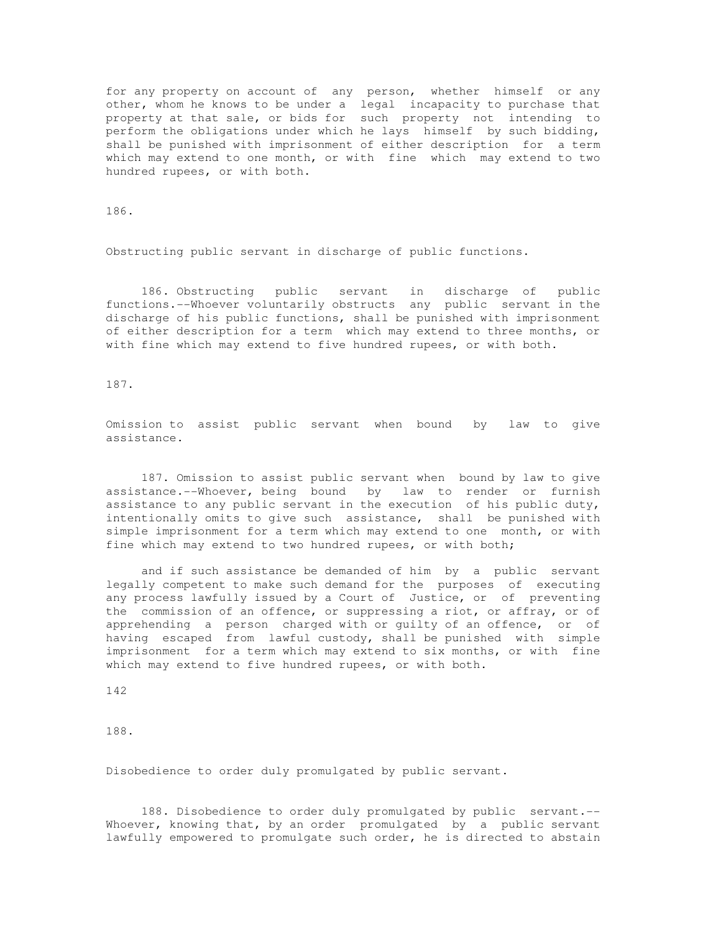for any property on account of any person, whether himself or any other, whom he knows to be under a legal incapacity to purchase that property at that sale, or bids for such property not intending to perform the obligations under which he lays himself by such bidding, shall be punished with imprisonment of either description for a term which may extend to one month, or with fine which may extend to two hundred rupees, or with both.

186.

Obstructing public servant in discharge of public functions.

 186. Obstructing public servant in discharge of public functions.--Whoever voluntarily obstructs any public servant in the discharge of his public functions, shall be punished with imprisonment of either description for a term which may extend to three months, or with fine which may extend to five hundred rupees, or with both.

187.

Omission to assist public servant when bound by law to give assistance.

 187. Omission to assist public servant when bound by law to give assistance.--Whoever, being bound by law to render or furnish assistance to any public servant in the execution of his public duty, intentionally omits to give such assistance, shall be punished with simple imprisonment for a term which may extend to one month, or with fine which may extend to two hundred rupees, or with both;

 and if such assistance be demanded of him by a public servant legally competent to make such demand for the purposes of executing any process lawfully issued by a Court of Justice, or of preventing the commission of an offence, or suppressing a riot, or affray, or of apprehending a person charged with or guilty of an offence, or of having escaped from lawful custody, shall be punished with simple imprisonment for a term which may extend to six months, or with fine which may extend to five hundred rupees, or with both.

142

188.

Disobedience to order duly promulgated by public servant.

 188. Disobedience to order duly promulgated by public servant.-- Whoever, knowing that, by an order promulgated by a public servant lawfully empowered to promulgate such order, he is directed to abstain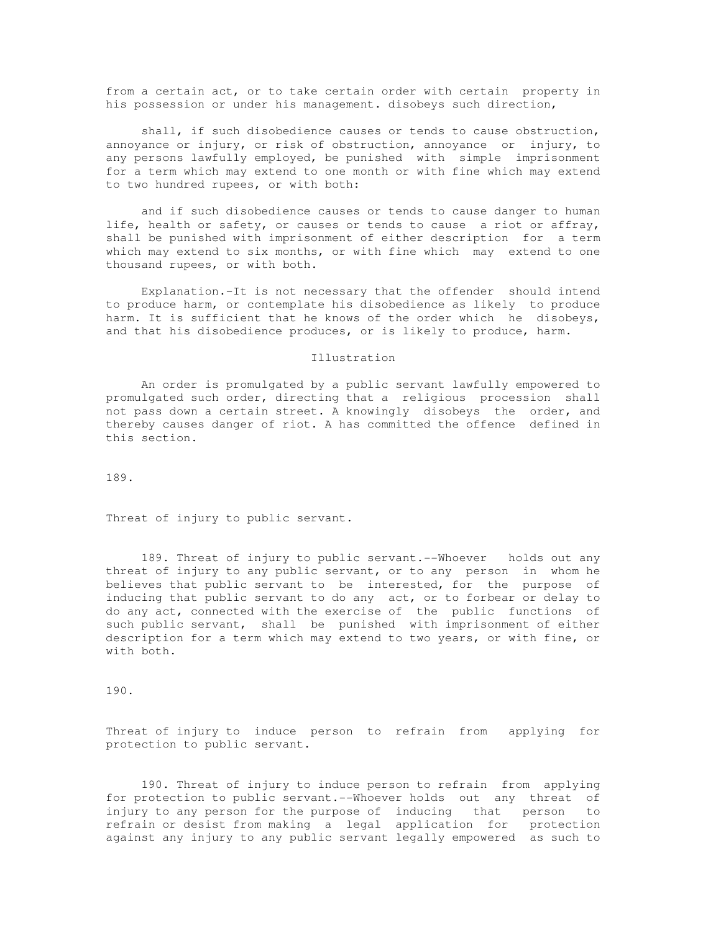from a certain act, or to take certain order with certain property in his possession or under his management. disobeys such direction,

shall, if such disobedience causes or tends to cause obstruction, annoyance or injury, or risk of obstruction, annoyance or injury, to any persons lawfully employed, be punished with simple imprisonment for a term which may extend to one month or with fine which may extend to two hundred rupees, or with both:

 and if such disobedience causes or tends to cause danger to human life, health or safety, or causes or tends to cause a riot or affray, shall be punished with imprisonment of either description for a term which may extend to six months, or with fine which may extend to one thousand rupees, or with both.

 Explanation.-It is not necessary that the offender should intend to produce harm, or contemplate his disobedience as likely to produce harm. It is sufficient that he knows of the order which he disobeys, and that his disobedience produces, or is likely to produce, harm.

## Illustration

 An order is promulgated by a public servant lawfully empowered to promulgated such order, directing that a religious procession shall not pass down a certain street. A knowingly disobeys the order, and thereby causes danger of riot. A has committed the offence defined in this section.

189.

Threat of injury to public servant.

 189. Threat of injury to public servant.--Whoever holds out any threat of injury to any public servant, or to any person in whom he believes that public servant to be interested, for the purpose of inducing that public servant to do any act, or to forbear or delay to do any act, connected with the exercise of the public functions of such public servant, shall be punished with imprisonment of either description for a term which may extend to two years, or with fine, or with both.

190.

Threat of injury to induce person to refrain from applying for protection to public servant.

 190. Threat of injury to induce person to refrain from applying for protection to public servant.--Whoever holds out any threat of injury to any person for the purpose of inducing that person to refrain or desist from making a legal application for protection against any injury to any public servant legally empowered as such to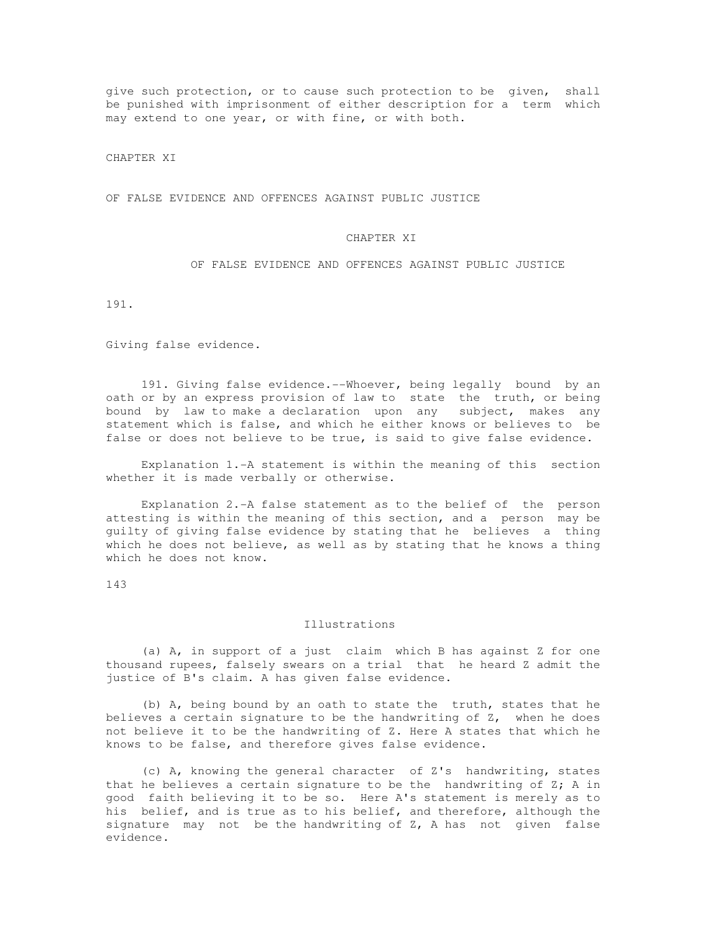give such protection, or to cause such protection to be given, shall be punished with imprisonment of either description for a term which may extend to one year, or with fine, or with both.

CHAPTER XI

OF FALSE EVIDENCE AND OFFENCES AGAINST PUBLIC JUSTICE

## CHAPTER XI

OF FALSE EVIDENCE AND OFFENCES AGAINST PUBLIC JUSTICE

191.

Giving false evidence.

 191. Giving false evidence.--Whoever, being legally bound by an oath or by an express provision of law to state the truth, or being bound by law to make a declaration upon any subject, makes any statement which is false, and which he either knows or believes to be false or does not believe to be true, is said to give false evidence.

 Explanation 1.-A statement is within the meaning of this section whether it is made verbally or otherwise.

 Explanation 2.-A false statement as to the belief of the person attesting is within the meaning of this section, and a person may be guilty of giving false evidence by stating that he believes a thing which he does not believe, as well as by stating that he knows a thing which he does not know.

143

## Illustrations

 (a) A, in support of a just claim which B has against Z for one thousand rupees, falsely swears on a trial that he heard Z admit the justice of B's claim. A has given false evidence.

 (b) A, being bound by an oath to state the truth, states that he believes a certain signature to be the handwriting of Z, when he does not believe it to be the handwriting of Z. Here A states that which he knows to be false, and therefore gives false evidence.

 (c) A, knowing the general character of Z's handwriting, states that he believes a certain signature to be the handwriting of Z; A in good faith believing it to be so. Here A's statement is merely as to his belief, and is true as to his belief, and therefore, although the signature may not be the handwriting of Z, A has not given false evidence.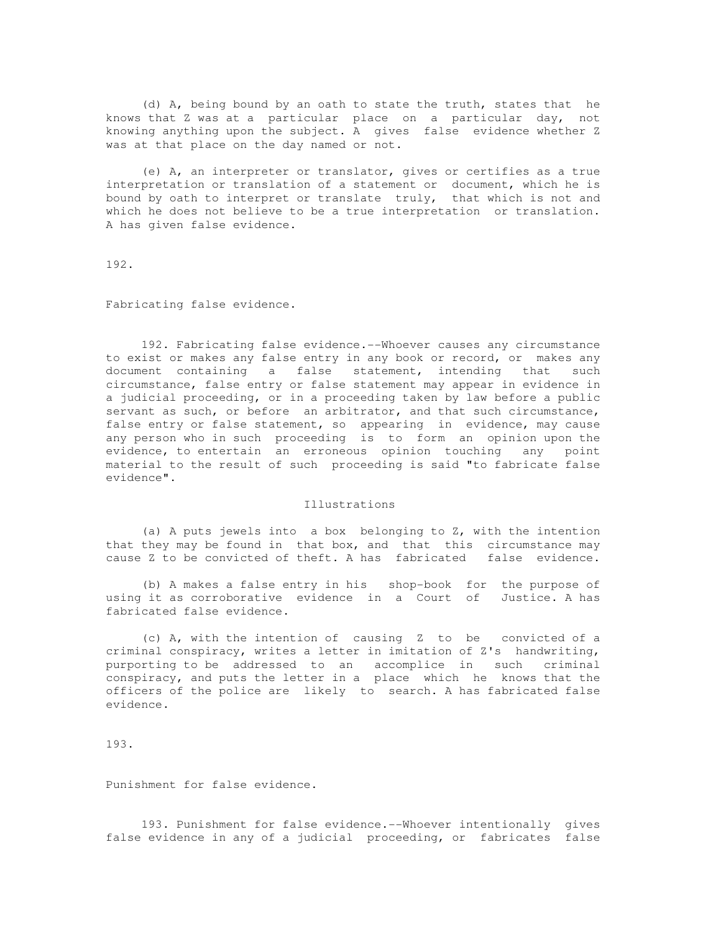(d) A, being bound by an oath to state the truth, states that he knows that Z was at a particular place on a particular day, not knowing anything upon the subject. A gives false evidence whether Z was at that place on the day named or not.

 (e) A, an interpreter or translator, gives or certifies as a true interpretation or translation of a statement or document, which he is bound by oath to interpret or translate truly, that which is not and which he does not believe to be a true interpretation or translation. A has given false evidence.

192.

## Fabricating false evidence.

 192. Fabricating false evidence.--Whoever causes any circumstance to exist or makes any false entry in any book or record, or makes any document containing a false statement, intending that such circumstance, false entry or false statement may appear in evidence in a judicial proceeding, or in a proceeding taken by law before a public servant as such, or before an arbitrator, and that such circumstance, false entry or false statement, so appearing in evidence, may cause any person who in such proceeding is to form an opinion upon the evidence, to entertain an erroneous opinion touching any point material to the result of such proceeding is said "to fabricate false evidence".

### Illustrations

 (a) A puts jewels into a box belonging to Z, with the intention that they may be found in that box, and that this circumstance may cause Z to be convicted of theft. A has fabricated false evidence.

 (b) A makes a false entry in his shop-book for the purpose of using it as corroborative evidence in a Court of Justice. A has fabricated false evidence.

 (c) A, with the intention of causing Z to be convicted of a criminal conspiracy, writes a letter in imitation of Z's handwriting, purporting to be addressed to an accomplice in such criminal conspiracy, and puts the letter in a place which he knows that the officers of the police are likely to search. A has fabricated false evidence.

193.

Punishment for false evidence.

 193. Punishment for false evidence.--Whoever intentionally gives false evidence in any of a judicial proceeding, or fabricates false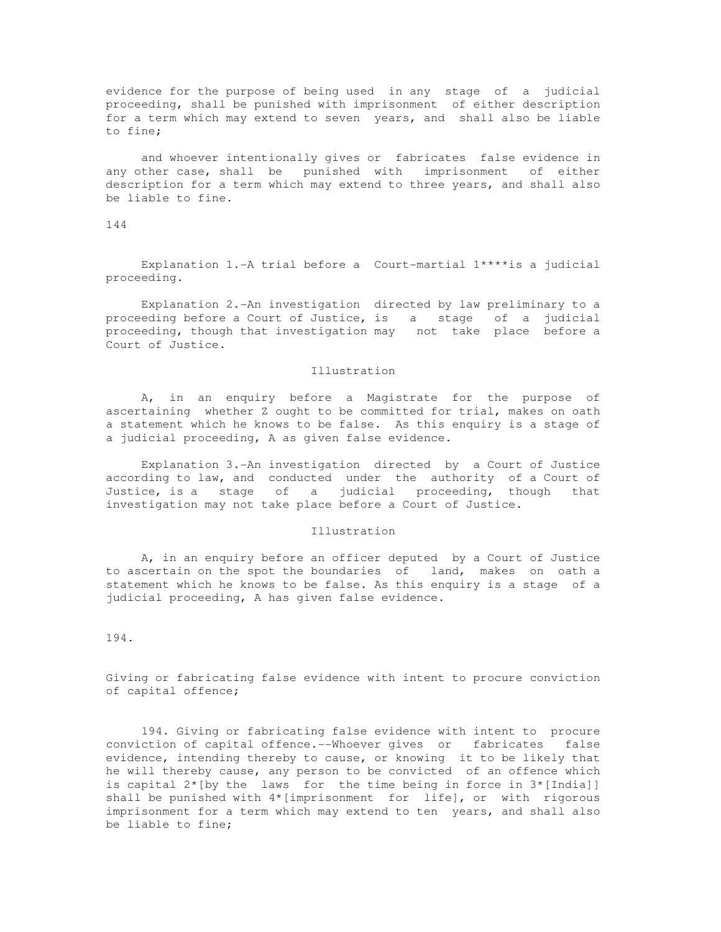evidence for the purpose of being used in any stage of a judicial proceeding, shall be punished with imprisonment of either description for a term which may extend to seven years, and shall also be liable to fine;

 and whoever intentionally gives or fabricates false evidence in any other case, shall be punished with imprisonment of either description for a term which may extend to three years, and shall also be liable to fine.

144

 Explanation 1.-A trial before a Court-martial 1\*\*\*\*is a judicial proceeding.

 Explanation 2.-An investigation directed by law preliminary to a proceeding before a Court of Justice, is a stage of a judicial proceeding, though that investigation may not take place before a Court of Justice.

## Illustration

 A, in an enquiry before a Magistrate for the purpose of ascertaining whether Z ought to be committed for trial, makes on oath a statement which he knows to be false. As this enquiry is a stage of a judicial proceeding, A as given false evidence.

 Explanation 3.-An investigation directed by a Court of Justice according to law, and conducted under the authority of a Court of Justice, is a stage of a judicial proceeding, though that investigation may not take place before a Court of Justice.

## Illustration

 A, in an enquiry before an officer deputed by a Court of Justice to ascertain on the spot the boundaries of land, makes on oath a statement which he knows to be false. As this enquiry is a stage of a judicial proceeding, A has given false evidence.

194.

Giving or fabricating false evidence with intent to procure conviction of capital offence;

 194. Giving or fabricating false evidence with intent to procure conviction of capital offence.--Whoever gives or fabricates false evidence, intending thereby to cause, or knowing it to be likely that he will thereby cause, any person to be convicted of an offence which is capital 2\*[by the laws for the time being in force in 3\*[India]] shall be punished with 4\*[imprisonment for life], or with rigorous imprisonment for a term which may extend to ten years, and shall also be liable to fine;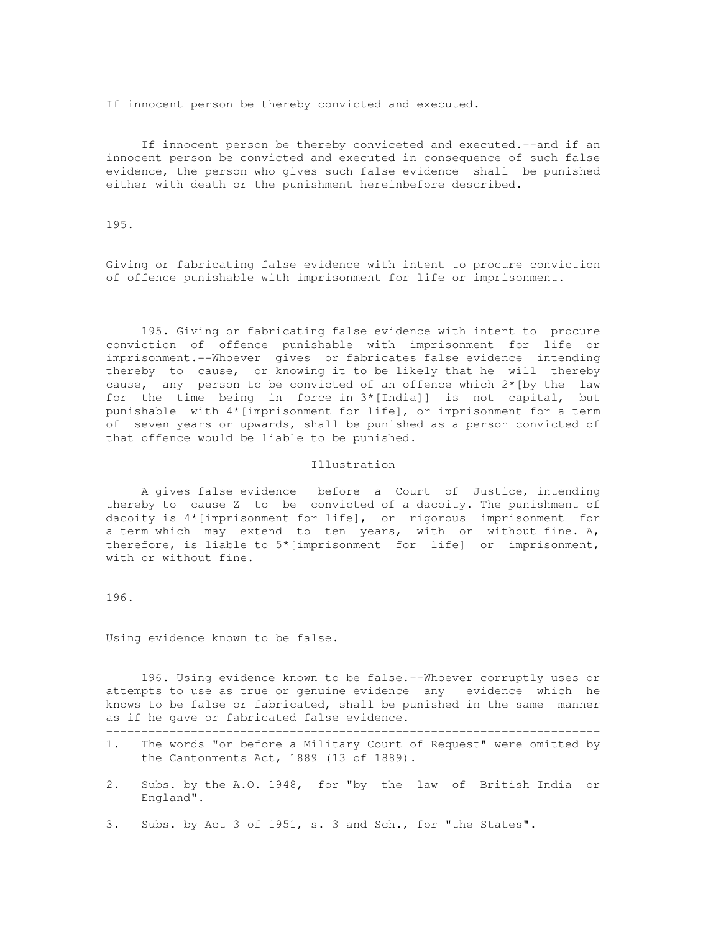If innocent person be thereby convicted and executed.

 If innocent person be thereby conviceted and executed.--and if an innocent person be convicted and executed in consequence of such false evidence, the person who gives such false evidence shall be punished either with death or the punishment hereinbefore described.

195.

Giving or fabricating false evidence with intent to procure conviction of offence punishable with imprisonment for life or imprisonment.

 195. Giving or fabricating false evidence with intent to procure conviction of offence punishable with imprisonment for life or imprisonment.--Whoever gives or fabricates false evidence intending thereby to cause, or knowing it to be likely that he will thereby cause, any person to be convicted of an offence which 2\*[by the law for the time being in force in 3\*[India]] is not capital, but punishable with 4\*[imprisonment for life], or imprisonment for a term of seven years or upwards, shall be punished as a person convicted of that offence would be liable to be punished.

### Illustration

 A gives false evidence before a Court of Justice, intending thereby to cause Z to be convicted of a dacoity. The punishment of dacoity is 4\*[imprisonment for life], or rigorous imprisonment for a term which may extend to ten years, with or without fine. A, therefore, is liable to 5\*[imprisonment for life] or imprisonment, with or without fine.

196.

Using evidence known to be false.

 196. Using evidence known to be false.--Whoever corruptly uses or attempts to use as true or genuine evidence any evidence which he knows to be false or fabricated, shall be punished in the same manner as if he gave or fabricated false evidence.

----------------------------------------------------------------------

- 1. The words "or before a Military Court of Request" were omitted by the Cantonments Act, 1889 (13 of 1889).
- 2. Subs. by the A.O. 1948, for "by the law of British India or England".
- 3. Subs. by Act 3 of 1951, s. 3 and Sch., for "the States".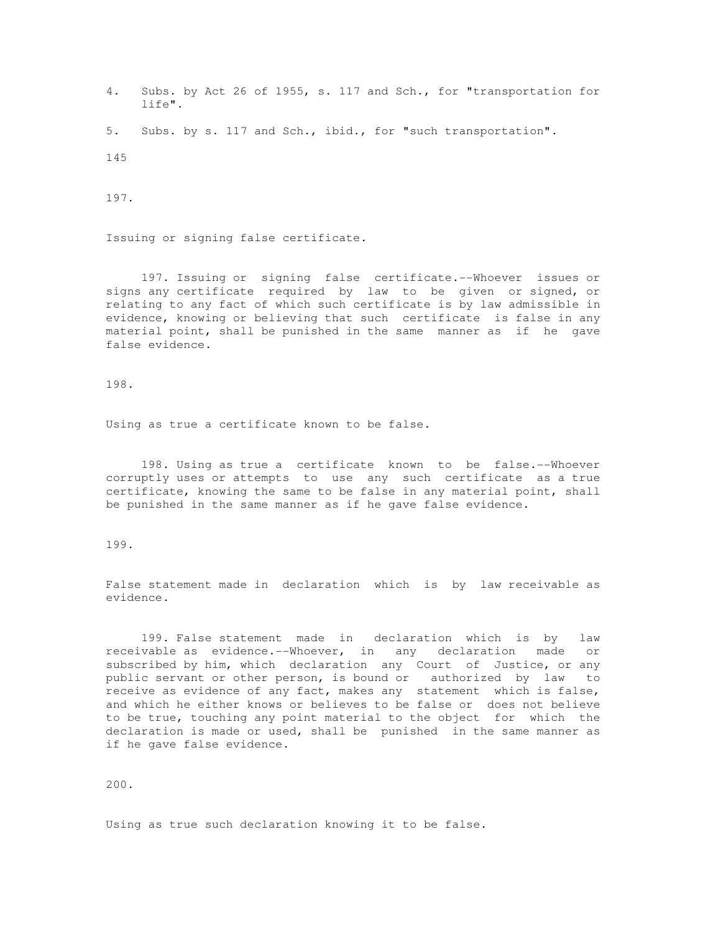- 4. Subs. by Act 26 of 1955, s. 117 and Sch., for "transportation for life".
- 5. Subs. by s. 117 and Sch., ibid., for "such transportation".

145

197.

Issuing or signing false certificate.

 197. Issuing or signing false certificate.--Whoever issues or signs any certificate required by law to be given or signed, or relating to any fact of which such certificate is by law admissible in evidence, knowing or believing that such certificate is false in any material point, shall be punished in the same manner as if he gave false evidence.

198.

Using as true a certificate known to be false.

 198. Using as true a certificate known to be false.--Whoever corruptly uses or attempts to use any such certificate as a true certificate, knowing the same to be false in any material point, shall be punished in the same manner as if he gave false evidence.

199.

False statement made in declaration which is by law receivable as evidence.

 199. False statement made in declaration which is by law receivable as evidence.--Whoever, in any declaration made or subscribed by him, which declaration any Court of Justice, or any public servant or other person, is bound or authorized by law to receive as evidence of any fact, makes any statement which is false, and which he either knows or believes to be false or does not believe to be true, touching any point material to the object for which the declaration is made or used, shall be punished in the same manner as if he gave false evidence.

200.

Using as true such declaration knowing it to be false.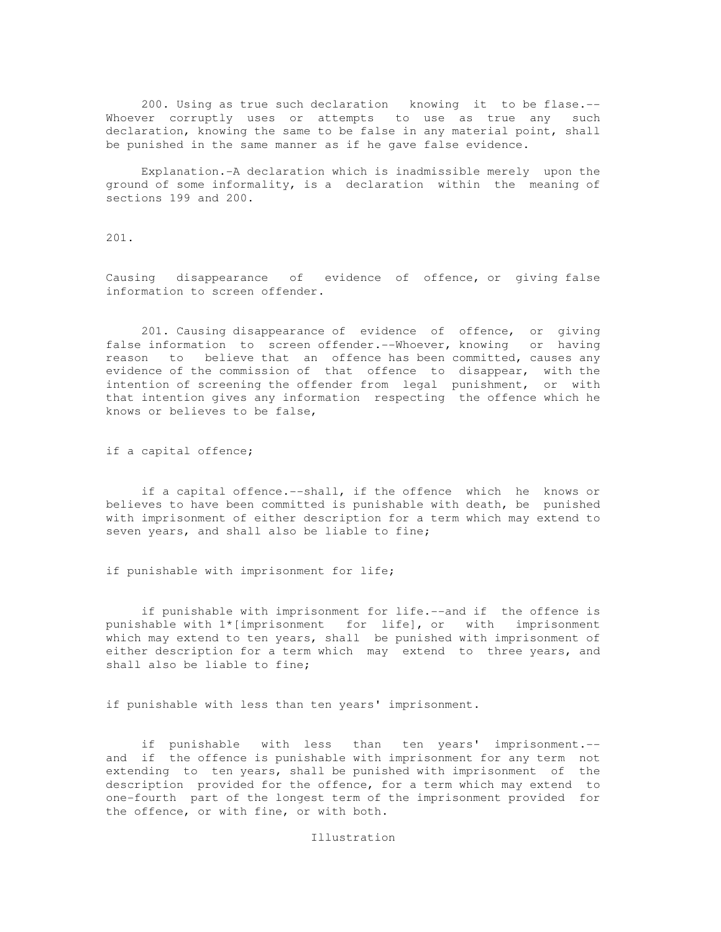200. Using as true such declaration knowing it to be flase.-- Whoever corruptly uses or attempts to use as true any such declaration, knowing the same to be false in any material point, shall be punished in the same manner as if he gave false evidence.

 Explanation.-A declaration which is inadmissible merely upon the ground of some informality, is a declaration within the meaning of sections 199 and 200.

201.

Causing disappearance of evidence of offence, or giving false information to screen offender.

 201. Causing disappearance of evidence of offence, or giving false information to screen offender.--Whoever, knowing or having reason to believe that an offence has been committed, causes any evidence of the commission of that offence to disappear, with the intention of screening the offender from legal punishment, or with that intention gives any information respecting the offence which he knows or believes to be false,

if a capital offence;

if a capital offence.--shall, if the offence which he knows or believes to have been committed is punishable with death, be punished with imprisonment of either description for a term which may extend to seven years, and shall also be liable to fine;

if punishable with imprisonment for life;

 if punishable with imprisonment for life.--and if the offence is punishable with 1\*[imprisonment for life], or with imprisonment which may extend to ten years, shall be punished with imprisonment of either description for a term which may extend to three years, and shall also be liable to fine;

if punishable with less than ten years' imprisonment.

 if punishable with less than ten years' imprisonment.- and if the offence is punishable with imprisonment for any term not extending to ten years, shall be punished with imprisonment of the description provided for the offence, for a term which may extend to one-fourth part of the longest term of the imprisonment provided for the offence, or with fine, or with both.

## Illustration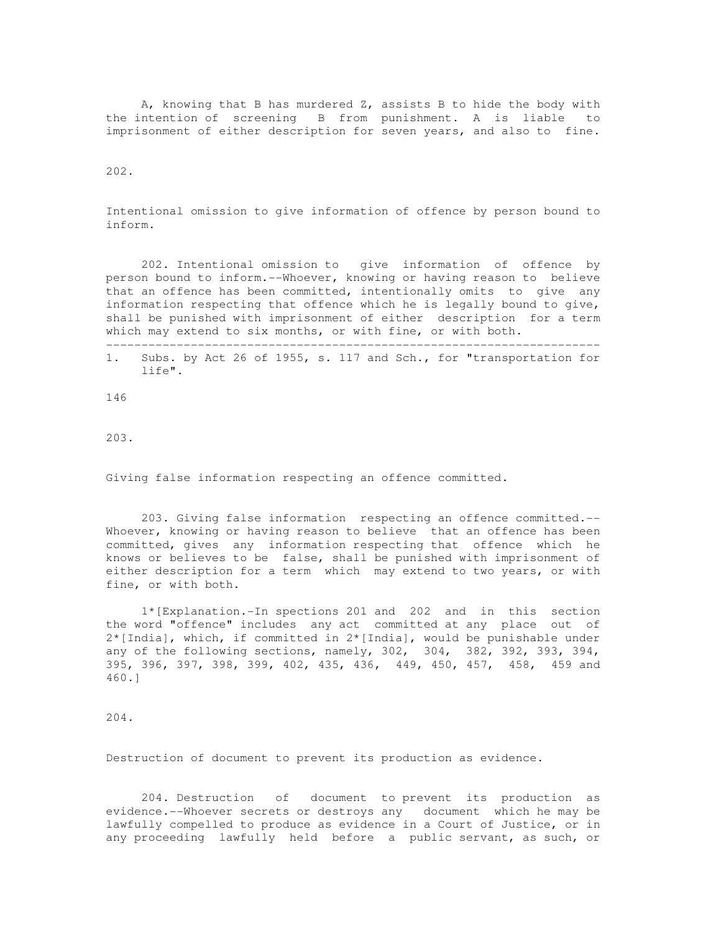A, knowing that B has murdered Z, assists B to hide the body with the intention of screening B from punishment. A is liable to imprisonment of either description for seven years, and also to fine.

202.

Intentional omission to give information of offence by person bound to inform.

 202. Intentional omission to give information of offence by person bound to inform.--Whoever, knowing or having reason to believe that an offence has been committed, intentionally omits to give any information respecting that offence which he is legally bound to give, shall be punished with imprisonment of either description for a term which may extend to six months, or with fine, or with both. ----------------------------------------------------------------------

1. Subs. by Act 26 of 1955, s. 117 and Sch., for "transportation for life".

146

203.

Giving false information respecting an offence committed.

 203. Giving false information respecting an offence committed.-- Whoever, knowing or having reason to believe that an offence has been committed, gives any information respecting that offence which he knows or believes to be false, shall be punished with imprisonment of either description for a term which may extend to two years, or with fine, or with both.

 1\*[Explanation.-In spections 201 and 202 and in this section the word "offence" includes any act committed at any place out of  $2*(\text{India})$ , which, if committed in  $2*(\text{India})$ , would be punishable under any of the following sections, namely,  $302$ ,  $304$ ,  $382$ ,  $392$ ,  $393$ ,  $394$ , 395, 396, 397, 398, 399, 402, 435, 436, 449, 450, 457, 458, 459 and 460.]

204.

Destruction of document to prevent its production as evidence.

 204. Destruction of document to prevent its production as evidence.--Whoever secrets or destroys any document which he may be lawfully compelled to produce as evidence in a Court of Justice, or in any proceeding lawfully held before a public servant, as such, or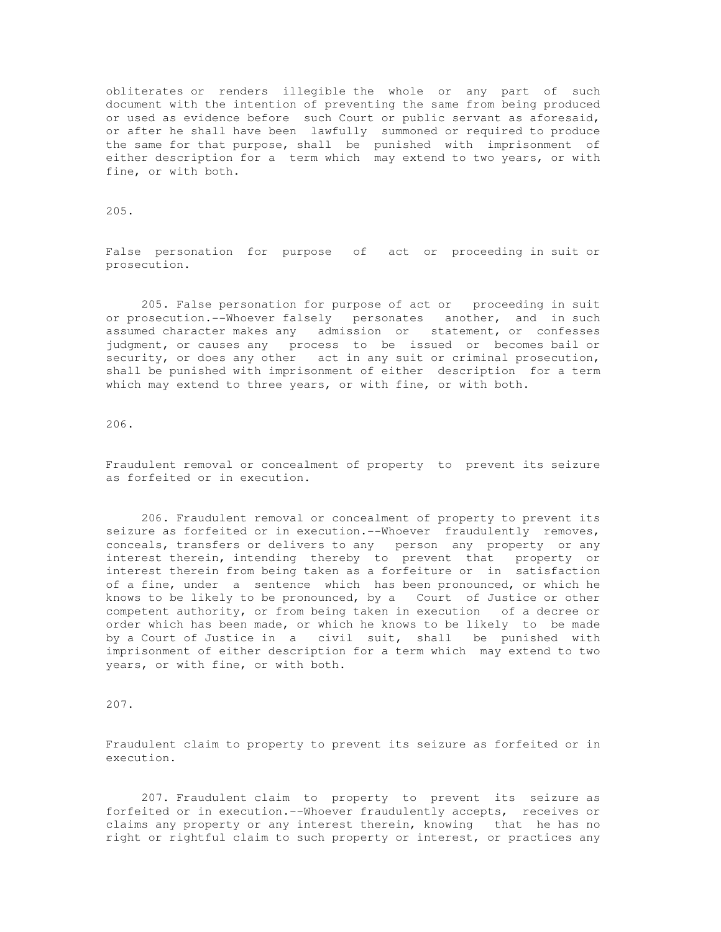obliterates or renders illegible the whole or any part of such document with the intention of preventing the same from being produced or used as evidence before such Court or public servant as aforesaid, or after he shall have been lawfully summoned or required to produce the same for that purpose, shall be punished with imprisonment of either description for a term which may extend to two years, or with fine, or with both.

205.

False personation for purpose of act or proceeding in suit or prosecution.

 205. False personation for purpose of act or proceeding in suit or prosecution.--Whoever falsely personates another, and in such assumed character makes any admission or statement, or confesses judgment, or causes any process to be issued or becomes bail or security, or does any other act in any suit or criminal prosecution, shall be punished with imprisonment of either description for a term which may extend to three years, or with fine, or with both.

206.

Fraudulent removal or concealment of property to prevent its seizure as forfeited or in execution.

 206. Fraudulent removal or concealment of property to prevent its seizure as forfeited or in execution.--Whoever fraudulently removes, conceals, transfers or delivers to any person any property or any interest therein, intending thereby to prevent that property or interest therein from being taken as a forfeiture or in satisfaction of a fine, under a sentence which has been pronounced, or which he knows to be likely to be pronounced, by a Court of Justice or other competent authority, or from being taken in execution of a decree or order which has been made, or which he knows to be likely to be made by a Court of Justice in a civil suit, shall be punished with imprisonment of either description for a term which may extend to two years, or with fine, or with both.

207.

Fraudulent claim to property to prevent its seizure as forfeited or in execution.

 207. Fraudulent claim to property to prevent its seizure as forfeited or in execution.--Whoever fraudulently accepts, receives or claims any property or any interest therein, knowing that he has no right or rightful claim to such property or interest, or practices any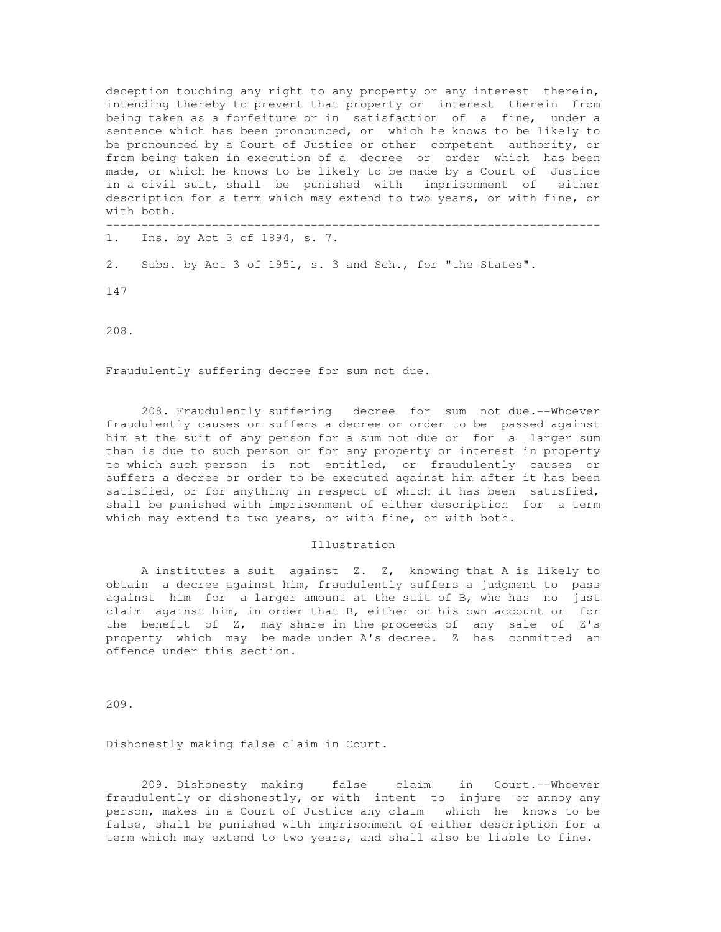deception touching any right to any property or any interest therein, intending thereby to prevent that property or interest therein from being taken as a forfeiture or in satisfaction of a fine, under a sentence which has been pronounced, or which he knows to be likely to be pronounced by a Court of Justice or other competent authority, or from being taken in execution of a decree or order which has been made, or which he knows to be likely to be made by a Court of Justice in a civil suit, shall be punished with imprisonment of either description for a term which may extend to two years, or with fine, or with both. ----------------------------------------------------------------------

1. Ins. by Act 3 of 1894, s. 7.

2. Subs. by Act 3 of 1951, s. 3 and Sch., for "the States".

147

208.

Fraudulently suffering decree for sum not due.

 208. Fraudulently suffering decree for sum not due.--Whoever fraudulently causes or suffers a decree or order to be passed against him at the suit of any person for a sum not due or for a larger sum than is due to such person or for any property or interest in property to which such person is not entitled, or fraudulently causes or suffers a decree or order to be executed against him after it has been satisfied, or for anything in respect of which it has been satisfied, shall be punished with imprisonment of either description for a term which may extend to two years, or with fine, or with both.

## Illustration

 A institutes a suit against Z. Z, knowing that A is likely to obtain a decree against him, fraudulently suffers a judgment to pass against him for a larger amount at the suit of B, who has no just claim against him, in order that B, either on his own account or for the benefit of Z, may share in the proceeds of any sale of Z's property which may be made under A's decree. Z has committed an offence under this section.

209.

Dishonestly making false claim in Court.

 209. Dishonesty making false claim in Court.--Whoever fraudulently or dishonestly, or with intent to injure or annoy any person, makes in a Court of Justice any claim which he knows to be false, shall be punished with imprisonment of either description for a term which may extend to two years, and shall also be liable to fine.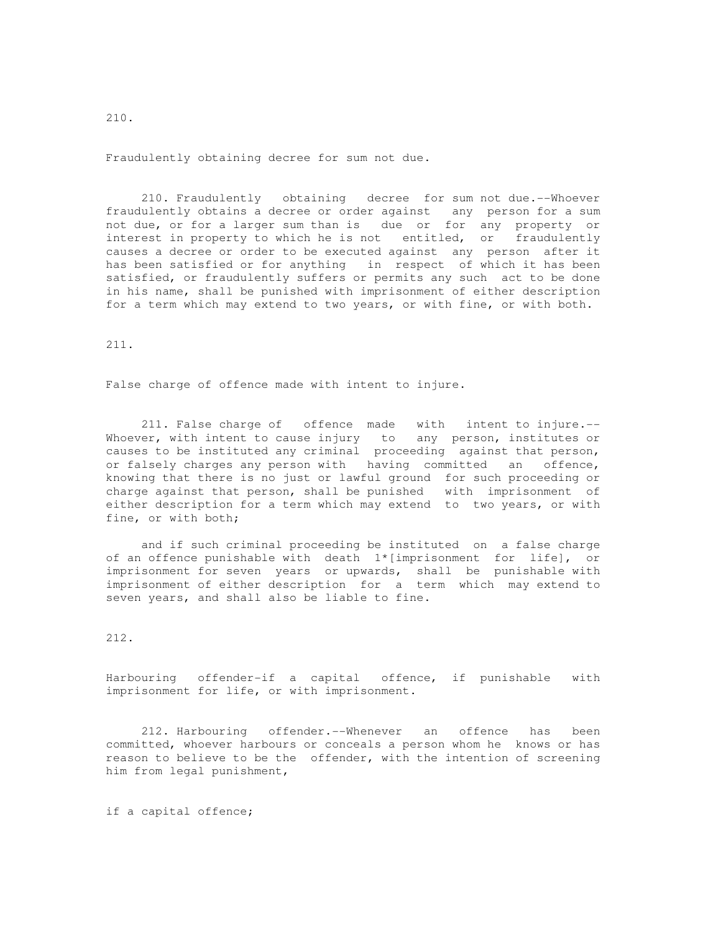Fraudulently obtaining decree for sum not due.

 210. Fraudulently obtaining decree for sum not due.--Whoever fraudulently obtains a decree or order against any person for a sum not due, or for a larger sum than is due or for any property or interest in property to which he is not entitled, or fraudulently causes a decree or order to be executed against any person after it has been satisfied or for anything in respect of which it has been satisfied, or fraudulently suffers or permits any such act to be done in his name, shall be punished with imprisonment of either description for a term which may extend to two years, or with fine, or with both.

211.

False charge of offence made with intent to injure.

 211. False charge of offence made with intent to injure.-- Whoever, with intent to cause injury to any person, institutes or causes to be instituted any criminal proceeding against that person, or falsely charges any person with having committed an offence, knowing that there is no just or lawful ground for such proceeding or charge against that person, shall be punished with imprisonment of either description for a term which may extend to two years, or with fine, or with both;

 and if such criminal proceeding be instituted on a false charge of an offence punishable with death 1\*[imprisonment for life], or imprisonment for seven years or upwards, shall be punishable with imprisonment of either description for a term which may extend to seven years, and shall also be liable to fine.

### 212.

Harbouring offender-if a capital offence, if punishable with imprisonment for life, or with imprisonment.

 212. Harbouring offender.--Whenever an offence has been committed, whoever harbours or conceals a person whom he knows or has reason to believe to be the offender, with the intention of screening him from legal punishment,

if a capital offence;

210.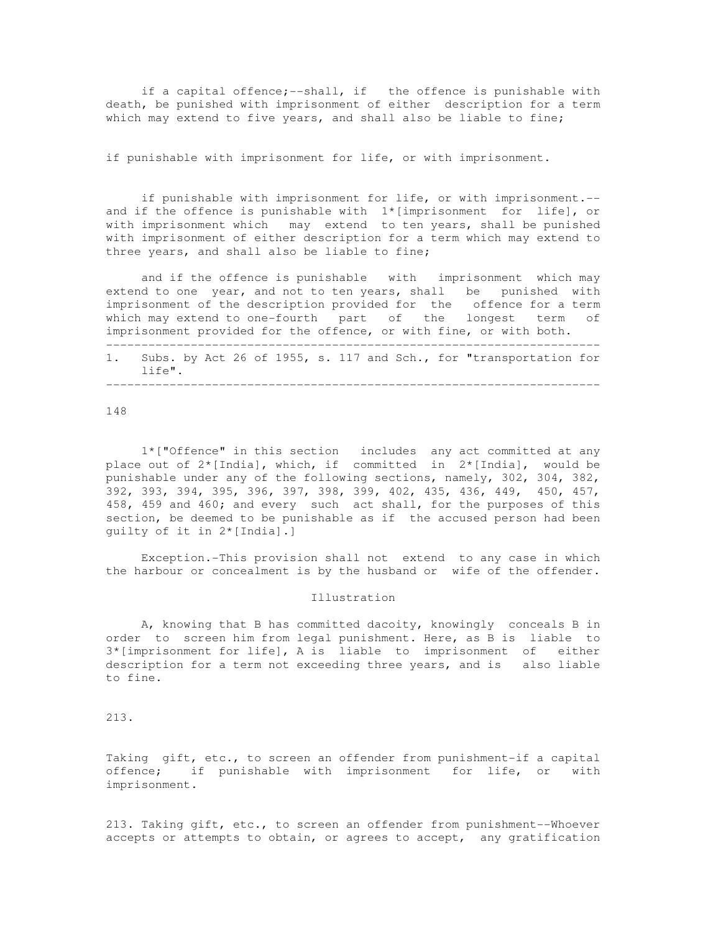if a capital offence; --shall, if the offence is punishable with death, be punished with imprisonment of either description for a term which may extend to five years, and shall also be liable to fine;

if punishable with imprisonment for life, or with imprisonment.

 if punishable with imprisonment for life, or with imprisonment.- and if the offence is punishable with 1\*[imprisonment for life], or with imprisonment which may extend to ten years, shall be punished with imprisonment of either description for a term which may extend to three years, and shall also be liable to fine;

 and if the offence is punishable with imprisonment which may extend to one year, and not to ten years, shall be punished with imprisonment of the description provided for the offence for a term which may extend to one-fourth part of the longest term of imprisonment provided for the offence, or with fine, or with both.

---------------------------------------------------------------------- 1. Subs. by Act 26 of 1955, s. 117 and Sch., for "transportation for life". ----------------------------------------------------------------------

148

 1\*["Offence" in this section includes any act committed at any place out of  $2*(\text{India})$ , which, if committed in  $2*(\text{India})$ , would be punishable under any of the following sections, namely, 302, 304, 382, 392, 393, 394, 395, 396, 397, 398, 399, 402, 435, 436, 449, 450, 457, 458, 459 and 460; and every such act shall, for the purposes of this section, be deemed to be punishable as if the accused person had been guilty of it in 2\*[India].]

 Exception.-This provision shall not extend to any case in which the harbour or concealment is by the husband or wife of the offender.

### Illustration

 A, knowing that B has committed dacoity, knowingly conceals B in order to screen him from legal punishment. Here, as B is liable to 3\*[imprisonment for life], A is liable to imprisonment of either description for a term not exceeding three years, and is also liable to fine.

213.

Taking gift, etc., to screen an offender from punishment-if a capital offence; if punishable with imprisonment for life, or with imprisonment.

213. Taking gift, etc., to screen an offender from punishment--Whoever accepts or attempts to obtain, or agrees to accept, any gratification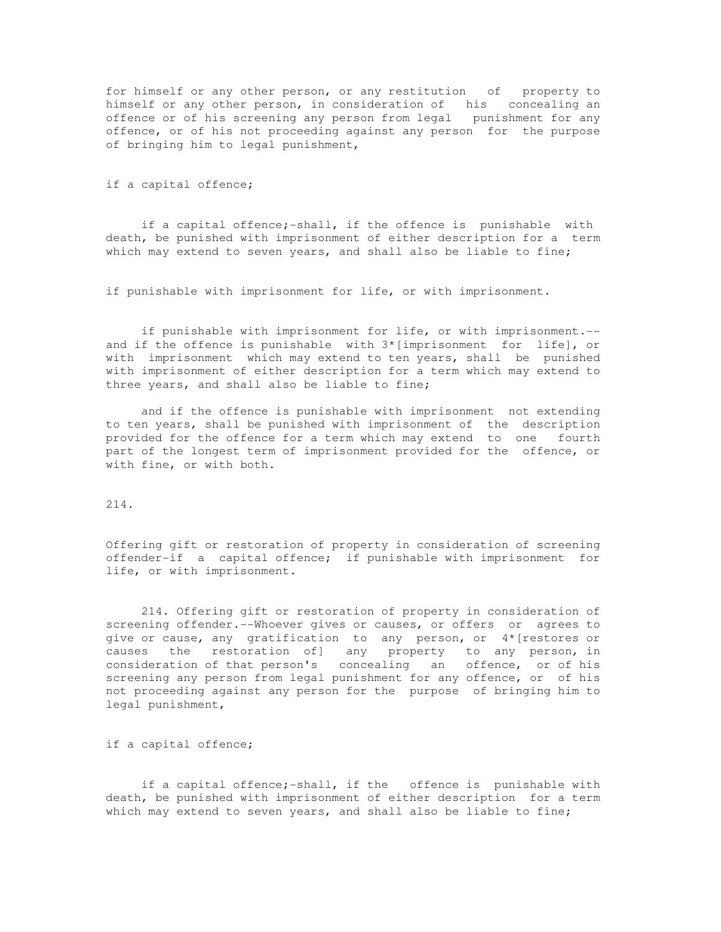for himself or any other person, or any restitution of property to himself or any other person, in consideration of his concealing an offence or of his screening any person from legal punishment for any offence, or of his not proceeding against any person for the purpose of bringing him to legal punishment,

### if a capital offence;

 if a capital offence;-shall, if the offence is punishable with death, be punished with imprisonment of either description for a term which may extend to seven years, and shall also be liable to fine;

if punishable with imprisonment for life, or with imprisonment.

 if punishable with imprisonment for life, or with imprisonment.- and if the offence is punishable with  $3*$  [imprisonment for life], or with imprisonment which may extend to ten years, shall be punished with imprisonment of either description for a term which may extend to three years, and shall also be liable to fine;

 and if the offence is punishable with imprisonment not extending to ten years, shall be punished with imprisonment of the description provided for the offence for a term which may extend to one fourth part of the longest term of imprisonment provided for the offence, or with fine, or with both.

214.

Offering gift or restoration of property in consideration of screening offender-if a capital offence; if punishable with imprisonment for life, or with imprisonment.

 214. Offering gift or restoration of property in consideration of screening offender.--Whoever gives or causes, or offers or agrees to give or cause, any gratification to any person, or  $4*($ restores or causes the restoration of any property to any person, in causes the restoration of] any consideration of that person's concealing an offence, or of his screening any person from legal punishment for any offence, or of his not proceeding against any person for the purpose of bringing him to legal punishment,

# if a capital offence;

 if a capital offence;-shall, if the offence is punishable with death, be punished with imprisonment of either description for a term which may extend to seven years, and shall also be liable to fine;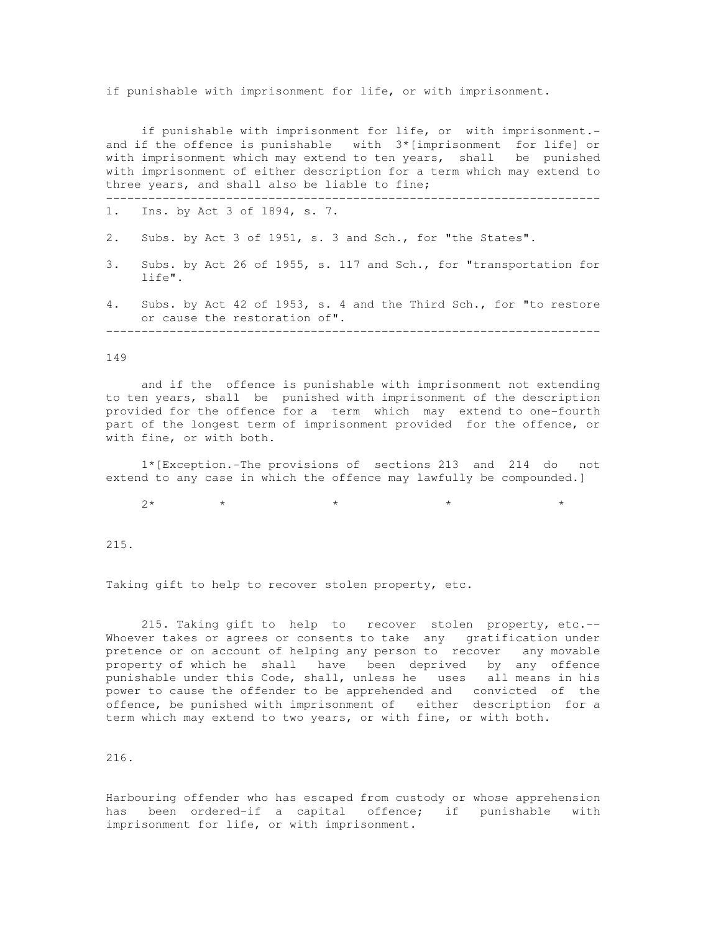if punishable with imprisonment for life, or with imprisonment.

 if punishable with imprisonment for life, or with imprisonment. and if the offence is punishable with 3\*[imprisonment for life] or with imprisonment which may extend to ten years, shall be punished with imprisonment of either description for a term which may extend to three years, and shall also be liable to fine; ---------------------------------------------------------------------- 1. Ins. by Act 3 of 1894, s. 7. 2. Subs. by Act 3 of 1951, s. 3 and Sch., for "the States". 3. Subs. by Act 26 of 1955, s. 117 and Sch., for "transportation for life". 4. Subs. by Act 42 of 1953, s. 4 and the Third Sch., for "to restore or cause the restoration of".

----------------------------------------------------------------------

### 149

 and if the offence is punishable with imprisonment not extending to ten years, shall be punished with imprisonment of the description provided for the offence for a term which may extend to one-fourth part of the longest term of imprisonment provided for the offence, or with fine, or with both.

 1\*[Exception.-The provisions of sections 213 and 214 do not extend to any case in which the offence may lawfully be compounded.]

 $2^*$  \* \* \* \* \* \* \*

215.

Taking gift to help to recover stolen property, etc.

 215. Taking gift to help to recover stolen property, etc.-- Whoever takes or agrees or consents to take any gratification under pretence or on account of helping any person to recover any movable property of which he shall have been deprived by any offence punishable under this Code, shall, unless he uses all means in his power to cause the offender to be apprehended and convicted of the offence, be punished with imprisonment of either description for a term which may extend to two years, or with fine, or with both.

216.

Harbouring offender who has escaped from custody or whose apprehension has been ordered-if a capital offence; if punishable with imprisonment for life, or with imprisonment.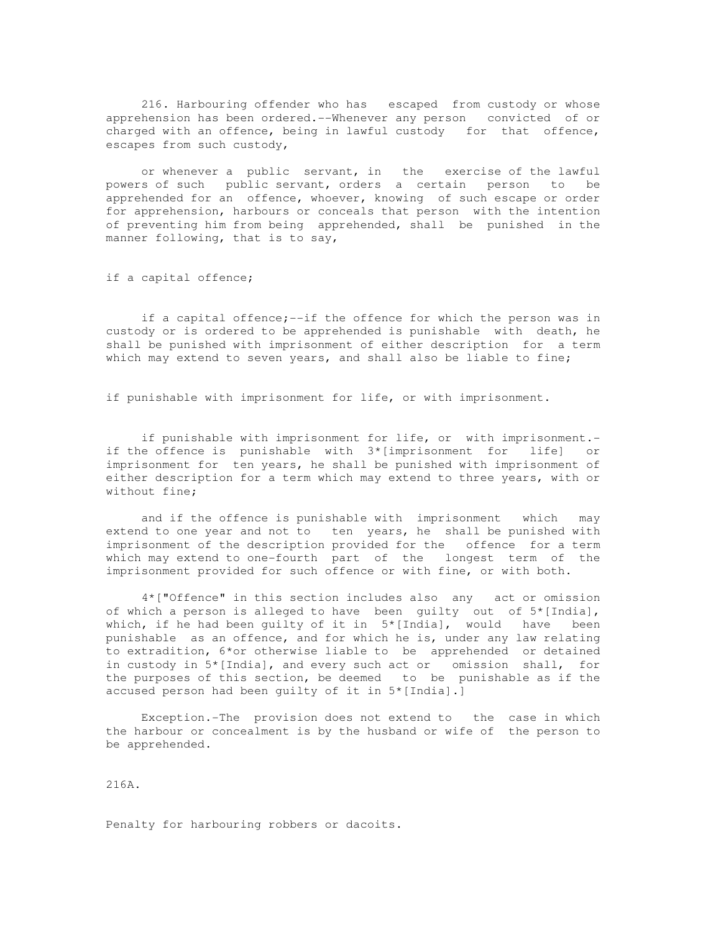216. Harbouring offender who has escaped from custody or whose apprehension has been ordered.--Whenever any person convicted of or charged with an offence, being in lawful custody for that offence, escapes from such custody,

 or whenever a public servant, in the exercise of the lawful powers of such public servant, orders a certain person to be apprehended for an offence, whoever, knowing of such escape or order for apprehension, harbours or conceals that person with the intention of preventing him from being apprehended, shall be punished in the manner following, that is to say,

if a capital offence;

 if a capital offence;--if the offence for which the person was in custody or is ordered to be apprehended is punishable with death, he shall be punished with imprisonment of either description for a term which may extend to seven years, and shall also be liable to fine;

if punishable with imprisonment for life, or with imprisonment.

 if punishable with imprisonment for life, or with imprisonment. if the offence is punishable with 3\*[imprisonment for life] or imprisonment for ten years, he shall be punished with imprisonment of either description for a term which may extend to three years, with or without fine;

 and if the offence is punishable with imprisonment which may extend to one year and not to ten years, he shall be punished with imprisonment of the description provided for the offence for a term which may extend to one-fourth part of the longest term of the imprisonment provided for such offence or with fine, or with both.

 4\*["Offence" in this section includes also any act or omission of which a person is alleged to have been guilty out of 5\*[India], which, if he had been guilty of it in 5\*[India], would have been punishable as an offence, and for which he is, under any law relating to extradition, 6\*or otherwise liable to be apprehended or detained in custody in  $5*(\text{India})$ , and every such act or  $\sim$  omission shall, for the purposes of this section, be deemed to be punishable as if the accused person had been guilty of it in 5\*[India].]

 Exception.-The provision does not extend to the case in which the harbour or concealment is by the husband or wife of the person to be apprehended.

216A.

Penalty for harbouring robbers or dacoits.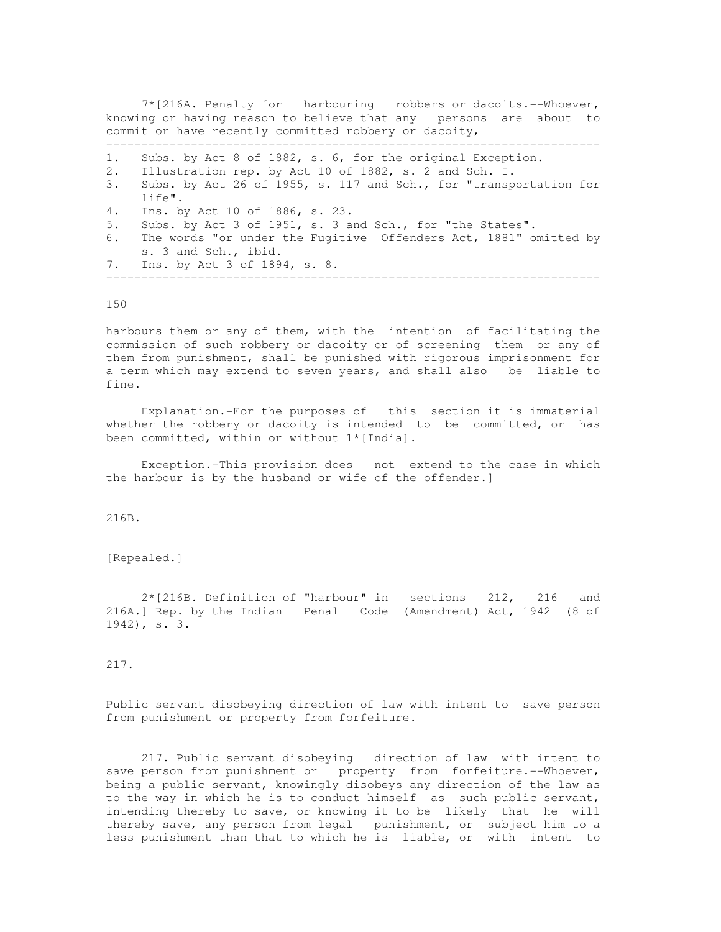7\*[216A. Penalty for harbouring robbers or dacoits.--Whoever, knowing or having reason to believe that any persons are about to commit or have recently committed robbery or dacoity, ----------------------------------------------------------------------

1. Subs. by Act 8 of 1882, s. 6, for the original Exception. 2. Illustration rep. by Act 10 of 1882, s. 2 and Sch. I. 3. Subs. by Act 26 of 1955, s. 117 and Sch., for "transportation for life".<br>4. Ins. by 4. Ins. by Act 10 of 1886, s. 23. 5. Subs. by Act 3 of 1951, s. 3 and Sch., for "the States". 6. The words "or under the Fugitive Offenders Act, 1881" omitted by s. 3 and Sch., ibid. 7. Ins. by Act 3 of 1894, s. 8. ----------------------------------------------------------------------

#### 150

harbours them or any of them, with the intention of facilitating the commission of such robbery or dacoity or of screening them or any of them from punishment, shall be punished with rigorous imprisonment for a term which may extend to seven years, and shall also be liable to fine.

 Explanation.-For the purposes of this section it is immaterial whether the robbery or dacoity is intended to be committed, or has been committed, within or without 1\*[India].

 Exception.-This provision does not extend to the case in which the harbour is by the husband or wife of the offender.]

216B.

[Repealed.]

 2\*[216B. Definition of "harbour" in sections 212, 216 and 216A.] Rep. by the Indian Penal Code (Amendment) Act, 1942 (8 of 1942), s. 3.

## 217.

Public servant disobeying direction of law with intent to save person from punishment or property from forfeiture.

 217. Public servant disobeying direction of law with intent to save person from punishment or property from forfeiture.--Whoever, being a public servant, knowingly disobeys any direction of the law as to the way in which he is to conduct himself as such public servant, intending thereby to save, or knowing it to be likely that he will thereby save, any person from legal punishment, or subject him to a less punishment than that to which he is liable, or with intent to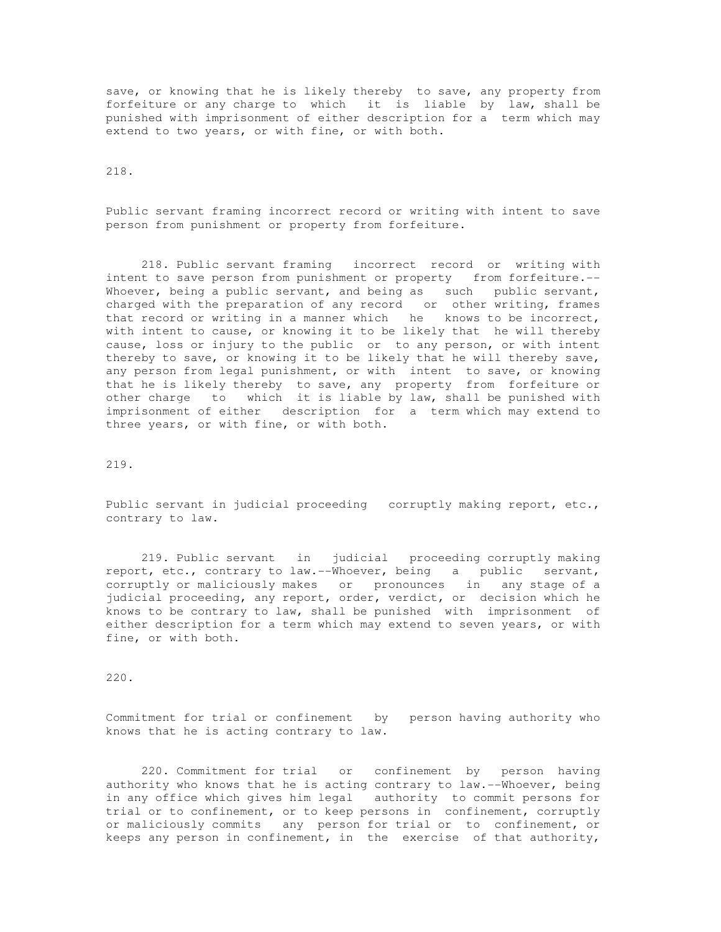save, or knowing that he is likely thereby to save, any property from forfeiture or any charge to which it is liable by law, shall be punished with imprisonment of either description for a term which may extend to two years, or with fine, or with both.

218.

Public servant framing incorrect record or writing with intent to save person from punishment or property from forfeiture.

 218. Public servant framing incorrect record or writing with intent to save person from punishment or property from forfeiture.-- Whoever, being a public servant, and being as such public servant, charged with the preparation of any record or other writing, frames that record or writing in a manner which he knows to be incorrect, with intent to cause, or knowing it to be likely that he will thereby cause, loss or injury to the public or to any person, or with intent thereby to save, or knowing it to be likely that he will thereby save, any person from legal punishment, or with intent to save, or knowing that he is likely thereby to save, any property from forfeiture or other charge to which it is liable by law, shall be punished with imprisonment of either description for a term which may extend to three years, or with fine, or with both.

219.

Public servant in judicial proceeding corruptly making report, etc., contrary to law.

 219. Public servant in judicial proceeding corruptly making report, etc., contrary to law.--Whoever, being a public servant, corruptly or maliciously makes or pronounces in any stage of a judicial proceeding, any report, order, verdict, or decision which he knows to be contrary to law, shall be punished with imprisonment of either description for a term which may extend to seven years, or with fine, or with both.

220.

Commitment for trial or confinement by person having authority who knows that he is acting contrary to law.

 220. Commitment for trial or confinement by person having authority who knows that he is acting contrary to law.--Whoever, being in any office which gives him legal authority to commit persons for trial or to confinement, or to keep persons in confinement, corruptly or maliciously commits any person for trial or to confinement, or keeps any person in confinement, in the exercise of that authority,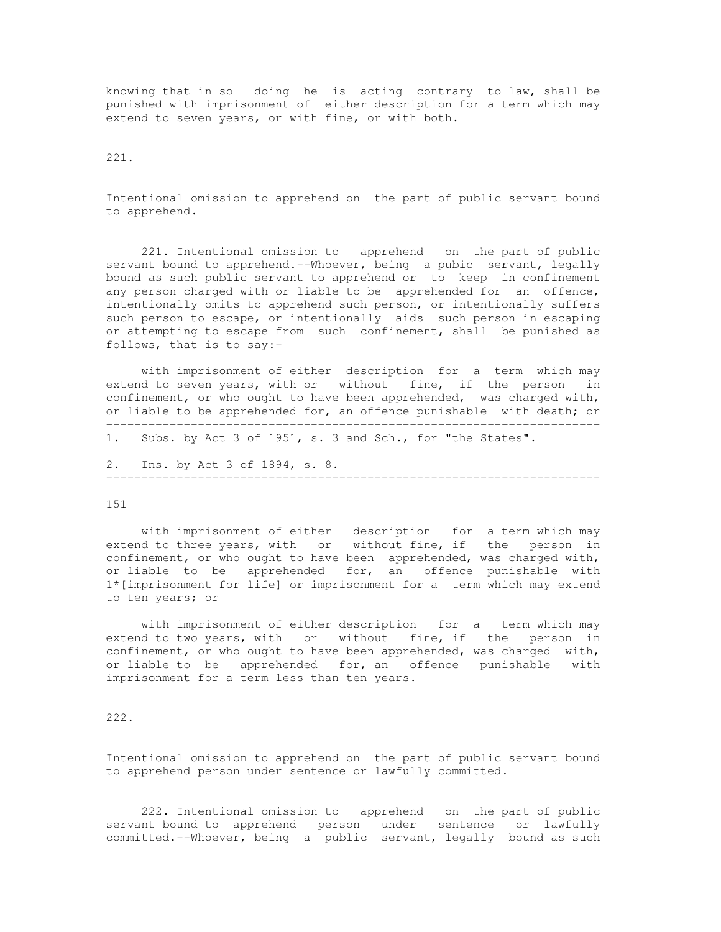knowing that in so doing he is acting contrary to law, shall be punished with imprisonment of either description for a term which may extend to seven years, or with fine, or with both.

## 221.

Intentional omission to apprehend on the part of public servant bound to apprehend.

 221. Intentional omission to apprehend on the part of public servant bound to apprehend.--Whoever, being a pubic servant, legally bound as such public servant to apprehend or to keep in confinement any person charged with or liable to be apprehended for an offence, intentionally omits to apprehend such person, or intentionally suffers such person to escape, or intentionally aids such person in escaping or attempting to escape from such confinement, shall be punished as follows, that is to say:-

 with imprisonment of either description for a term which may extend to seven years, with or without fine, if the person in confinement, or who ought to have been apprehended, was charged with, or liable to be apprehended for, an offence punishable with death; or ---------------------------------------------------------------------- 1. Subs. by Act 3 of 1951, s. 3 and Sch., for "the States". 2. Ins. by Act 3 of 1894, s. 8. ----------------------------------------------------------------------

# 151

 with imprisonment of either description for a term which may extend to three years, with or without fine, if the person in confinement, or who ought to have been apprehended, was charged with, or liable to be apprehended for, an offence punishable with 1\*[imprisonment for life] or imprisonment for a term which may extend to ten years; or

 with imprisonment of either description for a term which may extend to two years, with or without fine, if the person in confinement, or who ought to have been apprehended, was charged with, or liable to be apprehended for, an offence punishable with imprisonment for a term less than ten years.

222.

Intentional omission to apprehend on the part of public servant bound to apprehend person under sentence or lawfully committed.

 222. Intentional omission to apprehend on the part of public servant bound to apprehend person under sentence or lawfully committed.--Whoever, being a public servant, legally bound as such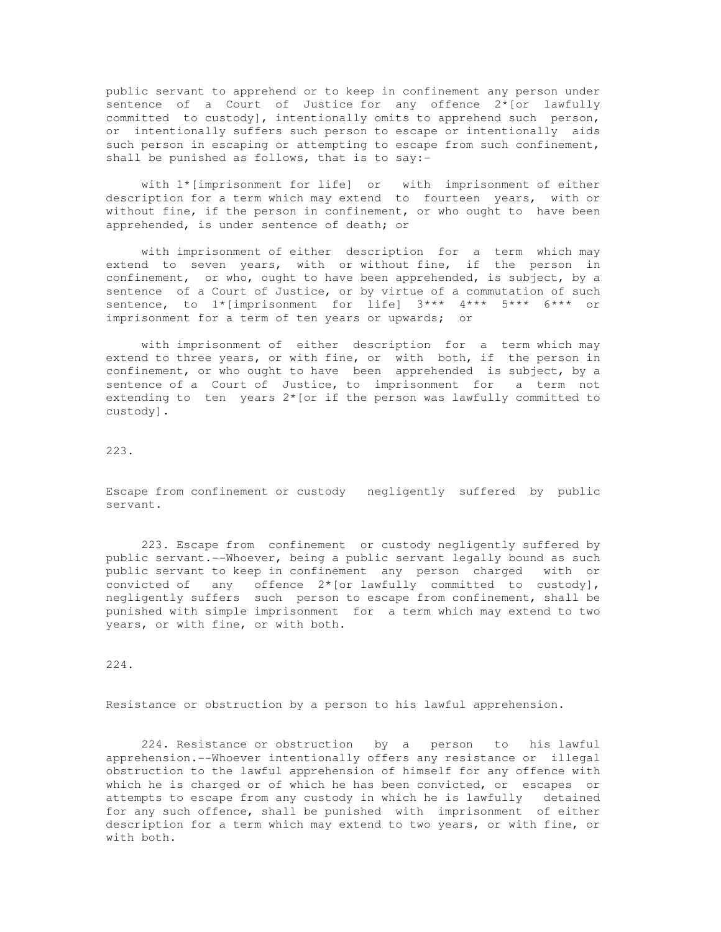public servant to apprehend or to keep in confinement any person under sentence of a Court of Justice for any offence 2\*[or lawfully committed to custody], intentionally omits to apprehend such person, or intentionally suffers such person to escape or intentionally aids such person in escaping or attempting to escape from such confinement, shall be punished as follows, that is to say:-

 with 1\*[imprisonment for life] or with imprisonment of either description for a term which may extend to fourteen years, with or without fine, if the person in confinement, or who ought to have been apprehended, is under sentence of death; or

 with imprisonment of either description for a term which may extend to seven years, with or without fine, if the person in confinement, or who, ought to have been apprehended, is subject, by a sentence of a Court of Justice, or by virtue of a commutation of such sentence, to 1\*[imprisonment for life] 3\*\*\* 4\*\*\* 5\*\*\* 6\*\*\* or imprisonment for a term of ten years or upwards; or

 with imprisonment of either description for a term which may extend to three years, or with fine, or with both, if the person in confinement, or who ought to have been apprehended is subject, by a sentence of a Court of Justice, to imprisonment for a term not extending to ten years 2\*[or if the person was lawfully committed to custody].

223.

Escape from confinement or custody negligently suffered by public servant.

 223. Escape from confinement or custody negligently suffered by public servant.--Whoever, being a public servant legally bound as such public servant to keep in confinement any person charged with or convicted of any offence 2\*[or lawfully committed to custody], negligently suffers such person to escape from confinement, shall be punished with simple imprisonment for a term which may extend to two years, or with fine, or with both.

224.

Resistance or obstruction by a person to his lawful apprehension.

 224. Resistance or obstruction by a person to his lawful apprehension.--Whoever intentionally offers any resistance or illegal obstruction to the lawful apprehension of himself for any offence with which he is charged or of which he has been convicted, or escapes or attempts to escape from any custody in which he is lawfully detained for any such offence, shall be punished with imprisonment of either description for a term which may extend to two years, or with fine, or with both.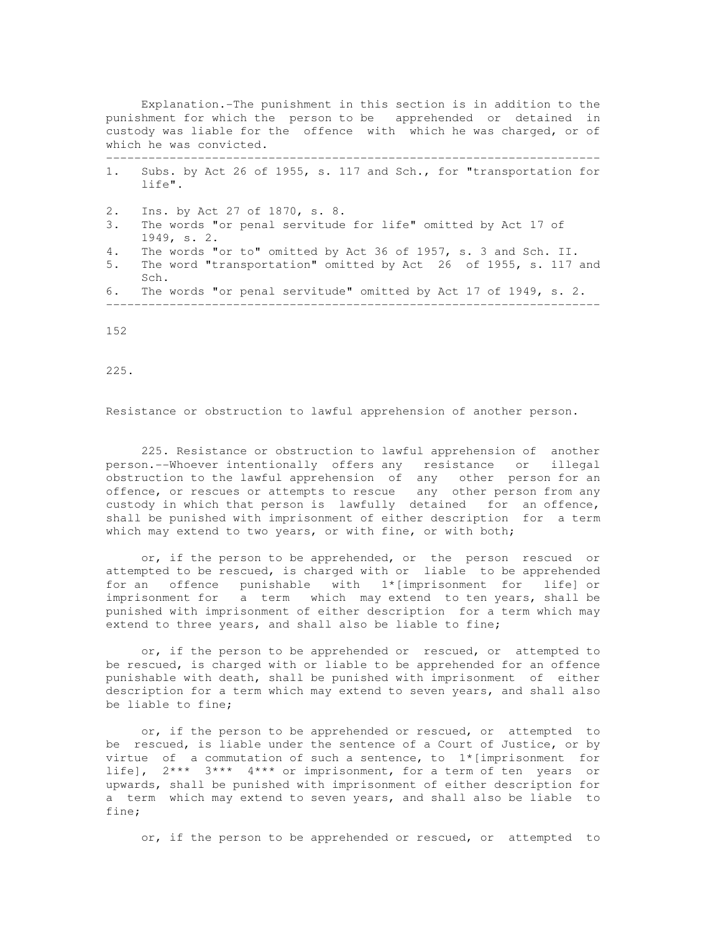Explanation.-The punishment in this section is in addition to the punishment for which the person to be apprehended or detained in custody was liable for the offence with which he was charged, or of which he was convicted.

|          | 1. Subs. by Act 26 of 1955, s. 117 and Sch., for "transportation for<br>life".                |
|----------|-----------------------------------------------------------------------------------------------|
| 2.<br>3. | Ins. by Act 27 of 1870, s. 8.<br>The words "or penal servitude for life" omitted by Act 17 of |
| 4.       | 1949, s. 2.<br>The words "or to" omitted by Act 36 of 1957, s. 3 and Sch. II.                 |
| 5.       | The word "transportation" omitted by Act 26 of 1955, s. 117 and                               |
|          | Sch.                                                                                          |
|          | 6. The words "or penal servitude" omitted by Act 17 of 1949, s. 2.                            |
|          |                                                                                               |

152

225.

Resistance or obstruction to lawful apprehension of another person.

 225. Resistance or obstruction to lawful apprehension of another person.--Whoever intentionally offers any resistance or illegal obstruction to the lawful apprehension of any other person for an offence, or rescues or attempts to rescue any other person from any custody in which that person is lawfully detained for an offence, shall be punished with imprisonment of either description for a term which may extend to two years, or with fine, or with both;

 or, if the person to be apprehended, or the person rescued or attempted to be rescued, is charged with or liable to be apprehended for an offence punishable with 1\*[imprisonment for life] or imprisonment for a term which may extend to ten years, shall be punished with imprisonment of either description for a term which may extend to three years, and shall also be liable to fine;

 or, if the person to be apprehended or rescued, or attempted to be rescued, is charged with or liable to be apprehended for an offence punishable with death, shall be punished with imprisonment of either description for a term which may extend to seven years, and shall also be liable to fine;

 or, if the person to be apprehended or rescued, or attempted to be rescued, is liable under the sentence of a Court of Justice, or by virtue of a commutation of such a sentence, to 1\*[imprisonment for life], 2\*\*\* 3\*\*\* 4\*\*\* or imprisonment, for a term of ten years or upwards, shall be punished with imprisonment of either description for a term which may extend to seven years, and shall also be liable to fine;

or, if the person to be apprehended or rescued, or attempted to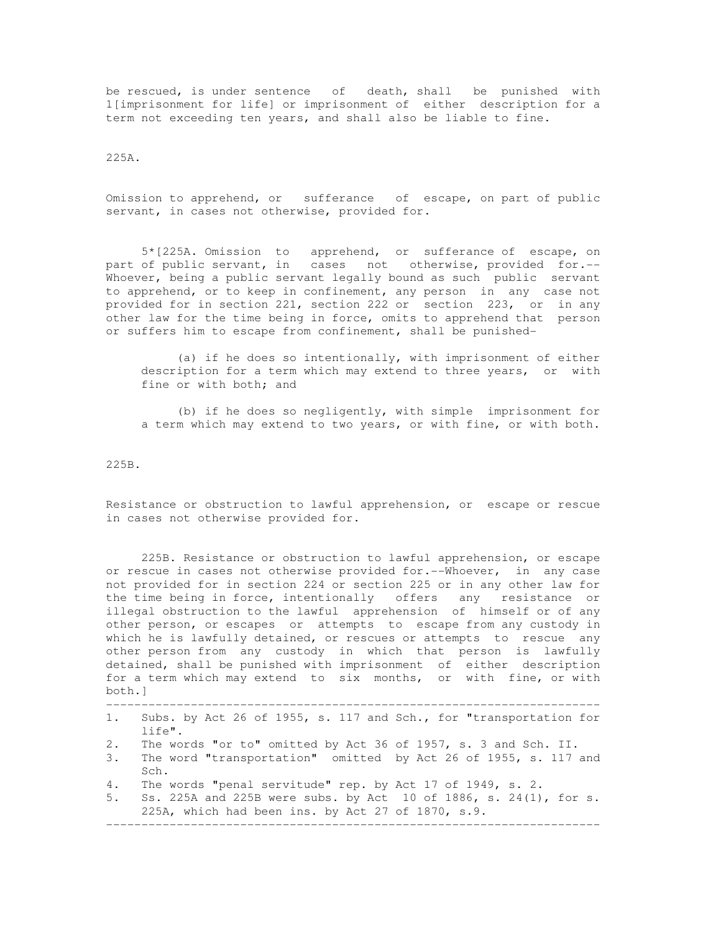be rescued, is under sentence of death, shall be punished with 1[imprisonment for life] or imprisonment of either description for a term not exceeding ten years, and shall also be liable to fine.

225A.

Omission to apprehend, or sufferance of escape, on part of public servant, in cases not otherwise, provided for.

 5\*[225A. Omission to apprehend, or sufferance of escape, on part of public servant, in cases not otherwise, provided for.-- Whoever, being a public servant legally bound as such public servant to apprehend, or to keep in confinement, any person in any case not provided for in section 221, section 222 or section 223, or in any other law for the time being in force, omits to apprehend that person or suffers him to escape from confinement, shall be punished-

 (a) if he does so intentionally, with imprisonment of either description for a term which may extend to three years, or with fine or with both; and

 (b) if he does so negligently, with simple imprisonment for a term which may extend to two years, or with fine, or with both.

225B.

Resistance or obstruction to lawful apprehension, or escape or rescue in cases not otherwise provided for.

 225B. Resistance or obstruction to lawful apprehension, or escape or rescue in cases not otherwise provided for.--Whoever, in any case not provided for in section 224 or section 225 or in any other law for the time being in force, intentionally offers any resistance or illegal obstruction to the lawful apprehension of himself or of any other person, or escapes or attempts to escape from any custody in which he is lawfully detained, or rescues or attempts to rescue any other person from any custody in which that person is lawfully detained, shall be punished with imprisonment of either description for a term which may extend to six months, or with fine, or with both.] ----------------------------------------------------------------------

1. Subs. by Act 26 of 1955, s. 117 and Sch., for "transportation for life". 2. The words "or to" omitted by Act 36 of 1957, s. 3 and Sch. II. 3. The word "transportation" omitted by Act 26 of 1955, s. 117 and Sch. 4. The words "penal servitude" rep. by Act 17 of 1949, s. 2. 5. Ss. 225A and 225B were subs. by Act 10 of 1886, s. 24(1), for s. 225A, which had been ins. by Act 27 of 1870, s.9.

----------------------------------------------------------------------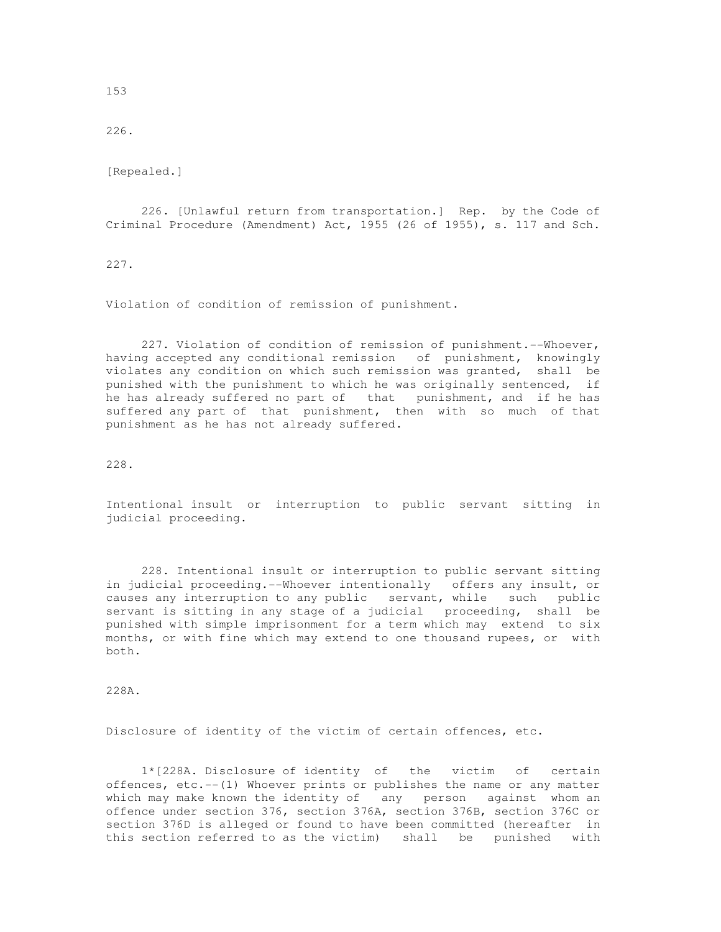226.

[Repealed.]

 226. [Unlawful return from transportation.] Rep. by the Code of Criminal Procedure (Amendment) Act, 1955 (26 of 1955), s. 117 and Sch.

227.

Violation of condition of remission of punishment.

 227. Violation of condition of remission of punishment.--Whoever, having accepted any conditional remission of punishment, knowingly violates any condition on which such remission was granted, shall be punished with the punishment to which he was originally sentenced, if he has already suffered no part of that punishment, and if he has suffered any part of that punishment, then with so much of that punishment as he has not already suffered.

228.

Intentional insult or interruption to public servant sitting in judicial proceeding.

 228. Intentional insult or interruption to public servant sitting in judicial proceeding.--Whoever intentionally offers any insult, or causes any interruption to any public servant, while such public servant is sitting in any stage of a judicial proceeding, shall be punished with simple imprisonment for a term which may extend to six months, or with fine which may extend to one thousand rupees, or with both.

228A.

Disclosure of identity of the victim of certain offences, etc.

 1\*[228A. Disclosure of identity of the victim of certain offences, etc.--(1) Whoever prints or publishes the name or any matter which may make known the identity of any person against whom an offence under section 376, section 376A, section 376B, section 376C or section 376D is alleged or found to have been committed (hereafter in this section referred to as the victim) shall be punished with

153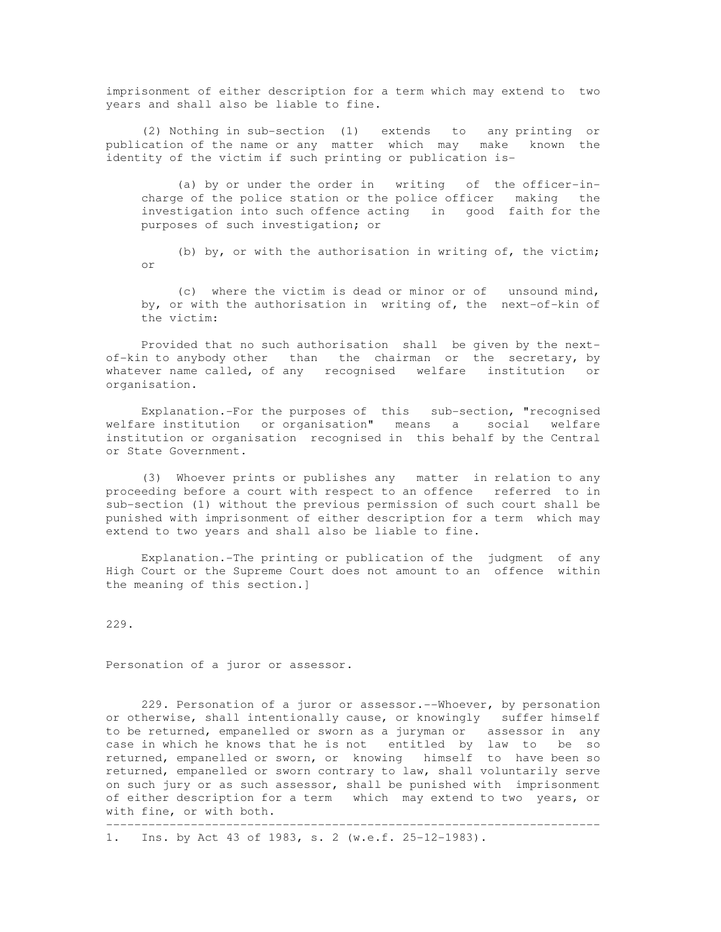imprisonment of either description for a term which may extend to two years and shall also be liable to fine.

 (2) Nothing in sub-section (1) extends to any printing or publication of the name or any matter which may make known the identity of the victim if such printing or publication is-

 (a) by or under the order in writing of the officer-in charge of the police station or the police officer making the investigation into such offence acting in good faith for the purposes of such investigation; or

 (b) by, or with the authorisation in writing of, the victim; or

 (c) where the victim is dead or minor or of unsound mind, by, or with the authorisation in writing of, the next-of-kin of the victim:

 Provided that no such authorisation shall be given by the nextof-kin to anybody other than the chairman or the secretary, by whatever name called, of any recognised welfare institution or organisation.

 Explanation.-For the purposes of this sub-section, "recognised welfare institution or organisation" means a social welfare institution or organisation recognised in this behalf by the Central or State Government.

 (3) Whoever prints or publishes any matter in relation to any proceeding before a court with respect to an offence referred to in sub-section (1) without the previous permission of such court shall be punished with imprisonment of either description for a term which may extend to two years and shall also be liable to fine.

 Explanation.-The printing or publication of the judgment of any High Court or the Supreme Court does not amount to an offence within the meaning of this section.]

229.

Personation of a juror or assessor.

 229. Personation of a juror or assessor.--Whoever, by personation or otherwise, shall intentionally cause, or knowingly suffer himself to be returned, empanelled or sworn as a juryman or assessor in any case in which he knows that he is not entitled by law to be so returned, empanelled or sworn, or knowing himself to have been so returned, empanelled or sworn contrary to law, shall voluntarily serve on such jury or as such assessor, shall be punished with imprisonment of either description for a term which may extend to two years, or with fine, or with both.

----------------------------------------------------------------------

1. Ins. by Act 43 of 1983, s. 2 (w.e.f. 25-12-1983).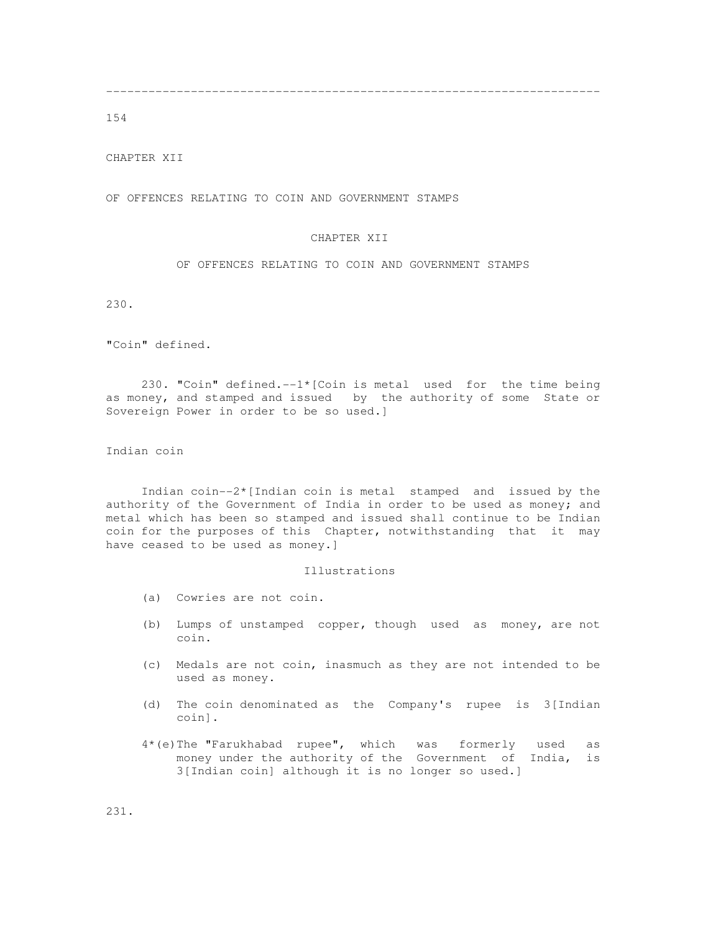----------------------------------------------------------------------

154

CHAPTER XII

OF OFFENCES RELATING TO COIN AND GOVERNMENT STAMPS

## CHAPTER XII

OF OFFENCES RELATING TO COIN AND GOVERNMENT STAMPS

230.

"Coin" defined.

 230. "Coin" defined.--1\*[Coin is metal used for the time being as money, and stamped and issued by the authority of some State or Sovereign Power in order to be so used.]

Indian coin

 Indian coin--2\*[Indian coin is metal stamped and issued by the authority of the Government of India in order to be used as money; and metal which has been so stamped and issued shall continue to be Indian coin for the purposes of this Chapter, notwithstanding that it may have ceased to be used as money.]

#### Illustrations

- (a) Cowries are not coin.
- (b) Lumps of unstamped copper, though used as money, are not coin.
- (c) Medals are not coin, inasmuch as they are not intended to be used as money.
- (d) The coin denominated as the Company's rupee is 3[Indian coin].
- 4\*(e)The "Farukhabad rupee", which was formerly used as money under the authority of the Government of India, is 3[Indian coin] although it is no longer so used.]

231.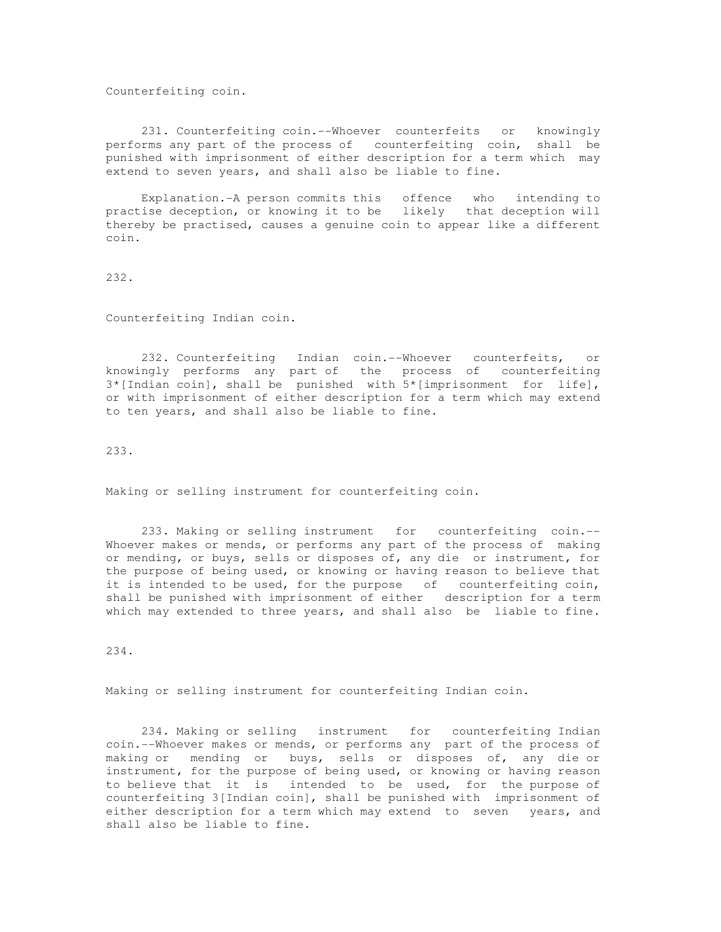## Counterfeiting coin.

 231. Counterfeiting coin.--Whoever counterfeits or knowingly performs any part of the process of counterfeiting coin, shall be punished with imprisonment of either description for a term which may extend to seven years, and shall also be liable to fine.

 Explanation.-A person commits this offence who intending to practise deception, or knowing it to be likely that deception will thereby be practised, causes a genuine coin to appear like a different coin.

232.

Counterfeiting Indian coin.

 232. Counterfeiting Indian coin.--Whoever counterfeits, or knowingly performs any part of the process of counterfeiting  $3*($ Indian coin], shall be punished with  $5*($ imprisonment for life], or with imprisonment of either description for a term which may extend to ten years, and shall also be liable to fine.

233.

Making or selling instrument for counterfeiting coin.

 233. Making or selling instrument for counterfeiting coin.-- Whoever makes or mends, or performs any part of the process of making or mending, or buys, sells or disposes of, any die or instrument, for the purpose of being used, or knowing or having reason to believe that it is intended to be used, for the purpose of counterfeiting coin, shall be punished with imprisonment of either description for a term which may extended to three years, and shall also be liable to fine.

234.

Making or selling instrument for counterfeiting Indian coin.

 234. Making or selling instrument for counterfeiting Indian coin.--Whoever makes or mends, or performs any part of the process of making or mending or buys, sells or disposes of, any die or instrument, for the purpose of being used, or knowing or having reason to believe that it is intended to be used, for the purpose of counterfeiting 3[Indian coin], shall be punished with imprisonment of either description for a term which may extend to seven years, and shall also be liable to fine.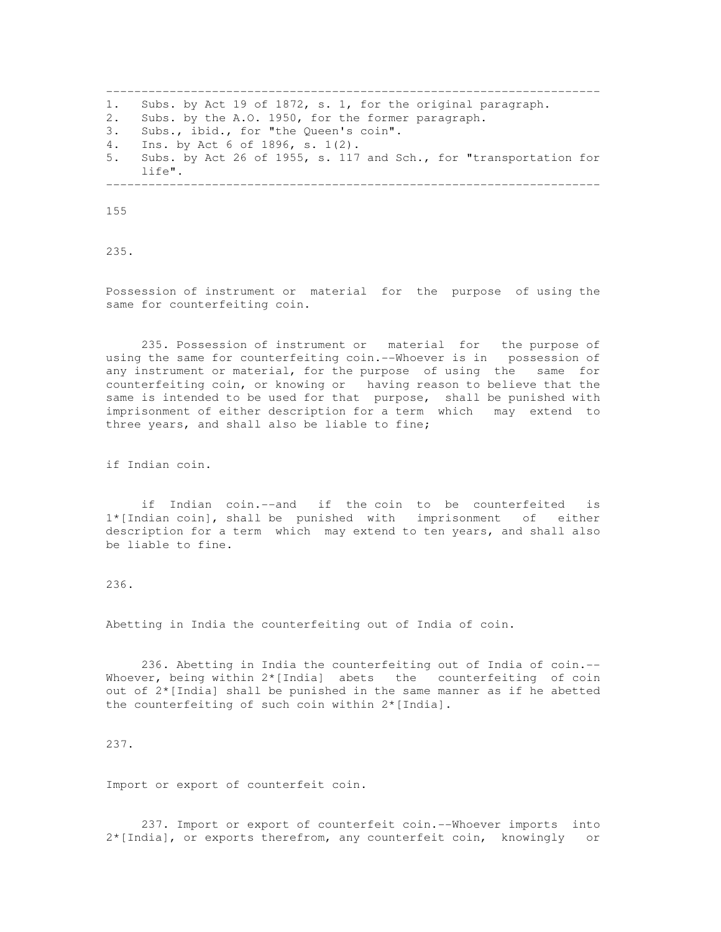---------------------------------------------------------------------- 1. Subs. by Act 19 of 1872, s. 1, for the original paragraph. 2. Subs. by the A.O. 1950, for the former paragraph. 3. Subs., ibid., for "the Queen's coin". 4. Ins. by Act 6 of 1896, s. 1(2). 5. Subs. by Act 26 of 1955, s. 117 and Sch., for "transportation for life". ----------------------------------------------------------------------

155

235.

Possession of instrument or material for the purpose of using the same for counterfeiting coin.

 235. Possession of instrument or material for the purpose of using the same for counterfeiting coin.--Whoever is in possession of any instrument or material, for the purpose of using the same for counterfeiting coin, or knowing or having reason to believe that the same is intended to be used for that purpose, shall be punished with imprisonment of either description for a term which may extend to three years, and shall also be liable to fine;

if Indian coin.

 if Indian coin.--and if the coin to be counterfeited is 1\*[Indian coin], shall be punished with imprisonment of either description for a term which may extend to ten years, and shall also be liable to fine.

236.

Abetting in India the counterfeiting out of India of coin.

 236. Abetting in India the counterfeiting out of India of coin.-- Whoever, being within 2\*[India] abets the counterfeiting of coin out of 2\*[India] shall be punished in the same manner as if he abetted the counterfeiting of such coin within 2\*[India].

237.

Import or export of counterfeit coin.

 237. Import or export of counterfeit coin.--Whoever imports into 2\*[India], or exports therefrom, any counterfeit coin, knowingly or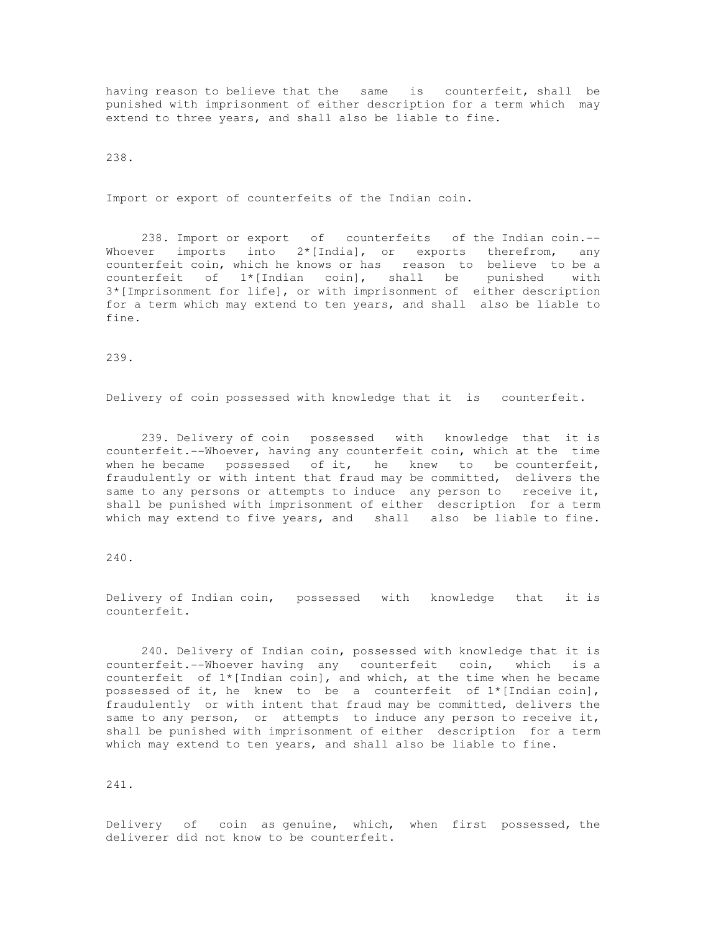having reason to believe that the same is counterfeit, shall be punished with imprisonment of either description for a term which may extend to three years, and shall also be liable to fine.

238.

Import or export of counterfeits of the Indian coin.

 238. Import or export of counterfeits of the Indian coin.-- Whoever imports into  $2*(\text{India})$ , or exports therefrom, any counterfeit coin, which he knows or has reason to believe to be a counterfeit of 1\*[Indian coin], shall be punished with 3\*[Imprisonment for life], or with imprisonment of either description for a term which may extend to ten years, and shall also be liable to fine.

239.

Delivery of coin possessed with knowledge that it is counterfeit.

 239. Delivery of coin possessed with knowledge that it is counterfeit.--Whoever, having any counterfeit coin, which at the time when he became possessed of it, he knew to be counterfeit, fraudulently or with intent that fraud may be committed, delivers the same to any persons or attempts to induce any person to receive it, shall be punished with imprisonment of either description for a term which may extend to five years, and shall also be liable to fine.

240.

Delivery of Indian coin, possessed with knowledge that it is counterfeit.

 240. Delivery of Indian coin, possessed with knowledge that it is counterfeit.--Whoever having any counterfeit coin, which is a counterfeit of 1\*[Indian coin], and which, at the time when he became possessed of it, he knew to be a counterfeit of 1\*[Indian coin], fraudulently or with intent that fraud may be committed, delivers the same to any person, or attempts to induce any person to receive it, shall be punished with imprisonment of either description for a term which may extend to ten years, and shall also be liable to fine.

241.

Delivery of coin as genuine, which, when first possessed, the deliverer did not know to be counterfeit.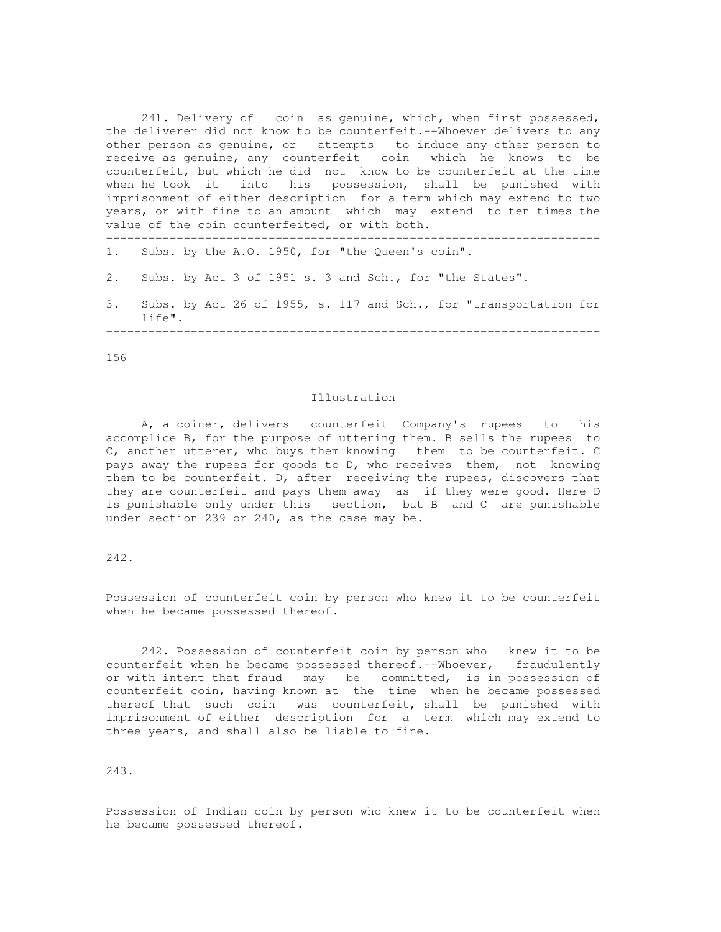241. Delivery of coin as genuine, which, when first possessed, the deliverer did not know to be counterfeit.--Whoever delivers to any other person as genuine, or attempts to induce any other person to receive as genuine, any counterfeit coin which he knows to be counterfeit, but which he did not know to be counterfeit at the time when he took it into his possession, shall be punished with imprisonment of either description for a term which may extend to two years, or with fine to an amount which may extend to ten times the value of the coin counterfeited, or with both. ---------------------------------------------------------------------- 1. Subs. by the A.O. 1950, for "the Queen's coin".

- 2. Subs. by Act 3 of 1951 s. 3 and Sch., for "the States".
- 3. Subs. by Act 26 of 1955, s. 117 and Sch., for "transportation for life".

----------------------------------------------------------------------

156

#### Illustration

 A, a coiner, delivers counterfeit Company's rupees to his accomplice B, for the purpose of uttering them. B sells the rupees to C, another utterer, who buys them knowing them to be counterfeit. C pays away the rupees for goods to D, who receives them, not knowing them to be counterfeit. D, after receiving the rupees, discovers that they are counterfeit and pays them away as if they were good. Here D is punishable only under this section, but B and C are punishable under section 239 or 240, as the case may be.

# 242.

Possession of counterfeit coin by person who knew it to be counterfeit when he became possessed thereof.

 242. Possession of counterfeit coin by person who knew it to be counterfeit when he became possessed thereof.--Whoever, fraudulently or with intent that fraud may be committed, is in possession of counterfeit coin, having known at the time when he became possessed thereof that such coin was counterfeit, shall be punished with imprisonment of either description for a term which may extend to three years, and shall also be liable to fine.

243.

Possession of Indian coin by person who knew it to be counterfeit when he became possessed thereof.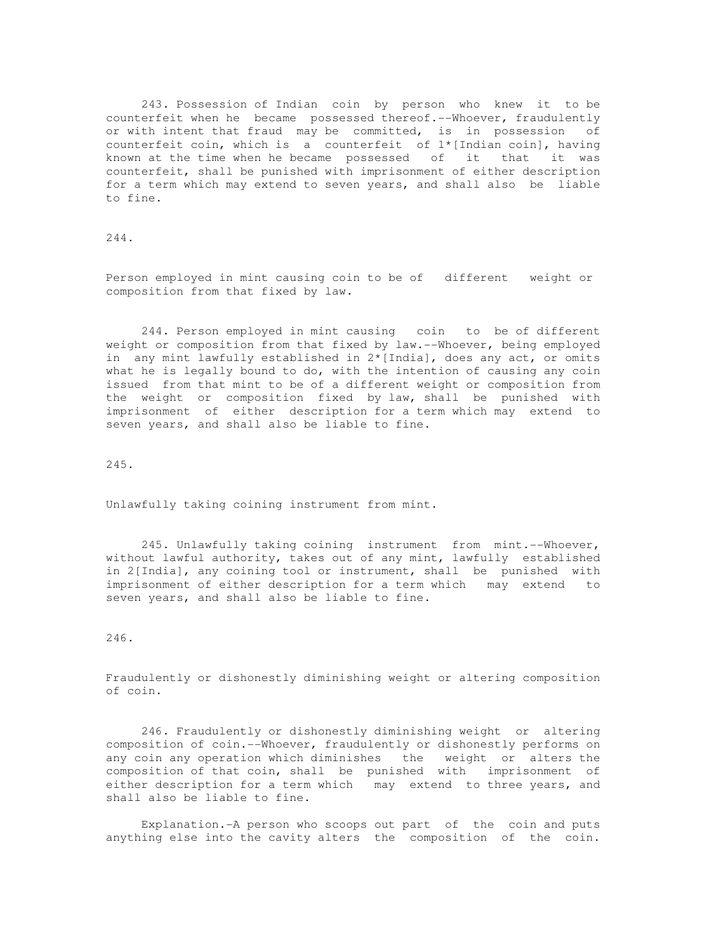243. Possession of Indian coin by person who knew it to be counterfeit when he became possessed thereof.--Whoever, fraudulently or with intent that fraud may be committed, is in possession of counterfeit coin, which is a counterfeit of 1\*[Indian coin], having known at the time when he became possessed of it that it was counterfeit, shall be punished with imprisonment of either description for a term which may extend to seven years, and shall also be liable to fine.

## 244.

Person employed in mint causing coin to be of different weight or composition from that fixed by law.

 244. Person employed in mint causing coin to be of different weight or composition from that fixed by law.--Whoever, being employed in any mint lawfully established in  $2*(\text{India})$ , does any act, or omits what he is legally bound to do, with the intention of causing any coin issued from that mint to be of a different weight or composition from the weight or composition fixed by law, shall be punished with imprisonment of either description for a term which may extend to seven years, and shall also be liable to fine.

#### 245.

Unlawfully taking coining instrument from mint.

 245. Unlawfully taking coining instrument from mint.--Whoever, without lawful authority, takes out of any mint, lawfully established in 2[India], any coining tool or instrument, shall be punished with imprisonment of either description for a term which may extend to seven years, and shall also be liable to fine.

### 246.

Fraudulently or dishonestly diminishing weight or altering composition of coin.

 246. Fraudulently or dishonestly diminishing weight or altering composition of coin.--Whoever, fraudulently or dishonestly performs on any coin any operation which diminishes the weight or alters the composition of that coin, shall be punished with imprisonment of either description for a term which may extend to three years, and shall also be liable to fine.

 Explanation.-A person who scoops out part of the coin and puts anything else into the cavity alters the composition of the coin.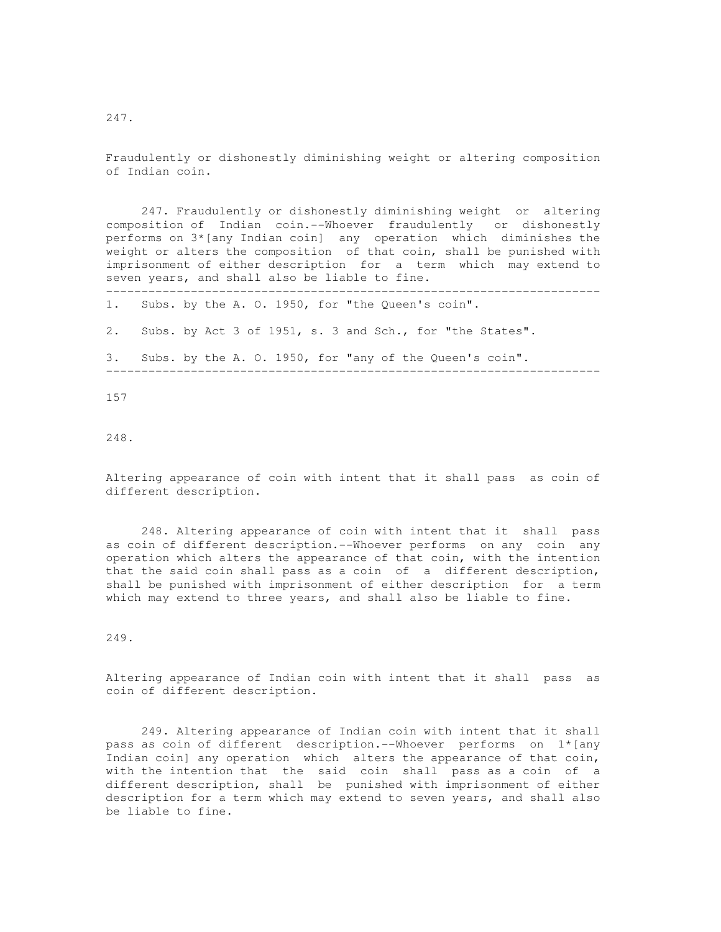Fraudulently or dishonestly diminishing weight or altering composition of Indian coin.

 247. Fraudulently or dishonestly diminishing weight or altering composition of Indian coin.--Whoever fraudulently or dishonestly performs on 3\*[any Indian coin] any operation which diminishes the weight or alters the composition of that coin, shall be punished with imprisonment of either description for a term which may extend to seven years, and shall also be liable to fine.

---------------------------------------------------------------------- 1. Subs. by the A. O. 1950, for "the Queen's coin". 2. Subs. by Act 3 of 1951, s. 3 and Sch., for "the States".

----------------------------------------------------------------------

3. Subs. by the A. O. 1950, for "any of the Queen's coin".

157

248.

Altering appearance of coin with intent that it shall pass as coin of different description.

 248. Altering appearance of coin with intent that it shall pass as coin of different description.--Whoever performs on any coin any operation which alters the appearance of that coin, with the intention that the said coin shall pass as a coin of a different description, shall be punished with imprisonment of either description for a term which may extend to three years, and shall also be liable to fine.

249.

Altering appearance of Indian coin with intent that it shall pass as coin of different description.

 249. Altering appearance of Indian coin with intent that it shall pass as coin of different description.--Whoever performs on 1\*[any Indian coin] any operation which alters the appearance of that coin, with the intention that the said coin shall pass as a coin of a different description, shall be punished with imprisonment of either description for a term which may extend to seven years, and shall also be liable to fine.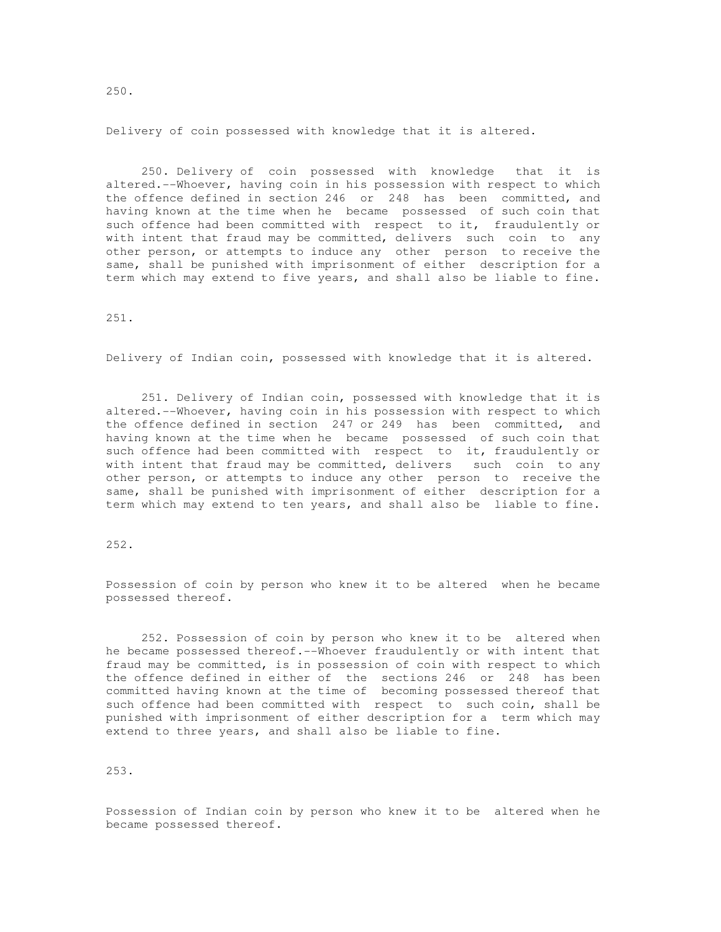Delivery of coin possessed with knowledge that it is altered.

 250. Delivery of coin possessed with knowledge that it is altered.--Whoever, having coin in his possession with respect to which the offence defined in section 246 or 248 has been committed, and having known at the time when he became possessed of such coin that such offence had been committed with respect to it, fraudulently or with intent that fraud may be committed, delivers such coin to any other person, or attempts to induce any other person to receive the same, shall be punished with imprisonment of either description for a term which may extend to five years, and shall also be liable to fine.

## 251.

Delivery of Indian coin, possessed with knowledge that it is altered.

 251. Delivery of Indian coin, possessed with knowledge that it is altered.--Whoever, having coin in his possession with respect to which the offence defined in section 247 or 249 has been committed, and having known at the time when he became possessed of such coin that such offence had been committed with respect to it, fraudulently or with intent that fraud may be committed, delivers such coin to any other person, or attempts to induce any other person to receive the same, shall be punished with imprisonment of either description for a term which may extend to ten years, and shall also be liable to fine.

# 252.

Possession of coin by person who knew it to be altered when he became possessed thereof.

 252. Possession of coin by person who knew it to be altered when he became possessed thereof.--Whoever fraudulently or with intent that fraud may be committed, is in possession of coin with respect to which the offence defined in either of the sections 246 or 248 has been committed having known at the time of becoming possessed thereof that such offence had been committed with respect to such coin, shall be punished with imprisonment of either description for a term which may extend to three years, and shall also be liable to fine.

## 253.

Possession of Indian coin by person who knew it to be altered when he became possessed thereof.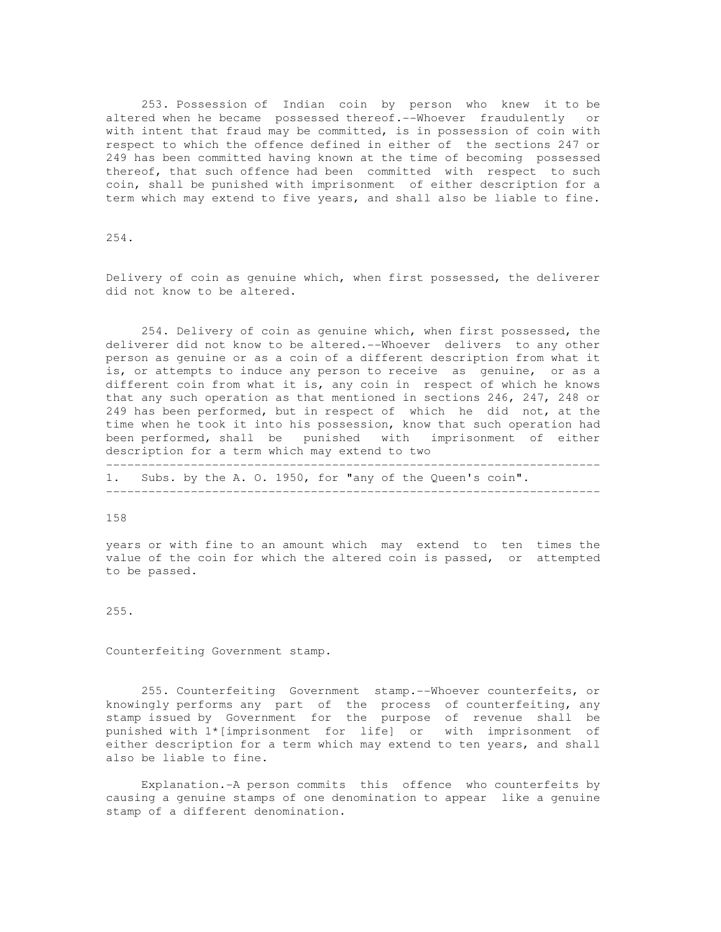253. Possession of Indian coin by person who knew it to be altered when he became possessed thereof.--Whoever fraudulently or with intent that fraud may be committed, is in possession of coin with respect to which the offence defined in either of the sections 247 or 249 has been committed having known at the time of becoming possessed thereof, that such offence had been committed with respect to such coin, shall be punished with imprisonment of either description for a term which may extend to five years, and shall also be liable to fine.

254.

Delivery of coin as genuine which, when first possessed, the deliverer did not know to be altered.

 254. Delivery of coin as genuine which, when first possessed, the deliverer did not know to be altered.--Whoever delivers to any other person as genuine or as a coin of a different description from what it is, or attempts to induce any person to receive as genuine, or as a different coin from what it is, any coin in respect of which he knows that any such operation as that mentioned in sections 246, 247, 248 or 249 has been performed, but in respect of which he did not, at the time when he took it into his possession, know that such operation had been performed, shall be punished with imprisonment of either description for a term which may extend to two ----------------------------------------------------------------------

1. Subs. by the A. O. 1950, for "any of the Queen's coin".

----------------------------------------------------------------------

158

years or with fine to an amount which may extend to ten times the value of the coin for which the altered coin is passed, or attempted to be passed.

255.

Counterfeiting Government stamp.

 255. Counterfeiting Government stamp.--Whoever counterfeits, or knowingly performs any part of the process of counterfeiting, any stamp issued by Government for the purpose of revenue shall be punished with 1\*[imprisonment for life] or with imprisonment of either description for a term which may extend to ten years, and shall also be liable to fine.

 Explanation.-A person commits this offence who counterfeits by causing a genuine stamps of one denomination to appear like a genuine stamp of a different denomination.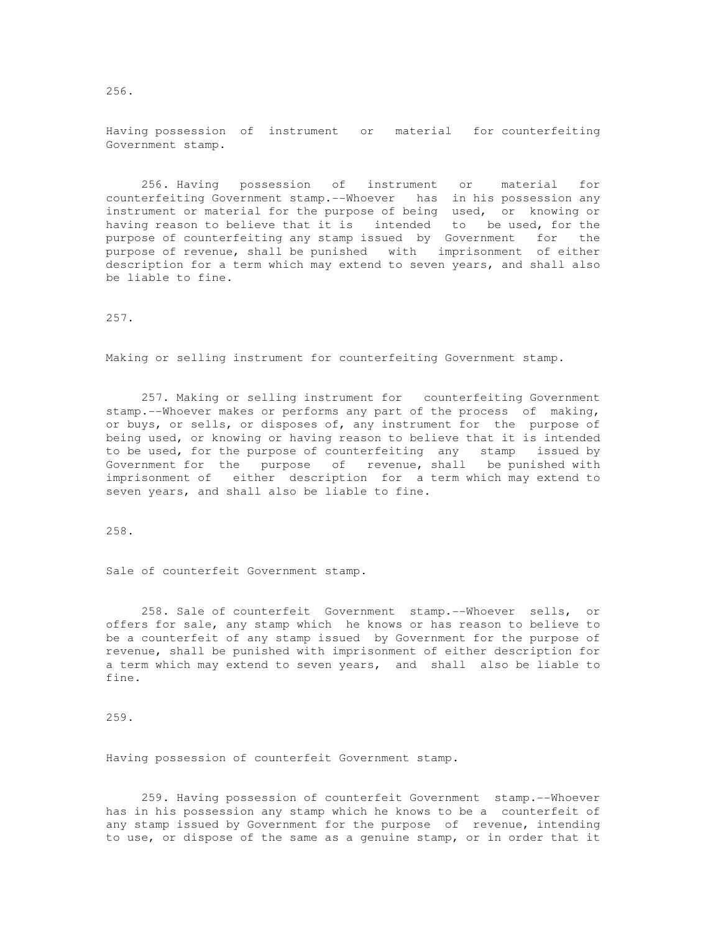Having possession of instrument or material for counterfeiting Government stamp.

 256. Having possession of instrument or material for counterfeiting Government stamp.--Whoever has in his possession any instrument or material for the purpose of being used, or knowing or having reason to believe that it is intended to be used, for the purpose of counterfeiting any stamp issued by Government for the purpose of revenue, shall be punished with imprisonment of either description for a term which may extend to seven years, and shall also be liable to fine.

257.

Making or selling instrument for counterfeiting Government stamp.

 257. Making or selling instrument for counterfeiting Government stamp.--Whoever makes or performs any part of the process of making, or buys, or sells, or disposes of, any instrument for the purpose of being used, or knowing or having reason to believe that it is intended to be used, for the purpose of counterfeiting any stamp issued by Government for the purpose of revenue, shall be punished with imprisonment of either description for a term which may extend to seven years, and shall also be liable to fine.

258.

Sale of counterfeit Government stamp.

 258. Sale of counterfeit Government stamp.--Whoever sells, or offers for sale, any stamp which he knows or has reason to believe to be a counterfeit of any stamp issued by Government for the purpose of revenue, shall be punished with imprisonment of either description for a term which may extend to seven years, and shall also be liable to fine.

259.

Having possession of counterfeit Government stamp.

 259. Having possession of counterfeit Government stamp.--Whoever has in his possession any stamp which he knows to be a counterfeit of any stamp issued by Government for the purpose of revenue, intending to use, or dispose of the same as a genuine stamp, or in order that it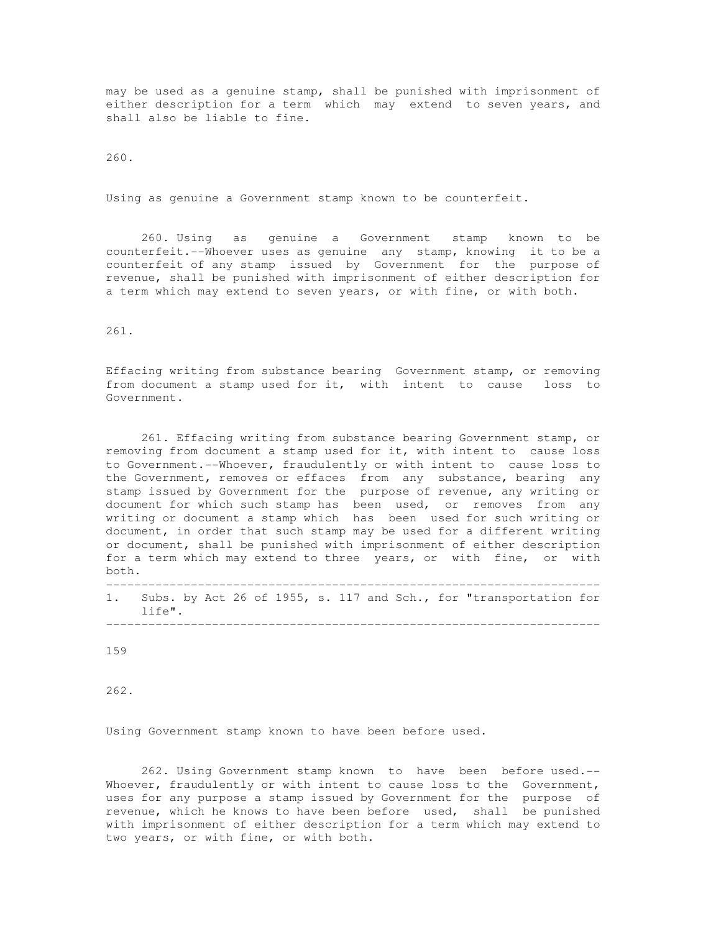may be used as a genuine stamp, shall be punished with imprisonment of either description for a term which may extend to seven years, and shall also be liable to fine.

260.

Using as genuine a Government stamp known to be counterfeit.

 260. Using as genuine a Government stamp known to be counterfeit.--Whoever uses as genuine any stamp, knowing it to be a counterfeit of any stamp issued by Government for the purpose of revenue, shall be punished with imprisonment of either description for a term which may extend to seven years, or with fine, or with both.

### 261.

Effacing writing from substance bearing Government stamp, or removing from document a stamp used for it, with intent to cause loss to Government.

 261. Effacing writing from substance bearing Government stamp, or removing from document a stamp used for it, with intent to cause loss to Government.--Whoever, fraudulently or with intent to cause loss to the Government, removes or effaces from any substance, bearing any stamp issued by Government for the purpose of revenue, any writing or document for which such stamp has been used, or removes from any writing or document a stamp which has been used for such writing or document, in order that such stamp may be used for a different writing or document, shall be punished with imprisonment of either description for a term which may extend to three years, or with fine, or with both.

---------------------------------------------------------------------- 1. Subs. by Act 26 of 1955, s. 117 and Sch., for "transportation for life".

----------------------------------------------------------------------

159

262.

Using Government stamp known to have been before used.

 262. Using Government stamp known to have been before used.-- Whoever, fraudulently or with intent to cause loss to the Government, uses for any purpose a stamp issued by Government for the purpose of revenue, which he knows to have been before used, shall be punished with imprisonment of either description for a term which may extend to two years, or with fine, or with both.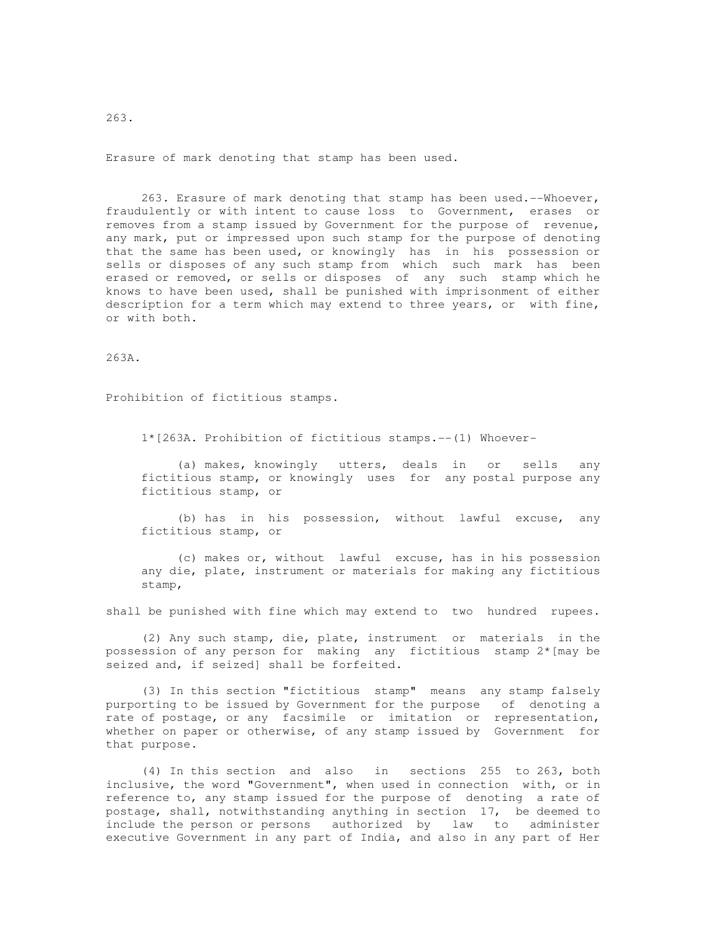Erasure of mark denoting that stamp has been used.

 263. Erasure of mark denoting that stamp has been used.--Whoever, fraudulently or with intent to cause loss to Government, erases or removes from a stamp issued by Government for the purpose of revenue, any mark, put or impressed upon such stamp for the purpose of denoting that the same has been used, or knowingly has in his possession or sells or disposes of any such stamp from which such mark has been erased or removed, or sells or disposes of any such stamp which he knows to have been used, shall be punished with imprisonment of either description for a term which may extend to three years, or with fine, or with both.

263A.

Prohibition of fictitious stamps.

1\*[263A. Prohibition of fictitious stamps.--(1) Whoever-

 (a) makes, knowingly utters, deals in or sells any fictitious stamp, or knowingly uses for any postal purpose any fictitious stamp, or

 (b) has in his possession, without lawful excuse, any fictitious stamp, or

 (c) makes or, without lawful excuse, has in his possession any die, plate, instrument or materials for making any fictitious stamp,

shall be punished with fine which may extend to two hundred rupees.

 (2) Any such stamp, die, plate, instrument or materials in the possession of any person for making any fictitious stamp 2\*[may be seized and, if seized] shall be forfeited.

 (3) In this section "fictitious stamp" means any stamp falsely purporting to be issued by Government for the purpose of denoting a rate of postage, or any facsimile or imitation or representation, whether on paper or otherwise, of any stamp issued by Government for that purpose.

 (4) In this section and also in sections 255 to 263, both inclusive, the word "Government", when used in connection with, or in reference to, any stamp issued for the purpose of denoting a rate of postage, shall, notwithstanding anything in section 17, be deemed to include the person or persons authorized by law to administer executive Government in any part of India, and also in any part of Her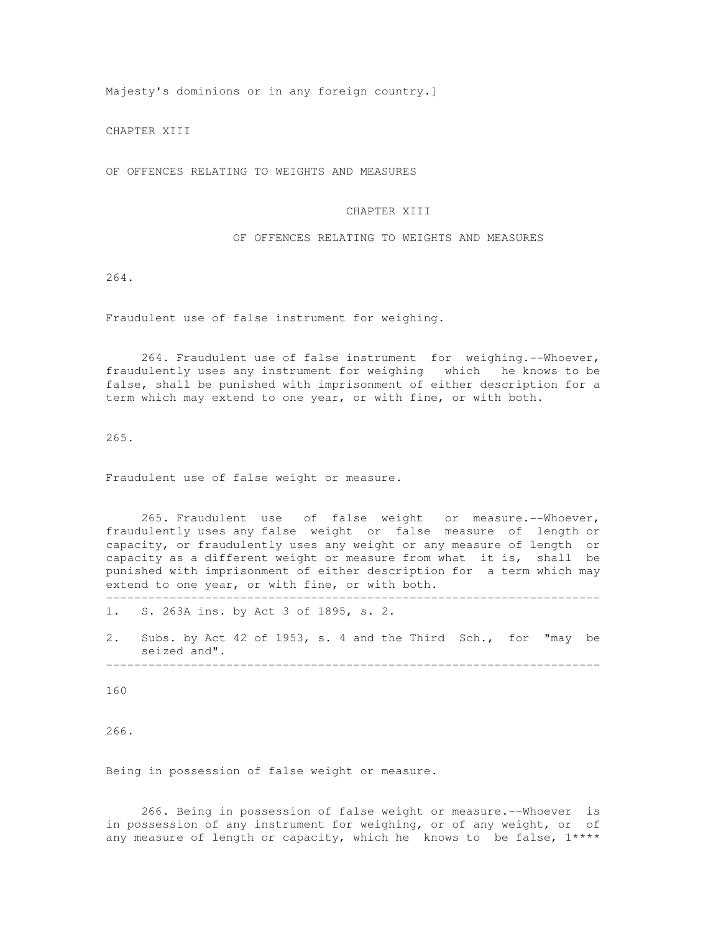Majesty's dominions or in any foreign country.]

CHAPTER XIII

OF OFFENCES RELATING TO WEIGHTS AND MEASURES

#### CHAPTER XIII

## OF OFFENCES RELATING TO WEIGHTS AND MEASURES

264.

Fraudulent use of false instrument for weighing.

 264. Fraudulent use of false instrument for weighing.--Whoever, fraudulently uses any instrument for weighing which he knows to be false, shall be punished with imprisonment of either description for a term which may extend to one year, or with fine, or with both.

265.

Fraudulent use of false weight or measure.

 265. Fraudulent use of false weight or measure.--Whoever, fraudulently uses any false weight or false measure of length or capacity, or fraudulently uses any weight or any measure of length or capacity as a different weight or measure from what it is, shall be punished with imprisonment of either description for a term which may extend to one year, or with fine, or with both.

----------------------------------------------------------------------

1. S. 263A ins. by Act 3 of 1895, s. 2.

2. Subs. by Act 42 of 1953, s. 4 and the Third Sch., for "may be seized and".

----------------------------------------------------------------------

160

266.

Being in possession of false weight or measure.

 266. Being in possession of false weight or measure.--Whoever is in possession of any instrument for weighing, or of any weight, or of any measure of length or capacity, which he knows to be false,  $1***$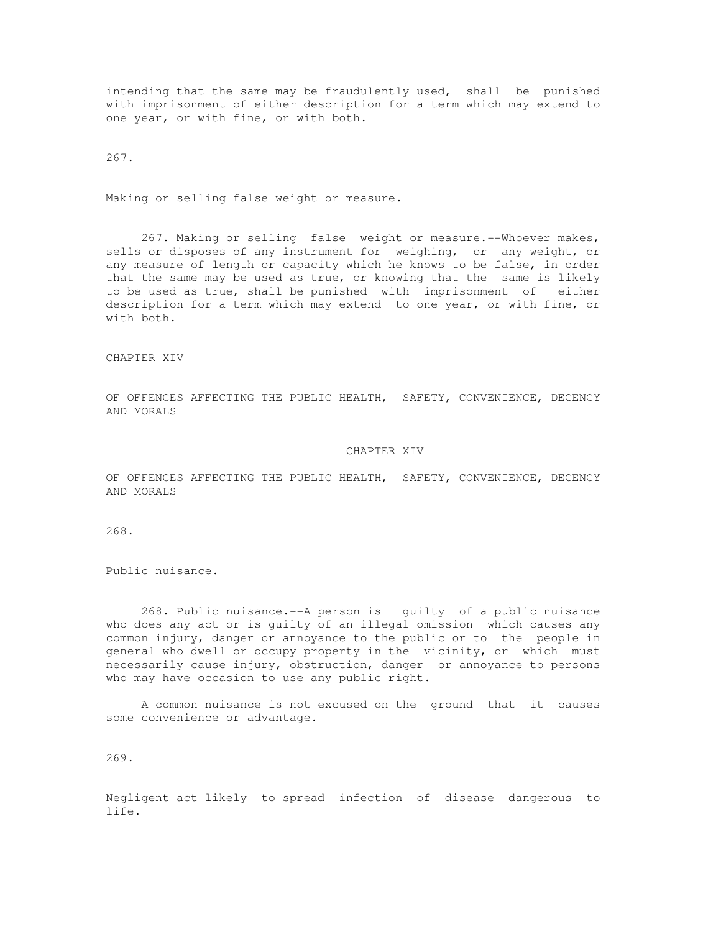intending that the same may be fraudulently used, shall be punished with imprisonment of either description for a term which may extend to one year, or with fine, or with both.

267.

Making or selling false weight or measure.

 267. Making or selling false weight or measure.--Whoever makes, sells or disposes of any instrument for weighing, or any weight, or any measure of length or capacity which he knows to be false, in order that the same may be used as true, or knowing that the same is likely to be used as true, shall be punished with imprisonment of either description for a term which may extend to one year, or with fine, or with both.

CHAPTER XIV

OF OFFENCES AFFECTING THE PUBLIC HEALTH, SAFETY, CONVENIENCE, DECENCY AND MORALS

#### CHAPTER XIV

OF OFFENCES AFFECTING THE PUBLIC HEALTH, SAFETY, CONVENIENCE, DECENCY AND MORALS

268.

Public nuisance.

 268. Public nuisance.--A person is guilty of a public nuisance who does any act or is guilty of an illegal omission which causes any common injury, danger or annoyance to the public or to the people in general who dwell or occupy property in the vicinity, or which must necessarily cause injury, obstruction, danger or annoyance to persons who may have occasion to use any public right.

 A common nuisance is not excused on the ground that it causes some convenience or advantage.

269.

Negligent act likely to spread infection of disease dangerous to life.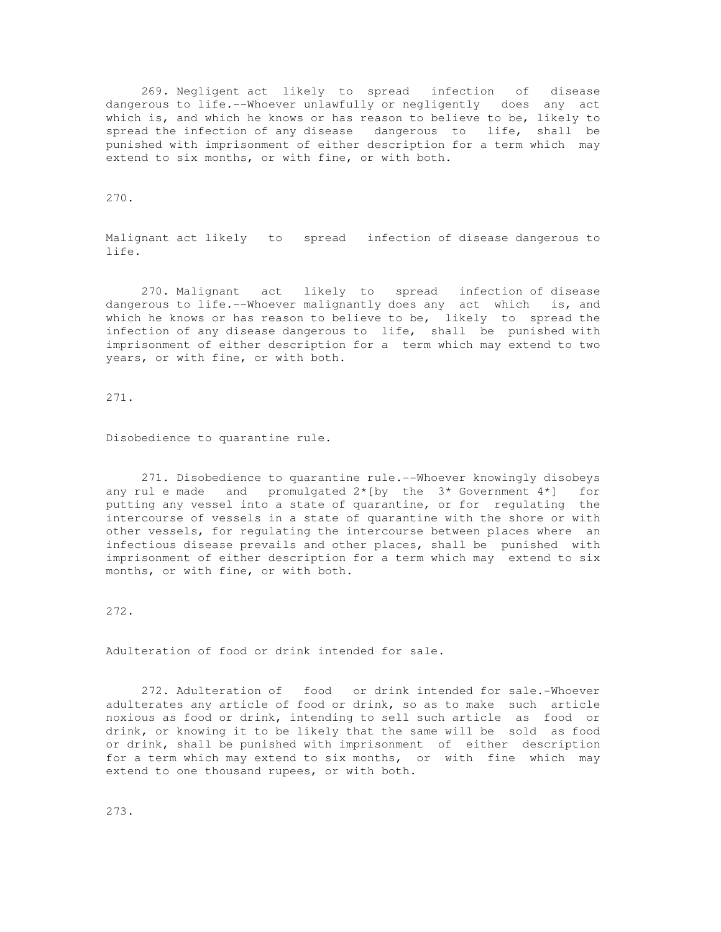269. Negligent act likely to spread infection of disease dangerous to life.--Whoever unlawfully or negligently does any act which is, and which he knows or has reason to believe to be, likely to spread the infection of any disease dangerous to life, shall be punished with imprisonment of either description for a term which may extend to six months, or with fine, or with both.

270.

Malignant act likely to spread infection of disease dangerous to life.

 270. Malignant act likely to spread infection of disease dangerous to life.--Whoever malignantly does any act which is, and which he knows or has reason to believe to be, likely to spread the infection of any disease dangerous to life, shall be punished with imprisonment of either description for a term which may extend to two years, or with fine, or with both.

271.

Disobedience to quarantine rule.

 271. Disobedience to quarantine rule.--Whoever knowingly disobeys any rul e made and promulgated 2\*[by the 3\* Government 4\*] for putting any vessel into a state of quarantine, or for regulating the intercourse of vessels in a state of quarantine with the shore or with other vessels, for regulating the intercourse between places where an infectious disease prevails and other places, shall be punished with imprisonment of either description for a term which may extend to six months, or with fine, or with both.

272.

Adulteration of food or drink intended for sale.

 272. Adulteration of food or drink intended for sale.-Whoever adulterates any article of food or drink, so as to make such article noxious as food or drink, intending to sell such article as food or drink, or knowing it to be likely that the same will be sold as food or drink, shall be punished with imprisonment of either description for a term which may extend to six months, or with fine which may extend to one thousand rupees, or with both.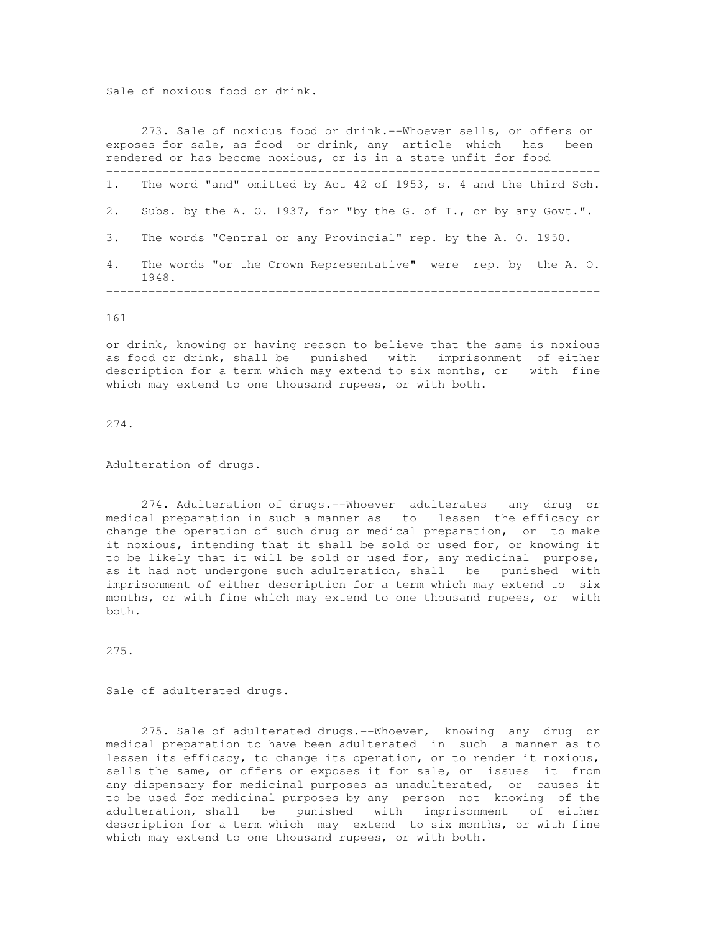Sale of noxious food or drink.

 273. Sale of noxious food or drink.--Whoever sells, or offers or exposes for sale, as food or drink, any article which has been rendered or has become noxious, or is in a state unfit for food ---------------------------------------------------------------------- 1. The word "and" omitted by Act 42 of 1953, s. 4 and the third Sch. 2. Subs. by the A. O. 1937, for "by the G. of I., or by any Govt.". 3. The words "Central or any Provincial" rep. by the A. O. 1950. 4. The words "or the Crown Representative" were rep. by the A. O. 1948. ----------------------------------------------------------------------

161

or drink, knowing or having reason to believe that the same is noxious as food or drink, shall be punished with imprisonment of either description for a term which may extend to six months, or with fine which may extend to one thousand rupees, or with both.

274.

Adulteration of drugs.

 274. Adulteration of drugs.--Whoever adulterates any drug or medical preparation in such a manner as to lessen the efficacy or change the operation of such drug or medical preparation, or to make it noxious, intending that it shall be sold or used for, or knowing it to be likely that it will be sold or used for, any medicinal purpose, as it had not undergone such adulteration, shall be punished with imprisonment of either description for a term which may extend to six months, or with fine which may extend to one thousand rupees, or with both.

275.

Sale of adulterated drugs.

 275. Sale of adulterated drugs.--Whoever, knowing any drug or medical preparation to have been adulterated in such a manner as to lessen its efficacy, to change its operation, or to render it noxious, sells the same, or offers or exposes it for sale, or issues it from any dispensary for medicinal purposes as unadulterated, or causes it to be used for medicinal purposes by any person not knowing of the adulteration, shall be punished with imprisonment of either description for a term which may extend to six months, or with fine which may extend to one thousand rupees, or with both.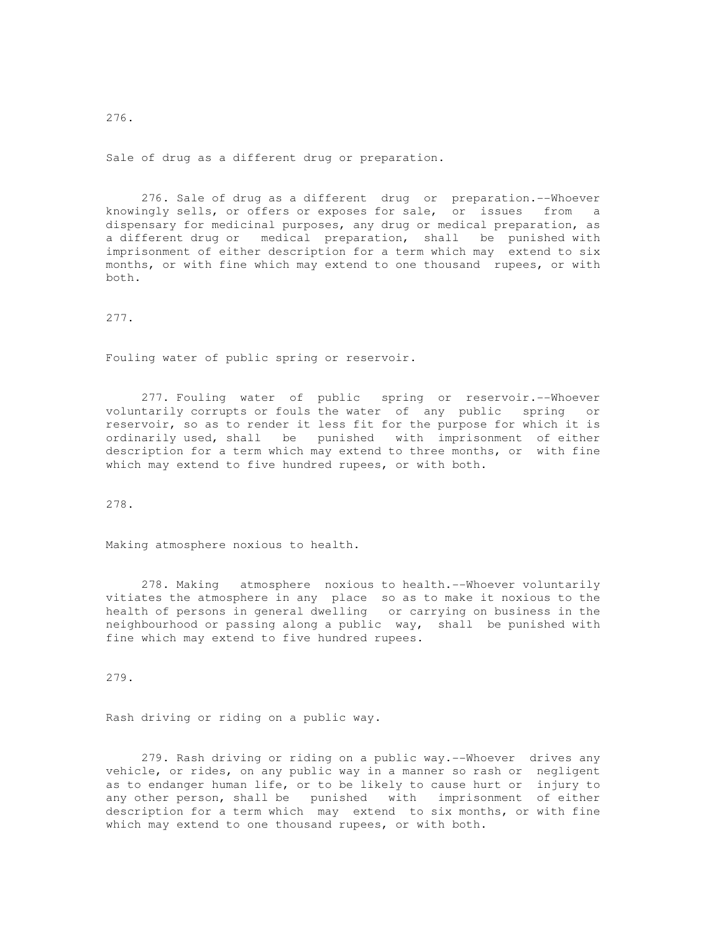Sale of drug as a different drug or preparation.

 276. Sale of drug as a different drug or preparation.--Whoever knowingly sells, or offers or exposes for sale, or issues from a dispensary for medicinal purposes, any drug or medical preparation, as a different drug or medical preparation, shall be punished with imprisonment of either description for a term which may extend to six months, or with fine which may extend to one thousand rupees, or with both.

277.

Fouling water of public spring or reservoir.

 277. Fouling water of public spring or reservoir.--Whoever voluntarily corrupts or fouls the water of any public spring or reservoir, so as to render it less fit for the purpose for which it is ordinarily used, shall be punished with imprisonment of either description for a term which may extend to three months, or with fine which may extend to five hundred rupees, or with both.

278.

Making atmosphere noxious to health.

 278. Making atmosphere noxious to health.--Whoever voluntarily vitiates the atmosphere in any place so as to make it noxious to the health of persons in general dwelling or carrying on business in the neighbourhood or passing along a public way, shall be punished with fine which may extend to five hundred rupees.

279.

Rash driving or riding on a public way.

 279. Rash driving or riding on a public way.--Whoever drives any vehicle, or rides, on any public way in a manner so rash or negligent as to endanger human life, or to be likely to cause hurt or injury to any other person, shall be punished with imprisonment of either description for a term which may extend to six months, or with fine which may extend to one thousand rupees, or with both.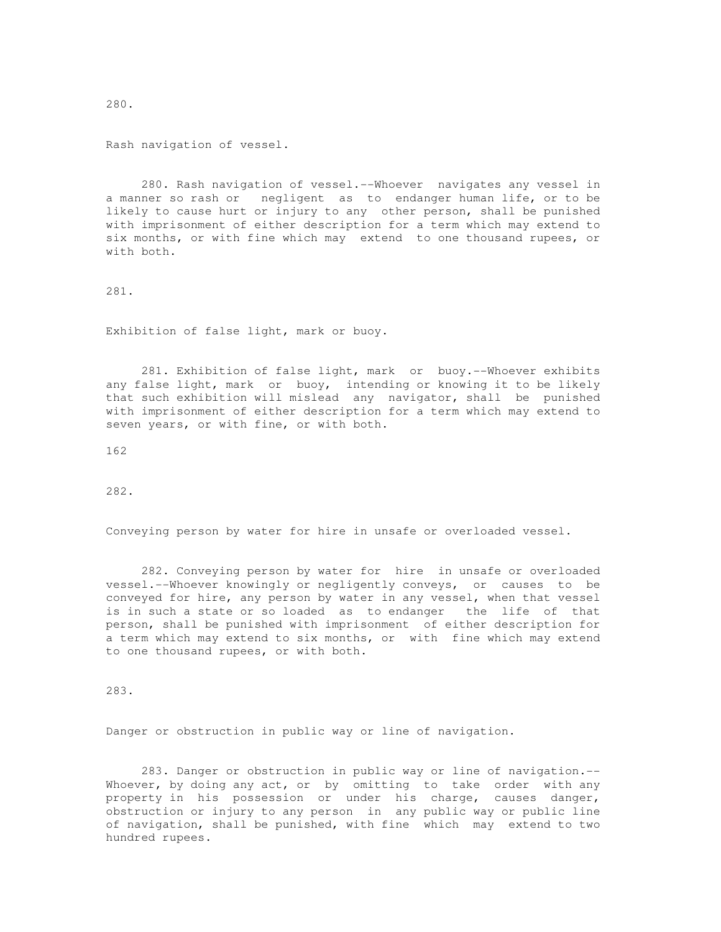Rash navigation of vessel.

 280. Rash navigation of vessel.--Whoever navigates any vessel in a manner so rash or negligent as to endanger human life, or to be likely to cause hurt or injury to any other person, shall be punished with imprisonment of either description for a term which may extend to six months, or with fine which may extend to one thousand rupees, or with both.

281.

Exhibition of false light, mark or buoy.

 281. Exhibition of false light, mark or buoy.--Whoever exhibits any false light, mark or buoy, intending or knowing it to be likely that such exhibition will mislead any navigator, shall be punished with imprisonment of either description for a term which may extend to seven years, or with fine, or with both.

162

282.

Conveying person by water for hire in unsafe or overloaded vessel.

 282. Conveying person by water for hire in unsafe or overloaded vessel.--Whoever knowingly or negligently conveys, or causes to be conveyed for hire, any person by water in any vessel, when that vessel is in such a state or so loaded as to endanger the life of that person, shall be punished with imprisonment of either description for a term which may extend to six months, or with fine which may extend to one thousand rupees, or with both.

283.

Danger or obstruction in public way or line of navigation.

 283. Danger or obstruction in public way or line of navigation.-- Whoever, by doing any act, or by omitting to take order with any property in his possession or under his charge, causes danger, obstruction or injury to any person in any public way or public line of navigation, shall be punished, with fine which may extend to two hundred rupees.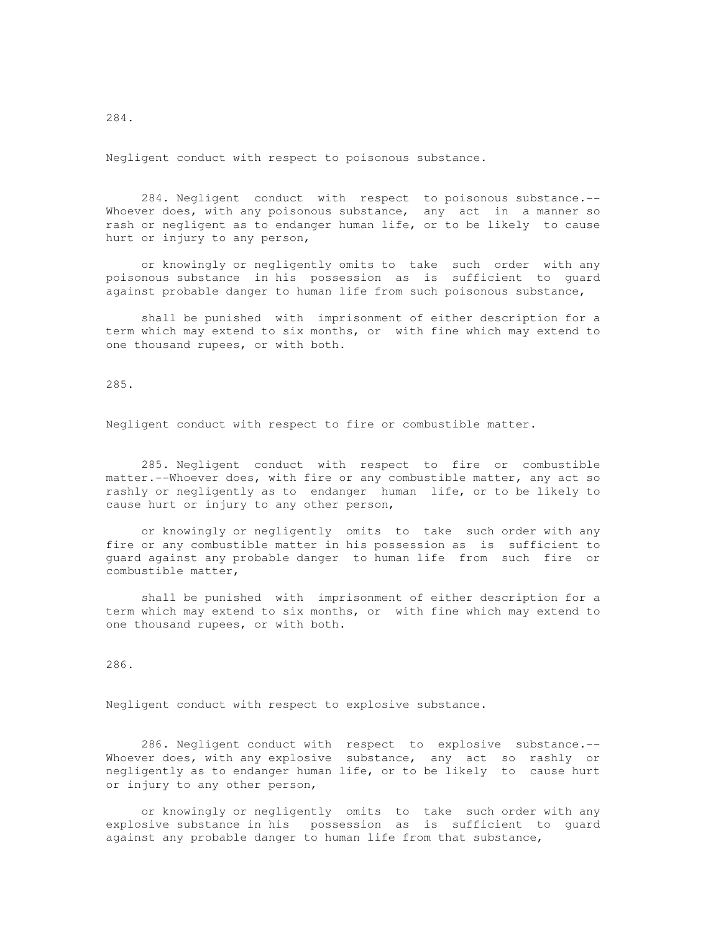Negligent conduct with respect to poisonous substance.

 284. Negligent conduct with respect to poisonous substance.-- Whoever does, with any poisonous substance, any act in a manner so rash or negligent as to endanger human life, or to be likely to cause hurt or injury to any person,

 or knowingly or negligently omits to take such order with any poisonous substance in his possession as is sufficient to guard against probable danger to human life from such poisonous substance,

 shall be punished with imprisonment of either description for a term which may extend to six months, or with fine which may extend to one thousand rupees, or with both.

285.

Negligent conduct with respect to fire or combustible matter.

 285. Negligent conduct with respect to fire or combustible matter.--Whoever does, with fire or any combustible matter, any act so rashly or negligently as to endanger human life, or to be likely to cause hurt or injury to any other person,

 or knowingly or negligently omits to take such order with any fire or any combustible matter in his possession as is sufficient to guard against any probable danger to human life from such fire or combustible matter,

 shall be punished with imprisonment of either description for a term which may extend to six months, or with fine which may extend to one thousand rupees, or with both.

286.

Negligent conduct with respect to explosive substance.

 286. Negligent conduct with respect to explosive substance.-- Whoever does, with any explosive substance, any act so rashly or negligently as to endanger human life, or to be likely to cause hurt or injury to any other person,

 or knowingly or negligently omits to take such order with any explosive substance in his possession as is sufficient to guard against any probable danger to human life from that substance,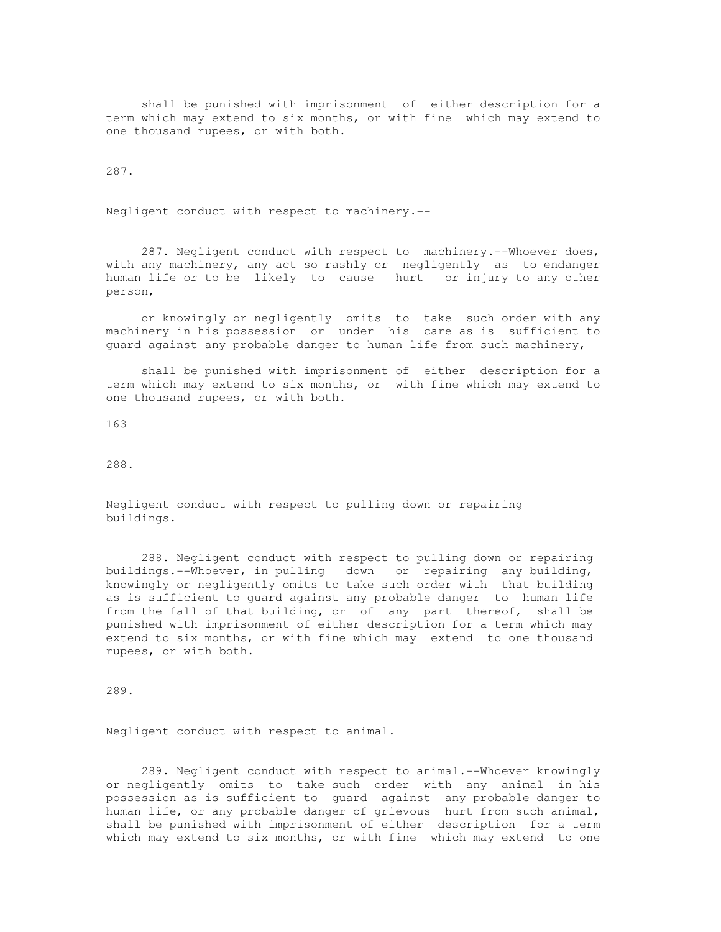shall be punished with imprisonment of either description for a term which may extend to six months, or with fine which may extend to one thousand rupees, or with both.

287.

Negligent conduct with respect to machinery.--

 287. Negligent conduct with respect to machinery.--Whoever does, with any machinery, any act so rashly or negligently as to endanger human life or to be likely to cause hurt or injury to any other person,

 or knowingly or negligently omits to take such order with any machinery in his possession or under his care as is sufficient to guard against any probable danger to human life from such machinery,

 shall be punished with imprisonment of either description for a term which may extend to six months, or with fine which may extend to one thousand rupees, or with both.

163

288.

Negligent conduct with respect to pulling down or repairing buildings.

 288. Negligent conduct with respect to pulling down or repairing buildings.--Whoever, in pulling down or repairing any building, knowingly or negligently omits to take such order with that building as is sufficient to guard against any probable danger to human life from the fall of that building, or of any part thereof, shall be punished with imprisonment of either description for a term which may extend to six months, or with fine which may extend to one thousand rupees, or with both.

289.

Negligent conduct with respect to animal.

 289. Negligent conduct with respect to animal.--Whoever knowingly or negligently omits to take such order with any animal in his possession as is sufficient to guard against any probable danger to human life, or any probable danger of grievous hurt from such animal, shall be punished with imprisonment of either description for a term which may extend to six months, or with fine which may extend to one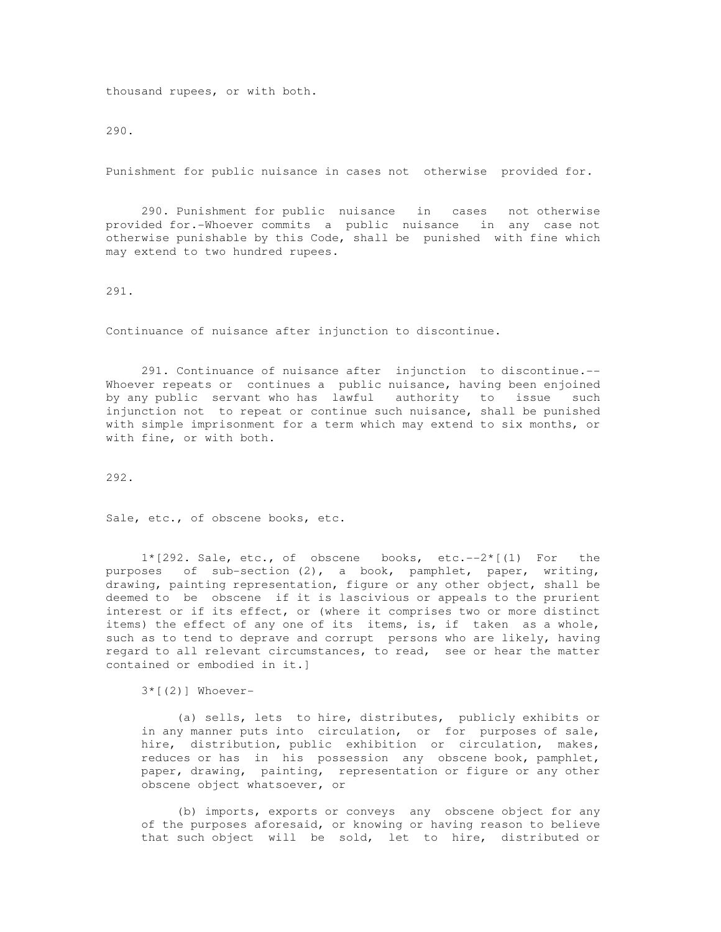thousand rupees, or with both.

290.

Punishment for public nuisance in cases not otherwise provided for.

 290. Punishment for public nuisance in cases not otherwise provided for.-Whoever commits a public nuisance in any case not otherwise punishable by this Code, shall be punished with fine which may extend to two hundred rupees.

291.

Continuance of nuisance after injunction to discontinue.

 291. Continuance of nuisance after injunction to discontinue.-- Whoever repeats or continues a public nuisance, having been enjoined by any public servant who has lawful authority to issue such injunction not to repeat or continue such nuisance, shall be punished with simple imprisonment for a term which may extend to six months, or with fine, or with both.

292.

Sale, etc., of obscene books, etc.

 $1*(292. \text{ Sale}, \text{etc.}, \text{of } \text{obscene} \text{ books}, \text{etc.} \\ -2*(1) \text{ For the }$ purposes of sub-section (2), a book, pamphlet, paper, writing, drawing, painting representation, figure or any other object, shall be deemed to be obscene if it is lascivious or appeals to the prurient interest or if its effect, or (where it comprises two or more distinct items) the effect of any one of its items, is, if taken as a whole, such as to tend to deprave and corrupt persons who are likely, having regard to all relevant circumstances, to read, see or hear the matter contained or embodied in it.]

 $3*(2)$ ] Whoever-

 (a) sells, lets to hire, distributes, publicly exhibits or in any manner puts into circulation, or for purposes of sale, hire, distribution, public exhibition or circulation, makes, reduces or has in his possession any obscene book, pamphlet, paper, drawing, painting, representation or figure or any other obscene object whatsoever, or

 (b) imports, exports or conveys any obscene object for any of the purposes aforesaid, or knowing or having reason to believe that such object will be sold, let to hire, distributed or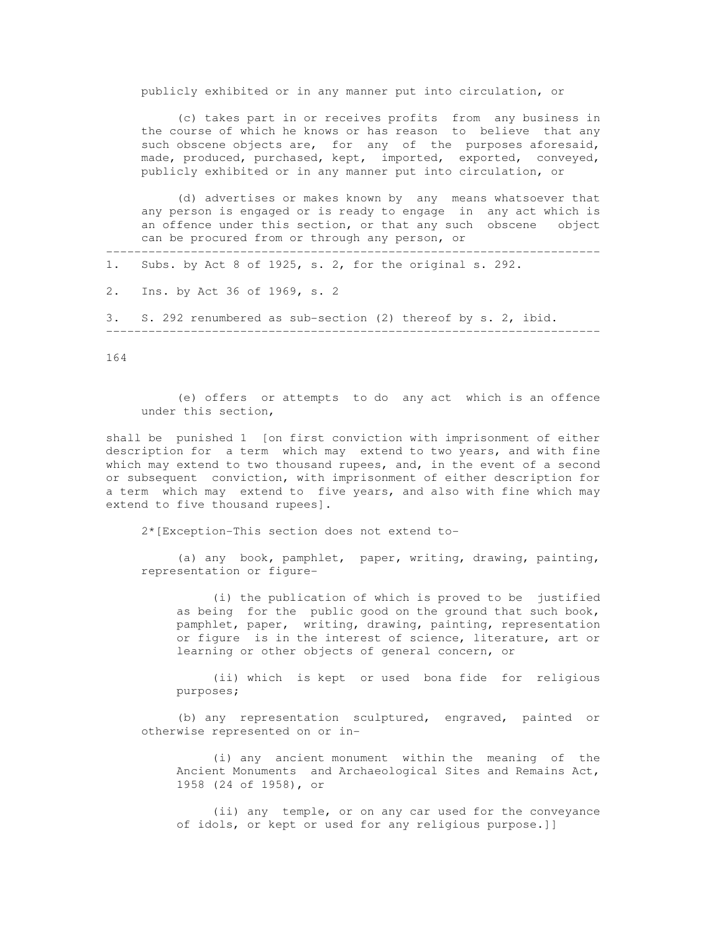publicly exhibited or in any manner put into circulation, or

 (c) takes part in or receives profits from any business in the course of which he knows or has reason to believe that any such obscene objects are, for any of the purposes aforesaid, made, produced, purchased, kept, imported, exported, conveyed, publicly exhibited or in any manner put into circulation, or

 (d) advertises or makes known by any means whatsoever that any person is engaged or is ready to engage in any act which is an offence under this section, or that any such obscene object can be procured from or through any person, or ----------------------------------------------------------------------

1. Subs. by Act 8 of 1925, s. 2, for the original s. 292.

2. Ins. by Act 36 of 1969, s. 2

3. S. 292 renumbered as sub-section (2) thereof by s. 2, ibid.

----------------------------------------------------------------------

164

 (e) offers or attempts to do any act which is an offence under this section,

shall be punished 1 [on first conviction with imprisonment of either description for a term which may extend to two years, and with fine which may extend to two thousand rupees, and, in the event of a second or subsequent conviction, with imprisonment of either description for a term which may extend to five years, and also with fine which may extend to five thousand rupees].

2\*[Exception-This section does not extend to-

 (a) any book, pamphlet, paper, writing, drawing, painting, representation or figure-

 (i) the publication of which is proved to be justified as being for the public good on the ground that such book, pamphlet, paper, writing, drawing, painting, representation or figure is in the interest of science, literature, art or learning or other objects of general concern, or

 (ii) which is kept or used bona fide for religious purposes;

 (b) any representation sculptured, engraved, painted or otherwise represented on or in-

 (i) any ancient monument within the meaning of the Ancient Monuments and Archaeological Sites and Remains Act, 1958 (24 of 1958), or

 (ii) any temple, or on any car used for the conveyance of idols, or kept or used for any religious purpose.]]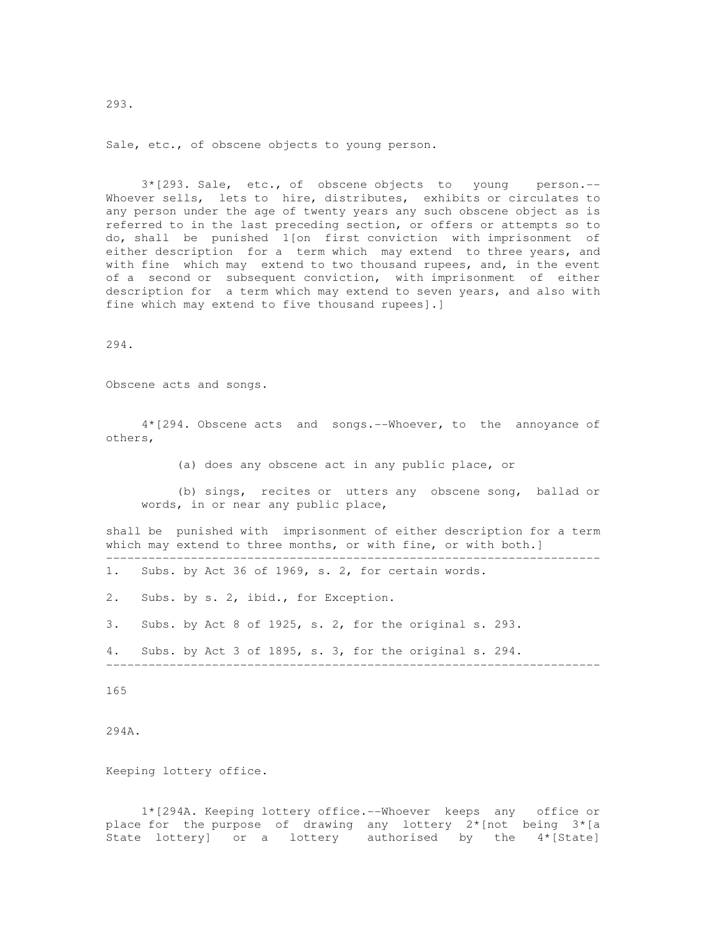Sale, etc., of obscene objects to young person.

 3\*[293. Sale, etc., of obscene objects to young person.-- Whoever sells, lets to hire, distributes, exhibits or circulates to any person under the age of twenty years any such obscene object as is referred to in the last preceding section, or offers or attempts so to do, shall be punished 1[on first conviction with imprisonment of either description for a term which may extend to three years, and with fine which may extend to two thousand rupees, and, in the event of a second or subsequent conviction, with imprisonment of either description for a term which may extend to seven years, and also with fine which may extend to five thousand rupees].]

294.

Obscene acts and songs.

 4\*[294. Obscene acts and songs.--Whoever, to the annoyance of others,

(a) does any obscene act in any public place, or

 (b) sings, recites or utters any obscene song, ballad or words, in or near any public place,

shall be punished with imprisonment of either description for a term which may extend to three months, or with fine, or with both.] ----------------------------------------------------------------------

1. Subs. by Act 36 of 1969, s. 2, for certain words.

2. Subs. by s. 2, ibid., for Exception.

3. Subs. by Act 8 of 1925, s. 2, for the original s. 293.

4. Subs. by Act 3 of 1895, s. 3, for the original s. 294.

----------------------------------------------------------------------

165

294A.

Keeping lottery office.

 1\*[294A. Keeping lottery office.--Whoever keeps any office or place for the purpose of drawing any lottery 2\*[not being 3\*[a State lottery] or a lottery authorised by the 4\*[State]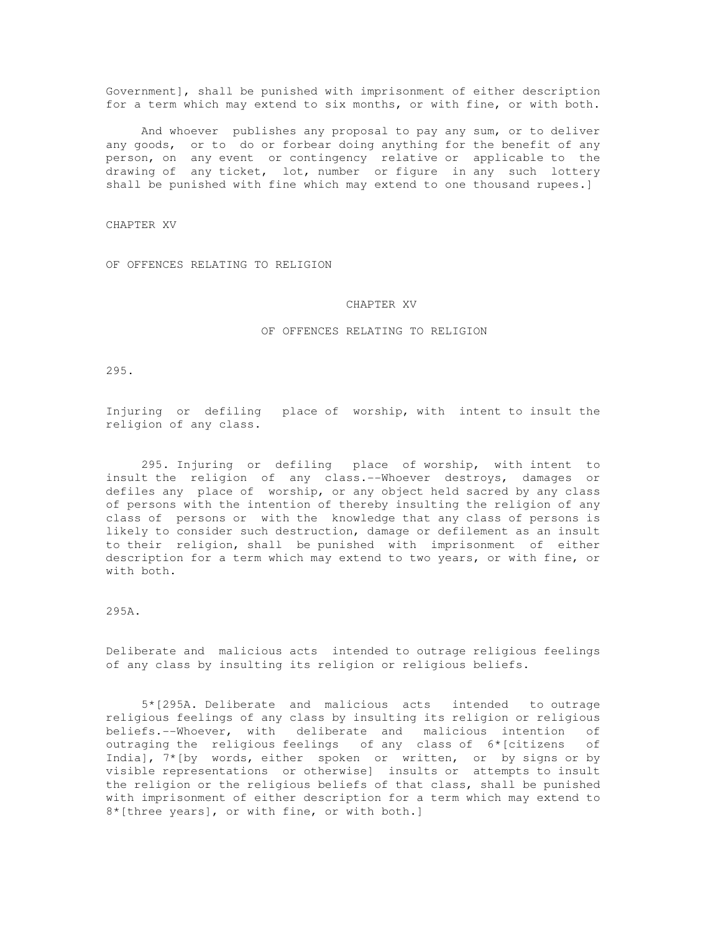Government], shall be punished with imprisonment of either description for a term which may extend to six months, or with fine, or with both.

 And whoever publishes any proposal to pay any sum, or to deliver any goods, or to do or forbear doing anything for the benefit of any person, on any event or contingency relative or applicable to the drawing of any ticket, lot, number or figure in any such lottery shall be punished with fine which may extend to one thousand rupees.]

CHAPTER XV

OF OFFENCES RELATING TO RELIGION

### CHAPTER XV

## OF OFFENCES RELATING TO RELIGION

295.

Injuring or defiling place of worship, with intent to insult the religion of any class.

 295. Injuring or defiling place of worship, with intent to insult the religion of any class.--Whoever destroys, damages or defiles any place of worship, or any object held sacred by any class of persons with the intention of thereby insulting the religion of any class of persons or with the knowledge that any class of persons is likely to consider such destruction, damage or defilement as an insult to their religion, shall be punished with imprisonment of either description for a term which may extend to two years, or with fine, or with both.

295A.

Deliberate and malicious acts intended to outrage religious feelings of any class by insulting its religion or religious beliefs.

 5\*[295A. Deliberate and malicious acts intended to outrage religious feelings of any class by insulting its religion or religious beliefs.--Whoever, with deliberate and malicious intention of outraging the religious feelings of any class of 6\*[citizens of India], 7\*[by words, either spoken or written, or by signs or by visible representations or otherwise] insults or attempts to insult the religion or the religious beliefs of that class, shall be punished with imprisonment of either description for a term which may extend to 8\*[three years], or with fine, or with both.]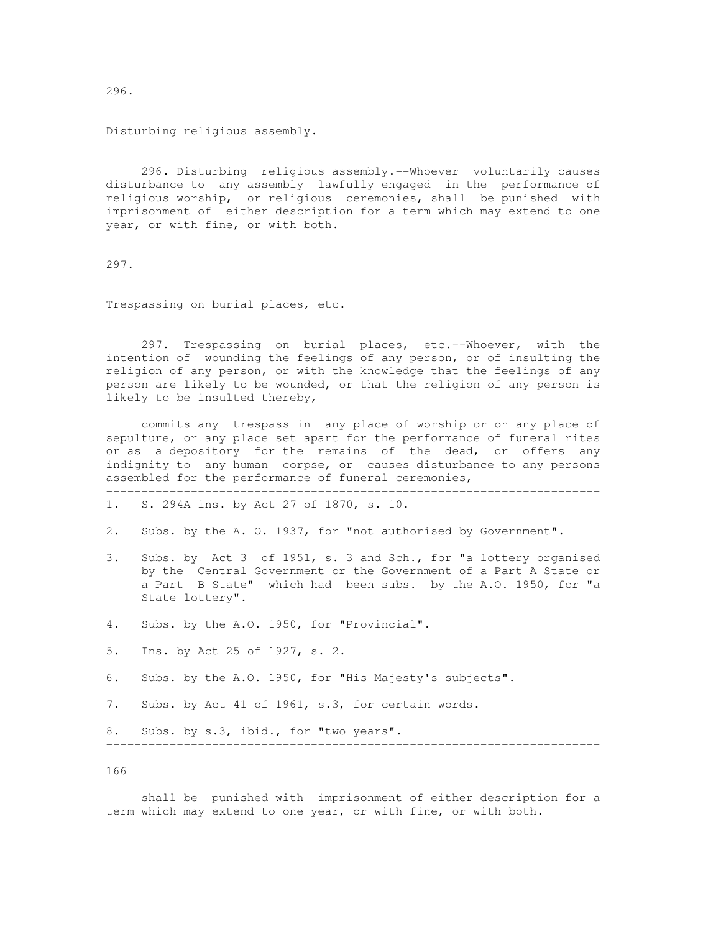Disturbing religious assembly.

 296. Disturbing religious assembly.--Whoever voluntarily causes disturbance to any assembly lawfully engaged in the performance of religious worship, or religious ceremonies, shall be punished with imprisonment of either description for a term which may extend to one year, or with fine, or with both.

297.

Trespassing on burial places, etc.

 297. Trespassing on burial places, etc.--Whoever, with the intention of wounding the feelings of any person, or of insulting the religion of any person, or with the knowledge that the feelings of any person are likely to be wounded, or that the religion of any person is likely to be insulted thereby,

 commits any trespass in any place of worship or on any place of sepulture, or any place set apart for the performance of funeral rites or as a depository for the remains of the dead, or offers any indignity to any human corpse, or causes disturbance to any persons assembled for the performance of funeral ceremonies, ----------------------------------------------------------------------

1. S. 294A ins. by Act 27 of 1870, s. 10.

- 2. Subs. by the A. O. 1937, for "not authorised by Government".
- 3. Subs. by Act 3 of 1951, s. 3 and Sch., for "a lottery organised by the Central Government or the Government of a Part A State or a Part B State" which had been subs. by the A.O. 1950, for "a State lottery".
- 4. Subs. by the A.O. 1950, for "Provincial".
- 5. Ins. by Act 25 of 1927, s. 2.

6. Subs. by the A.O. 1950, for "His Majesty's subjects".

7. Subs. by Act 41 of 1961, s.3, for certain words.

8. Subs. by s.3, ibid., for "two years".

----------------------------------------------------------------------

166

 shall be punished with imprisonment of either description for a term which may extend to one year, or with fine, or with both.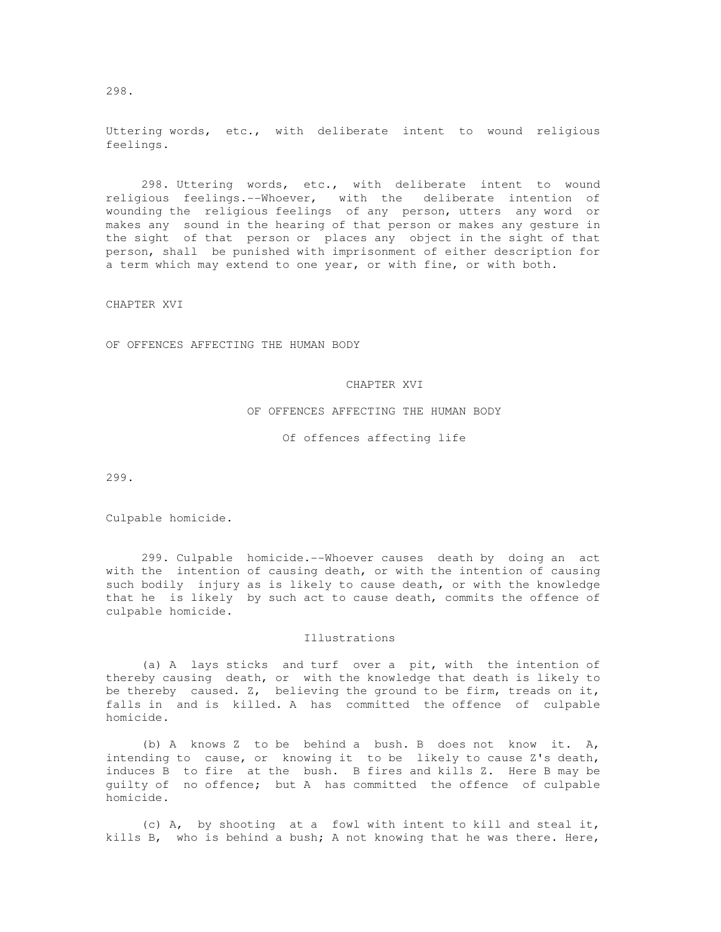Uttering words, etc., with deliberate intent to wound religious feelings.

 298. Uttering words, etc., with deliberate intent to wound religious feelings.--Whoever, with the deliberate intention of wounding the religious feelings of any person, utters any word or makes any sound in the hearing of that person or makes any gesture in the sight of that person or places any object in the sight of that person, shall be punished with imprisonment of either description for a term which may extend to one year, or with fine, or with both.

CHAPTER XVI

OF OFFENCES AFFECTING THE HUMAN BODY

#### CHAPTER XVI

OF OFFENCES AFFECTING THE HUMAN BODY

Of offences affecting life

299.

Culpable homicide.

 299. Culpable homicide.--Whoever causes death by doing an act with the intention of causing death, or with the intention of causing such bodily injury as is likely to cause death, or with the knowledge that he is likely by such act to cause death, commits the offence of culpable homicide.

## Illustrations

 (a) A lays sticks and turf over a pit, with the intention of thereby causing death, or with the knowledge that death is likely to be thereby caused. Z, believing the ground to be firm, treads on it, falls in and is killed. A has committed the offence of culpable homicide.

 (b) A knows Z to be behind a bush. B does not know it. A, intending to cause, or knowing it to be likely to cause Z's death, induces B to fire at the bush. B fires and kills Z. Here B may be guilty of no offence; but A has committed the offence of culpable homicide.

 (c) A, by shooting at a fowl with intent to kill and steal it, kills B, who is behind a bush; A not knowing that he was there. Here,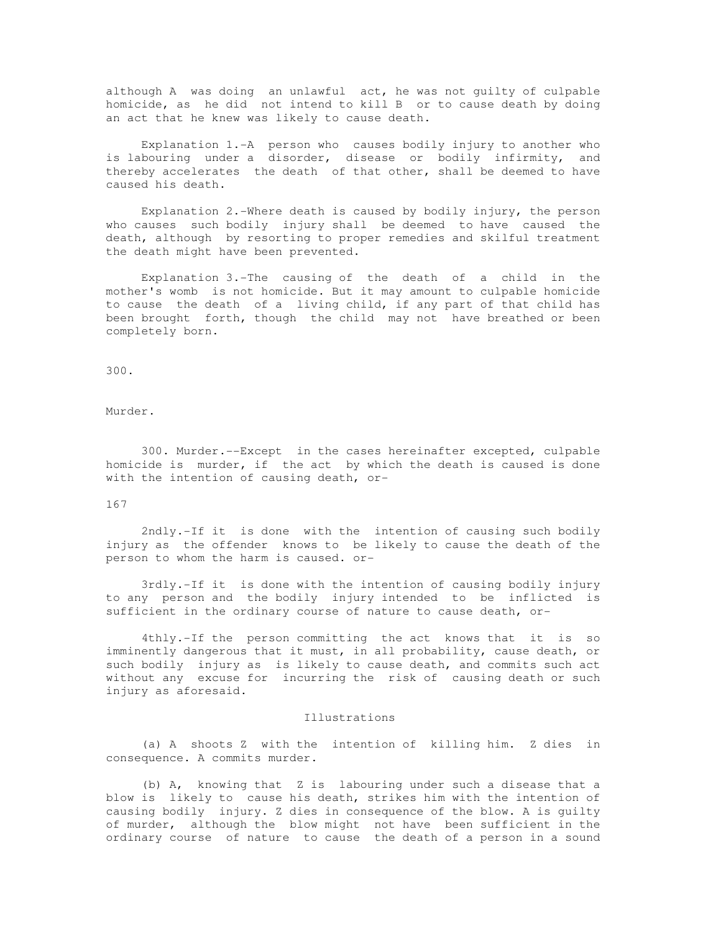although A was doing an unlawful act, he was not guilty of culpable homicide, as he did not intend to kill B or to cause death by doing an act that he knew was likely to cause death.

 Explanation 1.-A person who causes bodily injury to another who is labouring under a disorder, disease or bodily infirmity, and thereby accelerates the death of that other, shall be deemed to have caused his death.

 Explanation 2.-Where death is caused by bodily injury, the person who causes such bodily injury shall be deemed to have caused the death, although by resorting to proper remedies and skilful treatment the death might have been prevented.

 Explanation 3.-The causing of the death of a child in the mother's womb is not homicide. But it may amount to culpable homicide to cause the death of a living child, if any part of that child has been brought forth, though the child may not have breathed or been completely born.

300.

Murder.

 300. Murder.--Except in the cases hereinafter excepted, culpable homicide is murder, if the act by which the death is caused is done with the intention of causing death, or-

## 167

 2ndly.-If it is done with the intention of causing such bodily injury as the offender knows to be likely to cause the death of the person to whom the harm is caused. or-

 3rdly.-If it is done with the intention of causing bodily injury to any person and the bodily injury intended to be inflicted is sufficient in the ordinary course of nature to cause death, or-

 4thly.-If the person committing the act knows that it is so imminently dangerous that it must, in all probability, cause death, or such bodily injury as is likely to cause death, and commits such act without any excuse for incurring the risk of causing death or such injury as aforesaid.

#### Illustrations

 (a) A shoots Z with the intention of killing him. Z dies in consequence. A commits murder.

 (b) A, knowing that Z is labouring under such a disease that a blow is likely to cause his death, strikes him with the intention of causing bodily injury. Z dies in consequence of the blow. A is guilty of murder, although the blow might not have been sufficient in the ordinary course of nature to cause the death of a person in a sound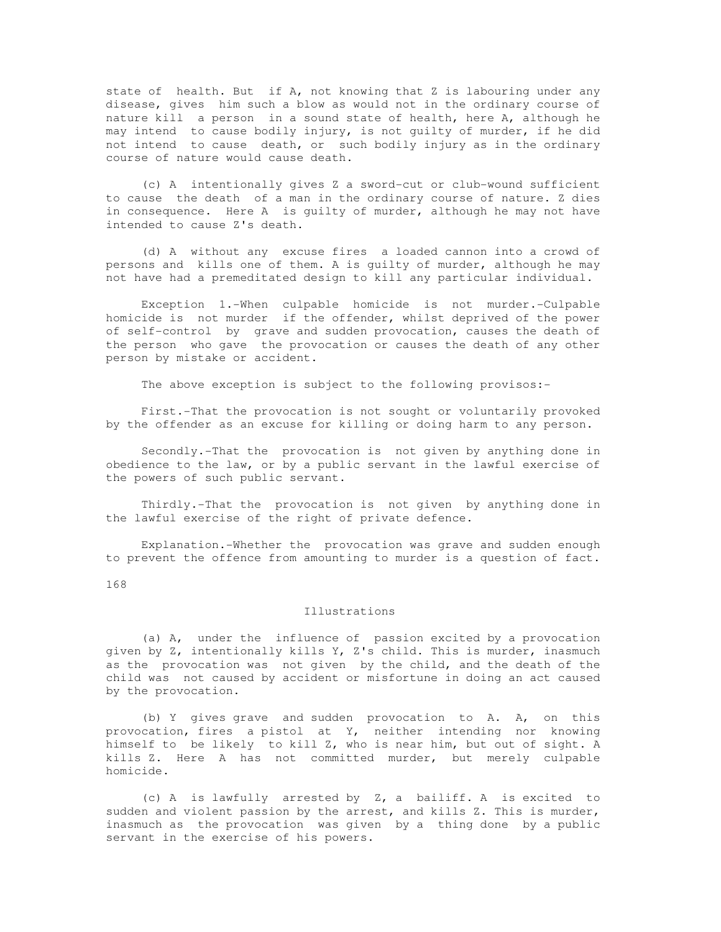state of health. But if A, not knowing that Z is labouring under any disease, gives him such a blow as would not in the ordinary course of nature kill a person in a sound state of health, here A, although he may intend to cause bodily injury, is not guilty of murder, if he did not intend to cause death, or such bodily injury as in the ordinary course of nature would cause death.

 (c) A intentionally gives Z a sword-cut or club-wound sufficient to cause the death of a man in the ordinary course of nature. Z dies in consequence. Here A is guilty of murder, although he may not have intended to cause Z's death.

 (d) A without any excuse fires a loaded cannon into a crowd of persons and kills one of them. A is guilty of murder, although he may not have had a premeditated design to kill any particular individual.

 Exception 1.-When culpable homicide is not murder.-Culpable homicide is not murder if the offender, whilst deprived of the power of self-control by grave and sudden provocation, causes the death of the person who gave the provocation or causes the death of any other person by mistake or accident.

The above exception is subject to the following provisos:-

 First.-That the provocation is not sought or voluntarily provoked by the offender as an excuse for killing or doing harm to any person.

 Secondly.-That the provocation is not given by anything done in obedience to the law, or by a public servant in the lawful exercise of the powers of such public servant.

 Thirdly.-That the provocation is not given by anything done in the lawful exercise of the right of private defence.

 Explanation.-Whether the provocation was grave and sudden enough to prevent the offence from amounting to murder is a question of fact.

168

#### Illustrations

 (a) A, under the influence of passion excited by a provocation given by Z, intentionally kills Y, Z's child. This is murder, inasmuch as the provocation was not given by the child, and the death of the child was not caused by accident or misfortune in doing an act caused by the provocation.

 (b) Y gives grave and sudden provocation to A. A, on this provocation, fires a pistol at Y, neither intending nor knowing himself to be likely to kill Z, who is near him, but out of sight. A kills Z. Here A has not committed murder, but merely culpable homicide.

 (c) A is lawfully arrested by Z, a bailiff. A is excited to sudden and violent passion by the arrest, and kills Z. This is murder, inasmuch as the provocation was given by a thing done by a public servant in the exercise of his powers.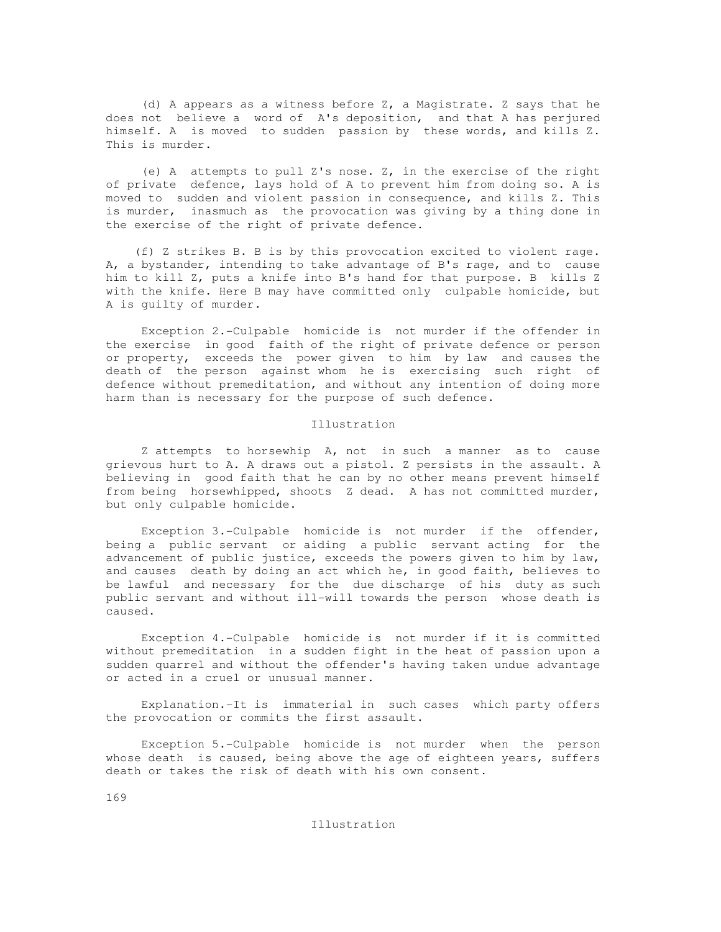(d) A appears as a witness before Z, a Magistrate. Z says that he does not believe a word of A's deposition, and that A has perjured himself. A is moved to sudden passion by these words, and kills Z. This is murder.

 (e) A attempts to pull Z's nose. Z, in the exercise of the right of private defence, lays hold of A to prevent him from doing so. A is moved to sudden and violent passion in consequence, and kills Z. This is murder, inasmuch as the provocation was giving by a thing done in the exercise of the right of private defence.

 (f) Z strikes B. B is by this provocation excited to violent rage. A, a bystander, intending to take advantage of B's rage, and to cause him to kill Z, puts a knife into B's hand for that purpose. B kills Z with the knife. Here B may have committed only culpable homicide, but A is guilty of murder.

 Exception 2.-Culpable homicide is not murder if the offender in the exercise in good faith of the right of private defence or person or property, exceeds the power given to him by law and causes the death of the person against whom he is exercising such right of defence without premeditation, and without any intention of doing more harm than is necessary for the purpose of such defence.

# Illustration

 Z attempts to horsewhip A, not in such a manner as to cause grievous hurt to A. A draws out a pistol. Z persists in the assault. A believing in good faith that he can by no other means prevent himself from being horsewhipped, shoots Z dead. A has not committed murder, but only culpable homicide.

 Exception 3.-Culpable homicide is not murder if the offender, being a public servant or aiding a public servant acting for the advancement of public justice, exceeds the powers given to him by law, and causes death by doing an act which he, in good faith, believes to be lawful and necessary for the due discharge of his duty as such public servant and without ill-will towards the person whose death is caused.

 Exception 4.-Culpable homicide is not murder if it is committed without premeditation in a sudden fight in the heat of passion upon a sudden quarrel and without the offender's having taken undue advantage or acted in a cruel or unusual manner.

 Explanation.-It is immaterial in such cases which party offers the provocation or commits the first assault.

 Exception 5.-Culpable homicide is not murder when the person whose death is caused, being above the age of eighteen years, suffers death or takes the risk of death with his own consent.

Illustration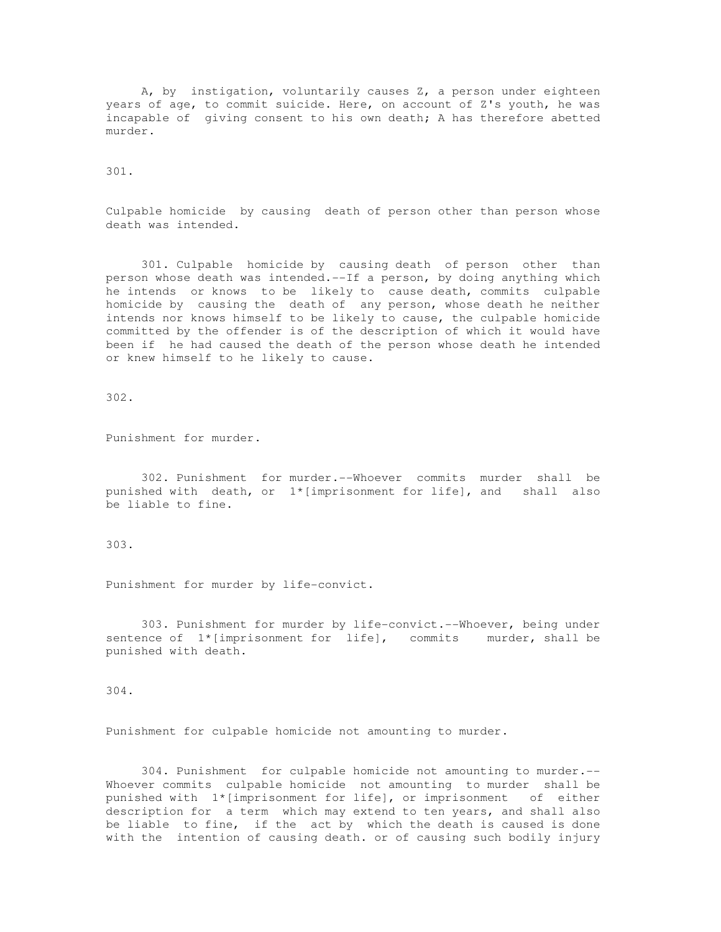A, by instigation, voluntarily causes Z, a person under eighteen years of age, to commit suicide. Here, on account of Z's youth, he was incapable of giving consent to his own death; A has therefore abetted murder.

301.

Culpable homicide by causing death of person other than person whose death was intended.

 301. Culpable homicide by causing death of person other than person whose death was intended.--If a person, by doing anything which he intends or knows to be likely to cause death, commits culpable homicide by causing the death of any person, whose death he neither intends nor knows himself to be likely to cause, the culpable homicide committed by the offender is of the description of which it would have been if he had caused the death of the person whose death he intended or knew himself to he likely to cause.

302.

Punishment for murder.

 302. Punishment for murder.--Whoever commits murder shall be punished with death, or 1\*[imprisonment for life], and shall also be liable to fine.

303.

Punishment for murder by life-convict.

 303. Punishment for murder by life-convict.--Whoever, being under sentence of  $1*(\text{imprisonment for life}),$  commits murder, shall be punished with death.

304.

Punishment for culpable homicide not amounting to murder.

 304. Punishment for culpable homicide not amounting to murder.-- Whoever commits culpable homicide not amounting to murder shall be punished with 1\*[imprisonment for life], or imprisonment of either description for a term which may extend to ten years, and shall also be liable to fine, if the act by which the death is caused is done with the intention of causing death. or of causing such bodily injury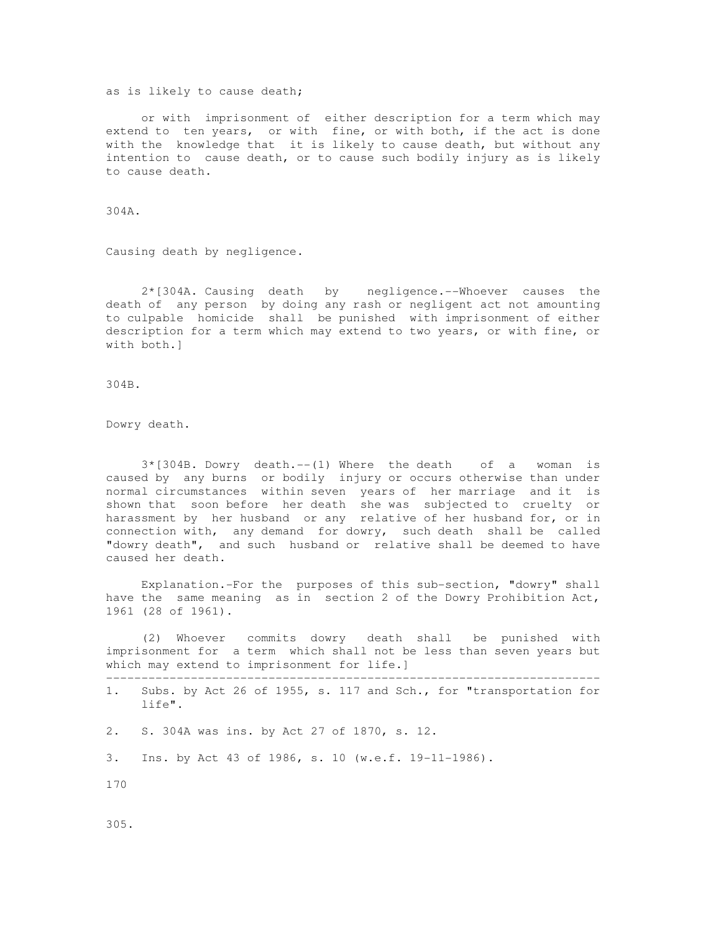as is likely to cause death;

 or with imprisonment of either description for a term which may extend to ten years, or with fine, or with both, if the act is done with the knowledge that it is likely to cause death, but without any intention to cause death, or to cause such bodily injury as is likely to cause death.

304A.

Causing death by negligence.

 2\*[304A. Causing death by negligence.--Whoever causes the death of any person by doing any rash or negligent act not amounting to culpable homicide shall be punished with imprisonment of either description for a term which may extend to two years, or with fine, or with both.]

304B.

Dowry death.

 3\*[304B. Dowry death.--(1) Where the death of a woman is caused by any burns or bodily injury or occurs otherwise than under normal circumstances within seven years of her marriage and it is shown that soon before her death she was subjected to cruelty or harassment by her husband or any relative of her husband for, or in connection with, any demand for dowry, such death shall be called "dowry death", and such husband or relative shall be deemed to have caused her death.

 Explanation.-For the purposes of this sub-section, "dowry" shall have the same meaning as in section 2 of the Dowry Prohibition Act, 1961 (28 of 1961).

 (2) Whoever commits dowry death shall be punished with imprisonment for a term which shall not be less than seven years but which may extend to imprisonment for life.]

---------------------------------------------------------------------- 1. Subs. by Act 26 of 1955, s. 117 and Sch., for "transportation for life".

2. S. 304A was ins. by Act 27 of 1870, s. 12.

3. Ins. by Act 43 of 1986, s. 10 (w.e.f. 19-11-1986).

170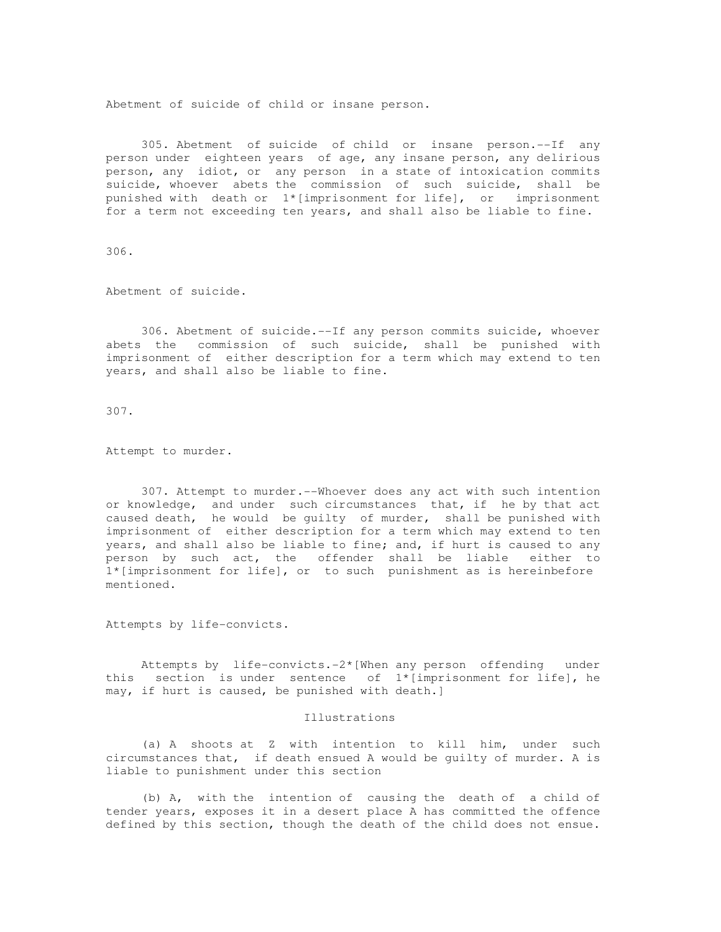Abetment of suicide of child or insane person.

 305. Abetment of suicide of child or insane person.--If any person under eighteen years of age, any insane person, any delirious person, any idiot, or any person in a state of intoxication commits suicide, whoever abets the commission of such suicide, shall be punished with death or 1\*[imprisonment for life], or imprisonment for a term not exceeding ten years, and shall also be liable to fine.

306.

Abetment of suicide.

 306. Abetment of suicide.--If any person commits suicide, whoever abets the commission of such suicide, shall be punished with imprisonment of either description for a term which may extend to ten years, and shall also be liable to fine.

307.

Attempt to murder.

 307. Attempt to murder.--Whoever does any act with such intention or knowledge, and under such circumstances that, if he by that act caused death, he would be guilty of murder, shall be punished with imprisonment of either description for a term which may extend to ten years, and shall also be liable to fine; and, if hurt is caused to any person by such act, the offender shall be liable either to 1\*[imprisonment for life], or to such punishment as is hereinbefore mentioned.

Attempts by life-convicts.

 Attempts by life-convicts.-2\*[When any person offending under this section is under sentence of  $1*(\text{imprisomment for life}),$  he may, if hurt is caused, be punished with death.]

## Illustrations

 (a) A shoots at Z with intention to kill him, under such circumstances that, if death ensued A would be guilty of murder. A is liable to punishment under this section

 (b) A, with the intention of causing the death of a child of tender years, exposes it in a desert place A has committed the offence defined by this section, though the death of the child does not ensue.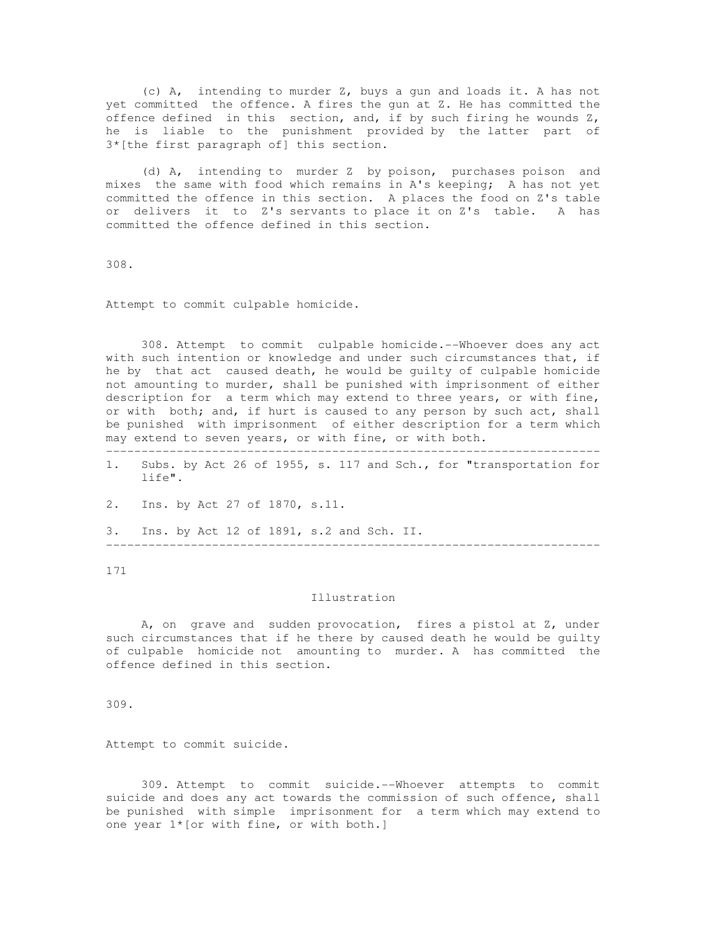(c) A, intending to murder Z, buys a gun and loads it. A has not yet committed the offence. A fires the gun at Z. He has committed the offence defined in this section, and, if by such firing he wounds  $Z$ , he is liable to the punishment provided by the latter part of 3\*[the first paragraph of] this section.

 (d) A, intending to murder Z by poison, purchases poison and mixes the same with food which remains in A's keeping; A has not yet committed the offence in this section. A places the food on Z's table or delivers it to Z's servants to place it on Z's table. A has committed the offence defined in this section.

308.

Attempt to commit culpable homicide.

 308. Attempt to commit culpable homicide.--Whoever does any act with such intention or knowledge and under such circumstances that, if he by that act caused death, he would be guilty of culpable homicide not amounting to murder, shall be punished with imprisonment of either description for a term which may extend to three years, or with fine, or with both; and, if hurt is caused to any person by such act, shall be punished with imprisonment of either description for a term which may extend to seven years, or with fine, or with both.

---------------------------------------------------------------------- 1. Subs. by Act 26 of 1955, s. 117 and Sch., for "transportation for life".

2. Ins. by Act 27 of 1870, s.11.

3. Ins. by Act 12 of 1891, s.2 and Sch. II. ----------------------------------------------------------------------

171

### Illustration

 A, on grave and sudden provocation, fires a pistol at Z, under such circumstances that if he there by caused death he would be guilty of culpable homicide not amounting to murder. A has committed the offence defined in this section.

309.

Attempt to commit suicide.

 309. Attempt to commit suicide.--Whoever attempts to commit suicide and does any act towards the commission of such offence, shall be punished with simple imprisonment for a term which may extend to one year 1\*[or with fine, or with both.]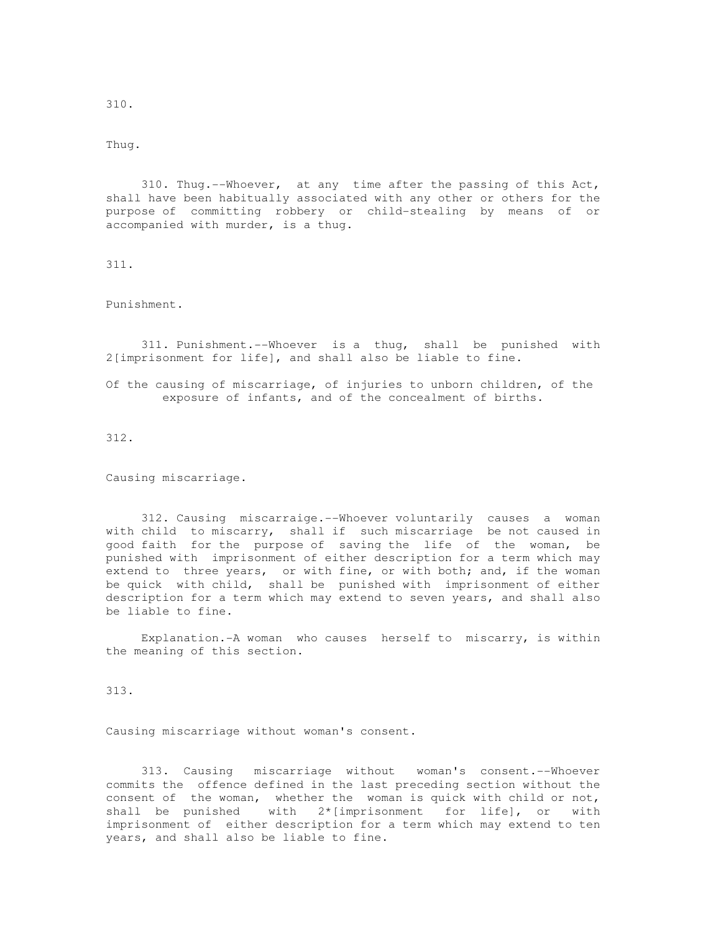310.

Thug.

 310. Thug.--Whoever, at any time after the passing of this Act, shall have been habitually associated with any other or others for the purpose of committing robbery or child-stealing by means of or accompanied with murder, is a thug.

311.

Punishment.

 311. Punishment.--Whoever is a thug, shall be punished with 2[imprisonment for life], and shall also be liable to fine.

Of the causing of miscarriage, of injuries to unborn children, of the exposure of infants, and of the concealment of births.

312.

Causing miscarriage.

 312. Causing miscarraige.--Whoever voluntarily causes a woman with child to miscarry, shall if such miscarriage be not caused in good faith for the purpose of saving the life of the woman, be punished with imprisonment of either description for a term which may extend to three years, or with fine, or with both; and, if the woman be quick with child, shall be punished with imprisonment of either description for a term which may extend to seven years, and shall also be liable to fine.

 Explanation.-A woman who causes herself to miscarry, is within the meaning of this section.

313.

Causing miscarriage without woman's consent.

 313. Causing miscarriage without woman's consent.--Whoever commits the offence defined in the last preceding section without the consent of the woman, whether the woman is quick with child or not, shall be punished with  $2*(\text{imprisomment for life}),$  or with imprisonment of either description for a term which may extend to ten years, and shall also be liable to fine.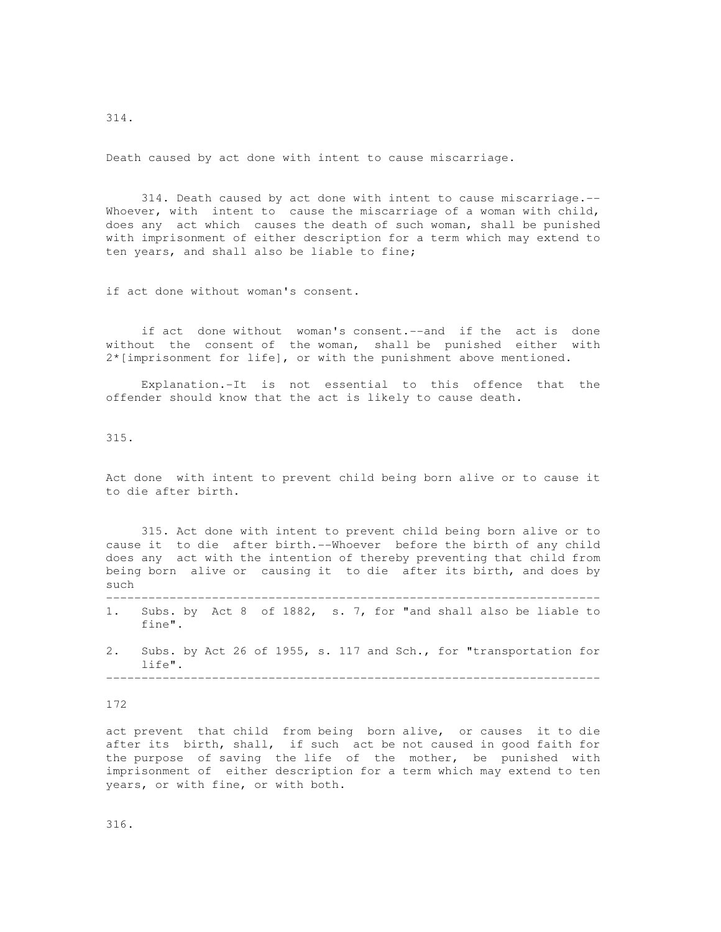Death caused by act done with intent to cause miscarriage.

 314. Death caused by act done with intent to cause miscarriage.-- Whoever, with intent to cause the miscarriage of a woman with child, does any act which causes the death of such woman, shall be punished with imprisonment of either description for a term which may extend to ten years, and shall also be liable to fine;

if act done without woman's consent.

 if act done without woman's consent.--and if the act is done without the consent of the woman, shall be punished either with 2\*[imprisonment for life], or with the punishment above mentioned.

 Explanation.-It is not essential to this offence that the offender should know that the act is likely to cause death.

315.

Act done with intent to prevent child being born alive or to cause it to die after birth.

 315. Act done with intent to prevent child being born alive or to cause it to die after birth.--Whoever before the birth of any child does any act with the intention of thereby preventing that child from being born alive or causing it to die after its birth, and does by such

---------------------------------------------------------------------- 1. Subs. by Act 8 of 1882, s. 7, for "and shall also be liable to

- fine".
- 2. Subs. by Act 26 of 1955, s. 117 and Sch., for "transportation for life". ----------------------------------------------------------------------

172

act prevent that child from being born alive, or causes it to die after its birth, shall, if such act be not caused in good faith for the purpose of saving the life of the mother, be punished with imprisonment of either description for a term which may extend to ten years, or with fine, or with both.

316.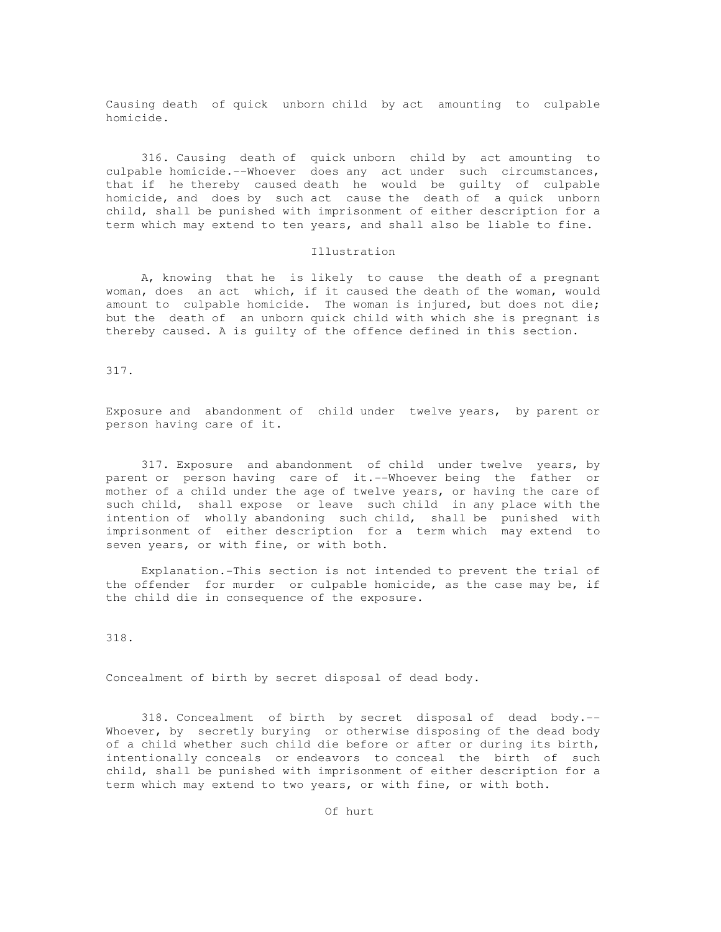Causing death of quick unborn child by act amounting to culpable homicide.

 316. Causing death of quick unborn child by act amounting to culpable homicide.--Whoever does any act under such circumstances, that if he thereby caused death he would be guilty of culpable homicide, and does by such act cause the death of a quick unborn child, shall be punished with imprisonment of either description for a term which may extend to ten years, and shall also be liable to fine.

## Illustration

 A, knowing that he is likely to cause the death of a pregnant woman, does an act which, if it caused the death of the woman, would amount to culpable homicide. The woman is injured, but does not die; but the death of an unborn quick child with which she is pregnant is thereby caused. A is guilty of the offence defined in this section.

317.

Exposure and abandonment of child under twelve years, by parent or person having care of it.

 317. Exposure and abandonment of child under twelve years, by parent or person having care of it.--Whoever being the father or mother of a child under the age of twelve years, or having the care of such child, shall expose or leave such child in any place with the intention of wholly abandoning such child, shall be punished with imprisonment of either description for a term which may extend to seven years, or with fine, or with both.

 Explanation.-This section is not intended to prevent the trial of the offender for murder or culpable homicide, as the case may be, if the child die in consequence of the exposure.

318.

Concealment of birth by secret disposal of dead body.

 318. Concealment of birth by secret disposal of dead body.-- Whoever, by secretly burying or otherwise disposing of the dead body of a child whether such child die before or after or during its birth, intentionally conceals or endeavors to conceal the birth of such child, shall be punished with imprisonment of either description for a term which may extend to two years, or with fine, or with both.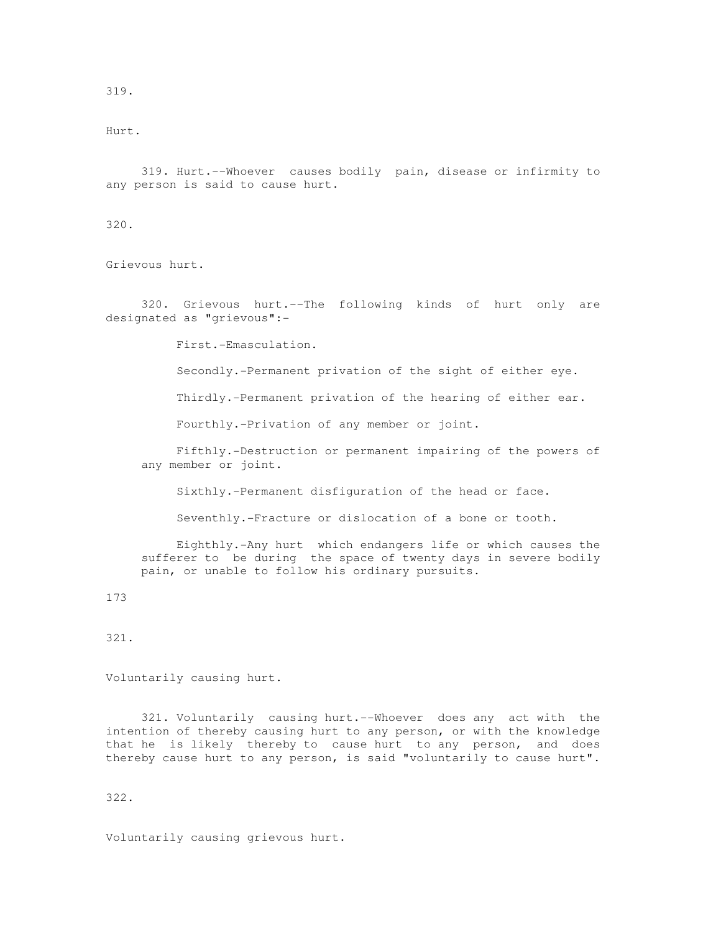319.

Hurt.

 319. Hurt.--Whoever causes bodily pain, disease or infirmity to any person is said to cause hurt.

320.

Grievous hurt.

 320. Grievous hurt.--The following kinds of hurt only are designated as "grievous":-

First.-Emasculation.

Secondly.-Permanent privation of the sight of either eye.

Thirdly.-Permanent privation of the hearing of either ear.

Fourthly.-Privation of any member or joint.

 Fifthly.-Destruction or permanent impairing of the powers of any member or joint.

Sixthly.-Permanent disfiguration of the head or face.

Seventhly.-Fracture or dislocation of a bone or tooth.

 Eighthly.-Any hurt which endangers life or which causes the sufferer to be during the space of twenty days in severe bodily pain, or unable to follow his ordinary pursuits.

# 173

## 321.

Voluntarily causing hurt.

 321. Voluntarily causing hurt.--Whoever does any act with the intention of thereby causing hurt to any person, or with the knowledge that he is likely thereby to cause hurt to any person, and does thereby cause hurt to any person, is said "voluntarily to cause hurt".

322.

Voluntarily causing grievous hurt.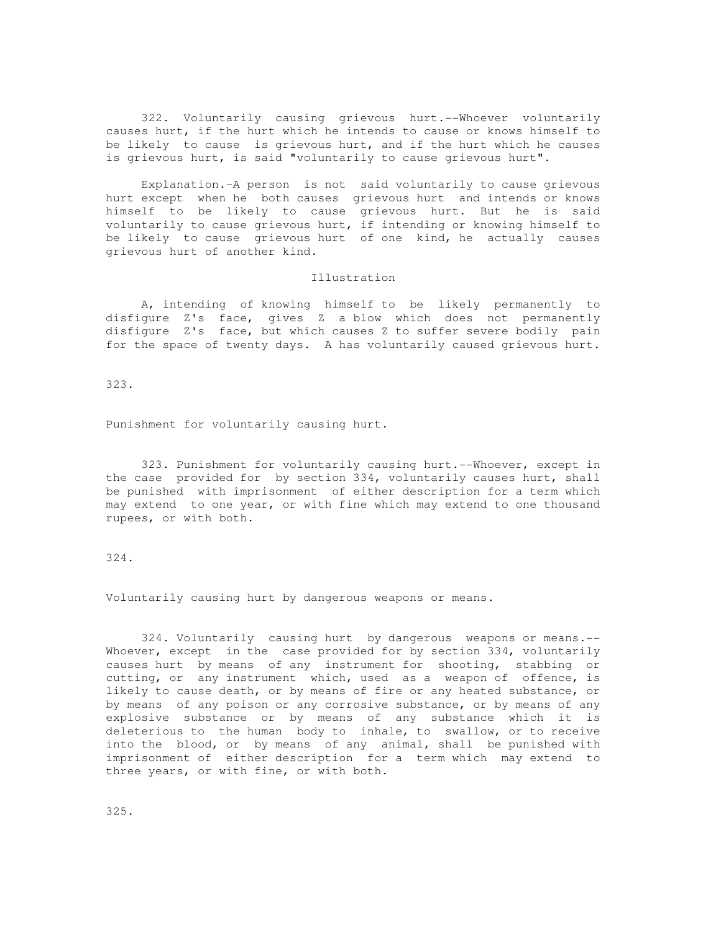322. Voluntarily causing grievous hurt.--Whoever voluntarily causes hurt, if the hurt which he intends to cause or knows himself to be likely to cause is grievous hurt, and if the hurt which he causes is grievous hurt, is said "voluntarily to cause grievous hurt".

 Explanation.-A person is not said voluntarily to cause grievous hurt except when he both causes grievous hurt and intends or knows himself to be likely to cause grievous hurt. But he is said voluntarily to cause grievous hurt, if intending or knowing himself to be likely to cause grievous hurt of one kind, he actually causes grievous hurt of another kind.

## Illustration

 A, intending of knowing himself to be likely permanently to disfigure Z's face, gives Z a blow which does not permanently disfigure Z's face, but which causes Z to suffer severe bodily pain for the space of twenty days. A has voluntarily caused grievous hurt.

323.

Punishment for voluntarily causing hurt.

 323. Punishment for voluntarily causing hurt.--Whoever, except in the case provided for by section 334, voluntarily causes hurt, shall be punished with imprisonment of either description for a term which may extend to one year, or with fine which may extend to one thousand rupees, or with both.

# 324.

Voluntarily causing hurt by dangerous weapons or means.

 324. Voluntarily causing hurt by dangerous weapons or means.-- Whoever, except in the case provided for by section 334, voluntarily causes hurt by means of any instrument for shooting, stabbing or cutting, or any instrument which, used as a weapon of offence, is likely to cause death, or by means of fire or any heated substance, or by means of any poison or any corrosive substance, or by means of any explosive substance or by means of any substance which it is deleterious to the human body to inhale, to swallow, or to receive into the blood, or by means of any animal, shall be punished with imprisonment of either description for a term which may extend to three years, or with fine, or with both.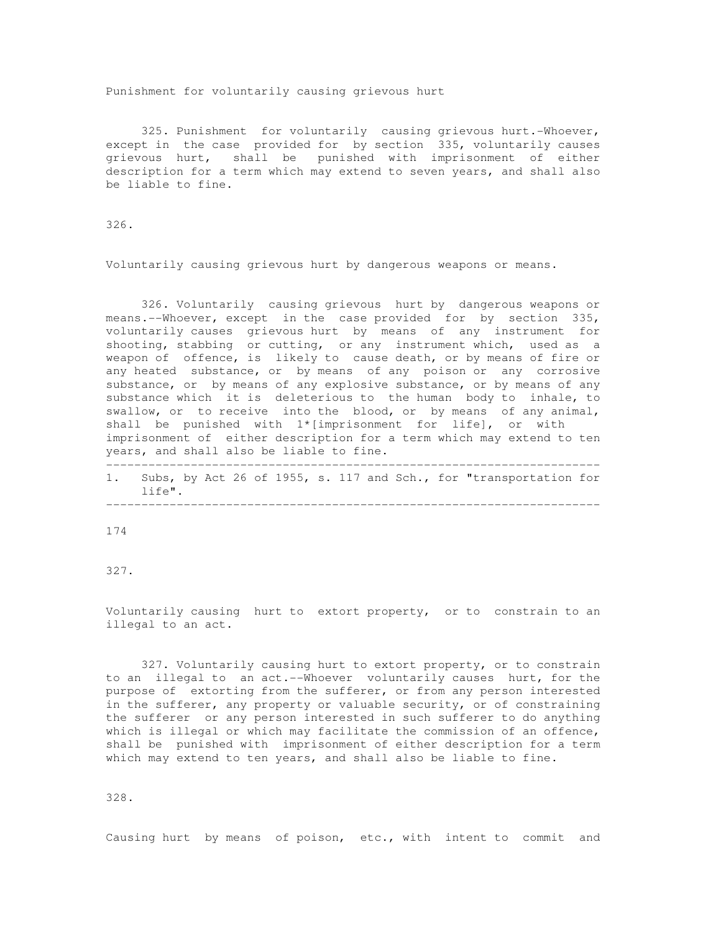Punishment for voluntarily causing grievous hurt

 325. Punishment for voluntarily causing grievous hurt.-Whoever, except in the case provided for by section 335, voluntarily causes grievous hurt, shall be punished with imprisonment of either description for a term which may extend to seven years, and shall also be liable to fine.

326.

Voluntarily causing grievous hurt by dangerous weapons or means.

 326. Voluntarily causing grievous hurt by dangerous weapons or means.--Whoever, except in the case provided for by section 335, voluntarily causes grievous hurt by means of any instrument for shooting, stabbing or cutting, or any instrument which, used as a weapon of offence, is likely to cause death, or by means of fire or any heated substance, or by means of any poison or any corrosive substance, or by means of any explosive substance, or by means of any substance which it is deleterious to the human body to inhale, to swallow, or to receive into the blood, or by means of any animal, shall be punished with 1\*[imprisonment for life], or with imprisonment of either description for a term which may extend to ten years, and shall also be liable to fine. ----------------------------------------------------------------------

1. Subs, by Act 26 of 1955, s. 117 and Sch., for "transportation for life".

----------------------------------------------------------------------

174

327.

Voluntarily causing hurt to extort property, or to constrain to an illegal to an act.

 327. Voluntarily causing hurt to extort property, or to constrain to an illegal to an act.--Whoever voluntarily causes hurt, for the purpose of extorting from the sufferer, or from any person interested in the sufferer, any property or valuable security, or of constraining the sufferer or any person interested in such sufferer to do anything which is illegal or which may facilitate the commission of an offence, shall be punished with imprisonment of either description for a term which may extend to ten years, and shall also be liable to fine.

328.

Causing hurt by means of poison, etc., with intent to commit and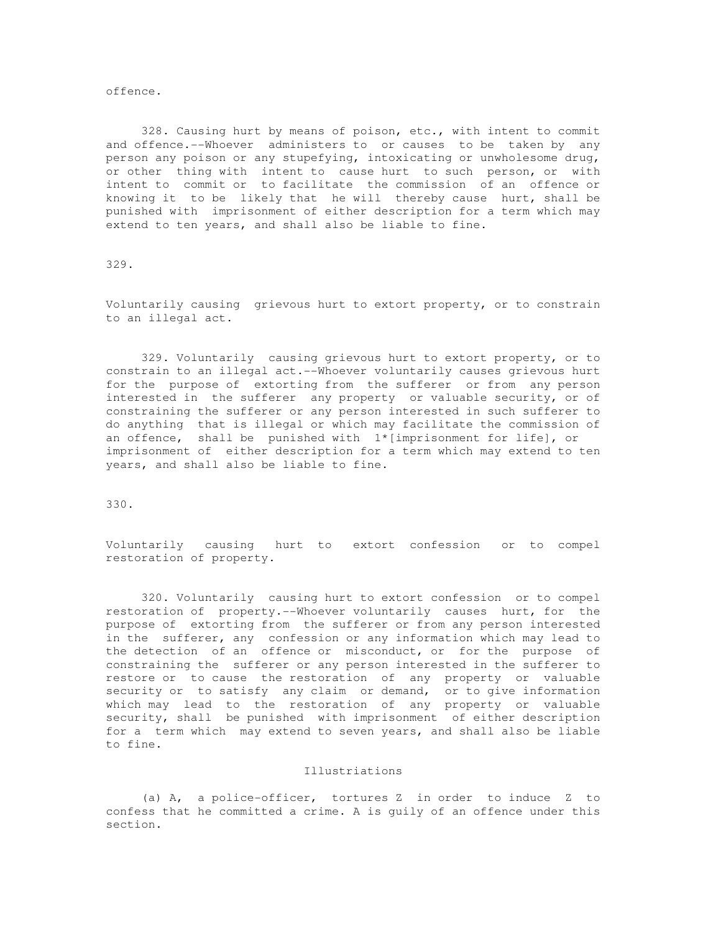offence.

 328. Causing hurt by means of poison, etc., with intent to commit and offence.--Whoever administers to or causes to be taken by any person any poison or any stupefying, intoxicating or unwholesome drug, or other thing with intent to cause hurt to such person, or with intent to commit or to facilitate the commission of an offence or knowing it to be likely that he will thereby cause hurt, shall be punished with imprisonment of either description for a term which may extend to ten years, and shall also be liable to fine.

# 329.

Voluntarily causing grievous hurt to extort property, or to constrain to an illegal act.

 329. Voluntarily causing grievous hurt to extort property, or to constrain to an illegal act.--Whoever voluntarily causes grievous hurt for the purpose of extorting from the sufferer or from any person interested in the sufferer any property or valuable security, or of constraining the sufferer or any person interested in such sufferer to do anything that is illegal or which may facilitate the commission of an offence, shall be punished with  $1*(\text{imprisomment for life}),$  or imprisonment of either description for a term which may extend to ten years, and shall also be liable to fine.

330.

Voluntarily causing hurt to extort confession or to compel restoration of property.

 320. Voluntarily causing hurt to extort confession or to compel restoration of property.--Whoever voluntarily causes hurt, for the purpose of extorting from the sufferer or from any person interested in the sufferer, any confession or any information which may lead to the detection of an offence or misconduct, or for the purpose of constraining the sufferer or any person interested in the sufferer to restore or to cause the restoration of any property or valuable security or to satisfy any claim or demand, or to give information which may lead to the restoration of any property or valuable security, shall be punished with imprisonment of either description for a term which may extend to seven years, and shall also be liable to fine.

# Illustriations

 (a) A, a police-officer, tortures Z in order to induce Z to confess that he committed a crime. A is guily of an offence under this section.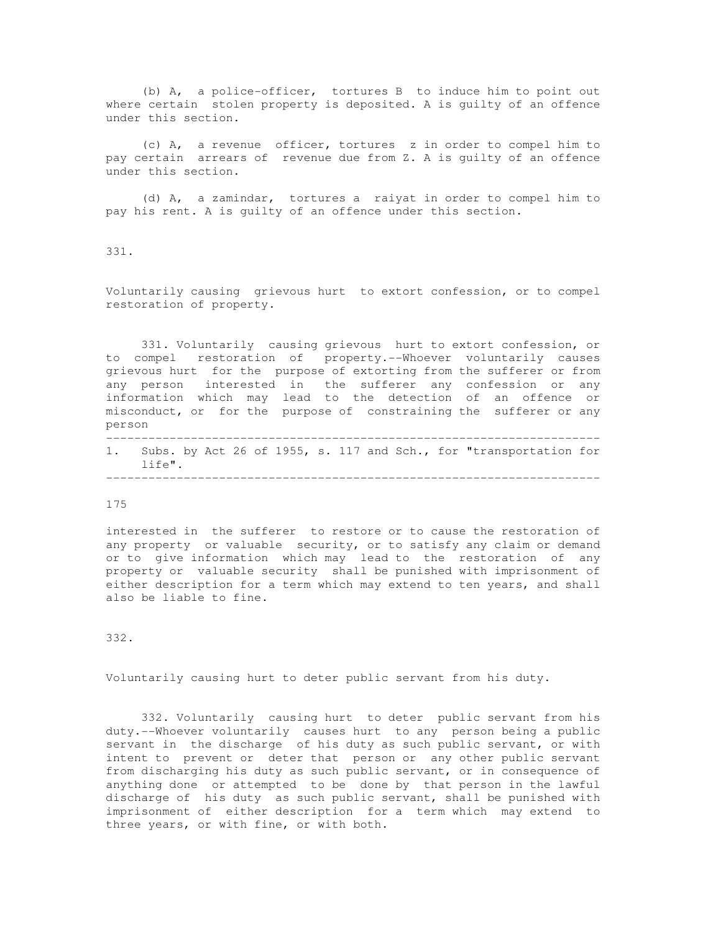(b) A, a police-officer, tortures B to induce him to point out where certain stolen property is deposited. A is quilty of an offence under this section.

 (c) A, a revenue officer, tortures z in order to compel him to pay certain arrears of revenue due from Z. A is guilty of an offence under this section.

 (d) A, a zamindar, tortures a raiyat in order to compel him to pay his rent. A is guilty of an offence under this section.

331.

Voluntarily causing grievous hurt to extort confession, or to compel restoration of property.

 331. Voluntarily causing grievous hurt to extort confession, or to compel restoration of property.--Whoever voluntarily causes grievous hurt for the purpose of extorting from the sufferer or from any person interested in the sufferer any confession or any information which may lead to the detection of an offence or misconduct, or for the purpose of constraining the sufferer or any person ----------------------------------------------------------------------

1. Subs. by Act 26 of 1955, s. 117 and Sch., for "transportation for life". ----------------------------------------------------------------------

175

interested in the sufferer to restore or to cause the restoration of any property or valuable security, or to satisfy any claim or demand or to give information which may lead to the restoration of any property or valuable security shall be punished with imprisonment of either description for a term which may extend to ten years, and shall also be liable to fine.

332.

Voluntarily causing hurt to deter public servant from his duty.

 332. Voluntarily causing hurt to deter public servant from his duty.--Whoever voluntarily causes hurt to any person being a public servant in the discharge of his duty as such public servant, or with intent to prevent or deter that person or any other public servant from discharging his duty as such public servant, or in consequence of anything done or attempted to be done by that person in the lawful discharge of his duty as such public servant, shall be punished with imprisonment of either description for a term which may extend to three years, or with fine, or with both.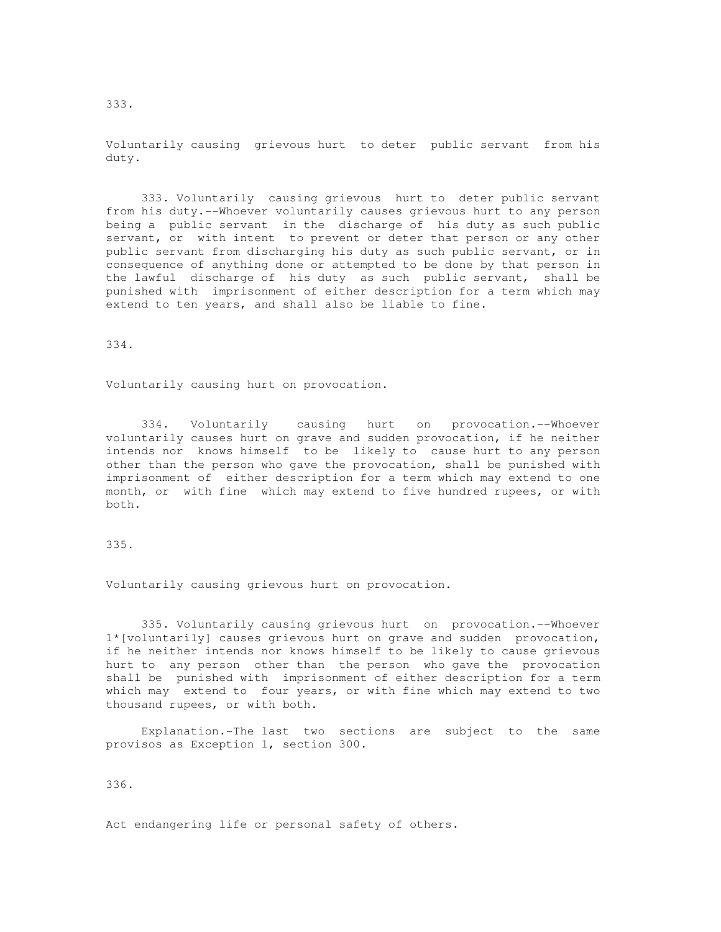Voluntarily causing grievous hurt to deter public servant from his duty.

 333. Voluntarily causing grievous hurt to deter public servant from his duty.--Whoever voluntarily causes grievous hurt to any person being a public servant in the discharge of his duty as such public servant, or with intent to prevent or deter that person or any other public servant from discharging his duty as such public servant, or in consequence of anything done or attempted to be done by that person in the lawful discharge of his duty as such public servant, shall be punished with imprisonment of either description for a term which may extend to ten years, and shall also be liable to fine.

334.

Voluntarily causing hurt on provocation.

 334. Voluntarily causing hurt on provocation.--Whoever voluntarily causes hurt on grave and sudden provocation, if he neither intends nor knows himself to be likely to cause hurt to any person other than the person who gave the provocation, shall be punished with imprisonment of either description for a term which may extend to one month, or with fine which may extend to five hundred rupees, or with both.

335.

Voluntarily causing grievous hurt on provocation.

 335. Voluntarily causing grievous hurt on provocation.--Whoever 1\*[voluntarily] causes grievous hurt on grave and sudden provocation, if he neither intends nor knows himself to be likely to cause grievous hurt to any person other than the person who gave the provocation shall be punished with imprisonment of either description for a term which may extend to four years, or with fine which may extend to two thousand rupees, or with both.

 Explanation.-The last two sections are subject to the same provisos as Exception 1, section 300.

336.

Act endangering life or personal safety of others.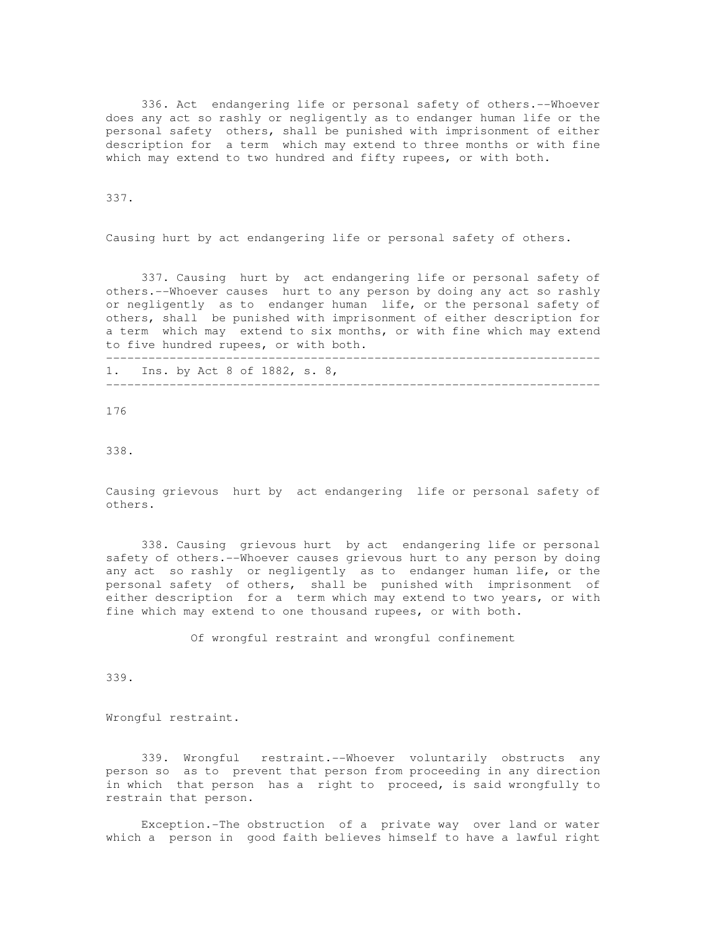336. Act endangering life or personal safety of others.--Whoever does any act so rashly or negligently as to endanger human life or the personal safety others, shall be punished with imprisonment of either description for a term which may extend to three months or with fine which may extend to two hundred and fifty rupees, or with both.

337.

Causing hurt by act endangering life or personal safety of others.

 337. Causing hurt by act endangering life or personal safety of others.--Whoever causes hurt to any person by doing any act so rashly or negligently as to endanger human life, or the personal safety of others, shall be punished with imprisonment of either description for a term which may extend to six months, or with fine which may extend to five hundred rupees, or with both.

---------------------------------------------------------------------- 1. Ins. by Act 8 of 1882, s. 8, ----------------------------------------------------------------------

176

338.

Causing grievous hurt by act endangering life or personal safety of others.

 338. Causing grievous hurt by act endangering life or personal safety of others.--Whoever causes grievous hurt to any person by doing any act so rashly or negligently as to endanger human life, or the personal safety of others, shall be punished with imprisonment of either description for a term which may extend to two years, or with fine which may extend to one thousand rupees, or with both.

Of wrongful restraint and wrongful confinement

339.

Wrongful restraint.

 339. Wrongful restraint.--Whoever voluntarily obstructs any person so as to prevent that person from proceeding in any direction in which that person has a right to proceed, is said wrongfully to restrain that person.

 Exception.-The obstruction of a private way over land or water which a person in good faith believes himself to have a lawful right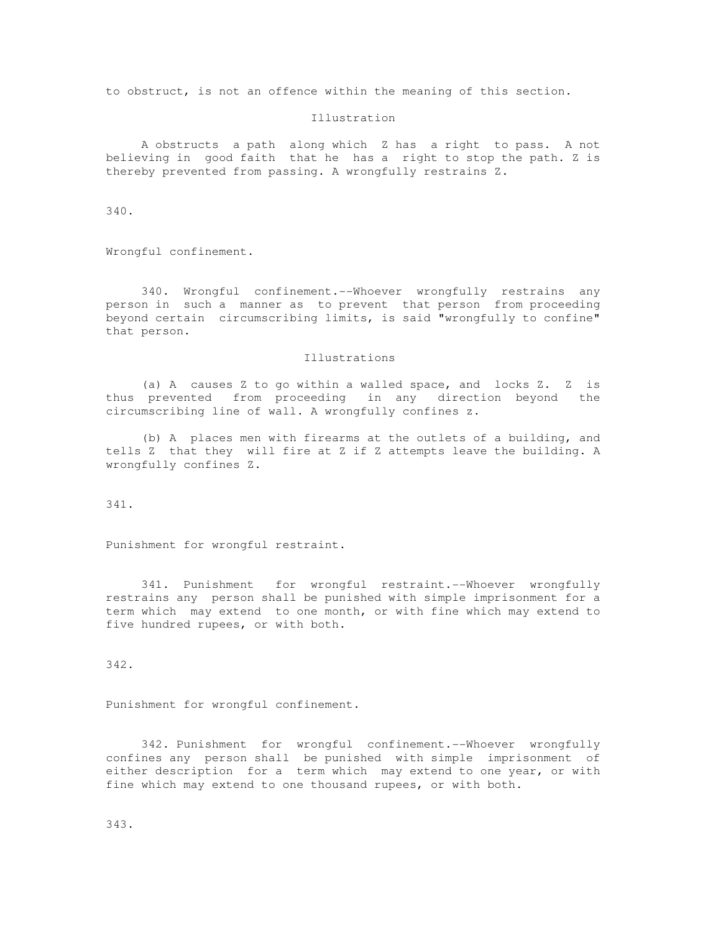to obstruct, is not an offence within the meaning of this section.

## Illustration

 A obstructs a path along which Z has a right to pass. A not believing in good faith that he has a right to stop the path. Z is thereby prevented from passing. A wrongfully restrains Z.

340.

Wrongful confinement.

 340. Wrongful confinement.--Whoever wrongfully restrains any person in such a manner as to prevent that person from proceeding beyond certain circumscribing limits, is said "wrongfully to confine" that person.

### Illustrations

 (a) A causes Z to go within a walled space, and locks Z. Z is thus prevented from proceeding in any direction beyond the circumscribing line of wall. A wrongfully confines z.

 (b) A places men with firearms at the outlets of a building, and tells Z that they will fire at Z if Z attempts leave the building. A wrongfully confines Z.

341.

Punishment for wrongful restraint.

 341. Punishment for wrongful restraint.--Whoever wrongfully restrains any person shall be punished with simple imprisonment for a term which may extend to one month, or with fine which may extend to five hundred rupees, or with both.

342.

Punishment for wrongful confinement.

 342. Punishment for wrongful confinement.--Whoever wrongfully confines any person shall be punished with simple imprisonment of either description for a term which may extend to one year, or with fine which may extend to one thousand rupees, or with both.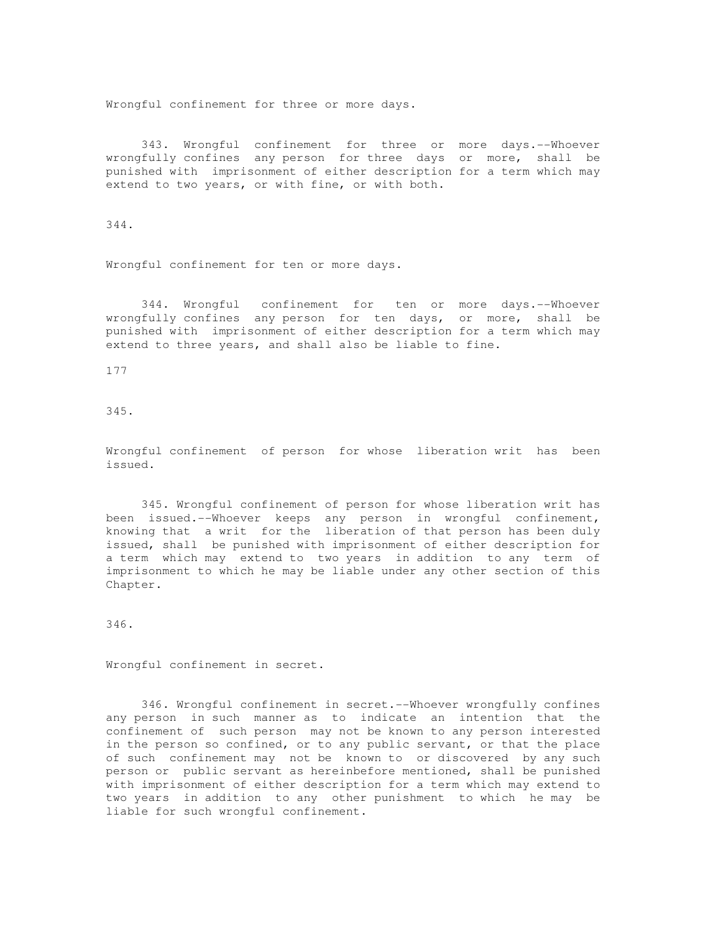Wrongful confinement for three or more days.

 343. Wrongful confinement for three or more days.--Whoever wrongfully confines any person for three days or more, shall be punished with imprisonment of either description for a term which may extend to two years, or with fine, or with both.

344.

Wrongful confinement for ten or more days.

 344. Wrongful confinement for ten or more days.--Whoever wrongfully confines any person for ten days, or more, shall be punished with imprisonment of either description for a term which may extend to three years, and shall also be liable to fine.

177

345.

Wrongful confinement of person for whose liberation writ has been issued.

 345. Wrongful confinement of person for whose liberation writ has been issued.--Whoever keeps any person in wrongful confinement, knowing that a writ for the liberation of that person has been duly issued, shall be punished with imprisonment of either description for a term which may extend to two years in addition to any term of imprisonment to which he may be liable under any other section of this Chapter.

346.

Wrongful confinement in secret.

 346. Wrongful confinement in secret.--Whoever wrongfully confines any person in such manner as to indicate an intention that the confinement of such person may not be known to any person interested in the person so confined, or to any public servant, or that the place of such confinement may not be known to or discovered by any such person or public servant as hereinbefore mentioned, shall be punished with imprisonment of either description for a term which may extend to two years in addition to any other punishment to which he may be liable for such wrongful confinement.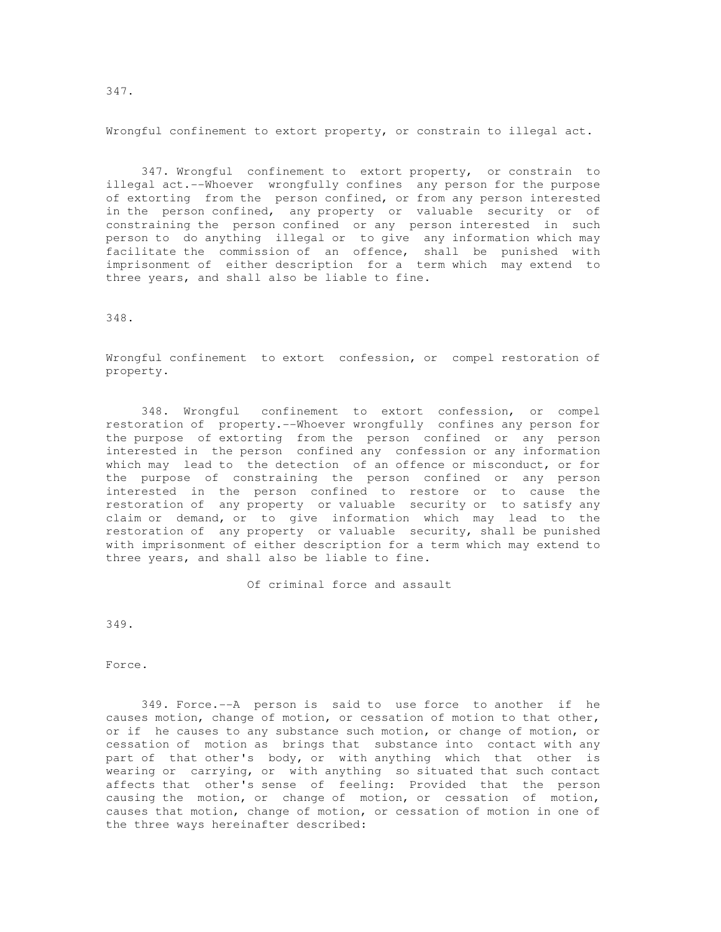Wrongful confinement to extort property, or constrain to illegal act.

 347. Wrongful confinement to extort property, or constrain to illegal act.--Whoever wrongfully confines any person for the purpose of extorting from the person confined, or from any person interested in the person confined, any property or valuable security or of constraining the person confined or any person interested in such person to do anything illegal or to give any information which may facilitate the commission of an offence, shall be punished with imprisonment of either description for a term which may extend to three years, and shall also be liable to fine.

348.

Wrongful confinement to extort confession, or compel restoration of property.

 348. Wrongful confinement to extort confession, or compel restoration of property.--Whoever wrongfully confines any person for the purpose of extorting from the person confined or any person interested in the person confined any confession or any information which may lead to the detection of an offence or misconduct, or for the purpose of constraining the person confined or any person interested in the person confined to restore or to cause the restoration of any property or valuable security or to satisfy any claim or demand, or to give information which may lead to the restoration of any property or valuable security, shall be punished with imprisonment of either description for a term which may extend to three years, and shall also be liable to fine.

Of criminal force and assault

349.

Force.

 349. Force.--A person is said to use force to another if he causes motion, change of motion, or cessation of motion to that other, or if he causes to any substance such motion, or change of motion, or cessation of motion as brings that substance into contact with any part of that other's body, or with anything which that other is wearing or carrying, or with anything so situated that such contact affects that other's sense of feeling: Provided that the person causing the motion, or change of motion, or cessation of motion, causes that motion, change of motion, or cessation of motion in one of the three ways hereinafter described: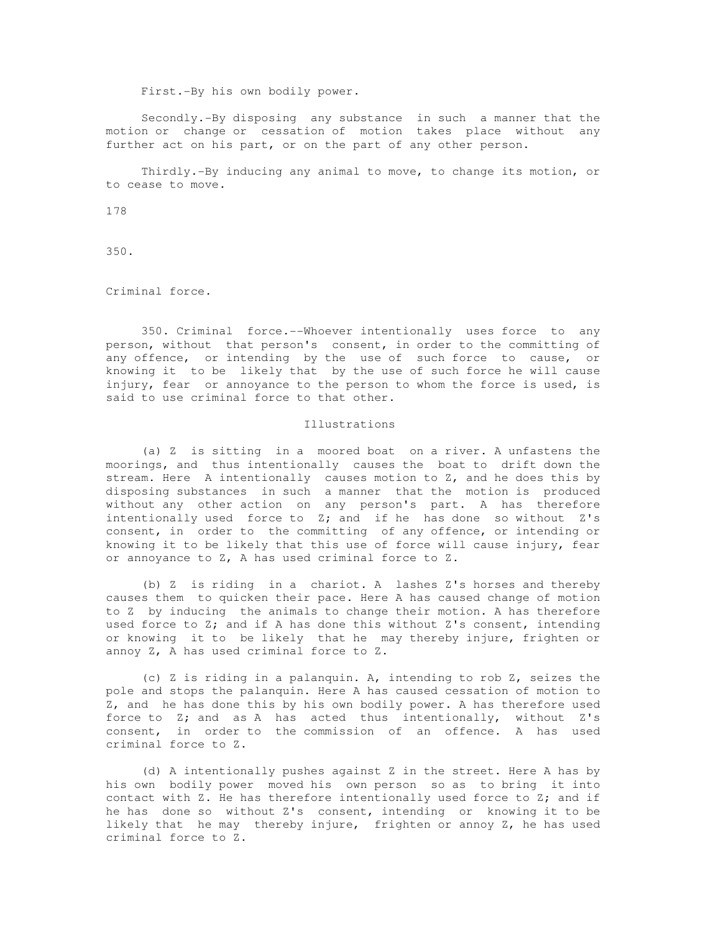First.-By his own bodily power.

 Secondly.-By disposing any substance in such a manner that the motion or change or cessation of motion takes place without any further act on his part, or on the part of any other person.

 Thirdly.-By inducing any animal to move, to change its motion, or to cease to move.

178

350.

Criminal force.

 350. Criminal force.--Whoever intentionally uses force to any person, without that person's consent, in order to the committing of any offence, or intending by the use of such force to cause, or knowing it to be likely that by the use of such force he will cause injury, fear or annoyance to the person to whom the force is used, is said to use criminal force to that other.

#### Illustrations

 (a) Z is sitting in a moored boat on a river. A unfastens the moorings, and thus intentionally causes the boat to drift down the stream. Here A intentionally causes motion to Z, and he does this by disposing substances in such a manner that the motion is produced without any other action on any person's part. A has therefore intentionally used force to Z; and if he has done so without Z's consent, in order to the committing of any offence, or intending or knowing it to be likely that this use of force will cause injury, fear or annoyance to Z, A has used criminal force to Z.

 (b) Z is riding in a chariot. A lashes Z's horses and thereby causes them to quicken their pace. Here A has caused change of motion to Z by inducing the animals to change their motion. A has therefore used force to Z; and if A has done this without Z's consent, intending or knowing it to be likely that he may thereby injure, frighten or annoy Z, A has used criminal force to Z.

 (c) Z is riding in a palanquin. A, intending to rob Z, seizes the pole and stops the palanquin. Here A has caused cessation of motion to Z, and he has done this by his own bodily power. A has therefore used force to Z; and as A has acted thus intentionally, without Z's consent, in order to the commission of an offence. A has used criminal force to Z.

 (d) A intentionally pushes against Z in the street. Here A has by his own bodily power moved his own person so as to bring it into contact with Z. He has therefore intentionally used force to Z; and if he has done so without Z's consent, intending or knowing it to be likely that he may thereby injure, frighten or annoy Z, he has used criminal force to Z.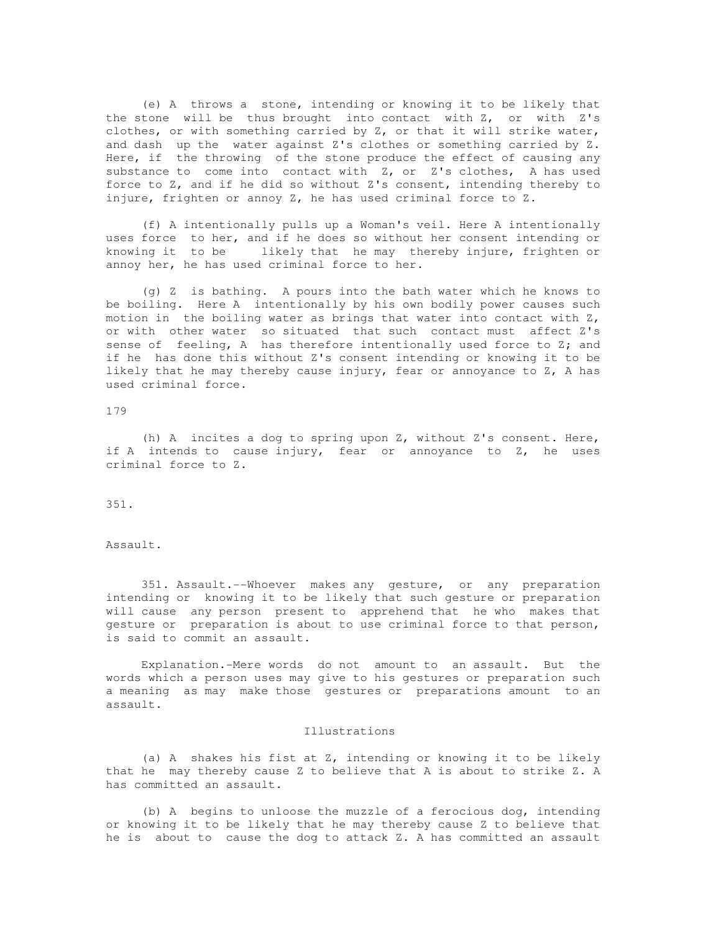(e) A throws a stone, intending or knowing it to be likely that the stone will be thus brought into contact with  $z$ , or with  $z's$ clothes, or with something carried by Z, or that it will strike water, and dash up the water against Z's clothes or something carried by Z. Here, if the throwing of the stone produce the effect of causing any substance to come into contact with Z, or Z's clothes, A has used force to Z, and if he did so without Z's consent, intending thereby to injure, frighten or annoy Z, he has used criminal force to Z.

 (f) A intentionally pulls up a Woman's veil. Here A intentionally uses force to her, and if he does so without her consent intending or knowing it to be likely that he may thereby injure, frighten or annoy her, he has used criminal force to her.

 (g) Z is bathing. A pours into the bath water which he knows to be boiling. Here A intentionally by his own bodily power causes such motion in the boiling water as brings that water into contact with Z, or with other water so situated that such contact must affect Z's sense of feeling, A has therefore intentionally used force to Z; and if he has done this without Z's consent intending or knowing it to be likely that he may thereby cause injury, fear or annoyance to  $Z$ , A has used criminal force.

## 179

 (h) A incites a dog to spring upon Z, without Z's consent. Here, if A intends to cause injury, fear or annoyance to  $Z$ , he uses criminal force to Z.

351.

Assault.

 351. Assault.--Whoever makes any gesture, or any preparation intending or knowing it to be likely that such gesture or preparation will cause any person present to apprehend that he who makes that gesture or preparation is about to use criminal force to that person, is said to commit an assault.

 Explanation.-Mere words do not amount to an assault. But the words which a person uses may give to his gestures or preparation such a meaning as may make those gestures or preparations amount to an assault.

## Illustrations

 (a) A shakes his fist at Z, intending or knowing it to be likely that he may thereby cause Z to believe that A is about to strike Z. A has committed an assault.

 (b) A begins to unloose the muzzle of a ferocious dog, intending or knowing it to be likely that he may thereby cause Z to believe that he is about to cause the dog to attack Z. A has committed an assault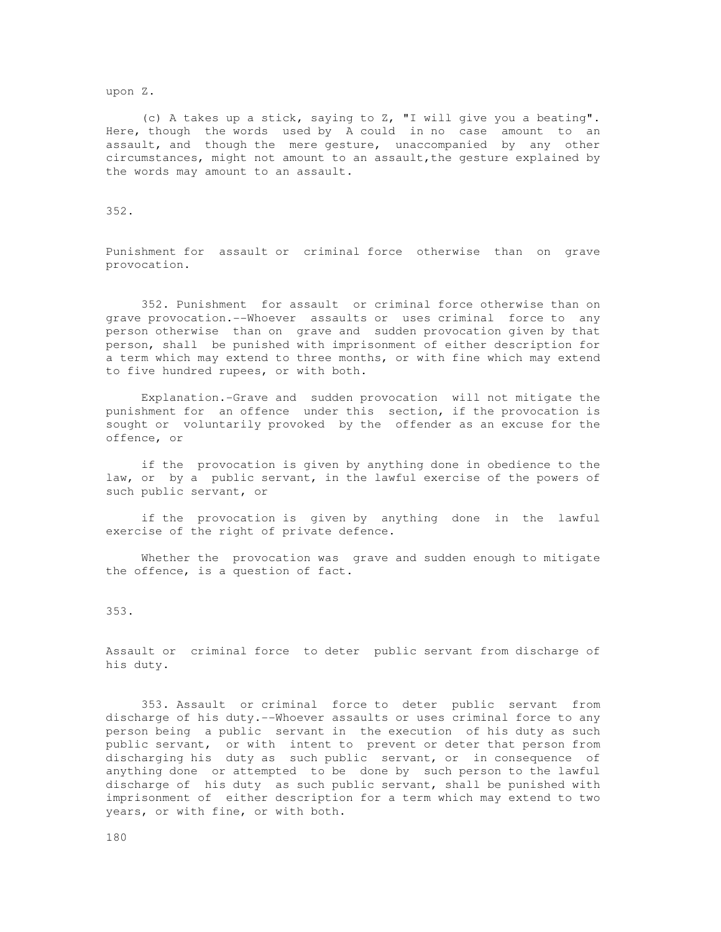upon Z.

 (c) A takes up a stick, saying to Z, "I will give you a beating". Here, though the words used by A could in no case amount to an assault, and though the mere gesture, unaccompanied by any other circumstances, might not amount to an assault,the gesture explained by the words may amount to an assault.

352.

Punishment for assault or criminal force otherwise than on grave provocation.

 352. Punishment for assault or criminal force otherwise than on grave provocation.--Whoever assaults or uses criminal force to any person otherwise than on grave and sudden provocation given by that person, shall be punished with imprisonment of either description for a term which may extend to three months, or with fine which may extend to five hundred rupees, or with both.

 Explanation.-Grave and sudden provocation will not mitigate the punishment for an offence under this section, if the provocation is sought or voluntarily provoked by the offender as an excuse for the offence, or

 if the provocation is given by anything done in obedience to the law, or by a public servant, in the lawful exercise of the powers of such public servant, or

 if the provocation is given by anything done in the lawful exercise of the right of private defence.

 Whether the provocation was grave and sudden enough to mitigate the offence, is a question of fact.

353.

Assault or criminal force to deter public servant from discharge of his duty.

 353. Assault or criminal force to deter public servant from discharge of his duty.--Whoever assaults or uses criminal force to any person being a public servant in the execution of his duty as such public servant, or with intent to prevent or deter that person from discharging his duty as such public servant, or in consequence of anything done or attempted to be done by such person to the lawful discharge of his duty as such public servant, shall be punished with imprisonment of either description for a term which may extend to two years, or with fine, or with both.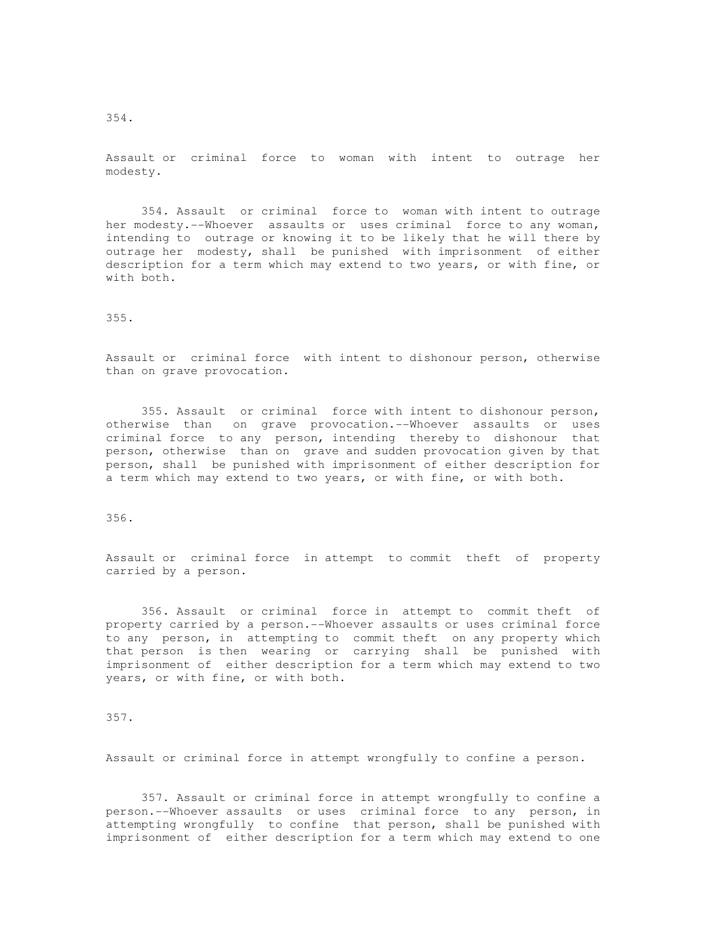Assault or criminal force to woman with intent to outrage her modesty.

 354. Assault or criminal force to woman with intent to outrage her modesty.--Whoever assaults or uses criminal force to any woman, intending to outrage or knowing it to be likely that he will there by outrage her modesty, shall be punished with imprisonment of either description for a term which may extend to two years, or with fine, or with both.

355.

Assault or criminal force with intent to dishonour person, otherwise than on grave provocation.

 355. Assault or criminal force with intent to dishonour person, otherwise than on grave provocation.--Whoever assaults or uses criminal force to any person, intending thereby to dishonour that person, otherwise than on grave and sudden provocation given by that person, shall be punished with imprisonment of either description for a term which may extend to two years, or with fine, or with both.

356.

Assault or criminal force in attempt to commit theft of property carried by a person.

 356. Assault or criminal force in attempt to commit theft of property carried by a person.--Whoever assaults or uses criminal force to any person, in attempting to commit theft on any property which that person is then wearing or carrying shall be punished with imprisonment of either description for a term which may extend to two years, or with fine, or with both.

357.

Assault or criminal force in attempt wrongfully to confine a person.

 357. Assault or criminal force in attempt wrongfully to confine a person.--Whoever assaults or uses criminal force to any person, in attempting wrongfully to confine that person, shall be punished with imprisonment of either description for a term which may extend to one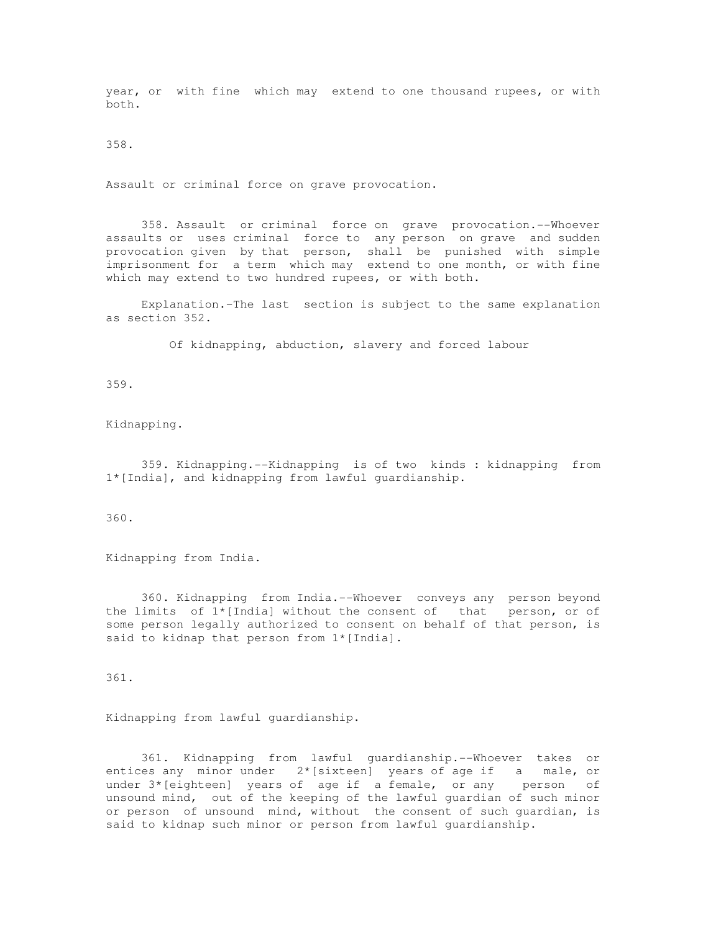year, or with fine which may extend to one thousand rupees, or with both.

358.

Assault or criminal force on grave provocation.

 358. Assault or criminal force on grave provocation.--Whoever assaults or uses criminal force to any person on grave and sudden provocation given by that person, shall be punished with simple imprisonment for a term which may extend to one month, or with fine which may extend to two hundred rupees, or with both.

 Explanation.-The last section is subject to the same explanation as section 352.

Of kidnapping, abduction, slavery and forced labour

359.

Kidnapping.

 359. Kidnapping.--Kidnapping is of two kinds : kidnapping from 1\*[India], and kidnapping from lawful guardianship.

360.

Kidnapping from India.

 360. Kidnapping from India.--Whoever conveys any person beyond the limits of  $1*(\text{India})$  without the consent of that person, or of some person legally authorized to consent on behalf of that person, is said to kidnap that person from 1\*[India].

361.

Kidnapping from lawful guardianship.

 361. Kidnapping from lawful guardianship.--Whoever takes or entices any minor under 2\*[sixteen] years of age if a male, or under 3\*[eighteen] years of age if a female, or any person of unsound mind, out of the keeping of the lawful guardian of such minor or person of unsound mind, without the consent of such guardian, is said to kidnap such minor or person from lawful guardianship.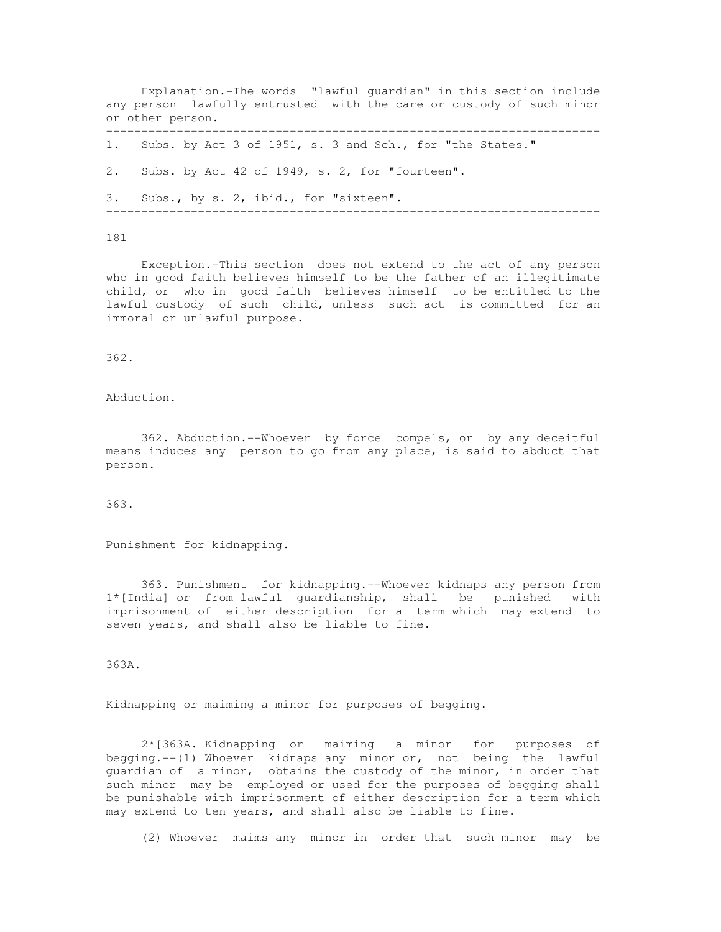Explanation.-The words "lawful guardian" in this section include any person lawfully entrusted with the care or custody of such minor or other person. ---------------------------------------------------------------------- 1. Subs. by Act 3 of 1951, s. 3 and Sch., for "the States." 2. Subs. by Act 42 of 1949, s. 2, for "fourteen". 3. Subs., by s. 2, ibid., for "sixteen". ----------------------------------------------------------------------

181

 Exception.-This section does not extend to the act of any person who in good faith believes himself to be the father of an illegitimate child, or who in good faith believes himself to be entitled to the lawful custody of such child, unless such act is committed for an immoral or unlawful purpose.

362.

Abduction.

 362. Abduction.--Whoever by force compels, or by any deceitful means induces any person to go from any place, is said to abduct that person.

363.

Punishment for kidnapping.

 363. Punishment for kidnapping.--Whoever kidnaps any person from 1\*[India] or from lawful guardianship, shall be punished with imprisonment of either description for a term which may extend to seven years, and shall also be liable to fine.

363A.

Kidnapping or maiming a minor for purposes of begging.

 2\*[363A. Kidnapping or maiming a minor for purposes of begging.--(1) Whoever kidnaps any minor or, not being the lawful guardian of a minor, obtains the custody of the minor, in order that such minor may be employed or used for the purposes of begging shall be punishable with imprisonment of either description for a term which may extend to ten years, and shall also be liable to fine.

(2) Whoever maims any minor in order that such minor may be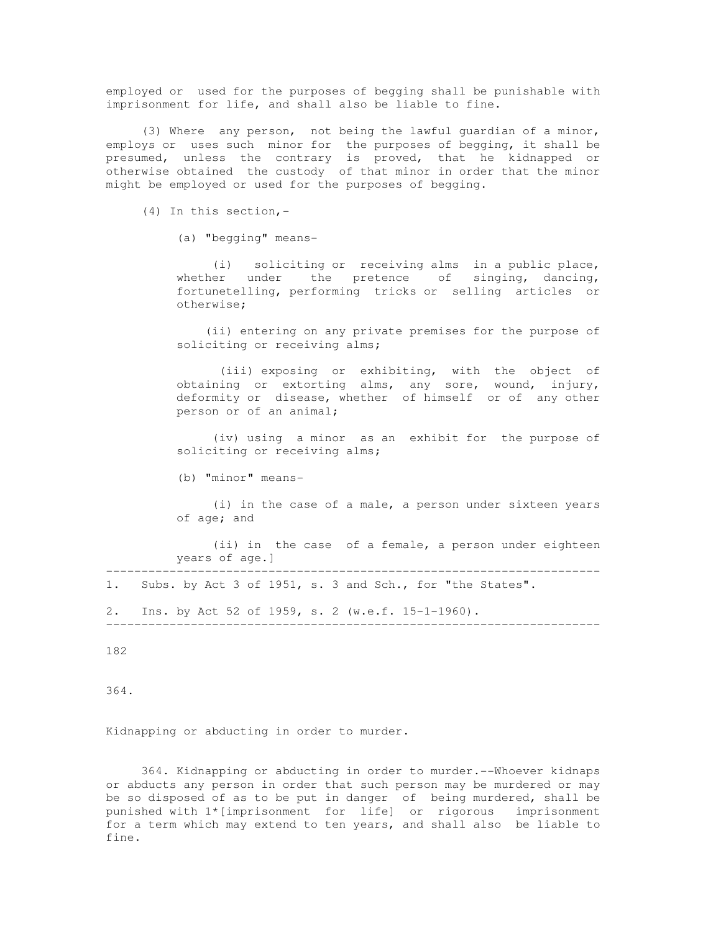employed or used for the purposes of begging shall be punishable with imprisonment for life, and shall also be liable to fine.

 (3) Where any person, not being the lawful guardian of a minor, employs or uses such minor for the purposes of begging, it shall be presumed, unless the contrary is proved, that he kidnapped or otherwise obtained the custody of that minor in order that the minor might be employed or used for the purposes of begging.

(4) In this section,  $-$ 

(a) "begging" means-

 (i) soliciting or receiving alms in a public place, whether under the pretence of singing, dancing, fortunetelling, performing tricks or selling articles or otherwise;

 (ii) entering on any private premises for the purpose of soliciting or receiving alms;

 (iii) exposing or exhibiting, with the object of obtaining or extorting alms, any sore, wound, injury, deformity or disease, whether of himself or of any other person or of an animal;

 (iv) using a minor as an exhibit for the purpose of soliciting or receiving alms;

(b) "minor" means-

 (i) in the case of a male, a person under sixteen years of age; and

 (ii) in the case of a female, a person under eighteen years of age.] ----------------------------------------------------------------------

1. Subs. by Act 3 of 1951, s. 3 and Sch., for "the States".

2. Ins. by Act 52 of 1959, s. 2 (w.e.f. 15-1-1960).

----------------------------------------------------------------------

182

364.

Kidnapping or abducting in order to murder.

 364. Kidnapping or abducting in order to murder.--Whoever kidnaps or abducts any person in order that such person may be murdered or may be so disposed of as to be put in danger of being murdered, shall be punished with 1\*[imprisonment for life] or rigorous imprisonment for a term which may extend to ten years, and shall also be liable to fine.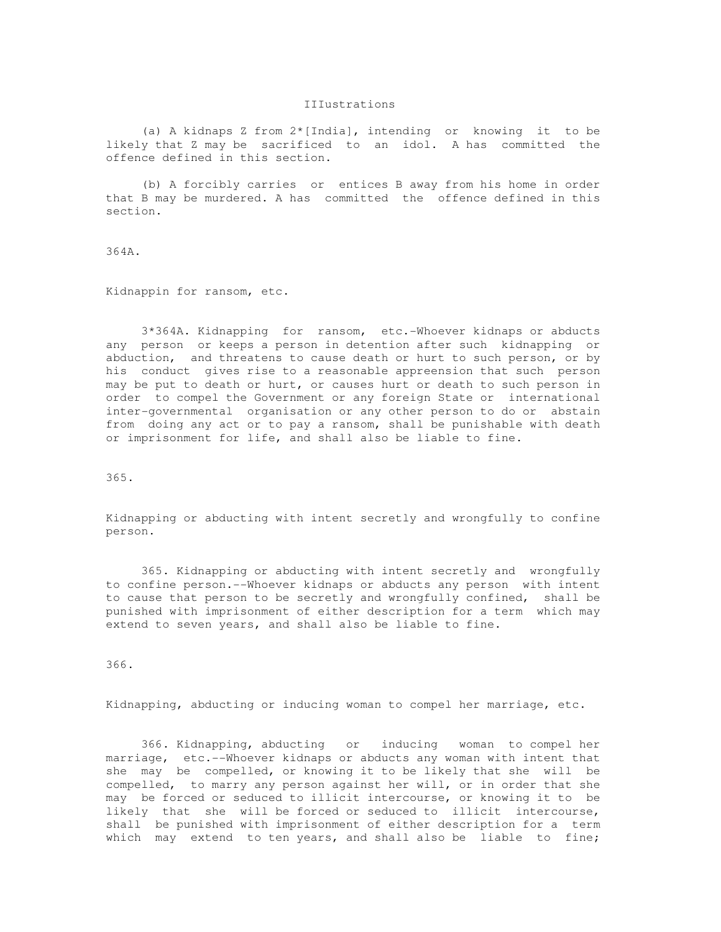### IIIustrations

 (a) A kidnaps Z from 2\*[India], intending or knowing it to be likely that Z may be sacrificed to an idol. A has committed the offence defined in this section.

 (b) A forcibly carries or entices B away from his home in order that B may be murdered. A has committed the offence defined in this section.

364A.

Kidnappin for ransom, etc.

 3\*364A. Kidnapping for ransom, etc.-Whoever kidnaps or abducts any person or keeps a person in detention after such kidnapping or abduction, and threatens to cause death or hurt to such person, or by his conduct gives rise to a reasonable appreension that such person may be put to death or hurt, or causes hurt or death to such person in order to compel the Government or any foreign State or international inter-governmental organisation or any other person to do or abstain from doing any act or to pay a ransom, shall be punishable with death or imprisonment for life, and shall also be liable to fine.

365.

Kidnapping or abducting with intent secretly and wrongfully to confine person.

 365. Kidnapping or abducting with intent secretly and wrongfully to confine person.--Whoever kidnaps or abducts any person with intent to cause that person to be secretly and wrongfully confined, shall be punished with imprisonment of either description for a term which may extend to seven years, and shall also be liable to fine.

366.

Kidnapping, abducting or inducing woman to compel her marriage, etc.

 366. Kidnapping, abducting or inducing woman to compel her marriage, etc.--Whoever kidnaps or abducts any woman with intent that she may be compelled, or knowing it to be likely that she will be compelled, to marry any person against her will, or in order that she may be forced or seduced to illicit intercourse, or knowing it to be likely that she will be forced or seduced to illicit intercourse, shall be punished with imprisonment of either description for a term which may extend to ten years, and shall also be liable to fine;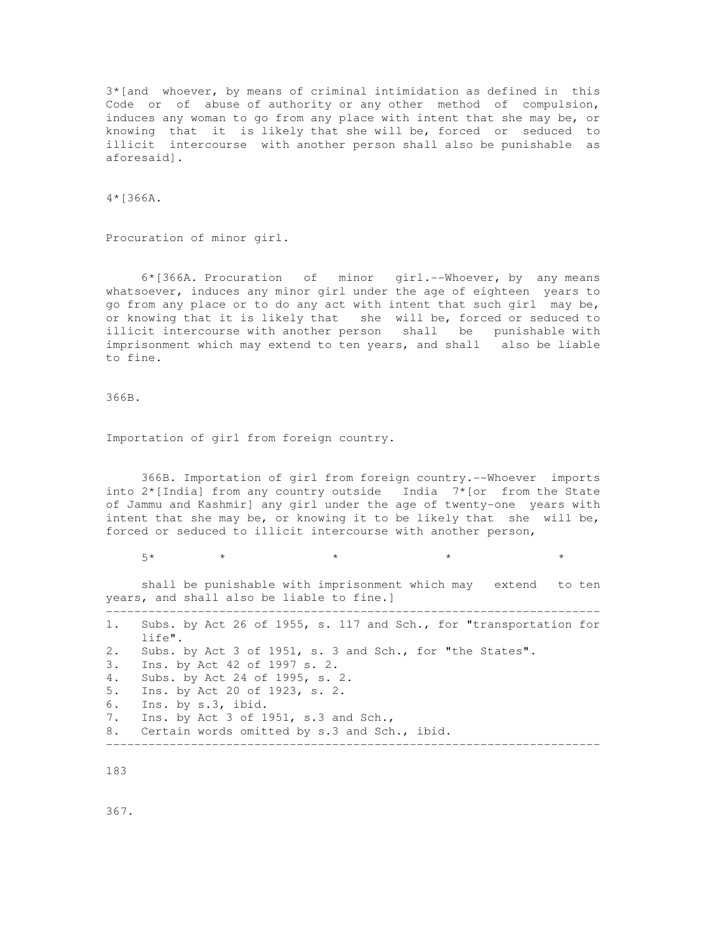3\*[and whoever, by means of criminal intimidation as defined in this Code or of abuse of authority or any other method of compulsion, induces any woman to go from any place with intent that she may be, or knowing that it is likely that she will be, forced or seduced to illicit intercourse with another person shall also be punishable as aforesaid].

4\*[366A.

Procuration of minor girl.

 6\*[366A. Procuration of minor girl.--Whoever, by any means whatsoever, induces any minor girl under the age of eighteen years to go from any place or to do any act with intent that such girl may be, or knowing that it is likely that she will be, forced or seduced to illicit intercourse with another person shall be punishable with imprisonment which may extend to ten years, and shall also be liable to fine.

366B.

Importation of girl from foreign country.

 366B. Importation of girl from foreign country.--Whoever imports into 2\*[India] from any country outside India 7\*[or from the State of Jammu and Kashmir] any girl under the age of twenty-one years with intent that she may be, or knowing it to be likely that she will be, forced or seduced to illicit intercourse with another person,

 $5*$  \* \* \* \* \* \* \* \* \* \*

 shall be punishable with imprisonment which may extend to ten years, and shall also be liable to fine.] ----------------------------------------------------------------------

1. Subs. by Act 26 of 1955, s. 117 and Sch., for "transportation for life". 2. Subs. by Act 3 of 1951, s. 3 and Sch., for "the States". 3. Ins. by Act 42 of 1997 s. 2. 4. Subs. by Act 24 of 1995, s. 2. 5. Ins. by Act 20 of 1923, s. 2. 6. Ins. by s.3, ibid. 7. Ins. by Act 3 of 1951, s.3 and Sch., 8. Certain words omitted by s.3 and Sch., ibid. ----------------------------------------------------------------------

183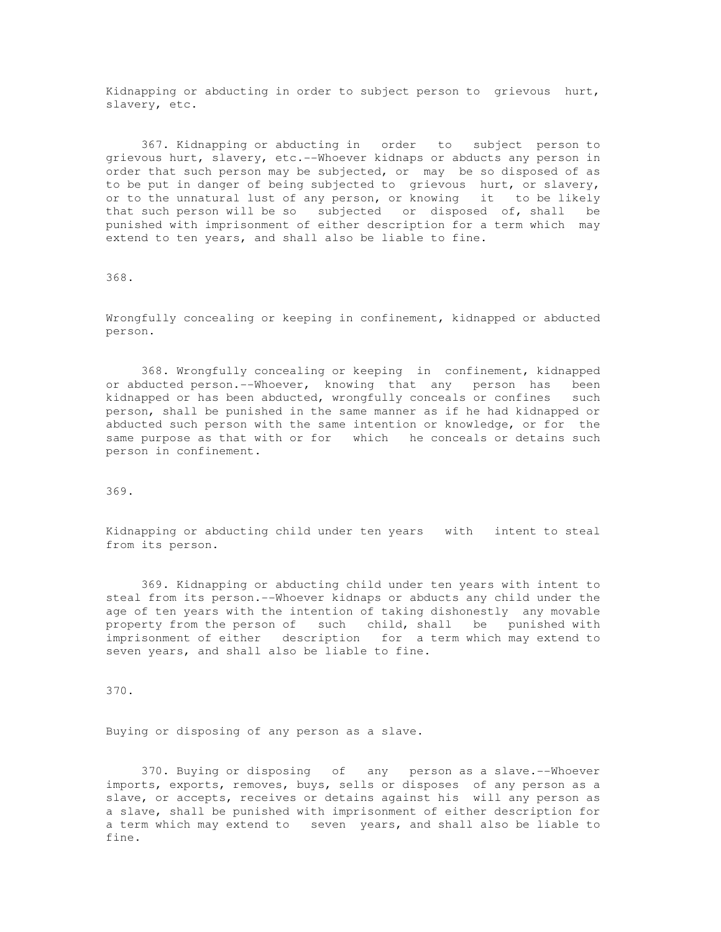Kidnapping or abducting in order to subject person to grievous hurt, slavery, etc.

 367. Kidnapping or abducting in order to subject person to grievous hurt, slavery, etc.--Whoever kidnaps or abducts any person in order that such person may be subjected, or may be so disposed of as to be put in danger of being subjected to grievous hurt, or slavery, or to the unnatural lust of any person, or knowing it to be likely that such person will be so subjected or disposed of, shall be punished with imprisonment of either description for a term which may extend to ten years, and shall also be liable to fine.

# 368.

Wrongfully concealing or keeping in confinement, kidnapped or abducted person.

 368. Wrongfully concealing or keeping in confinement, kidnapped or abducted person.--Whoever, knowing that any person has been kidnapped or has been abducted, wrongfully conceals or confines such person, shall be punished in the same manner as if he had kidnapped or abducted such person with the same intention or knowledge, or for the same purpose as that with or for which he conceals or detains such person in confinement.

369.

Kidnapping or abducting child under ten years with intent to steal from its person.

 369. Kidnapping or abducting child under ten years with intent to steal from its person.--Whoever kidnaps or abducts any child under the age of ten years with the intention of taking dishonestly any movable property from the person of such child, shall be punished with imprisonment of either description for a term which may extend to seven years, and shall also be liable to fine.

370.

Buying or disposing of any person as a slave.

 370. Buying or disposing of any person as a slave.--Whoever imports, exports, removes, buys, sells or disposes of any person as a slave, or accepts, receives or detains against his will any person as a slave, shall be punished with imprisonment of either description for a term which may extend to seven years, and shall also be liable to fine.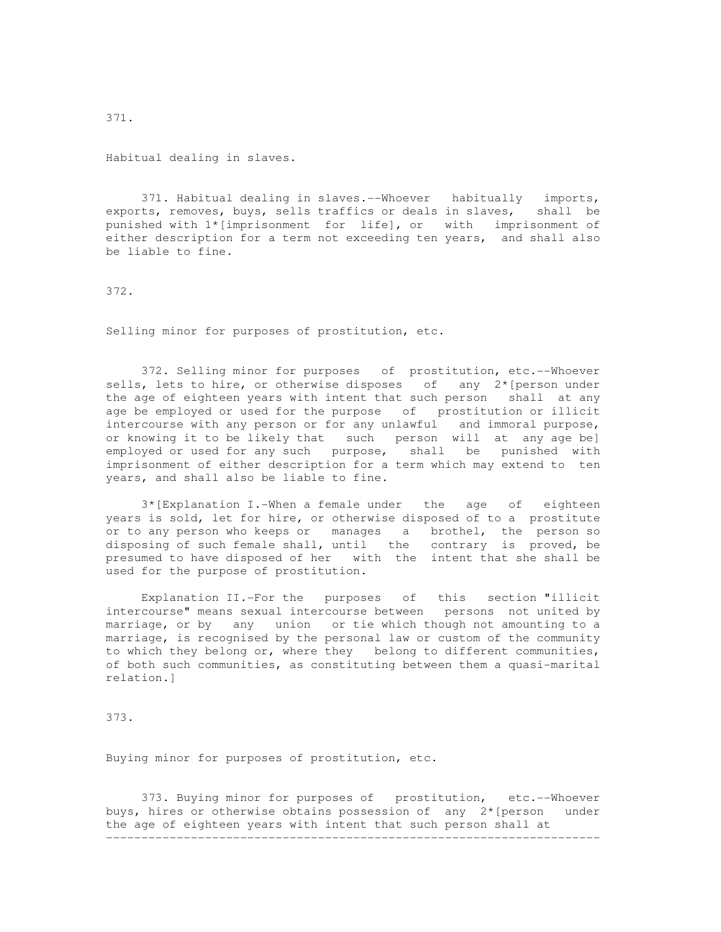Habitual dealing in slaves.

 371. Habitual dealing in slaves.--Whoever habitually imports, exports, removes, buys, sells traffics or deals in slaves, shall be punished with 1\*[imprisonment for life], or with imprisonment of either description for a term not exceeding ten years, and shall also be liable to fine.

372.

Selling minor for purposes of prostitution, etc.

 372. Selling minor for purposes of prostitution, etc.--Whoever sells, lets to hire, or otherwise disposes of any  $2*(person under$ the age of eighteen years with intent that such person shall at any age be employed or used for the purpose of prostitution or illicit intercourse with any person or for any unlawful and immoral purpose, or knowing it to be likely that such person will at any age be] employed or used for any such purpose, shall be punished with imprisonment of either description for a term which may extend to ten years, and shall also be liable to fine.

 3\*[Explanation I.-When a female under the age of eighteen years is sold, let for hire, or otherwise disposed of to a prostitute or to any person who keeps or manages a brothel, the person so disposing of such female shall, until the contrary is proved, be presumed to have disposed of her with the intent that she shall be used for the purpose of prostitution.

 Explanation II.-For the purposes of this section "illicit intercourse" means sexual intercourse between persons not united by marriage, or by any union or tie which though not amounting to a marriage, is recognised by the personal law or custom of the community to which they belong or, where they belong to different communities, of both such communities, as constituting between them a quasi-marital relation.]

373.

Buying minor for purposes of prostitution, etc.

 373. Buying minor for purposes of prostitution, etc.--Whoever buys, hires or otherwise obtains possession of any  $2*$ [person under the age of eighteen years with intent that such person shall at ----------------------------------------------------------------------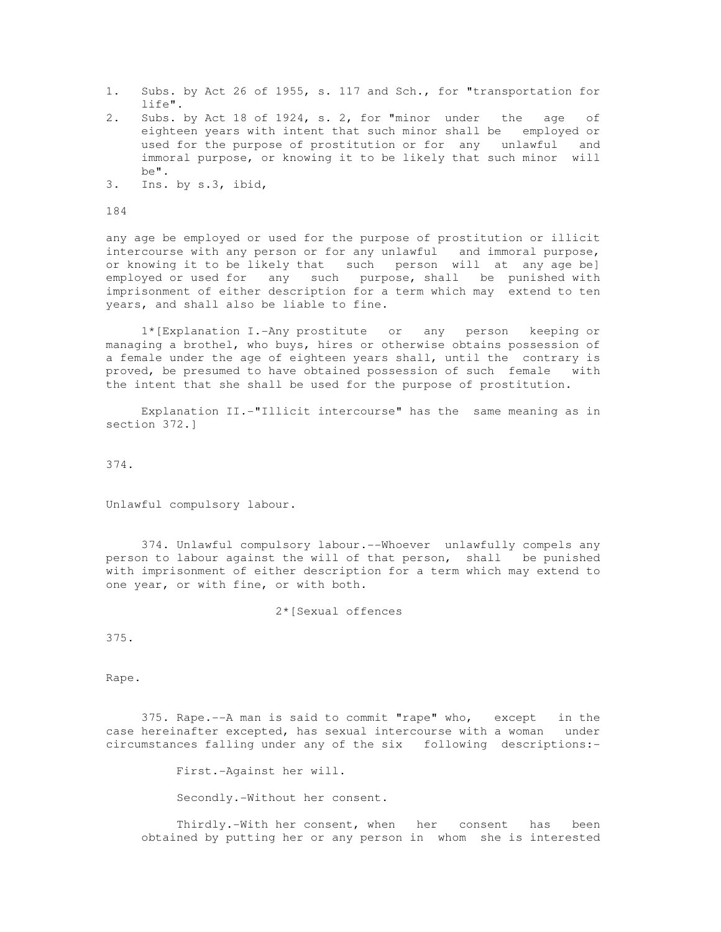- 1. Subs. by Act 26 of 1955, s. 117 and Sch., for "transportation for life".
- 2. Subs. by Act 18 of 1924, s. 2, for "minor under the age of eighteen years with intent that such minor shall be employed or used for the purpose of prostitution or for any unlawful and immoral purpose, or knowing it to be likely that such minor will be".
- 3. Ins. by s.3, ibid,

184

any age be employed or used for the purpose of prostitution or illicit intercourse with any person or for any unlawful and immoral purpose, or knowing it to be likely that such person will at any age be] employed or used for any such purpose, shall be punished with imprisonment of either description for a term which may extend to ten years, and shall also be liable to fine.

 1\*[Explanation I.-Any prostitute or any person keeping or managing a brothel, who buys, hires or otherwise obtains possession of a female under the age of eighteen years shall, until the contrary is proved, be presumed to have obtained possession of such female with the intent that she shall be used for the purpose of prostitution.

 Explanation II.-"Illicit intercourse" has the same meaning as in section 372.]

374.

Unlawful compulsory labour.

 374. Unlawful compulsory labour.--Whoever unlawfully compels any person to labour against the will of that person, shall be punished with imprisonment of either description for a term which may extend to one year, or with fine, or with both.

2\*[Sexual offences

375.

Rape.

 375. Rape.--A man is said to commit "rape" who, except in the case hereinafter excepted, has sexual intercourse with a woman under circumstances falling under any of the six following descriptions:-

First.-Against her will.

Secondly.-Without her consent.

 Thirdly.-With her consent, when her consent has been obtained by putting her or any person in whom she is interested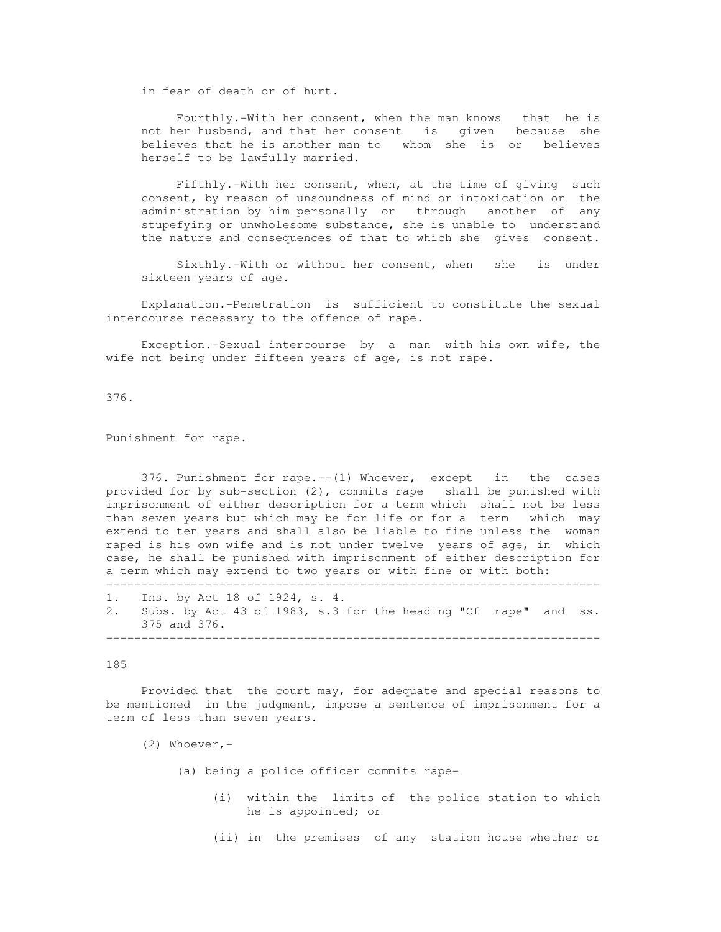in fear of death or of hurt.

 Fourthly.-With her consent, when the man knows that he is not her husband, and that her consent is given because she believes that he is another man to whom she is or believes herself to be lawfully married.

 Fifthly.-With her consent, when, at the time of giving such consent, by reason of unsoundness of mind or intoxication or the administration by him personally or through another of any stupefying or unwholesome substance, she is unable to understand the nature and consequences of that to which she gives consent.

 Sixthly.-With or without her consent, when she is under sixteen years of age.

 Explanation.-Penetration is sufficient to constitute the sexual intercourse necessary to the offence of rape.

 Exception.-Sexual intercourse by a man with his own wife, the wife not being under fifteen years of age, is not rape.

376.

Punishment for rape.

 376. Punishment for rape.--(1) Whoever, except in the cases provided for by sub-section (2), commits rape shall be punished with imprisonment of either description for a term which shall not be less than seven years but which may be for life or for a term which may extend to ten years and shall also be liable to fine unless the woman raped is his own wife and is not under twelve years of age, in which case, he shall be punished with imprisonment of either description for a term which may extend to two years or with fine or with both:

1. Ins. by Act 18 of 1924, s. 4. 2. Subs. by Act 43 of 1983, s.3 for the heading "Of rape" and ss. 375 and 376. ----------------------------------------------------------------------

----------------------------------------------------------------------

185

 Provided that the court may, for adequate and special reasons to be mentioned in the judgment, impose a sentence of imprisonment for a term of less than seven years.

(2) Whoever,-

- (a) being a police officer commits rape-
	- (i) within the limits of the police station to which he is appointed; or
	- (ii) in the premises of any station house whether or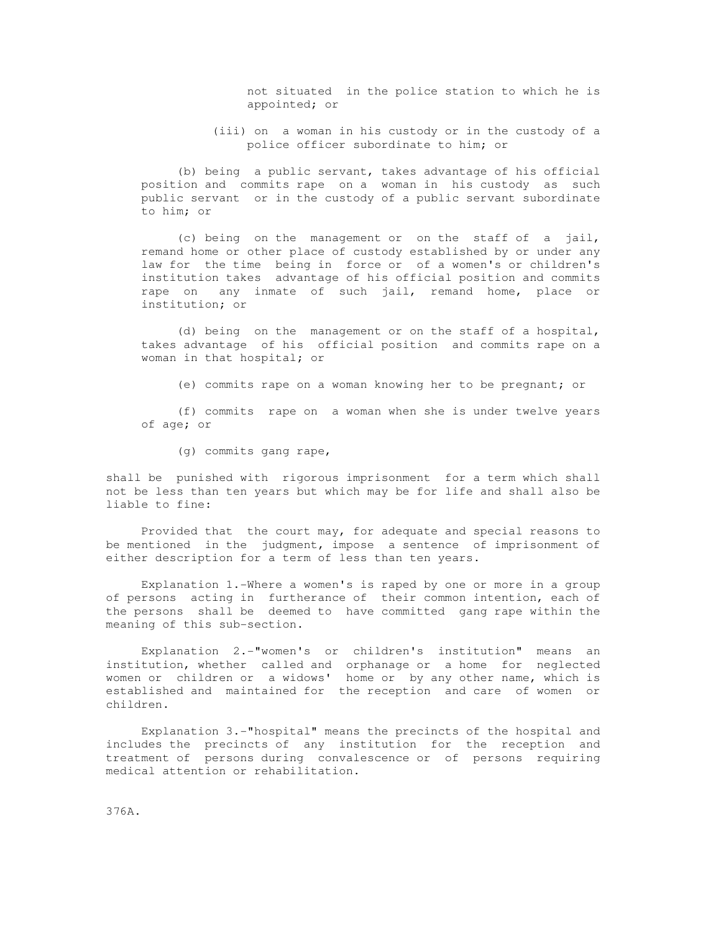not situated in the police station to which he is appointed; or

 (iii) on a woman in his custody or in the custody of a police officer subordinate to him; or

 (b) being a public servant, takes advantage of his official position and commits rape on a woman in his custody as such public servant or in the custody of a public servant subordinate to him; or

 (c) being on the management or on the staff of a jail, remand home or other place of custody established by or under any law for the time being in force or of a women's or children's institution takes advantage of his official position and commits rape on any inmate of such jail, remand home, place or institution; or

 (d) being on the management or on the staff of a hospital, takes advantage of his official position and commits rape on a woman in that hospital; or

(e) commits rape on a woman knowing her to be pregnant; or

 (f) commits rape on a woman when she is under twelve years of age; or

(g) commits gang rape,

shall be punished with rigorous imprisonment for a term which shall not be less than ten years but which may be for life and shall also be liable to fine:

 Provided that the court may, for adequate and special reasons to be mentioned in the judgment, impose a sentence of imprisonment of either description for a term of less than ten years.

 Explanation 1.-Where a women's is raped by one or more in a group of persons acting in furtherance of their common intention, each of the persons shall be deemed to have committed gang rape within the meaning of this sub-section.

 Explanation 2.-"women's or children's institution" means an institution, whether called and orphanage or a home for neglected women or children or a widows' home or by any other name, which is established and maintained for the reception and care of women or children.

 Explanation 3.-"hospital" means the precincts of the hospital and includes the precincts of any institution for the reception and treatment of persons during convalescence or of persons requiring medical attention or rehabilitation.

376A.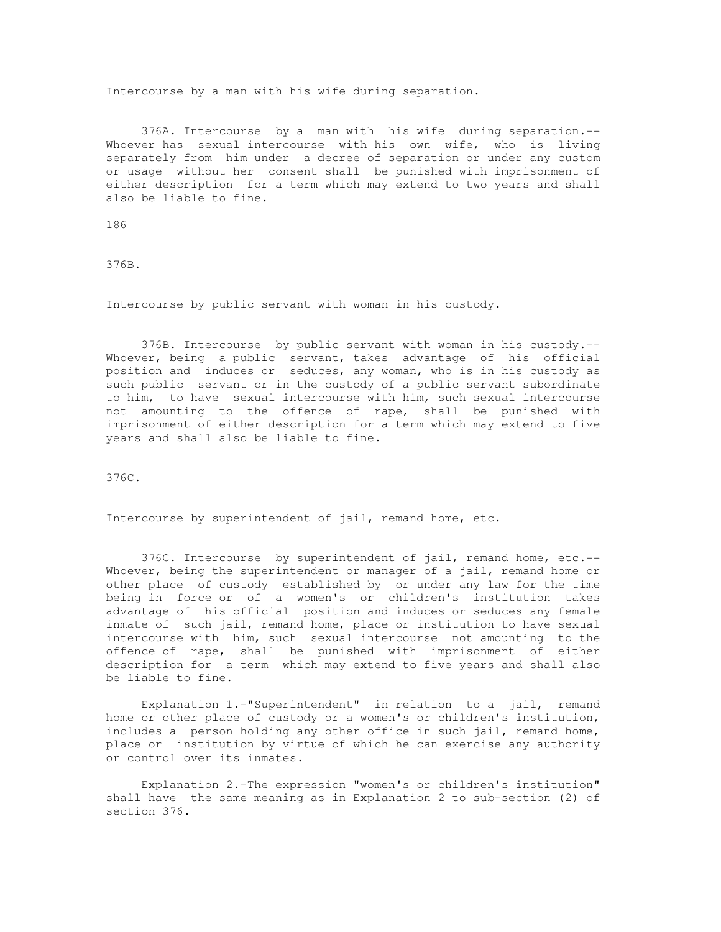Intercourse by a man with his wife during separation.

 376A. Intercourse by a man with his wife during separation.-- Whoever has sexual intercourse with his own wife, who is living separately from him under a decree of separation or under any custom or usage without her consent shall be punished with imprisonment of either description for a term which may extend to two years and shall also be liable to fine.

186

376B.

# Intercourse by public servant with woman in his custody.

 376B. Intercourse by public servant with woman in his custody.-- Whoever, being a public servant, takes advantage of his official position and induces or seduces, any woman, who is in his custody as such public servant or in the custody of a public servant subordinate to him, to have sexual intercourse with him, such sexual intercourse not amounting to the offence of rape, shall be punished with imprisonment of either description for a term which may extend to five years and shall also be liable to fine.

376C.

Intercourse by superintendent of jail, remand home, etc.

 376C. Intercourse by superintendent of jail, remand home, etc.-- Whoever, being the superintendent or manager of a jail, remand home or other place of custody established by or under any law for the time being in force or of a women's or children's institution takes advantage of his official position and induces or seduces any female inmate of such jail, remand home, place or institution to have sexual intercourse with him, such sexual intercourse not amounting to the offence of rape, shall be punished with imprisonment of either description for a term which may extend to five years and shall also be liable to fine.

 Explanation 1.-"Superintendent" in relation to a jail, remand home or other place of custody or a women's or children's institution, includes a person holding any other office in such jail, remand home, place or institution by virtue of which he can exercise any authority or control over its inmates.

 Explanation 2.-The expression "women's or children's institution" shall have the same meaning as in Explanation 2 to sub-section (2) of section 376.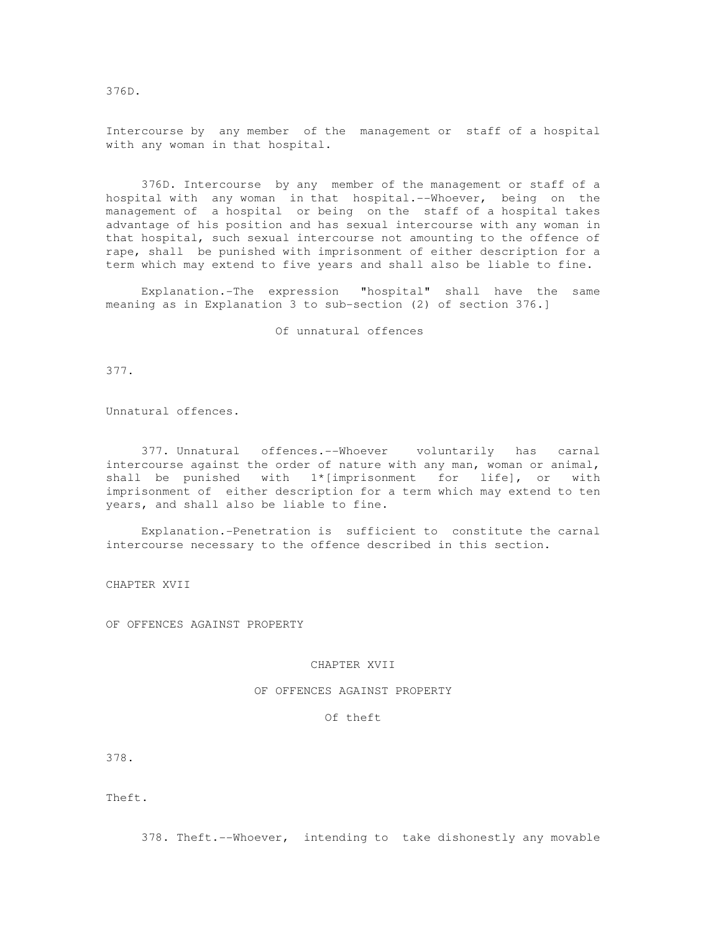376D.

Intercourse by any member of the management or staff of a hospital with any woman in that hospital.

 376D. Intercourse by any member of the management or staff of a hospital with any woman in that hospital.--Whoever, being on the management of a hospital or being on the staff of a hospital takes advantage of his position and has sexual intercourse with any woman in that hospital, such sexual intercourse not amounting to the offence of rape, shall be punished with imprisonment of either description for a term which may extend to five years and shall also be liable to fine.

 Explanation.-The expression "hospital" shall have the same meaning as in Explanation 3 to sub-section (2) of section 376.]

Of unnatural offences

377.

Unnatural offences.

 377. Unnatural offences.--Whoever voluntarily has carnal intercourse against the order of nature with any man, woman or animal, shall be punished with  $1*(\text{imprisomment for life}),$  or with imprisonment of either description for a term which may extend to ten years, and shall also be liable to fine.

 Explanation.-Penetration is sufficient to constitute the carnal intercourse necessary to the offence described in this section.

CHAPTER XVII

OF OFFENCES AGAINST PROPERTY

#### CHAPTER XVII

#### OF OFFENCES AGAINST PROPERTY

Of theft

378.

Theft.

378. Theft.--Whoever, intending to take dishonestly any movable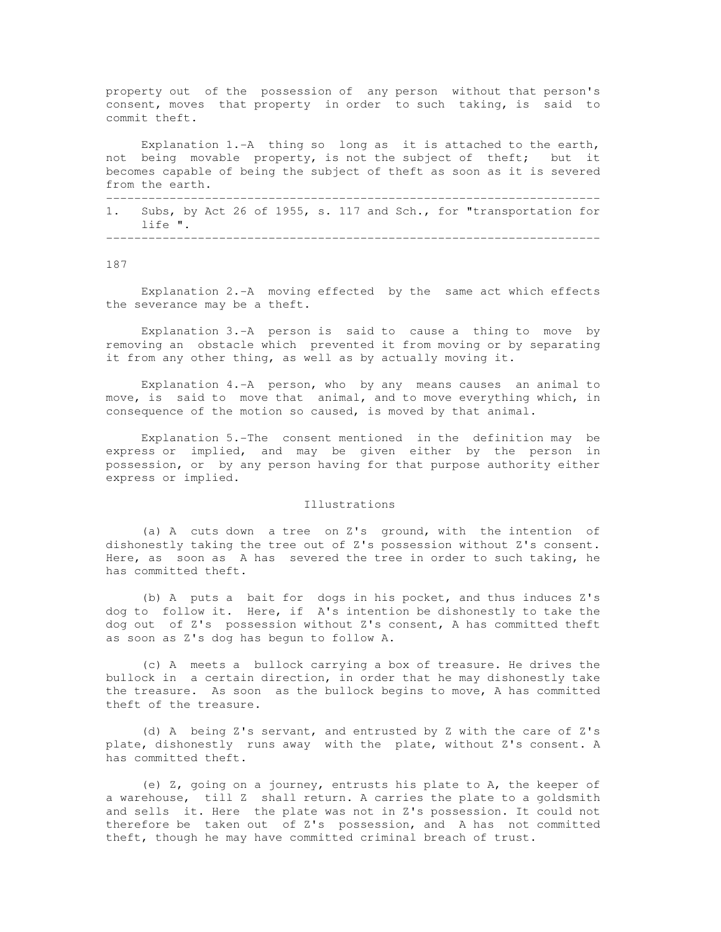property out of the possession of any person without that person's consent, moves that property in order to such taking, is said to commit theft.

 Explanation 1.-A thing so long as it is attached to the earth, not being movable property, is not the subject of theft; but it becomes capable of being the subject of theft as soon as it is severed from the earth.

---------------------------------------------------------------------- 1. Subs, by Act 26 of 1955, s. 117 and Sch., for "transportation for life ".

----------------------------------------------------------------------

187

 Explanation 2.-A moving effected by the same act which effects the severance may be a theft.

 Explanation 3.-A person is said to cause a thing to move by removing an obstacle which prevented it from moving or by separating it from any other thing, as well as by actually moving it.

 Explanation 4.-A person, who by any means causes an animal to move, is said to move that animal, and to move everything which, in consequence of the motion so caused, is moved by that animal.

 Explanation 5.-The consent mentioned in the definition may be express or implied, and may be given either by the person in possession, or by any person having for that purpose authority either express or implied.

# Illustrations

 (a) A cuts down a tree on Z's ground, with the intention of dishonestly taking the tree out of Z's possession without Z's consent. Here, as soon as A has severed the tree in order to such taking, he has committed theft.

 (b) A puts a bait for dogs in his pocket, and thus induces Z's dog to follow it. Here, if A's intention be dishonestly to take the dog out of Z's possession without Z's consent, A has committed theft as soon as Z's dog has begun to follow A.

 (c) A meets a bullock carrying a box of treasure. He drives the bullock in a certain direction, in order that he may dishonestly take the treasure. As soon as the bullock begins to move, A has committed theft of the treasure.

 (d) A being Z's servant, and entrusted by Z with the care of Z's plate, dishonestly runs away with the plate, without Z's consent. A has committed theft.

 (e) Z, going on a journey, entrusts his plate to A, the keeper of a warehouse, till Z shall return. A carries the plate to a goldsmith and sells it. Here the plate was not in Z's possession. It could not therefore be taken out of Z's possession, and A has not committed theft, though he may have committed criminal breach of trust.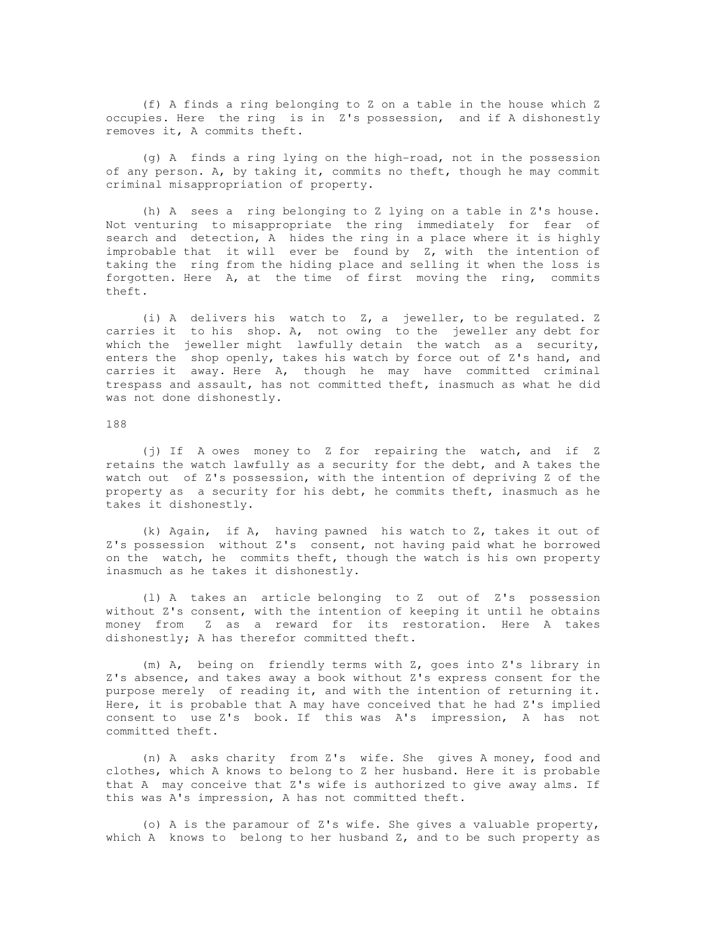(f) A finds a ring belonging to Z on a table in the house which Z occupies. Here the ring is in Z's possession, and if A dishonestly removes it, A commits theft.

 (g) A finds a ring lying on the high-road, not in the possession of any person. A, by taking it, commits no theft, though he may commit criminal misappropriation of property.

 (h) A sees a ring belonging to Z lying on a table in Z's house. Not venturing to misappropriate the ring immediately for fear of search and detection, A hides the ring in a place where it is highly improbable that it will ever be found by Z, with the intention of taking the ring from the hiding place and selling it when the loss is forgotten. Here A, at the time of first moving the ring, commits theft.

 (i) A delivers his watch to Z, a jeweller, to be regulated. Z carries it to his shop. A, not owing to the jeweller any debt for which the jeweller might lawfully detain the watch as a security, enters the shop openly, takes his watch by force out of Z's hand, and carries it away. Here A, though he may have committed criminal trespass and assault, has not committed theft, inasmuch as what he did was not done dishonestly.

188

 (j) If A owes money to Z for repairing the watch, and if Z retains the watch lawfully as a security for the debt, and A takes the watch out of Z's possession, with the intention of depriving Z of the property as a security for his debt, he commits theft, inasmuch as he takes it dishonestly.

 (k) Again, if A, having pawned his watch to Z, takes it out of Z's possession without Z's consent, not having paid what he borrowed on the watch, he commits theft, though the watch is his own property inasmuch as he takes it dishonestly.

 (l) A takes an article belonging to Z out of Z's possession without Z's consent, with the intention of keeping it until he obtains money from Z as a reward for its restoration. Here A takes dishonestly; A has therefor committed theft.

 (m) A, being on friendly terms with Z, goes into Z's library in Z's absence, and takes away a book without Z's express consent for the purpose merely of reading it, and with the intention of returning it. Here, it is probable that A may have conceived that he had Z's implied consent to use Z's book. If this was A's impression, A has not committed theft.

 (n) A asks charity from Z's wife. She gives A money, food and clothes, which A knows to belong to Z her husband. Here it is probable that A may conceive that Z's wife is authorized to give away alms. If this was A's impression, A has not committed theft.

 (o) A is the paramour of Z's wife. She gives a valuable property, which A knows to belong to her husband  $Z$ , and to be such property as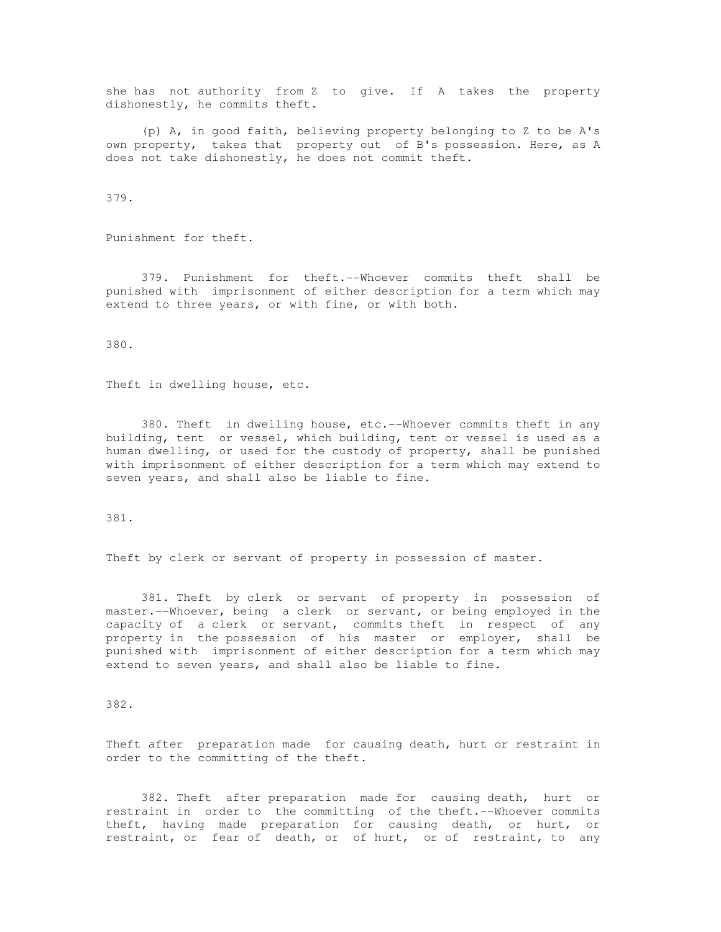she has not authority from Z to give. If A takes the property dishonestly, he commits theft.

 (p) A, in good faith, believing property belonging to Z to be A's own property, takes that property out of B's possession. Here, as A does not take dishonestly, he does not commit theft.

379.

Punishment for theft.

 379. Punishment for theft.--Whoever commits theft shall be punished with imprisonment of either description for a term which may extend to three years, or with fine, or with both.

380.

Theft in dwelling house, etc.

 380. Theft in dwelling house, etc.--Whoever commits theft in any building, tent or vessel, which building, tent or vessel is used as a human dwelling, or used for the custody of property, shall be punished with imprisonment of either description for a term which may extend to seven years, and shall also be liable to fine.

381.

Theft by clerk or servant of property in possession of master.

 381. Theft by clerk or servant of property in possession of master.--Whoever, being a clerk or servant, or being employed in the capacity of a clerk or servant, commits theft in respect of any property in the possession of his master or employer, shall be punished with imprisonment of either description for a term which may extend to seven years, and shall also be liable to fine.

382.

Theft after preparation made for causing death, hurt or restraint in order to the committing of the theft.

 382. Theft after preparation made for causing death, hurt or restraint in order to the committing of the theft.--Whoever commits theft, having made preparation for causing death, or hurt, or restraint, or fear of death, or of hurt, or of restraint, to any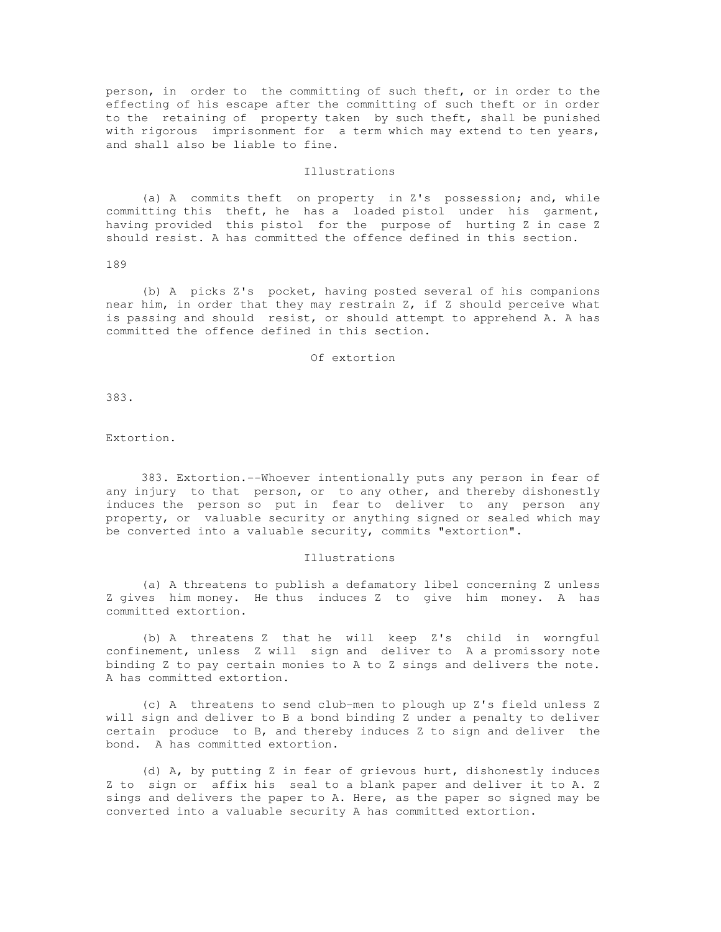person, in order to the committing of such theft, or in order to the effecting of his escape after the committing of such theft or in order to the retaining of property taken by such theft, shall be punished with rigorous imprisonment for a term which may extend to ten years, and shall also be liable to fine.

### Illustrations

 (a) A commits theft on property in Z's possession; and, while committing this theft, he has a loaded pistol under his garment, having provided this pistol for the purpose of hurting Z in case Z should resist. A has committed the offence defined in this section.

189

 (b) A picks Z's pocket, having posted several of his companions near him, in order that they may restrain Z, if Z should perceive what is passing and should resist, or should attempt to apprehend A. A has committed the offence defined in this section.

## Of extortion

383.

Extortion.

 383. Extortion.--Whoever intentionally puts any person in fear of any injury to that person, or to any other, and thereby dishonestly induces the person so put in fear to deliver to any person any property, or valuable security or anything signed or sealed which may be converted into a valuable security, commits "extortion".

# Illustrations

 (a) A threatens to publish a defamatory libel concerning Z unless Z gives him money. He thus induces Z to give him money. A has committed extortion.

 (b) A threatens Z that he will keep Z's child in worngful confinement, unless Z will sign and deliver to A a promissory note binding Z to pay certain monies to A to Z sings and delivers the note. A has committed extortion.

 (c) A threatens to send club-men to plough up Z's field unless Z will sign and deliver to B a bond binding Z under a penalty to deliver certain produce to B, and thereby induces Z to sign and deliver the bond. A has committed extortion.

 (d) A, by putting Z in fear of grievous hurt, dishonestly induces Z to sign or affix his seal to a blank paper and deliver it to A. Z sings and delivers the paper to A. Here, as the paper so signed may be converted into a valuable security A has committed extortion.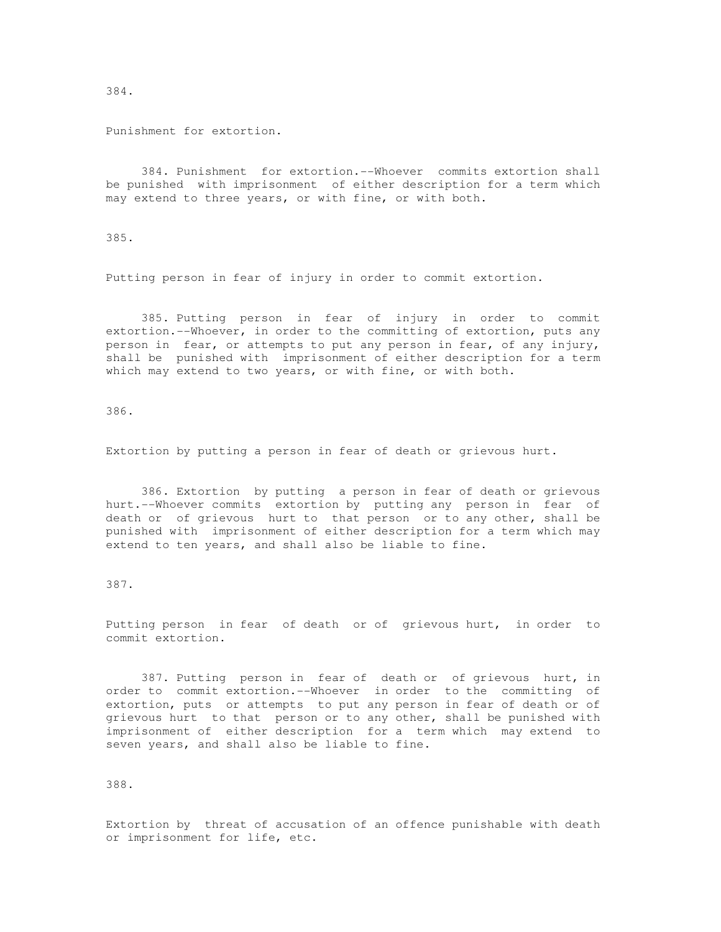Punishment for extortion.

 384. Punishment for extortion.--Whoever commits extortion shall be punished with imprisonment of either description for a term which may extend to three years, or with fine, or with both.

385.

Putting person in fear of injury in order to commit extortion.

 385. Putting person in fear of injury in order to commit extortion.--Whoever, in order to the committing of extortion, puts any person in fear, or attempts to put any person in fear, of any injury, shall be punished with imprisonment of either description for a term which may extend to two years, or with fine, or with both.

386.

Extortion by putting a person in fear of death or grievous hurt.

 386. Extortion by putting a person in fear of death or grievous hurt.--Whoever commits extortion by putting any person in fear of death or of grievous hurt to that person or to any other, shall be punished with imprisonment of either description for a term which may extend to ten years, and shall also be liable to fine.

387.

Putting person in fear of death or of grievous hurt, in order to commit extortion.

 387. Putting person in fear of death or of grievous hurt, in order to commit extortion.--Whoever in order to the committing of extortion, puts or attempts to put any person in fear of death or of grievous hurt to that person or to any other, shall be punished with imprisonment of either description for a term which may extend to seven years, and shall also be liable to fine.

388.

Extortion by threat of accusation of an offence punishable with death or imprisonment for life, etc.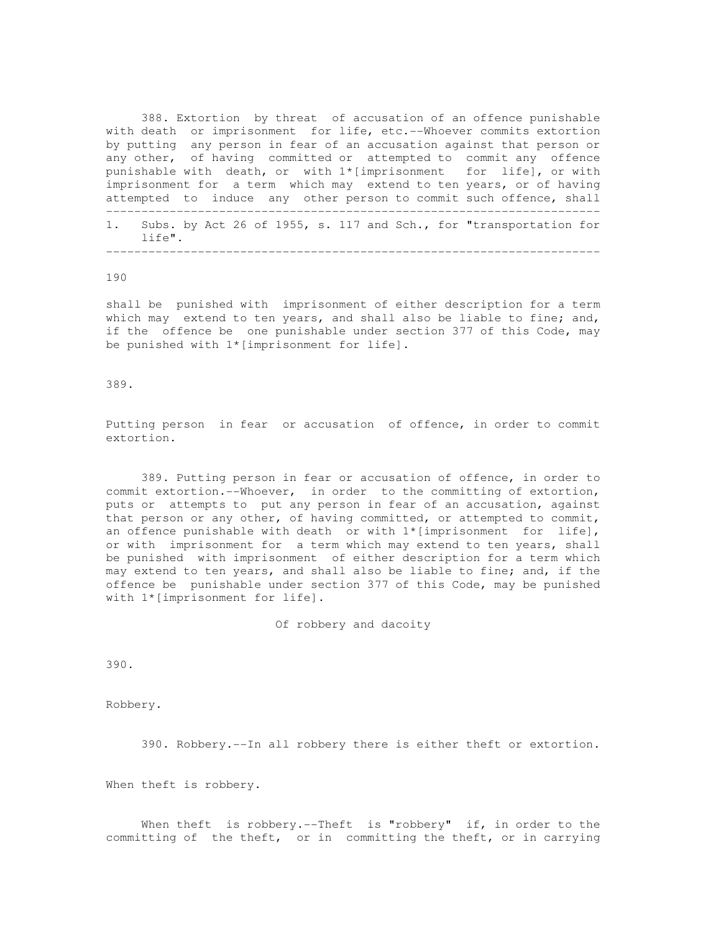388. Extortion by threat of accusation of an offence punishable with death or imprisonment for life, etc.--Whoever commits extortion by putting any person in fear of an accusation against that person or any other, of having committed or attempted to commit any offence punishable with death, or with  $1*(\text{imprisonment for life}),$  or with imprisonment for a term which may extend to ten years, or of having attempted to induce any other person to commit such offence, shall ---------------------------------------------------------------------- 1. Subs. by Act 26 of 1955, s. 117 and Sch., for "transportation for life". ----------------------------------------------------------------------

### 190

shall be punished with imprisonment of either description for a term which may extend to ten years, and shall also be liable to fine; and, if the offence be one punishable under section 377 of this Code, may be punished with 1\*[imprisonment for life].

### 389.

Putting person in fear or accusation of offence, in order to commit extortion.

 389. Putting person in fear or accusation of offence, in order to commit extortion.--Whoever, in order to the committing of extortion, puts or attempts to put any person in fear of an accusation, against that person or any other, of having committed, or attempted to commit, an offence punishable with death or with  $1*(imprisonment for life)$ , or with imprisonment for a term which may extend to ten years, shall be punished with imprisonment of either description for a term which may extend to ten years, and shall also be liable to fine; and, if the offence be punishable under section 377 of this Code, may be punished with 1\*[imprisonment for life].

Of robbery and dacoity

390.

Robbery.

390. Robbery.--In all robbery there is either theft or extortion.

When theft is robbery.

When theft is robbery.--Theft is "robbery" if, in order to the committing of the theft, or in committing the theft, or in carrying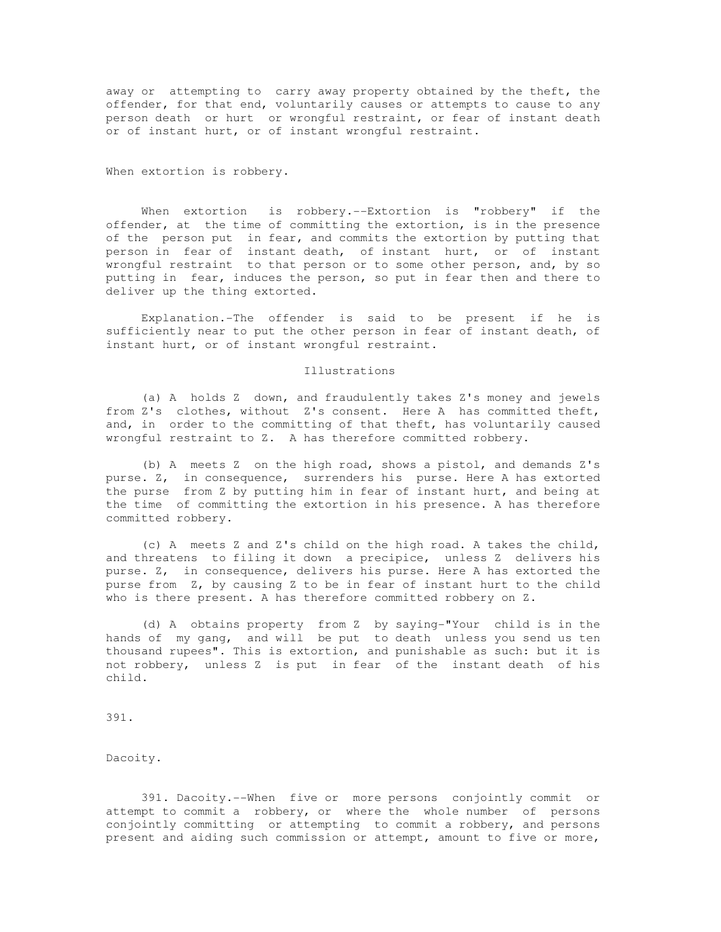away or attempting to carry away property obtained by the theft, the offender, for that end, voluntarily causes or attempts to cause to any person death or hurt or wrongful restraint, or fear of instant death or of instant hurt, or of instant wrongful restraint.

When extortion is robbery.

 When extortion is robbery.--Extortion is "robbery" if the offender, at the time of committing the extortion, is in the presence of the person put in fear, and commits the extortion by putting that person in fear of instant death, of instant hurt, or of instant wrongful restraint to that person or to some other person, and, by so putting in fear, induces the person, so put in fear then and there to deliver up the thing extorted.

 Explanation.-The offender is said to be present if he is sufficiently near to put the other person in fear of instant death, of instant hurt, or of instant wrongful restraint.

## Illustrations

 (a) A holds Z down, and fraudulently takes Z's money and jewels from Z's clothes, without Z's consent. Here A has committed theft, and, in order to the committing of that theft, has voluntarily caused wrongful restraint to Z. A has therefore committed robbery.

 (b) A meets Z on the high road, shows a pistol, and demands Z's purse. Z, in consequence, surrenders his purse. Here A has extorted the purse from Z by putting him in fear of instant hurt, and being at the time of committing the extortion in his presence. A has therefore committed robbery.

 (c) A meets Z and Z's child on the high road. A takes the child, and threatens to filing it down a precipice, unless Z delivers his purse. Z, in consequence, delivers his purse. Here A has extorted the purse from Z, by causing Z to be in fear of instant hurt to the child who is there present. A has therefore committed robbery on Z.

 (d) A obtains property from Z by saying-"Your child is in the hands of my gang, and will be put to death unless you send us ten thousand rupees". This is extortion, and punishable as such: but it is not robbery, unless Z is put in fear of the instant death of his child.

391.

Dacoity.

 391. Dacoity.--When five or more persons conjointly commit or attempt to commit a robbery, or where the whole number of persons conjointly committing or attempting to commit a robbery, and persons present and aiding such commission or attempt, amount to five or more,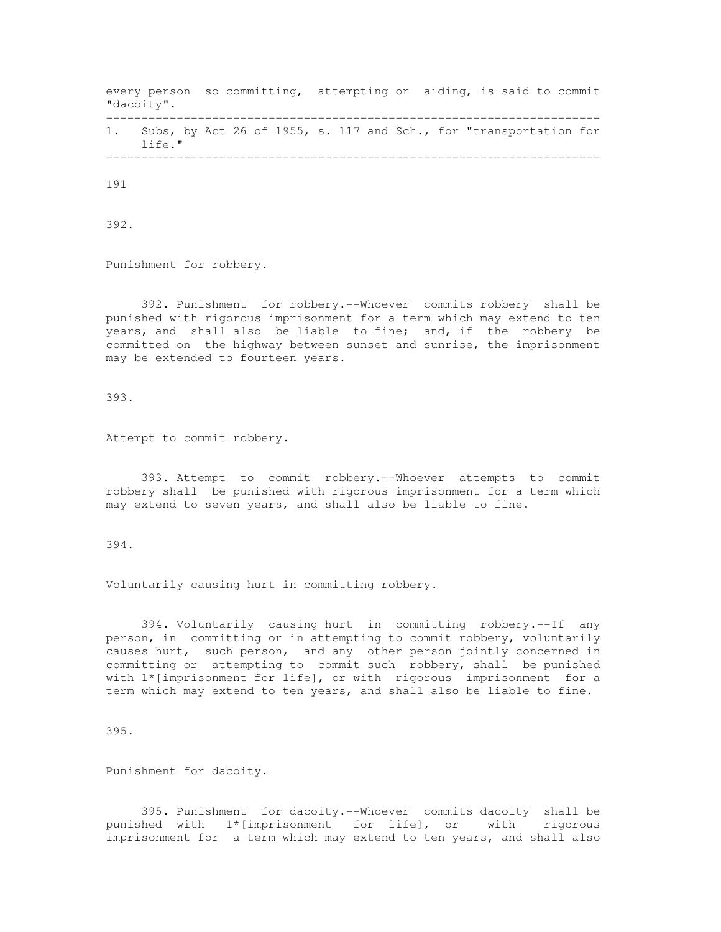every person so committing, attempting or aiding, is said to commit "dacoity".

---------------------------------------------------------------------- 1. Subs, by Act 26 of 1955, s. 117 and Sch., for "transportation for life."

----------------------------------------------------------------------

191

392.

Punishment for robbery.

 392. Punishment for robbery.--Whoever commits robbery shall be punished with rigorous imprisonment for a term which may extend to ten years, and shall also be liable to fine; and, if the robbery be committed on the highway between sunset and sunrise, the imprisonment may be extended to fourteen years.

393.

Attempt to commit robbery.

 393. Attempt to commit robbery.--Whoever attempts to commit robbery shall be punished with rigorous imprisonment for a term which may extend to seven years, and shall also be liable to fine.

394.

Voluntarily causing hurt in committing robbery.

 394. Voluntarily causing hurt in committing robbery.--If any person, in committing or in attempting to commit robbery, voluntarily causes hurt, such person, and any other person jointly concerned in committing or attempting to commit such robbery, shall be punished with 1\*[imprisonment for life], or with rigorous imprisonment for a term which may extend to ten years, and shall also be liable to fine.

395.

Punishment for dacoity.

 395. Punishment for dacoity.--Whoever commits dacoity shall be punished with 1\*[imprisonment for life], or with rigorous -<br>imprisonment for a term which may extend to ten years, and shall also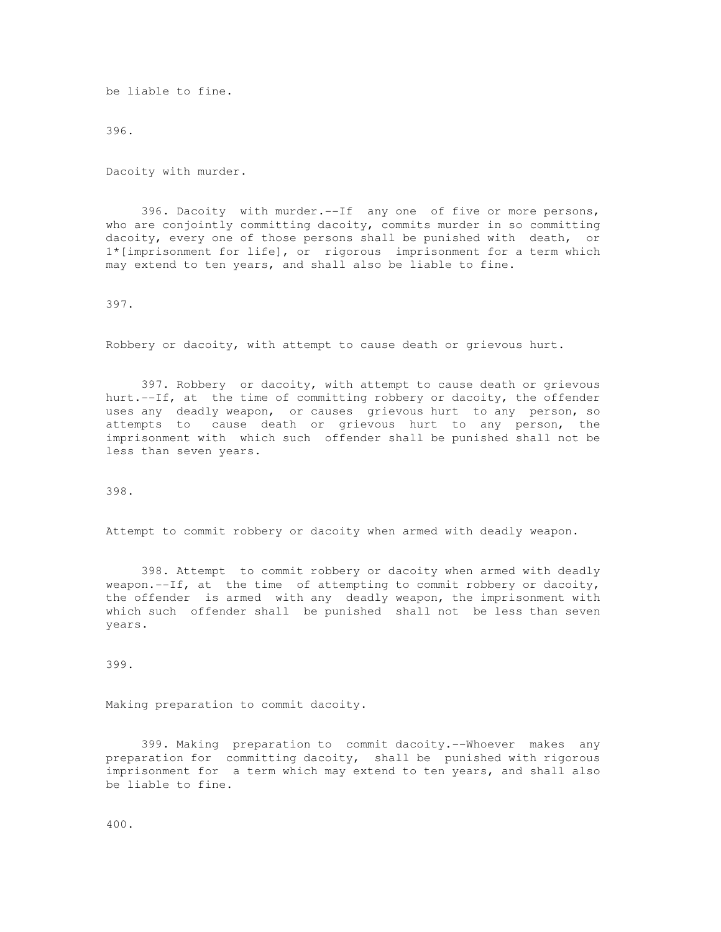be liable to fine.

396.

Dacoity with murder.

 396. Dacoity with murder.--If any one of five or more persons, who are conjointly committing dacoity, commits murder in so committing dacoity, every one of those persons shall be punished with death, or 1\*[imprisonment for life], or rigorous imprisonment for a term which may extend to ten years, and shall also be liable to fine.

397.

Robbery or dacoity, with attempt to cause death or grievous hurt.

 397. Robbery or dacoity, with attempt to cause death or grievous hurt.--If, at the time of committing robbery or dacoity, the offender uses any deadly weapon, or causes grievous hurt to any person, so attempts to cause death or grievous hurt to any person, the imprisonment with which such offender shall be punished shall not be less than seven years.

398.

Attempt to commit robbery or dacoity when armed with deadly weapon.

 398. Attempt to commit robbery or dacoity when armed with deadly weapon.--If, at the time of attempting to commit robbery or dacoity, the offender is armed with any deadly weapon, the imprisonment with which such offender shall be punished shall not be less than seven years.

399.

Making preparation to commit dacoity.

 399. Making preparation to commit dacoity.--Whoever makes any preparation for committing dacoity, shall be punished with rigorous imprisonment for a term which may extend to ten years, and shall also be liable to fine.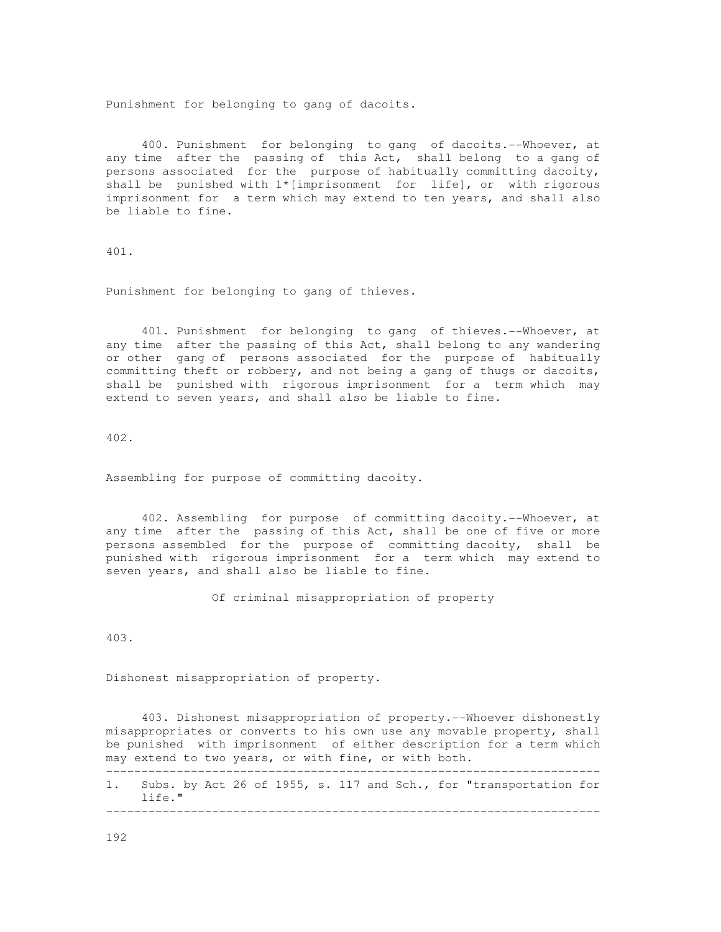Punishment for belonging to gang of dacoits.

 400. Punishment for belonging to gang of dacoits.--Whoever, at any time after the passing of this Act, shall belong to a gang of persons associated for the purpose of habitually committing dacoity, shall be punished with  $1*(\text{imprisomment for life}),$  or with rigorous imprisonment for a term which may extend to ten years, and shall also be liable to fine.

401.

Punishment for belonging to gang of thieves.

 401. Punishment for belonging to gang of thieves.--Whoever, at any time after the passing of this Act, shall belong to any wandering or other gang of persons associated for the purpose of habitually committing theft or robbery, and not being a gang of thugs or dacoits, shall be punished with rigorous imprisonment for a term which may extend to seven years, and shall also be liable to fine.

402.

Assembling for purpose of committing dacoity.

 402. Assembling for purpose of committing dacoity.--Whoever, at any time after the passing of this Act, shall be one of five or more persons assembled for the purpose of committing dacoity, shall be punished with rigorous imprisonment for a term which may extend to seven years, and shall also be liable to fine.

Of criminal misappropriation of property

403.

Dishonest misappropriation of property.

 403. Dishonest misappropriation of property.--Whoever dishonestly misappropriates or converts to his own use any movable property, shall be punished with imprisonment of either description for a term which may extend to two years, or with fine, or with both. ----------------------------------------------------------------------

1. Subs. by Act 26 of 1955, s. 117 and Sch., for "transportation for life." ----------------------------------------------------------------------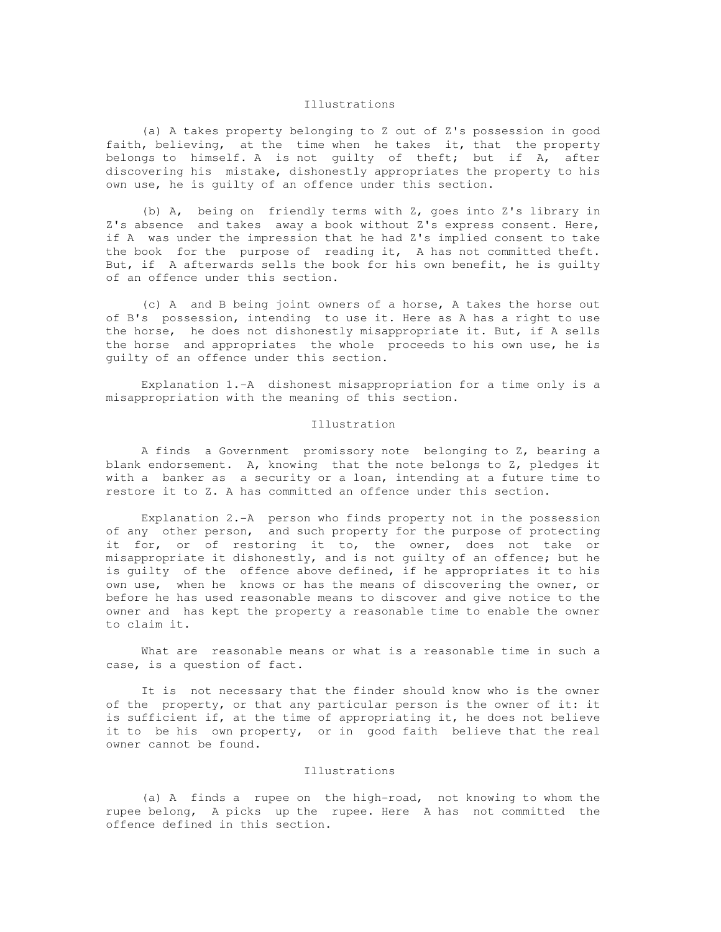## Illustrations

 (a) A takes property belonging to Z out of Z's possession in good faith, believing, at the time when he takes it, that the property belongs to himself. A is not guilty of theft; but if A, after discovering his mistake, dishonestly appropriates the property to his own use, he is guilty of an offence under this section.

 (b) A, being on friendly terms with Z, goes into Z's library in Z's absence and takes away a book without Z's express consent. Here, if A was under the impression that he had Z's implied consent to take the book for the purpose of reading it, A has not committed theft. But, if A afterwards sells the book for his own benefit, he is guilty of an offence under this section.

 (c) A and B being joint owners of a horse, A takes the horse out of B's possession, intending to use it. Here as A has a right to use the horse, he does not dishonestly misappropriate it. But, if A sells the horse and appropriates the whole proceeds to his own use, he is guilty of an offence under this section.

 Explanation 1.-A dishonest misappropriation for a time only is a misappropriation with the meaning of this section.

#### Illustration

 A finds a Government promissory note belonging to Z, bearing a blank endorsement. A, knowing that the note belongs to Z, pledges it with a banker as a security or a loan, intending at a future time to restore it to Z. A has committed an offence under this section.

 Explanation 2.-A person who finds property not in the possession of any other person, and such property for the purpose of protecting it for, or of restoring it to, the owner, does not take or misappropriate it dishonestly, and is not guilty of an offence; but he is guilty of the offence above defined, if he appropriates it to his own use, when he knows or has the means of discovering the owner, or before he has used reasonable means to discover and give notice to the owner and has kept the property a reasonable time to enable the owner to claim it.

 What are reasonable means or what is a reasonable time in such a case, is a question of fact.

 It is not necessary that the finder should know who is the owner of the property, or that any particular person is the owner of it: it is sufficient if, at the time of appropriating it, he does not believe it to be his own property, or in good faith believe that the real owner cannot be found.

### Illustrations

 (a) A finds a rupee on the high-road, not knowing to whom the rupee belong, A picks up the rupee. Here A has not committed the offence defined in this section.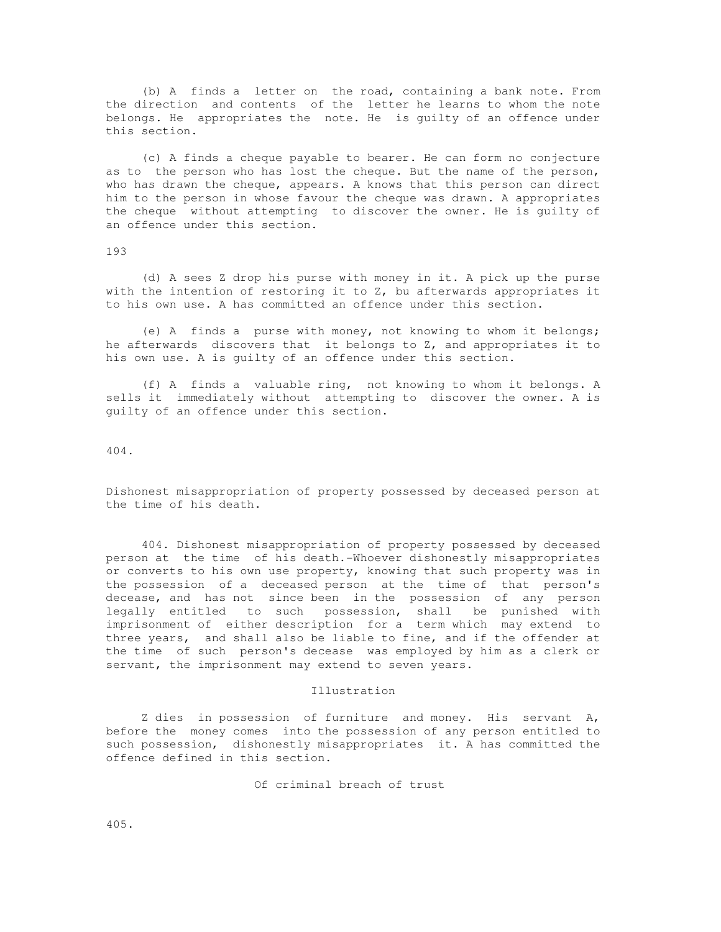(b) A finds a letter on the road, containing a bank note. From the direction and contents of the letter he learns to whom the note belongs. He appropriates the note. He is guilty of an offence under this section.

 (c) A finds a cheque payable to bearer. He can form no conjecture as to the person who has lost the cheque. But the name of the person, who has drawn the cheque, appears. A knows that this person can direct him to the person in whose favour the cheque was drawn. A appropriates the cheque without attempting to discover the owner. He is guilty of an offence under this section.

### 193

 (d) A sees Z drop his purse with money in it. A pick up the purse with the intention of restoring it to Z, bu afterwards appropriates it to his own use. A has committed an offence under this section.

 (e) A finds a purse with money, not knowing to whom it belongs; he afterwards discovers that it belongs to Z, and appropriates it to his own use. A is guilty of an offence under this section.

 (f) A finds a valuable ring, not knowing to whom it belongs. A sells it immediately without attempting to discover the owner. A is guilty of an offence under this section.

404.

Dishonest misappropriation of property possessed by deceased person at the time of his death.

 404. Dishonest misappropriation of property possessed by deceased person at the time of his death.-Whoever dishonestly misappropriates or converts to his own use property, knowing that such property was in the possession of a deceased person at the time of that person's decease, and has not since been in the possession of any person legally entitled to such possession, shall be punished with imprisonment of either description for a term which may extend to three years, and shall also be liable to fine, and if the offender at the time of such person's decease was employed by him as a clerk or servant, the imprisonment may extend to seven years.

## Illustration

 Z dies in possession of furniture and money. His servant A, before the money comes into the possession of any person entitled to such possession, dishonestly misappropriates it. A has committed the offence defined in this section.

Of criminal breach of trust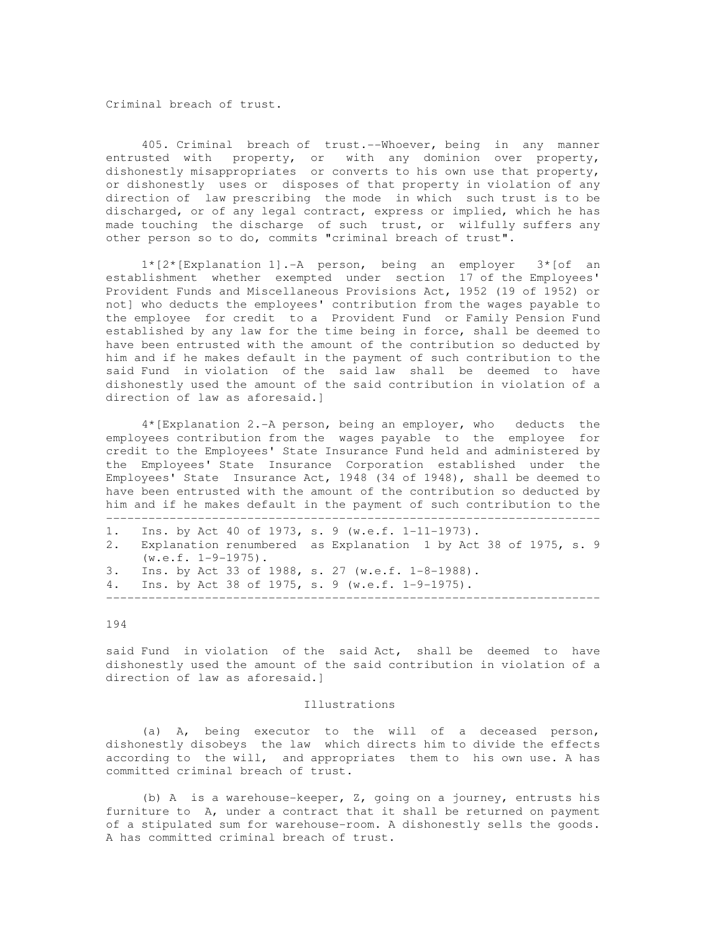Criminal breach of trust.

 405. Criminal breach of trust.--Whoever, being in any manner entrusted with property, or with any dominion over property, dishonestly misappropriates or converts to his own use that property, or dishonestly uses or disposes of that property in violation of any direction of law prescribing the mode in which such trust is to be discharged, or of any legal contract, express or implied, which he has made touching the discharge of such trust, or wilfully suffers any other person so to do, commits "criminal breach of trust".

 1\*[2\*[Explanation 1].-A person, being an employer 3\*[of an establishment whether exempted under section 17 of the Employees' Provident Funds and Miscellaneous Provisions Act, 1952 (19 of 1952) or not] who deducts the employees' contribution from the wages payable to the employee for credit to a Provident Fund or Family Pension Fund established by any law for the time being in force, shall be deemed to have been entrusted with the amount of the contribution so deducted by him and if he makes default in the payment of such contribution to the said Fund in violation of the said law shall be deemed to have dishonestly used the amount of the said contribution in violation of a direction of law as aforesaid.]

 4\*[Explanation 2.-A person, being an employer, who deducts the employees contribution from the wages payable to the employee for credit to the Employees' State Insurance Fund held and administered by the Employees' State Insurance Corporation established under the Employees' State Insurance Act, 1948 (34 of 1948), shall be deemed to have been entrusted with the amount of the contribution so deducted by him and if he makes default in the payment of such contribution to the

```
1. Ins. by Act 40 of 1973, s. 9 (w.e.f. 1-11-1973). 
2. Explanation renumbered as Explanation 1 by Act 38 of 1975, s. 9 
    (w.e.f. 1-9-1975).
3. Ins. by Act 33 of 1988, s. 27 (w.e.f. 1-8-1988). 
4. Ins. by Act 38 of 1975, s. 9 (w.e.f. 1-9-1975). 
----------------------------------------------------------------------
```
----------------------------------------------------------------------

## 194

said Fund in violation of the said Act, shall be deemed to have dishonestly used the amount of the said contribution in violation of a direction of law as aforesaid.]

#### Illustrations

 (a) A, being executor to the will of a deceased person, dishonestly disobeys the law which directs him to divide the effects according to the will, and appropriates them to his own use. A has committed criminal breach of trust.

 (b) A is a warehouse-keeper, Z, going on a journey, entrusts his furniture to A, under a contract that it shall be returned on payment of a stipulated sum for warehouse-room. A dishonestly sells the goods. A has committed criminal breach of trust.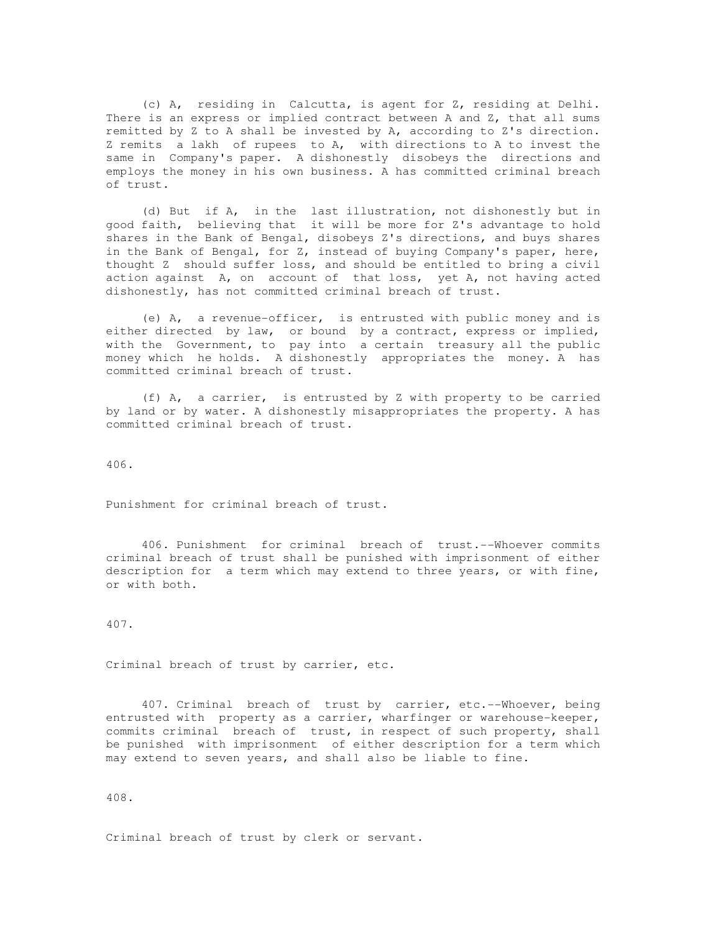(c) A, residing in Calcutta, is agent for Z, residing at Delhi. There is an express or implied contract between A and Z, that all sums remitted by Z to A shall be invested by A, according to Z's direction. Z remits a lakh of rupees to A, with directions to A to invest the same in Company's paper. A dishonestly disobeys the directions and employs the money in his own business. A has committed criminal breach of trust.

 (d) But if A, in the last illustration, not dishonestly but in good faith, believing that it will be more for Z's advantage to hold shares in the Bank of Bengal, disobeys Z's directions, and buys shares in the Bank of Bengal, for Z, instead of buying Company's paper, here, thought Z should suffer loss, and should be entitled to bring a civil action against A, on account of that loss, yet A, not having acted dishonestly, has not committed criminal breach of trust.

 (e) A, a revenue-officer, is entrusted with public money and is either directed by law, or bound by a contract, express or implied, with the Government, to pay into a certain treasury all the public money which he holds. A dishonestly appropriates the money. A has committed criminal breach of trust.

 (f) A, a carrier, is entrusted by Z with property to be carried by land or by water. A dishonestly misappropriates the property. A has committed criminal breach of trust.

406.

Punishment for criminal breach of trust.

 406. Punishment for criminal breach of trust.--Whoever commits criminal breach of trust shall be punished with imprisonment of either description for a term which may extend to three years, or with fine, or with both.

407.

Criminal breach of trust by carrier, etc.

 407. Criminal breach of trust by carrier, etc.--Whoever, being entrusted with property as a carrier, wharfinger or warehouse-keeper, commits criminal breach of trust, in respect of such property, shall be punished with imprisonment of either description for a term which may extend to seven years, and shall also be liable to fine.

408.

Criminal breach of trust by clerk or servant.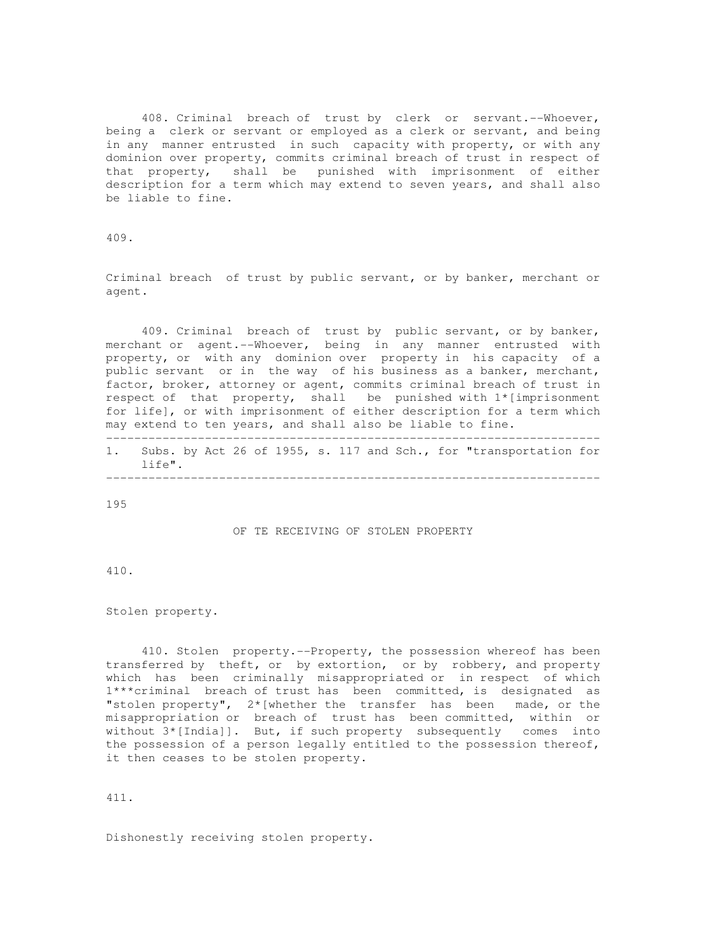408. Criminal breach of trust by clerk or servant.--Whoever, being a clerk or servant or employed as a clerk or servant, and being in any manner entrusted in such capacity with property, or with any dominion over property, commits criminal breach of trust in respect of that property, shall be punished with imprisonment of either description for a term which may extend to seven years, and shall also be liable to fine.

409.

Criminal breach of trust by public servant, or by banker, merchant or agent.

 409. Criminal breach of trust by public servant, or by banker, merchant or agent.--Whoever, being in any manner entrusted with property, or with any dominion over property in his capacity of a public servant or in the way of his business as a banker, merchant, factor, broker, attorney or agent, commits criminal breach of trust in respect of that property, shall be punished with 1\*[imprisonment for life], or with imprisonment of either description for a term which may extend to ten years, and shall also be liable to fine.

---------------------------------------------------------------------- 1. Subs. by Act 26 of 1955, s. 117 and Sch., for "transportation for life". ----------------------------------------------------------------------

195

OF TE RECEIVING OF STOLEN PROPERTY

410.

Stolen property.

 410. Stolen property.--Property, the possession whereof has been transferred by theft, or by extortion, or by robbery, and property which has been criminally misappropriated or in respect of which 1\*\*\*criminal breach of trust has been committed, is designated as "stolen property", 2\*[whether the transfer has been made, or the misappropriation or breach of trust has been committed, within or without 3\*[India]]. But, if such property subsequently comes into the possession of a person legally entitled to the possession thereof, it then ceases to be stolen property.

411.

Dishonestly receiving stolen property.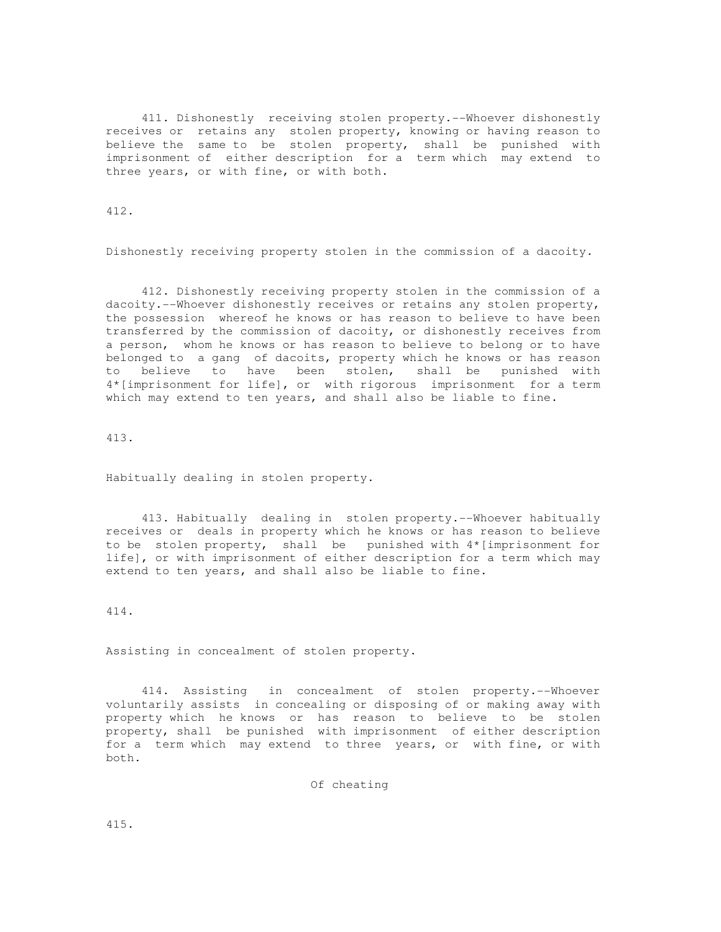411. Dishonestly receiving stolen property.--Whoever dishonestly receives or retains any stolen property, knowing or having reason to believe the same to be stolen property, shall be punished with imprisonment of either description for a term which may extend to three years, or with fine, or with both.

412.

Dishonestly receiving property stolen in the commission of a dacoity.

 412. Dishonestly receiving property stolen in the commission of a dacoity.--Whoever dishonestly receives or retains any stolen property, the possession whereof he knows or has reason to believe to have been transferred by the commission of dacoity, or dishonestly receives from a person, whom he knows or has reason to believe to belong or to have belonged to a gang of dacoits, property which he knows or has reason to believe to have been stolen, shall be punished with 4\*[imprisonment for life], or with rigorous imprisonment for a term which may extend to ten years, and shall also be liable to fine.

413.

Habitually dealing in stolen property.

 413. Habitually dealing in stolen property.--Whoever habitually receives or deals in property which he knows or has reason to believe to be stolen property, shall be punished with 4\*[imprisonment for life], or with imprisonment of either description for a term which may extend to ten years, and shall also be liable to fine.

414.

Assisting in concealment of stolen property.

 414. Assisting in concealment of stolen property.--Whoever voluntarily assists in concealing or disposing of or making away with property which he knows or has reason to believe to be stolen property, shall be punished with imprisonment of either description for a term which may extend to three years, or with fine, or with both.

Of cheating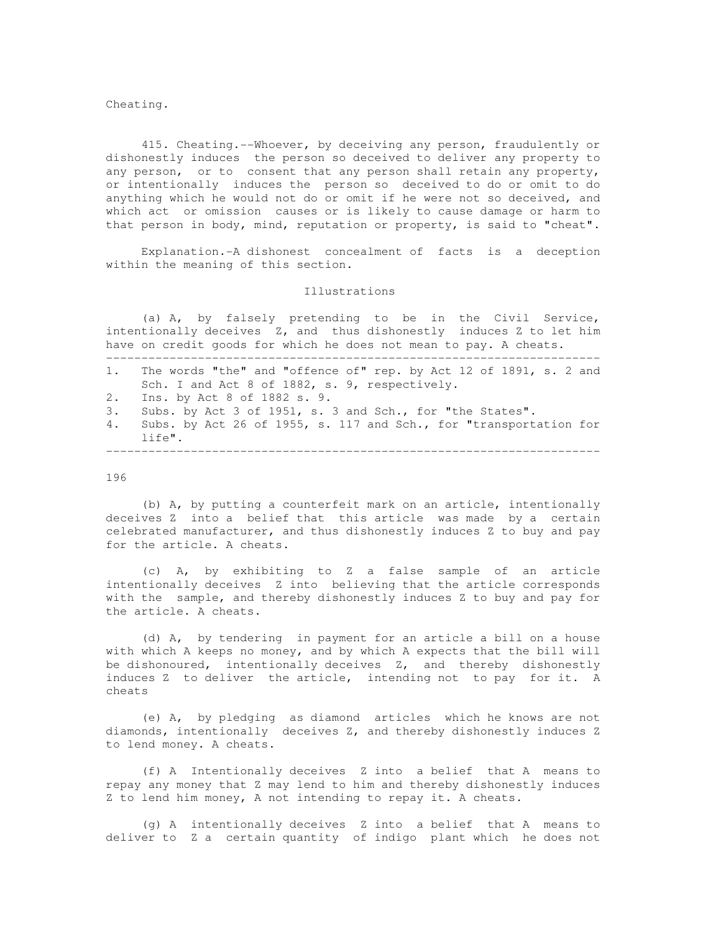Cheating.

 415. Cheating.--Whoever, by deceiving any person, fraudulently or dishonestly induces the person so deceived to deliver any property to any person, or to consent that any person shall retain any property, or intentionally induces the person so deceived to do or omit to do anything which he would not do or omit if he were not so deceived, and which act or omission causes or is likely to cause damage or harm to that person in body, mind, reputation or property, is said to "cheat".

 Explanation.-A dishonest concealment of facts is a deception within the meaning of this section.

#### Illustrations

 (a) A, by falsely pretending to be in the Civil Service, intentionally deceives Z, and thus dishonestly induces Z to let him have on credit goods for which he does not mean to pay. A cheats.

----------------------------------------------------------------------

1. The words "the" and "offence of" rep. by Act 12 of 1891, s. 2 and Sch. I and Act 8 of 1882, s. 9, respectively. 2. Ins. by Act 8 of 1882 s. 9. 3. Subs. by Act 3 of 1951, s. 3 and Sch., for "the States". 4. Subs. by Act 26 of 1955, s. 117 and Sch., for "transportation for

 life". ----------------------------------------------------------------------

196

 (b) A, by putting a counterfeit mark on an article, intentionally deceives Z into a belief that this article was made by a certain celebrated manufacturer, and thus dishonestly induces Z to buy and pay for the article. A cheats.

 (c) A, by exhibiting to Z a false sample of an article intentionally deceives Z into believing that the article corresponds with the sample, and thereby dishonestly induces Z to buy and pay for the article. A cheats.

 (d) A, by tendering in payment for an article a bill on a house with which A keeps no money, and by which A expects that the bill will be dishonoured, intentionally deceives Z, and thereby dishonestly induces Z to deliver the article, intending not to pay for it. A cheats

 (e) A, by pledging as diamond articles which he knows are not diamonds, intentionally deceives Z, and thereby dishonestly induces Z to lend money. A cheats.

 (f) A Intentionally deceives Z into a belief that A means to repay any money that Z may lend to him and thereby dishonestly induces Z to lend him money, A not intending to repay it. A cheats.

 (g) A intentionally deceives Z into a belief that A means to deliver to Z a certain quantity of indigo plant which he does not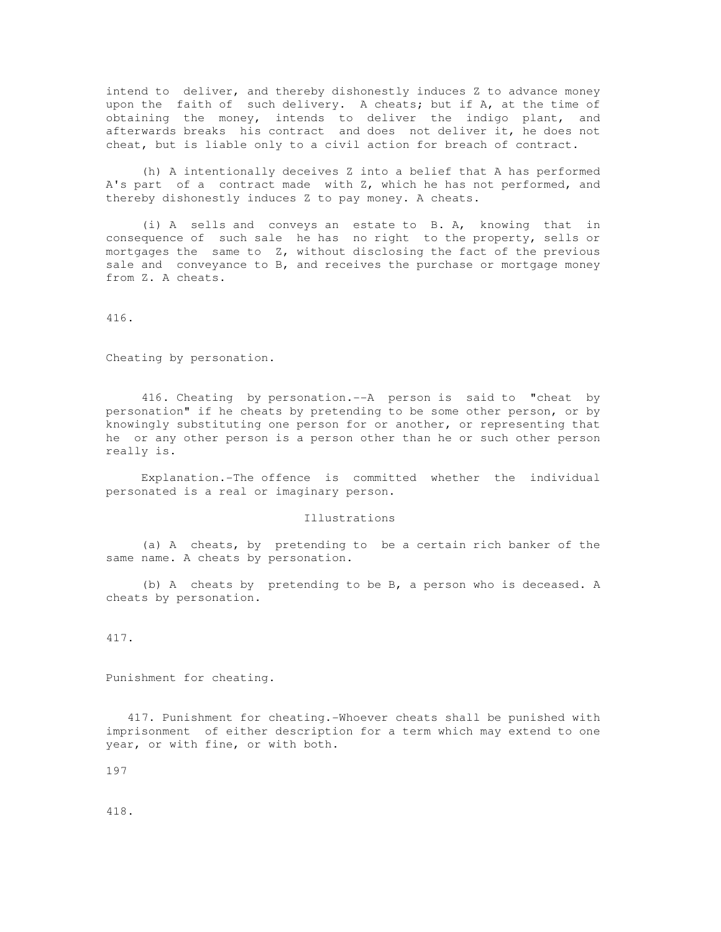intend to deliver, and thereby dishonestly induces Z to advance money upon the faith of such delivery. A cheats; but if A, at the time of obtaining the money, intends to deliver the indigo plant, and afterwards breaks his contract and does not deliver it, he does not cheat, but is liable only to a civil action for breach of contract.

 (h) A intentionally deceives Z into a belief that A has performed A's part of a contract made with Z, which he has not performed, and thereby dishonestly induces Z to pay money. A cheats.

 (i) A sells and conveys an estate to B. A, knowing that in consequence of such sale he has no right to the property, sells or mortgages the same to Z, without disclosing the fact of the previous sale and conveyance to B, and receives the purchase or mortgage money from Z. A cheats.

416.

Cheating by personation.

 416. Cheating by personation.--A person is said to "cheat by personation" if he cheats by pretending to be some other person, or by knowingly substituting one person for or another, or representing that he or any other person is a person other than he or such other person really is.

 Explanation.-The offence is committed whether the individual personated is a real or imaginary person.

## Illustrations

 (a) A cheats, by pretending to be a certain rich banker of the same name. A cheats by personation.

 (b) A cheats by pretending to be B, a person who is deceased. A cheats by personation.

417.

Punishment for cheating.

 417. Punishment for cheating.-Whoever cheats shall be punished with imprisonment of either description for a term which may extend to one year, or with fine, or with both.

197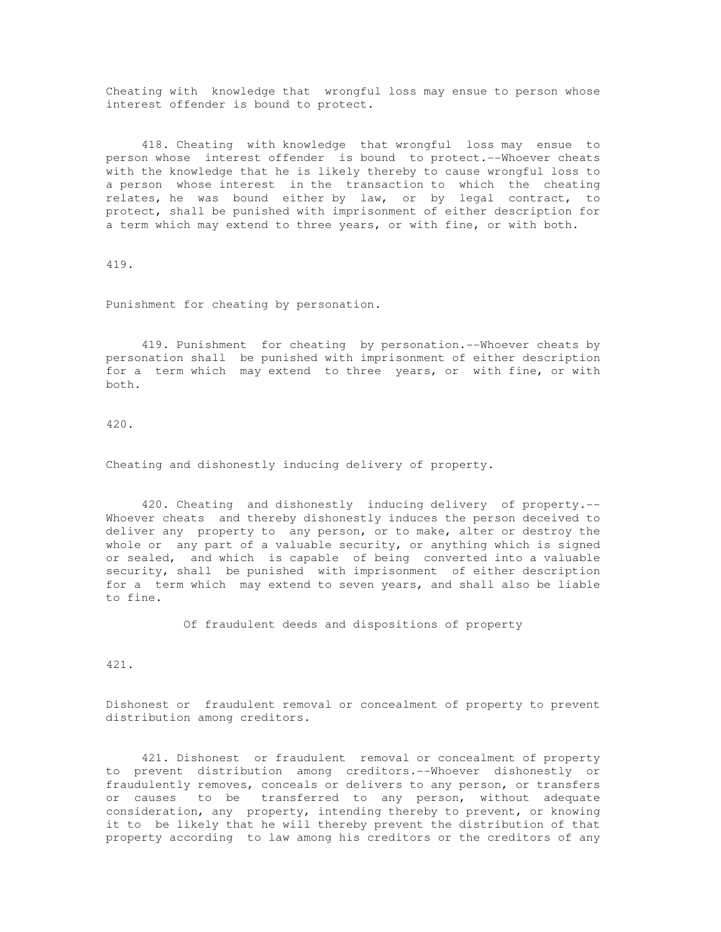Cheating with knowledge that wrongful loss may ensue to person whose interest offender is bound to protect.

 418. Cheating with knowledge that wrongful loss may ensue to person whose interest offender is bound to protect.--Whoever cheats with the knowledge that he is likely thereby to cause wrongful loss to a person whose interest in the transaction to which the cheating relates, he was bound either by law, or by legal contract, to protect, shall be punished with imprisonment of either description for a term which may extend to three years, or with fine, or with both.

419.

Punishment for cheating by personation.

 419. Punishment for cheating by personation.--Whoever cheats by personation shall be punished with imprisonment of either description for a term which may extend to three years, or with fine, or with both.

420.

Cheating and dishonestly inducing delivery of property.

 420. Cheating and dishonestly inducing delivery of property.-- Whoever cheats and thereby dishonestly induces the person deceived to deliver any property to any person, or to make, alter or destroy the whole or any part of a valuable security, or anything which is signed or sealed, and which is capable of being converted into a valuable security, shall be punished with imprisonment of either description for a term which may extend to seven years, and shall also be liable to fine.

Of fraudulent deeds and dispositions of property

421.

Dishonest or fraudulent removal or concealment of property to prevent distribution among creditors.

 421. Dishonest or fraudulent removal or concealment of property to prevent distribution among creditors.--Whoever dishonestly or fraudulently removes, conceals or delivers to any person, or transfers or causes to be transferred to any person, without adequate consideration, any property, intending thereby to prevent, or knowing it to be likely that he will thereby prevent the distribution of that property according to law among his creditors or the creditors of any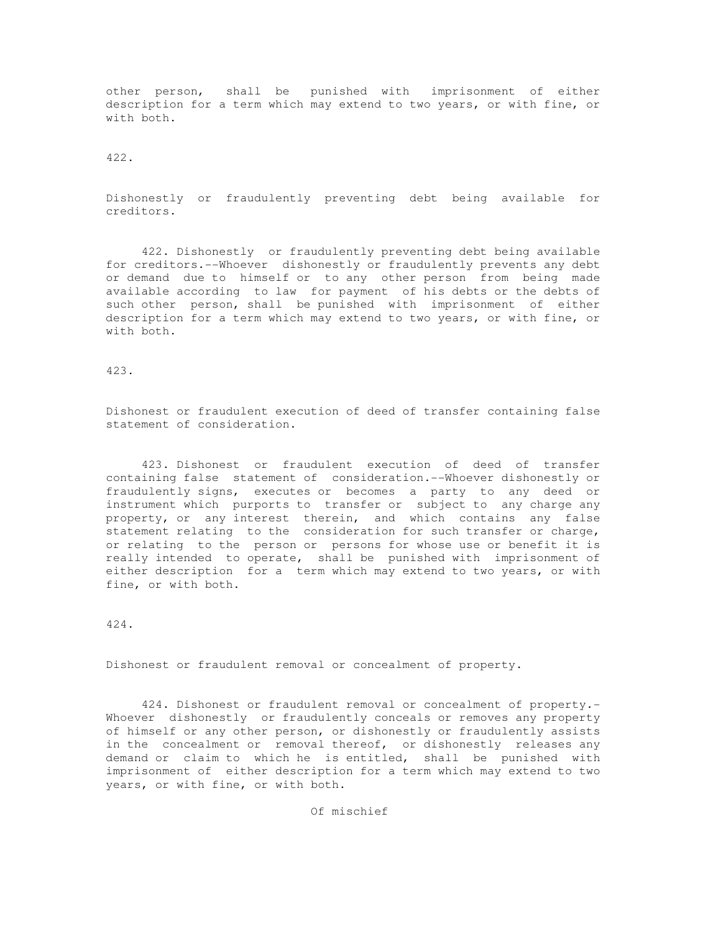other person, shall be punished with imprisonment of either description for a term which may extend to two years, or with fine, or with both.

422.

Dishonestly or fraudulently preventing debt being available for creditors.

 422. Dishonestly or fraudulently preventing debt being available for creditors.--Whoever dishonestly or fraudulently prevents any debt or demand due to himself or to any other person from being made available according to law for payment of his debts or the debts of such other person, shall be punished with imprisonment of either description for a term which may extend to two years, or with fine, or with both.

423.

Dishonest or fraudulent execution of deed of transfer containing false statement of consideration.

 423. Dishonest or fraudulent execution of deed of transfer containing false statement of consideration.--Whoever dishonestly or fraudulently signs, executes or becomes a party to any deed or instrument which purports to transfer or subject to any charge any property, or any interest therein, and which contains any false statement relating to the consideration for such transfer or charge, or relating to the person or persons for whose use or benefit it is really intended to operate, shall be punished with imprisonment of either description for a term which may extend to two years, or with fine, or with both.

424.

Dishonest or fraudulent removal or concealment of property.

 424. Dishonest or fraudulent removal or concealment of property.- Whoever dishonestly or fraudulently conceals or removes any property of himself or any other person, or dishonestly or fraudulently assists in the concealment or removal thereof, or dishonestly releases any demand or claim to which he is entitled, shall be punished with imprisonment of either description for a term which may extend to two years, or with fine, or with both.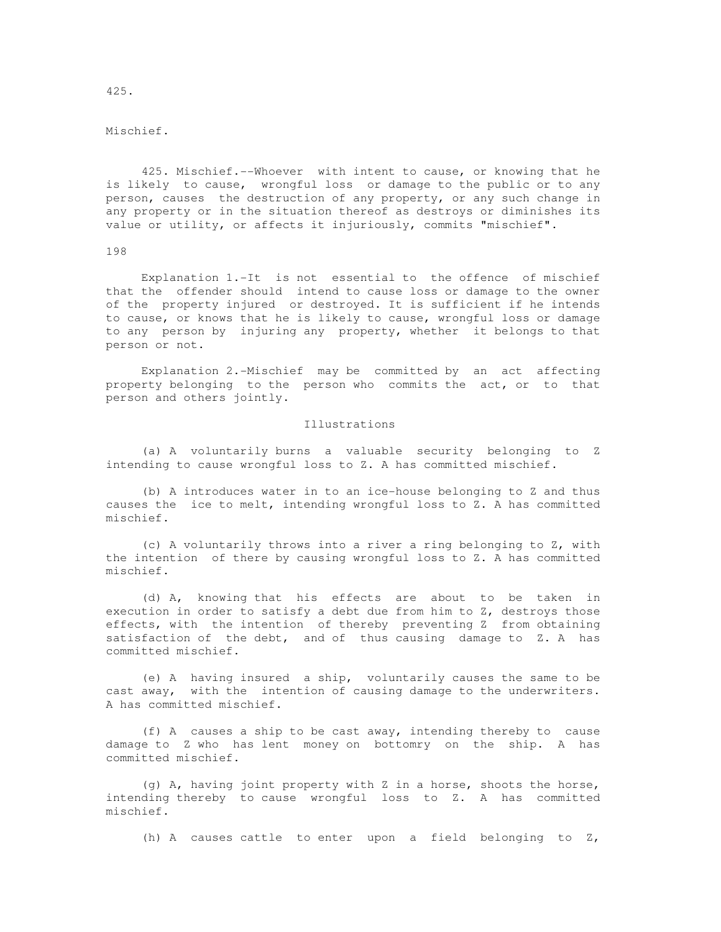Mischief.

 425. Mischief.--Whoever with intent to cause, or knowing that he is likely to cause, wrongful loss or damage to the public or to any person, causes the destruction of any property, or any such change in any property or in the situation thereof as destroys or diminishes its value or utility, or affects it injuriously, commits "mischief".

198

 Explanation 1.-It is not essential to the offence of mischief that the offender should intend to cause loss or damage to the owner of the property injured or destroyed. It is sufficient if he intends to cause, or knows that he is likely to cause, wrongful loss or damage to any person by injuring any property, whether it belongs to that person or not.

 Explanation 2.-Mischief may be committed by an act affecting property belonging to the person who commits the act, or to that person and others jointly.

### Illustrations

 (a) A voluntarily burns a valuable security belonging to Z intending to cause wrongful loss to Z. A has committed mischief.

 (b) A introduces water in to an ice-house belonging to Z and thus causes the ice to melt, intending wrongful loss to Z. A has committed mischief.

 (c) A voluntarily throws into a river a ring belonging to Z, with the intention of there by causing wrongful loss to Z. A has committed mischief.

 (d) A, knowing that his effects are about to be taken in execution in order to satisfy a debt due from him to Z, destroys those effects, with the intention of thereby preventing Z from obtaining satisfaction of the debt, and of thus causing damage to Z. A has committed mischief.

 (e) A having insured a ship, voluntarily causes the same to be cast away, with the intention of causing damage to the underwriters. A has committed mischief.

 (f) A causes a ship to be cast away, intending thereby to cause damage to Z who has lent money on bottomry on the ship. A has committed mischief.

 (g) A, having joint property with Z in a horse, shoots the horse, intending thereby to cause wrongful loss to Z. A has committed mischief.

(h) A causes cattle to enter upon a field belonging to Z,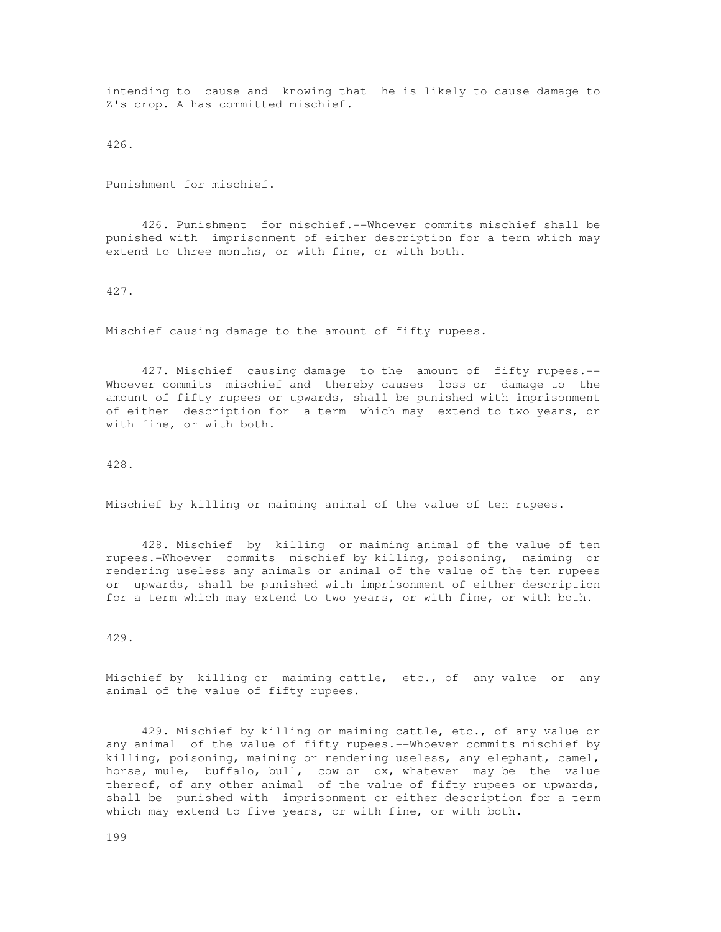intending to cause and knowing that he is likely to cause damage to Z's crop. A has committed mischief.

426.

Punishment for mischief.

 426. Punishment for mischief.--Whoever commits mischief shall be punished with imprisonment of either description for a term which may extend to three months, or with fine, or with both.

427.

Mischief causing damage to the amount of fifty rupees.

 427. Mischief causing damage to the amount of fifty rupees.-- Whoever commits mischief and thereby causes loss or damage to the amount of fifty rupees or upwards, shall be punished with imprisonment of either description for a term which may extend to two years, or with fine, or with both.

428.

Mischief by killing or maiming animal of the value of ten rupees.

 428. Mischief by killing or maiming animal of the value of ten rupees.-Whoever commits mischief by killing, poisoning, maiming or rendering useless any animals or animal of the value of the ten rupees or upwards, shall be punished with imprisonment of either description for a term which may extend to two years, or with fine, or with both.

429.

Mischief by killing or maiming cattle, etc., of any value or any animal of the value of fifty rupees.

 429. Mischief by killing or maiming cattle, etc., of any value or any animal of the value of fifty rupees.--Whoever commits mischief by killing, poisoning, maiming or rendering useless, any elephant, camel, horse, mule, buffalo, bull, cow or ox, whatever may be the value thereof, of any other animal of the value of fifty rupees or upwards, shall be punished with imprisonment or either description for a term which may extend to five years, or with fine, or with both.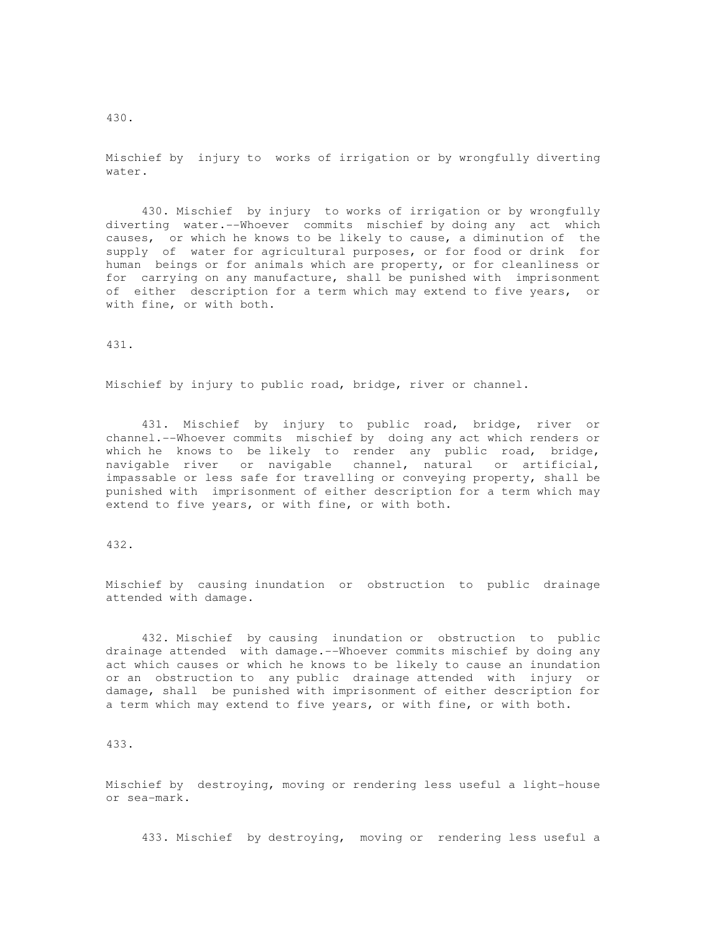Mischief by injury to works of irrigation or by wrongfully diverting water.

 430. Mischief by injury to works of irrigation or by wrongfully diverting water.--Whoever commits mischief by doing any act which causes, or which he knows to be likely to cause, a diminution of the supply of water for agricultural purposes, or for food or drink for human beings or for animals which are property, or for cleanliness or for carrying on any manufacture, shall be punished with imprisonment of either description for a term which may extend to five years, or with fine, or with both.

#### 431.

Mischief by injury to public road, bridge, river or channel.

 431. Mischief by injury to public road, bridge, river or channel.--Whoever commits mischief by doing any act which renders or which he knows to be likely to render any public road, bridge, navigable river or navigable channel, natural or artificial, impassable or less safe for travelling or conveying property, shall be punished with imprisonment of either description for a term which may extend to five years, or with fine, or with both.

# 432.

Mischief by causing inundation or obstruction to public drainage attended with damage.

 432. Mischief by causing inundation or obstruction to public drainage attended with damage.--Whoever commits mischief by doing any act which causes or which he knows to be likely to cause an inundation or an obstruction to any public drainage attended with injury or damage, shall be punished with imprisonment of either description for a term which may extend to five years, or with fine, or with both.

# 433.

Mischief by destroying, moving or rendering less useful a light-house or sea-mark.

433. Mischief by destroying, moving or rendering less useful a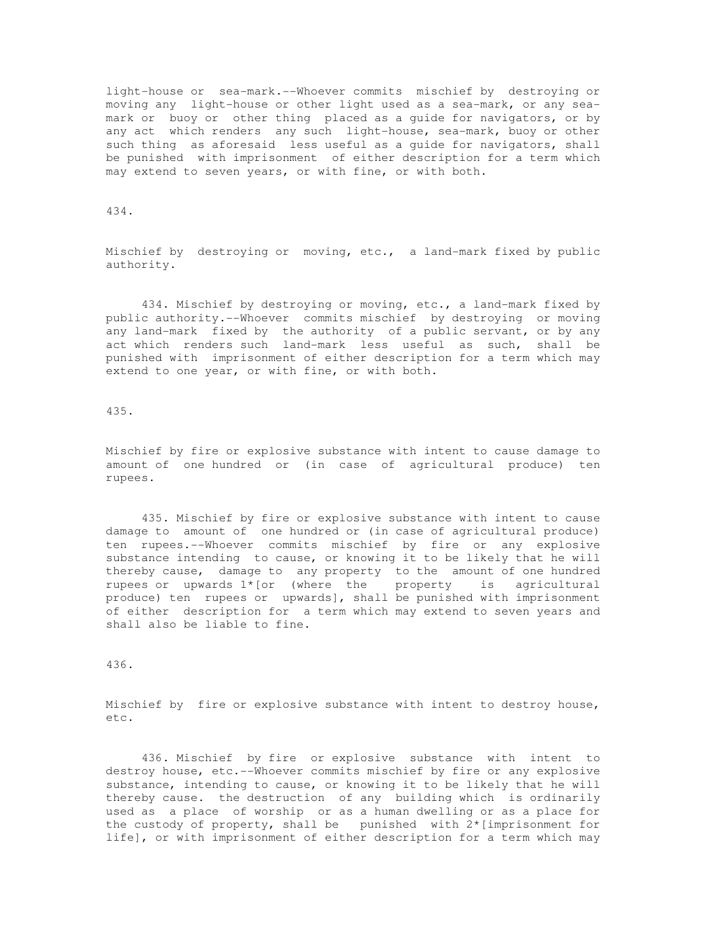light-house or sea-mark.--Whoever commits mischief by destroying or moving any light-house or other light used as a sea-mark, or any seamark or buoy or other thing placed as a guide for navigators, or by any act which renders any such light-house, sea-mark, buoy or other such thing as aforesaid less useful as a guide for navigators, shall be punished with imprisonment of either description for a term which may extend to seven years, or with fine, or with both.

434.

Mischief by destroying or moving, etc., a land-mark fixed by public authority.

 434. Mischief by destroying or moving, etc., a land-mark fixed by public authority.--Whoever commits mischief by destroying or moving any land-mark fixed by the authority of a public servant, or by any act which renders such land-mark less useful as such, shall be punished with imprisonment of either description for a term which may extend to one year, or with fine, or with both.

435.

Mischief by fire or explosive substance with intent to cause damage to amount of one hundred or (in case of agricultural produce) ten rupees.

 435. Mischief by fire or explosive substance with intent to cause damage to amount of one hundred or (in case of agricultural produce) ten rupees.--Whoever commits mischief by fire or any explosive substance intending to cause, or knowing it to be likely that he will thereby cause, damage to any property to the amount of one hundred rupees or upwards 1\*[or (where the property is agricultural produce) ten rupees or upwards], shall be punished with imprisonment of either description for a term which may extend to seven years and shall also be liable to fine.

436.

Mischief by fire or explosive substance with intent to destroy house, etc.

 436. Mischief by fire or explosive substance with intent to destroy house, etc.--Whoever commits mischief by fire or any explosive substance, intending to cause, or knowing it to be likely that he will thereby cause. the destruction of any building which is ordinarily used as a place of worship or as a human dwelling or as a place for the custody of property, shall be punished with  $2*$  [imprisonment for life], or with imprisonment of either description for a term which may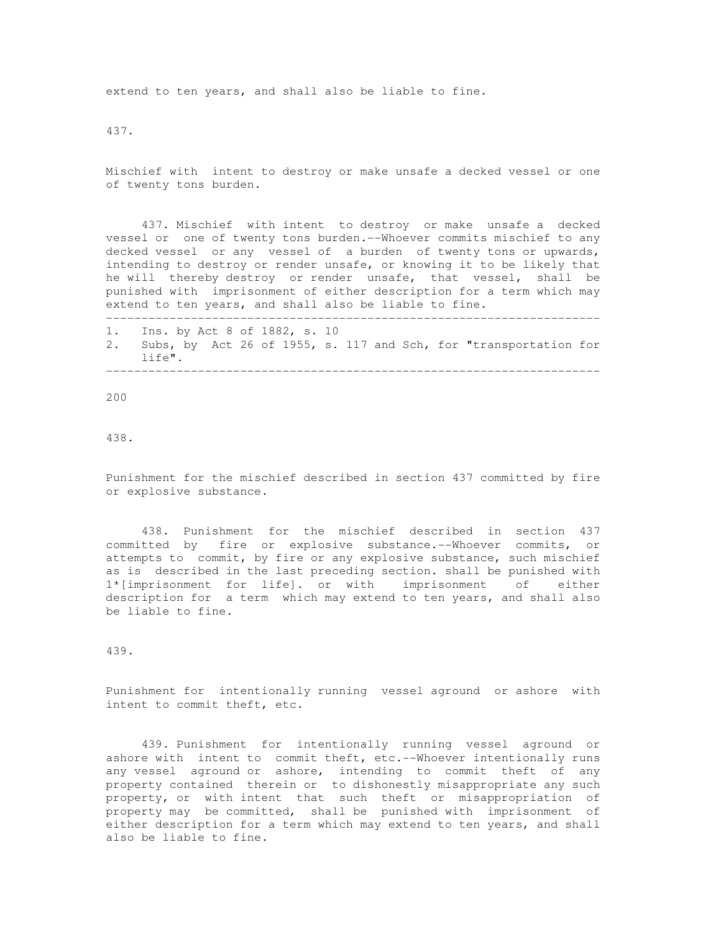extend to ten years, and shall also be liable to fine.

### 437.

Mischief with intent to destroy or make unsafe a decked vessel or one of twenty tons burden.

 437. Mischief with intent to destroy or make unsafe a decked vessel or one of twenty tons burden.--Whoever commits mischief to any decked vessel or any vessel of a burden of twenty tons or upwards, intending to destroy or render unsafe, or knowing it to be likely that he will thereby destroy or render unsafe, that vessel, shall be punished with imprisonment of either description for a term which may extend to ten years, and shall also be liable to fine.

1. Ins. by Act 8 of 1882, s. 10 2. Subs, by Act 26 of 1955, s. 117 and Sch, for "transportation for life". ----------------------------------------------------------------------

200

----------------------------------------------------------------------

438.

Punishment for the mischief described in section 437 committed by fire or explosive substance.

 438. Punishment for the mischief described in section 437 committed by fire or explosive substance.--Whoever commits, or attempts to commit, by fire or any explosive substance, such mischief as is described in the last preceding section. shall be punished with 1\*[imprisonment for life]. or with imprisonment of either description for a term which may extend to ten years, and shall also be liable to fine.

439.

Punishment for intentionally running vessel aground or ashore with intent to commit theft, etc.

 439. Punishment for intentionally running vessel aground or ashore with intent to commit theft, etc.--Whoever intentionally runs any vessel aground or ashore, intending to commit theft of any property contained therein or to dishonestly misappropriate any such property, or with intent that such theft or misappropriation of property may be committed, shall be punished with imprisonment of either description for a term which may extend to ten years, and shall also be liable to fine.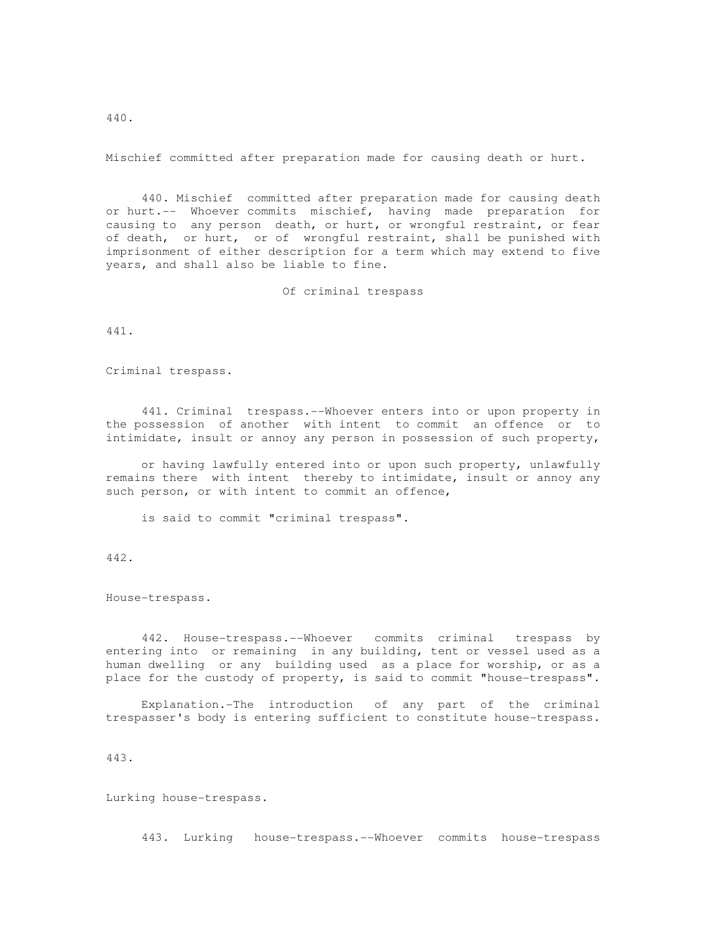Mischief committed after preparation made for causing death or hurt.

 440. Mischief committed after preparation made for causing death or hurt.-- Whoever commits mischief, having made preparation for causing to any person death, or hurt, or wrongful restraint, or fear of death, or hurt, or of wrongful restraint, shall be punished with imprisonment of either description for a term which may extend to five years, and shall also be liable to fine.

Of criminal trespass

441.

Criminal trespass.

 441. Criminal trespass.--Whoever enters into or upon property in the possession of another with intent to commit an offence or to intimidate, insult or annoy any person in possession of such property,

 or having lawfully entered into or upon such property, unlawfully remains there with intent thereby to intimidate, insult or annoy any such person, or with intent to commit an offence,

is said to commit "criminal trespass".

442.

House-trespass.

 442. House-trespass.--Whoever commits criminal trespass by entering into or remaining in any building, tent or vessel used as a human dwelling or any building used as a place for worship, or as a place for the custody of property, is said to commit "house-trespass".

 Explanation.-The introduction of any part of the criminal trespasser's body is entering sufficient to constitute house-trespass.

443.

Lurking house-trespass.

443. Lurking house-trespass.--Whoever commits house-trespass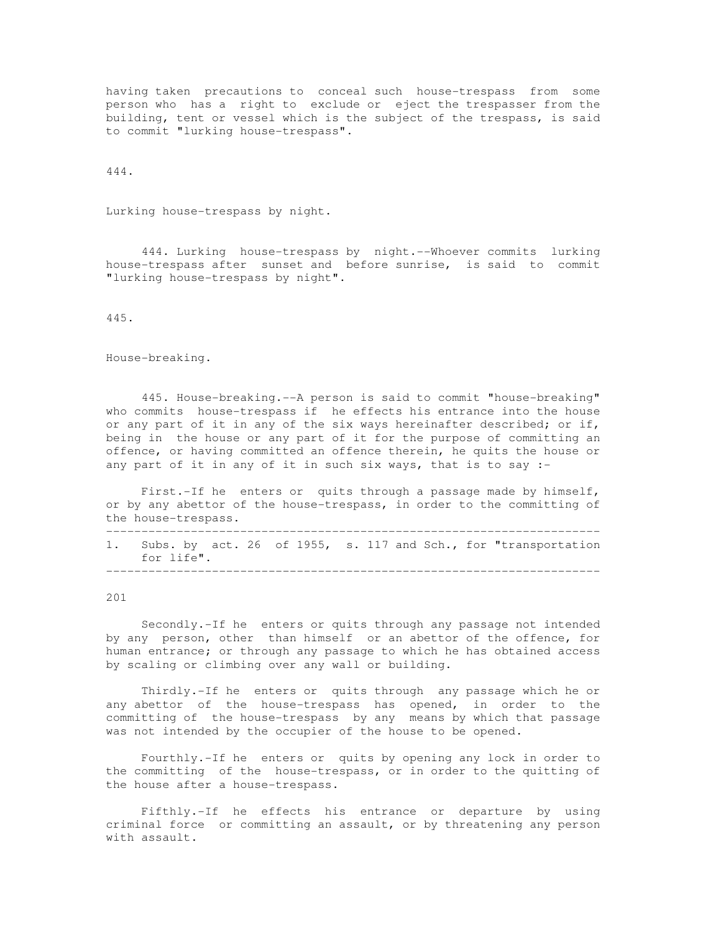having taken precautions to conceal such house-trespass from some person who has a right to exclude or eject the trespasser from the building, tent or vessel which is the subject of the trespass, is said to commit "lurking house-trespass".

444.

Lurking house-trespass by night.

 444. Lurking house-trespass by night.--Whoever commits lurking house-trespass after sunset and before sunrise, is said to commit "lurking house-trespass by night".

445.

House-breaking.

 445. House-breaking.--A person is said to commit "house-breaking" who commits house-trespass if he effects his entrance into the house or any part of it in any of the six ways hereinafter described; or if, being in the house or any part of it for the purpose of committing an offence, or having committed an offence therein, he quits the house or any part of it in any of it in such six ways, that is to say :-

 First.-If he enters or quits through a passage made by himself, or by any abettor of the house-trespass, in order to the committing of the house-trespass. ----------------------------------------------------------------------

1. Subs. by act. 26 of 1955, s. 117 and Sch., for "transportation for life". ----------------------------------------------------------------------

201

 Secondly.-If he enters or quits through any passage not intended by any person, other than himself or an abettor of the offence, for human entrance; or through any passage to which he has obtained access by scaling or climbing over any wall or building.

 Thirdly.-If he enters or quits through any passage which he or any abettor of the house-trespass has opened, in order to the committing of the house-trespass by any means by which that passage was not intended by the occupier of the house to be opened.

 Fourthly.-If he enters or quits by opening any lock in order to the committing of the house-trespass, or in order to the quitting of the house after a house-trespass.

 Fifthly.-If he effects his entrance or departure by using criminal force or committing an assault, or by threatening any person with assault.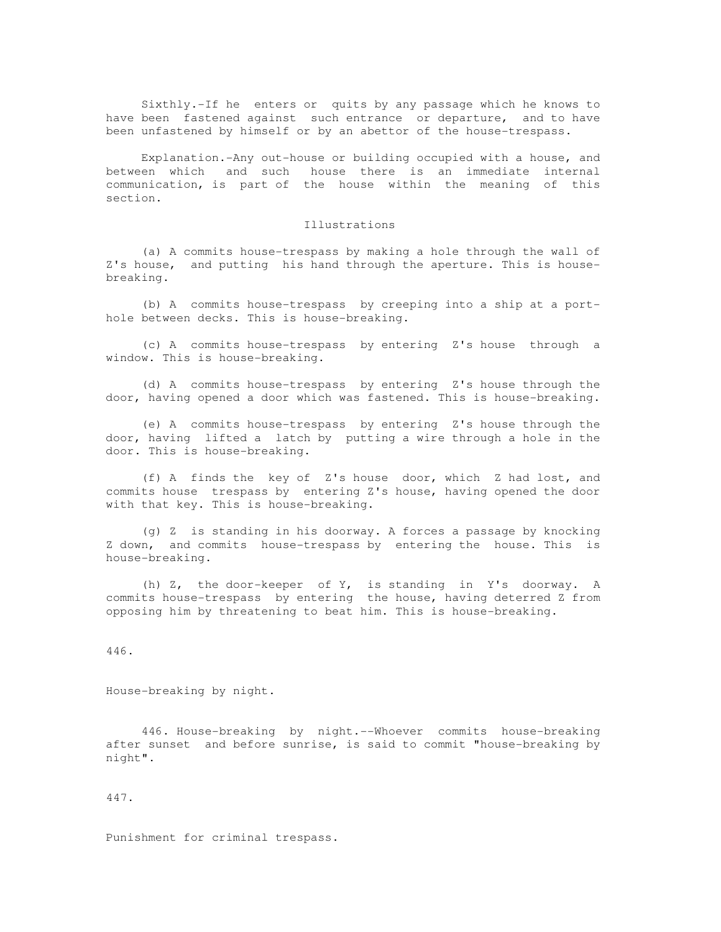Sixthly.-If he enters or quits by any passage which he knows to have been fastened against such entrance or departure, and to have been unfastened by himself or by an abettor of the house-trespass.

 Explanation.-Any out-house or building occupied with a house, and between which and such house there is an immediate internal communication, is part of the house within the meaning of this section.

### Illustrations

 (a) A commits house-trespass by making a hole through the wall of Z's house, and putting his hand through the aperture. This is housebreaking.

 (b) A commits house-trespass by creeping into a ship at a porthole between decks. This is house-breaking.

 (c) A commits house-trespass by entering Z's house through a window. This is house-breaking.

 (d) A commits house-trespass by entering Z's house through the door, having opened a door which was fastened. This is house-breaking.

 (e) A commits house-trespass by entering Z's house through the door, having lifted a latch by putting a wire through a hole in the door. This is house-breaking.

 (f) A finds the key of Z's house door, which Z had lost, and commits house trespass by entering Z's house, having opened the door with that key. This is house-breaking.

 (g) Z is standing in his doorway. A forces a passage by knocking Z down, and commits house-trespass by entering the house. This is house-breaking.

 (h) Z, the door-keeper of Y, is standing in Y's doorway. A commits house-trespass by entering the house, having deterred Z from opposing him by threatening to beat him. This is house-breaking.

446.

House-breaking by night.

 446. House-breaking by night.--Whoever commits house-breaking after sunset and before sunrise, is said to commit "house-breaking by night".

447.

Punishment for criminal trespass.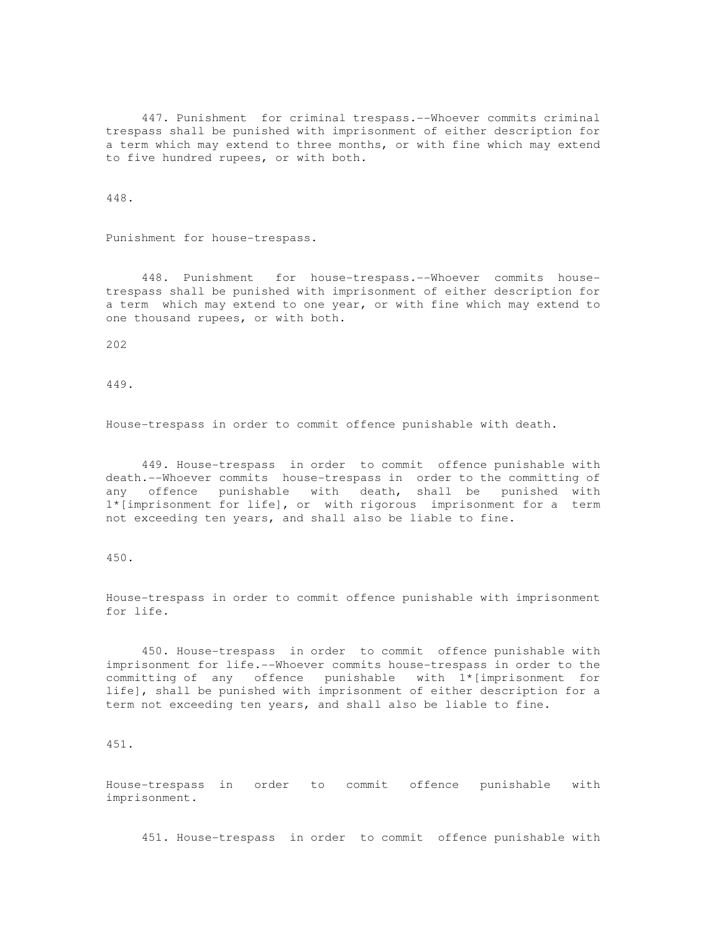447. Punishment for criminal trespass.--Whoever commits criminal trespass shall be punished with imprisonment of either description for a term which may extend to three months, or with fine which may extend to five hundred rupees, or with both.

448.

Punishment for house-trespass.

 448. Punishment for house-trespass.--Whoever commits housetrespass shall be punished with imprisonment of either description for a term which may extend to one year, or with fine which may extend to one thousand rupees, or with both.

202

449.

House-trespass in order to commit offence punishable with death.

 449. House-trespass in order to commit offence punishable with death.--Whoever commits house-trespass in order to the committing of any offence punishable with death, shall be punished with 1\*[imprisonment for life], or with rigorous imprisonment for a term not exceeding ten years, and shall also be liable to fine.

450.

House-trespass in order to commit offence punishable with imprisonment for life.

 450. House-trespass in order to commit offence punishable with imprisonment for life.--Whoever commits house-trespass in order to the committing of any offence punishable with 1\*[imprisonment for life], shall be punished with imprisonment of either description for a term not exceeding ten years, and shall also be liable to fine.

451.

House-trespass in order to commit offence punishable with imprisonment.

451. House-trespass in order to commit offence punishable with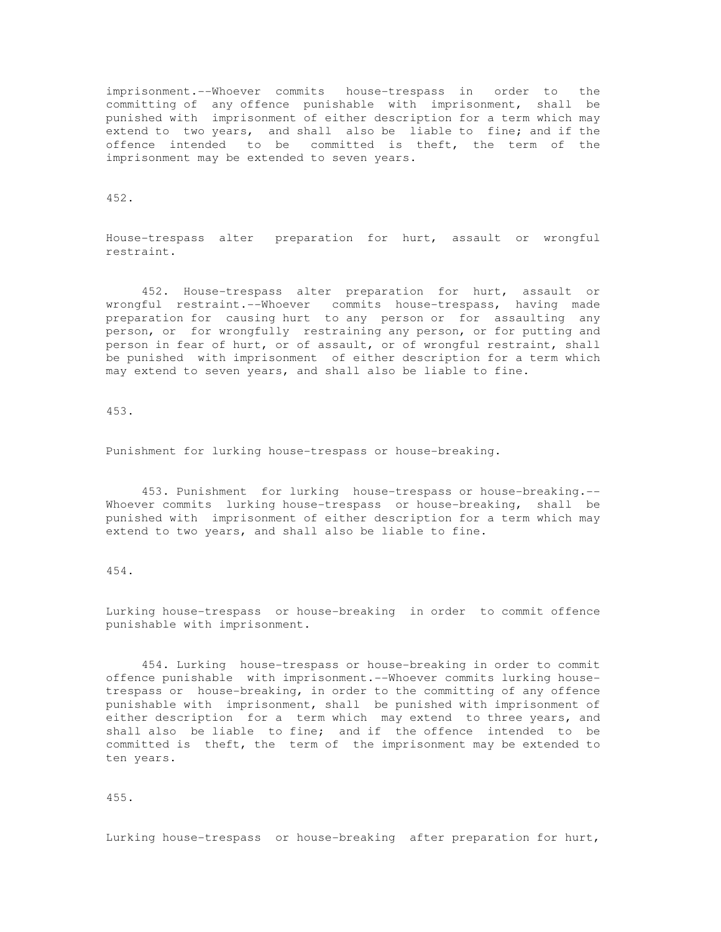imprisonment.--Whoever commits house-trespass in order to the committing of any offence punishable with imprisonment, shall be punished with imprisonment of either description for a term which may extend to two years, and shall also be liable to fine; and if the offence intended to be committed is theft, the term of the imprisonment may be extended to seven years.

452.

House-trespass alter preparation for hurt, assault or wrongful restraint.

 452. House-trespass alter preparation for hurt, assault or wrongful restraint.--Whoever commits house-trespass, having made preparation for causing hurt to any person or for assaulting any person, or for wrongfully restraining any person, or for putting and person in fear of hurt, or of assault, or of wrongful restraint, shall be punished with imprisonment of either description for a term which may extend to seven years, and shall also be liable to fine.

453.

Punishment for lurking house-trespass or house-breaking.

 453. Punishment for lurking house-trespass or house-breaking.-- Whoever commits lurking house-trespass or house-breaking, shall be punished with imprisonment of either description for a term which may extend to two years, and shall also be liable to fine.

# 454.

Lurking house-trespass or house-breaking in order to commit offence punishable with imprisonment.

 454. Lurking house-trespass or house-breaking in order to commit offence punishable with imprisonment.--Whoever commits lurking housetrespass or house-breaking, in order to the committing of any offence punishable with imprisonment, shall be punished with imprisonment of either description for a term which may extend to three years, and shall also be liable to fine; and if the offence intended to be committed is theft, the term of the imprisonment may be extended to ten years.

455.

Lurking house-trespass or house-breaking after preparation for hurt,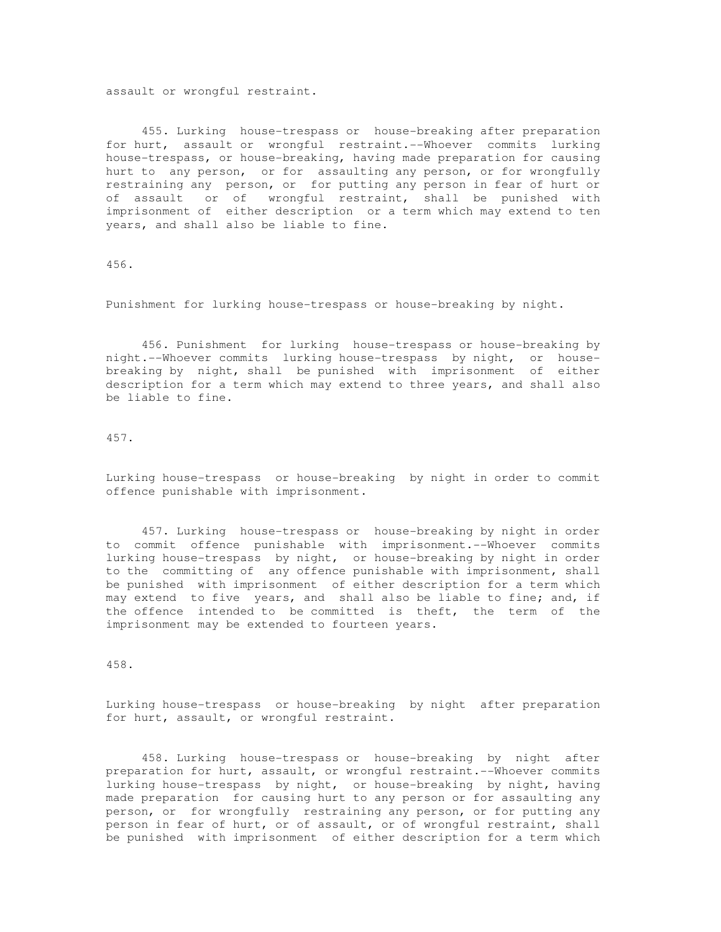assault or wrongful restraint.

 455. Lurking house-trespass or house-breaking after preparation for hurt, assault or wrongful restraint.--Whoever commits lurking house-trespass, or house-breaking, having made preparation for causing hurt to any person, or for assaulting any person, or for wrongfully restraining any person, or for putting any person in fear of hurt or of assault or of wrongful restraint, shall be punished with imprisonment of either description or a term which may extend to ten years, and shall also be liable to fine.

456.

Punishment for lurking house-trespass or house-breaking by night.

 456. Punishment for lurking house-trespass or house-breaking by night.--Whoever commits lurking house-trespass by night, or housebreaking by night, shall be punished with imprisonment of either description for a term which may extend to three years, and shall also be liable to fine.

457.

Lurking house-trespass or house-breaking by night in order to commit offence punishable with imprisonment.

 457. Lurking house-trespass or house-breaking by night in order to commit offence punishable with imprisonment.--Whoever commits lurking house-trespass by night, or house-breaking by night in order to the committing of any offence punishable with imprisonment, shall be punished with imprisonment of either description for a term which may extend to five years, and shall also be liable to fine; and, if the offence intended to be committed is theft, the term of the imprisonment may be extended to fourteen years.

458.

Lurking house-trespass or house-breaking by night after preparation for hurt, assault, or wrongful restraint.

 458. Lurking house-trespass or house-breaking by night after preparation for hurt, assault, or wrongful restraint.--Whoever commits lurking house-trespass by night, or house-breaking by night, having made preparation for causing hurt to any person or for assaulting any person, or for wrongfully restraining any person, or for putting any person in fear of hurt, or of assault, or of wrongful restraint, shall be punished with imprisonment of either description for a term which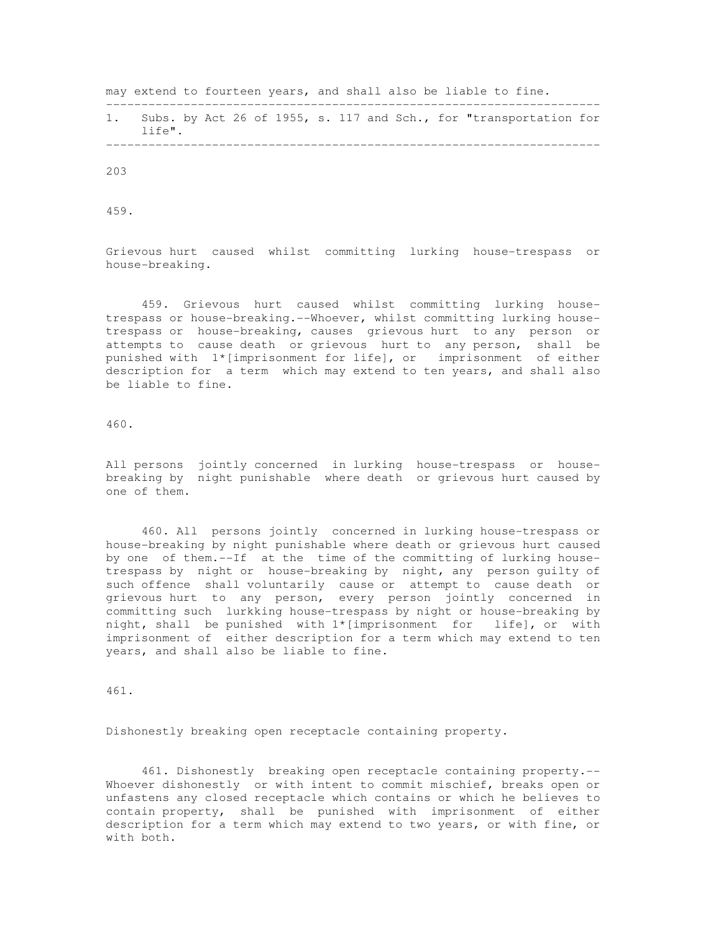may extend to fourteen years, and shall also be liable to fine.

1. Subs. by Act 26 of 1955, s. 117 and Sch., for "transportation for life". ----------------------------------------------------------------------

203

----------------------------------------------------------------------

459.

Grievous hurt caused whilst committing lurking house-trespass or house-breaking.

 459. Grievous hurt caused whilst committing lurking housetrespass or house-breaking.--Whoever, whilst committing lurking housetrespass or house-breaking, causes grievous hurt to any person or attempts to cause death or grievous hurt to any person, shall be punished with 1\*[imprisonment for life], or imprisonment of either description for a term which may extend to ten years, and shall also be liable to fine.

460.

All persons jointly concerned in lurking house-trespass or housebreaking by night punishable where death or grievous hurt caused by one of them.

 460. All persons jointly concerned in lurking house-trespass or house-breaking by night punishable where death or grievous hurt caused by one of them.--If at the time of the committing of lurking housetrespass by night or house-breaking by night, any person guilty of such offence shall voluntarily cause or attempt to cause death or grievous hurt to any person, every person jointly concerned in committing such lurkking house-trespass by night or house-breaking by night, shall be punished with  $1*(\text{imprisomment for life}),$  or with imprisonment of either description for a term which may extend to ten years, and shall also be liable to fine.

461.

Dishonestly breaking open receptacle containing property.

 461. Dishonestly breaking open receptacle containing property.-- Whoever dishonestly or with intent to commit mischief, breaks open or unfastens any closed receptacle which contains or which he believes to contain property, shall be punished with imprisonment of either description for a term which may extend to two years, or with fine, or with both.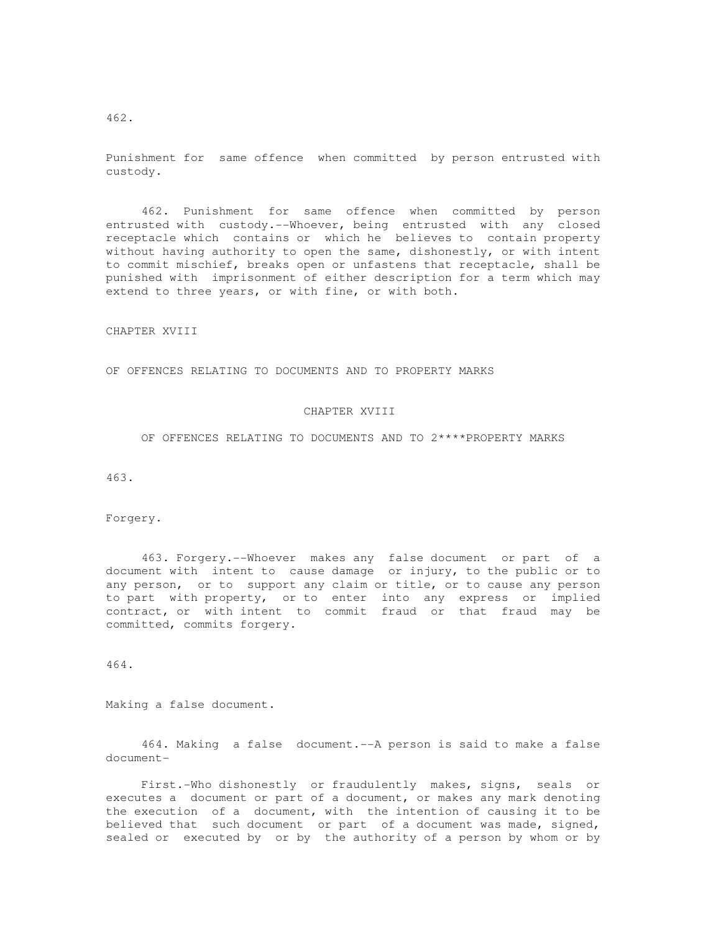Punishment for same offence when committed by person entrusted with custody.

 462. Punishment for same offence when committed by person entrusted with custody.--Whoever, being entrusted with any closed receptacle which contains or which he believes to contain property without having authority to open the same, dishonestly, or with intent to commit mischief, breaks open or unfastens that receptacle, shall be punished with imprisonment of either description for a term which may extend to three years, or with fine, or with both.

CHAPTER XVIII

OF OFFENCES RELATING TO DOCUMENTS AND TO PROPERTY MARKS

### CHAPTER XVIII

OF OFFENCES RELATING TO DOCUMENTS AND TO 2\*\*\*\*PROPERTY MARKS

463.

Forgery.

 463. Forgery.--Whoever makes any false document or part of a document with intent to cause damage or injury, to the public or to any person, or to support any claim or title, or to cause any person to part with property, or to enter into any express or implied contract, or with intent to commit fraud or that fraud may be committed, commits forgery.

464.

Making a false document.

 464. Making a false document.--A person is said to make a false document-

 First.-Who dishonestly or fraudulently makes, signs, seals or executes a document or part of a document, or makes any mark denoting the execution of a document, with the intention of causing it to be believed that such document or part of a document was made, signed, sealed or executed by or by the authority of a person by whom or by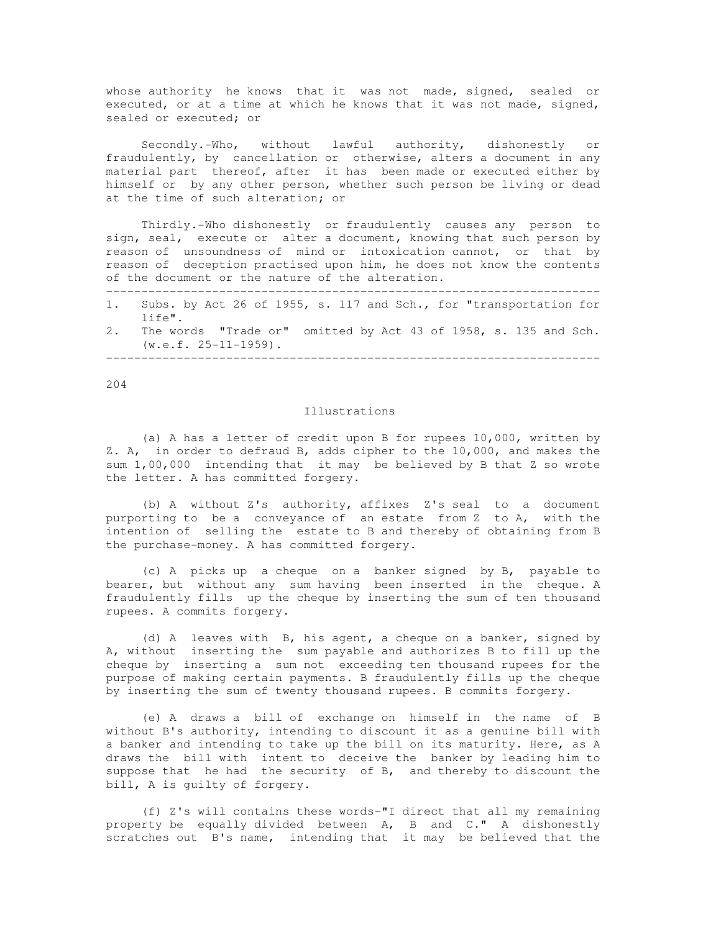whose authority he knows that it was not made, signed, sealed or executed, or at a time at which he knows that it was not made, signed, sealed or executed; or

 Secondly.-Who, without lawful authority, dishonestly or fraudulently, by cancellation or otherwise, alters a document in any material part thereof, after it has been made or executed either by himself or by any other person, whether such person be living or dead at the time of such alteration; or

 Thirdly.-Who dishonestly or fraudulently causes any person to sign, seal, execute or alter a document, knowing that such person by reason of unsoundness of mind or intoxication cannot, or that by reason of deception practised upon him, he does not know the contents of the document or the nature of the alteration.

---------------------------------------------------------------------- 1. Subs. by Act 26 of 1955, s. 117 and Sch., for "transportation for life".

2. The words "Trade or" omitted by Act 43 of 1958, s. 135 and Sch.  $(w.e.f. 25-11-1959)$ .

----------------------------------------------------------------------

204

### Illustrations

 (a) A has a letter of credit upon B for rupees 10,000, written by Z. A, in order to defraud B, adds cipher to the 10,000, and makes the sum 1,00,000 intending that it may be believed by B that Z so wrote the letter. A has committed forgery.

 (b) A without Z's authority, affixes Z's seal to a document purporting to be a conveyance of an estate from Z to A, with the intention of selling the estate to B and thereby of obtaining from B the purchase-money. A has committed forgery.

 (c) A picks up a cheque on a banker signed by B, payable to bearer, but without any sum having been inserted in the cheque. A fraudulently fills up the cheque by inserting the sum of ten thousand rupees. A commits forgery.

 (d) A leaves with B, his agent, a cheque on a banker, signed by A, without inserting the sum payable and authorizes B to fill up the cheque by inserting a sum not exceeding ten thousand rupees for the purpose of making certain payments. B fraudulently fills up the cheque by inserting the sum of twenty thousand rupees. B commits forgery.

 (e) A draws a bill of exchange on himself in the name of B without B's authority, intending to discount it as a genuine bill with a banker and intending to take up the bill on its maturity. Here, as A draws the bill with intent to deceive the banker by leading him to suppose that he had the security of B, and thereby to discount the bill, A is guilty of forgery.

 (f) Z's will contains these words-"I direct that all my remaining property be equally divided between A, B and C." A dishonestly scratches out B's name, intending that it may be believed that the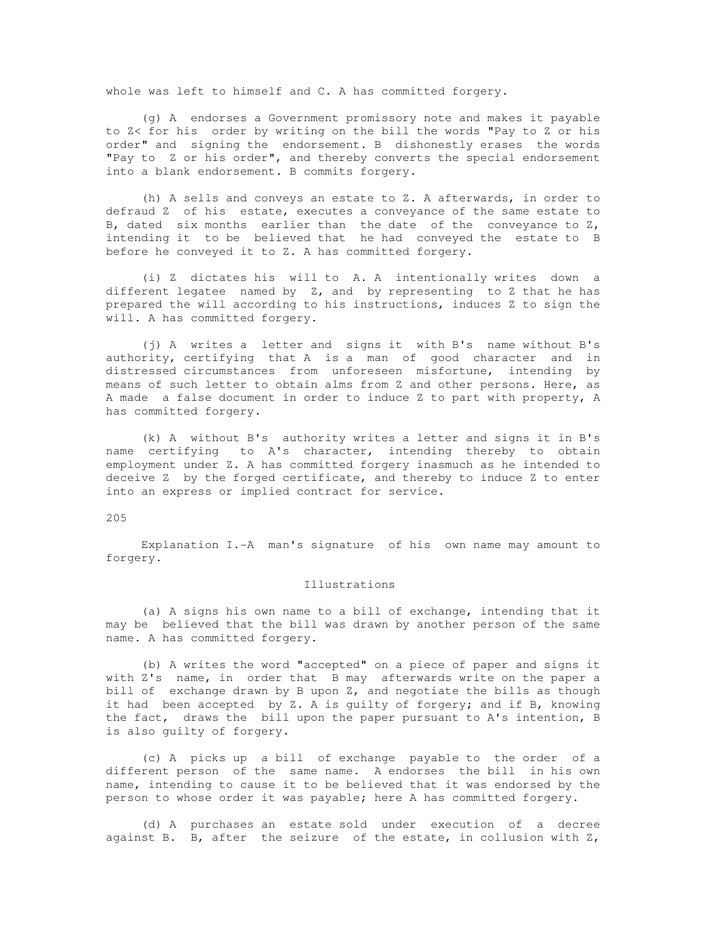whole was left to himself and C. A has committed forgery.

 (g) A endorses a Government promissory note and makes it payable to Z< for his order by writing on the bill the words "Pay to Z or his order" and signing the endorsement. B dishonestly erases the words "Pay to Z or his order", and thereby converts the special endorsement into a blank endorsement. B commits forgery.

 (h) A sells and conveys an estate to Z. A afterwards, in order to defraud Z of his estate, executes a conveyance of the same estate to B, dated six months earlier than the date of the conveyance to  $Z$ , intending it to be believed that he had conveyed the estate to B before he conveyed it to Z. A has committed forgery.

 (i) Z dictates his will to A. A intentionally writes down a different legatee named by Z, and by representing to Z that he has prepared the will according to his instructions, induces Z to sign the will. A has committed forgery.

 (j) A writes a letter and signs it with B's name without B's authority, certifying that A is a man of good character and in distressed circumstances from unforeseen misfortune, intending by means of such letter to obtain alms from Z and other persons. Here, as A made a false document in order to induce Z to part with property, A has committed forgery.

 (k) A without B's authority writes a letter and signs it in B's name certifying to A's character, intending thereby to obtain employment under Z. A has committed forgery inasmuch as he intended to deceive Z by the forged certificate, and thereby to induce Z to enter into an express or implied contract for service.

# 205

 Explanation I.-A man's signature of his own name may amount to forgery.

#### Illustrations

 (a) A signs his own name to a bill of exchange, intending that it may be believed that the bill was drawn by another person of the same name. A has committed forgery.

 (b) A writes the word "accepted" on a piece of paper and signs it with Z's name, in order that B may afterwards write on the paper a bill of exchange drawn by B upon Z, and negotiate the bills as though it had been accepted by Z. A is guilty of forgery; and if B, knowing the fact, draws the bill upon the paper pursuant to A's intention, B is also guilty of forgery.

 (c) A picks up a bill of exchange payable to the order of a different person of the same name. A endorses the bill in his own name, intending to cause it to be believed that it was endorsed by the person to whose order it was payable; here A has committed forgery.

 (d) A purchases an estate sold under execution of a decree against B. B, after the seizure of the estate, in collusion with Z,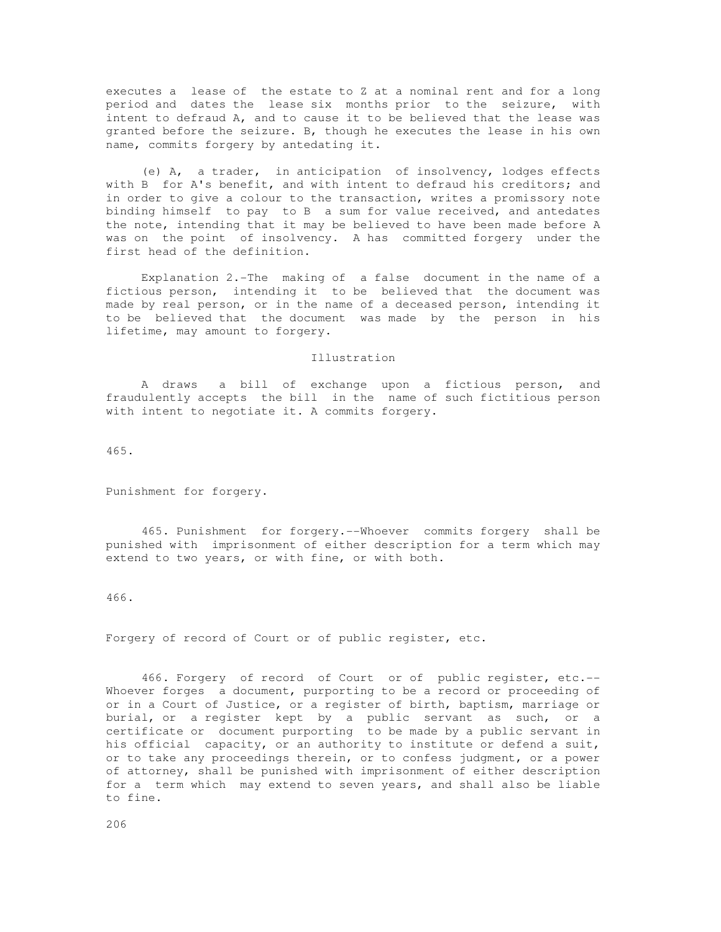executes a lease of the estate to Z at a nominal rent and for a long period and dates the lease six months prior to the seizure, with intent to defraud A, and to cause it to be believed that the lease was granted before the seizure. B, though he executes the lease in his own name, commits forgery by antedating it.

 (e) A, a trader, in anticipation of insolvency, lodges effects with B for A's benefit, and with intent to defraud his creditors; and in order to give a colour to the transaction, writes a promissory note binding himself to pay to B a sum for value received, and antedates the note, intending that it may be believed to have been made before A was on the point of insolvency. A has committed forgery under the first head of the definition.

 Explanation 2.-The making of a false document in the name of a fictious person, intending it to be believed that the document was made by real person, or in the name of a deceased person, intending it to be believed that the document was made by the person in his lifetime, may amount to forgery.

### Illustration

 A draws a bill of exchange upon a fictious person, and fraudulently accepts the bill in the name of such fictitious person with intent to negotiate it. A commits forgery.

465.

Punishment for forgery.

 465. Punishment for forgery.--Whoever commits forgery shall be punished with imprisonment of either description for a term which may extend to two years, or with fine, or with both.

466.

Forgery of record of Court or of public register, etc.

 466. Forgery of record of Court or of public register, etc.-- Whoever forges a document, purporting to be a record or proceeding of or in a Court of Justice, or a register of birth, baptism, marriage or burial, or a register kept by a public servant as such, or a certificate or document purporting to be made by a public servant in his official capacity, or an authority to institute or defend a suit, or to take any proceedings therein, or to confess judgment, or a power of attorney, shall be punished with imprisonment of either description for a term which may extend to seven years, and shall also be liable to fine.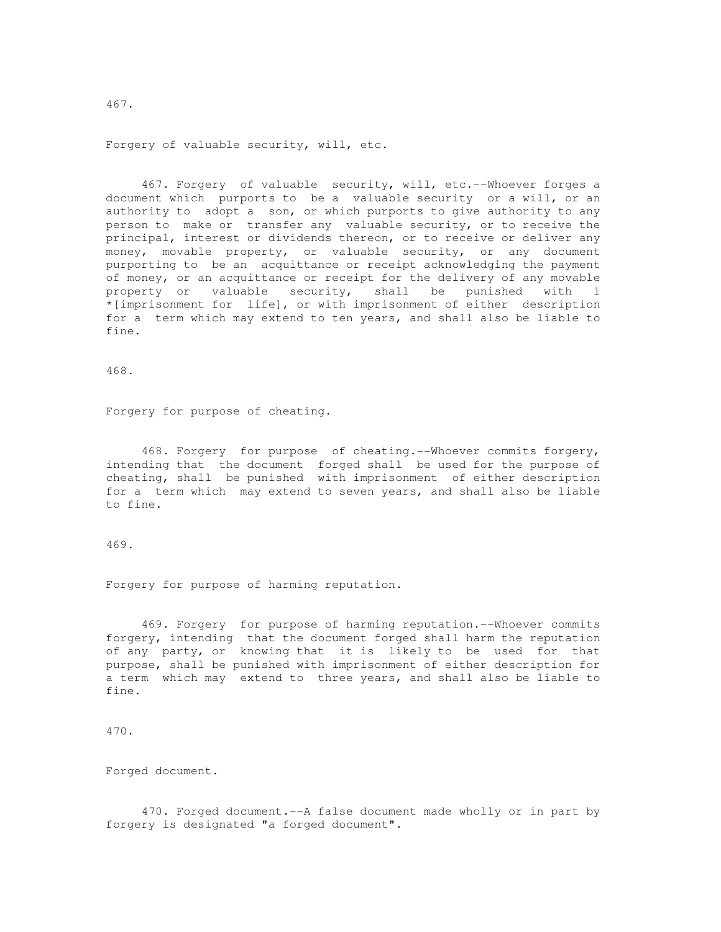## Forgery of valuable security, will, etc.

 467. Forgery of valuable security, will, etc.--Whoever forges a document which purports to be a valuable security or a will, or an authority to adopt a son, or which purports to give authority to any person to make or transfer any valuable security, or to receive the principal, interest or dividends thereon, or to receive or deliver any money, movable property, or valuable security, or any document purporting to be an acquittance or receipt acknowledging the payment of money, or an acquittance or receipt for the delivery of any movable property or valuable security, shall be punished with 1 \*[imprisonment for life], or with imprisonment of either description for a term which may extend to ten years, and shall also be liable to fine.

468.

Forgery for purpose of cheating.

 468. Forgery for purpose of cheating.--Whoever commits forgery, intending that the document forged shall be used for the purpose of cheating, shall be punished with imprisonment of either description for a term which may extend to seven years, and shall also be liable to fine.

469.

Forgery for purpose of harming reputation.

 469. Forgery for purpose of harming reputation.--Whoever commits forgery, intending that the document forged shall harm the reputation of any party, or knowing that it is likely to be used for that purpose, shall be punished with imprisonment of either description for a term which may extend to three years, and shall also be liable to fine.

# 470.

Forged document.

 470. Forged document.--A false document made wholly or in part by forgery is designated "a forged document".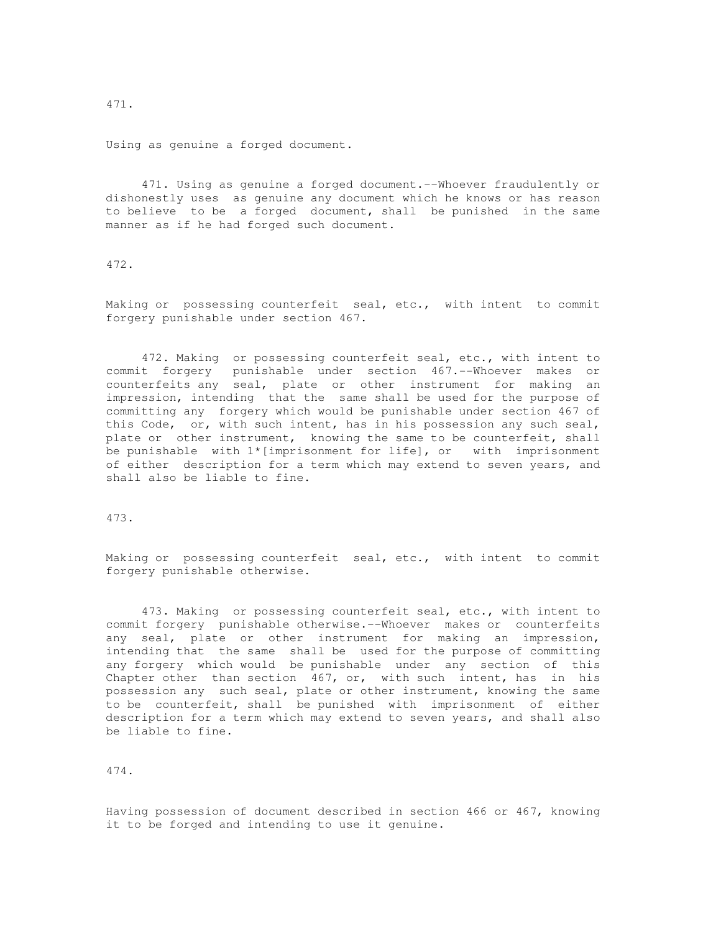Using as genuine a forged document.

 471. Using as genuine a forged document.--Whoever fraudulently or dishonestly uses as genuine any document which he knows or has reason to believe to be a forged document, shall be punished in the same manner as if he had forged such document.

472.

Making or possessing counterfeit seal, etc., with intent to commit forgery punishable under section 467.

 472. Making or possessing counterfeit seal, etc., with intent to commit forgery punishable under section 467.--Whoever makes or counterfeits any seal, plate or other instrument for making an impression, intending that the same shall be used for the purpose of committing any forgery which would be punishable under section 467 of this Code, or, with such intent, has in his possession any such seal, plate or other instrument, knowing the same to be counterfeit, shall be punishable with  $1*(\text{imprisomment for life}),$  or with imprisonment of either description for a term which may extend to seven years, and shall also be liable to fine.

473.

Making or possessing counterfeit seal, etc., with intent to commit forgery punishable otherwise.

 473. Making or possessing counterfeit seal, etc., with intent to commit forgery punishable otherwise.--Whoever makes or counterfeits any seal, plate or other instrument for making an impression, intending that the same shall be used for the purpose of committing any forgery which would be punishable under any section of this Chapter other than section 467, or, with such intent, has in his possession any such seal, plate or other instrument, knowing the same to be counterfeit, shall be punished with imprisonment of either description for a term which may extend to seven years, and shall also be liable to fine.

474.

Having possession of document described in section 466 or 467, knowing it to be forged and intending to use it genuine.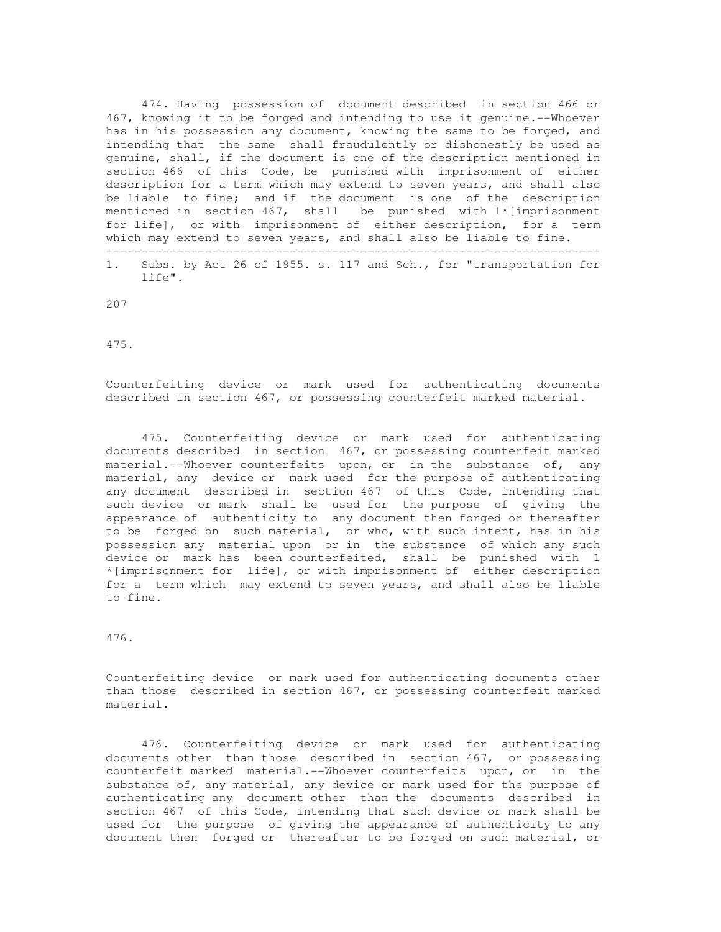474. Having possession of document described in section 466 or 467, knowing it to be forged and intending to use it genuine.--Whoever has in his possession any document, knowing the same to be forged, and intending that the same shall fraudulently or dishonestly be used as genuine, shall, if the document is one of the description mentioned in section 466 of this Code, be punished with imprisonment of either description for a term which may extend to seven years, and shall also be liable to fine; and if the document is one of the description mentioned in section 467, shall be punished with 1\*[imprisonment for life], or with imprisonment of either description, for a term which may extend to seven years, and shall also be liable to fine. ----------------------------------------------------------------------

1. Subs. by Act 26 of 1955. s. 117 and Sch., for "transportation for life".

207

475.

Counterfeiting device or mark used for authenticating documents described in section 467, or possessing counterfeit marked material.

 475. Counterfeiting device or mark used for authenticating documents described in section 467, or possessing counterfeit marked material.--Whoever counterfeits upon, or in the substance of, any material, any device or mark used for the purpose of authenticating any document described in section 467 of this Code, intending that such device or mark shall be used for the purpose of giving the appearance of authenticity to any document then forged or thereafter to be forged on such material, or who, with such intent, has in his possession any material upon or in the substance of which any such device or mark has been counterfeited, shall be punished with 1 \*[imprisonment for life], or with imprisonment of either description for a term which may extend to seven years, and shall also be liable to fine.

476.

Counterfeiting device or mark used for authenticating documents other than those described in section 467, or possessing counterfeit marked material.

 476. Counterfeiting device or mark used for authenticating documents other than those described in section 467, or possessing counterfeit marked material.--Whoever counterfeits upon, or in the substance of, any material, any device or mark used for the purpose of authenticating any document other than the documents described in section 467 of this Code, intending that such device or mark shall be used for the purpose of giving the appearance of authenticity to any document then forged or thereafter to be forged on such material, or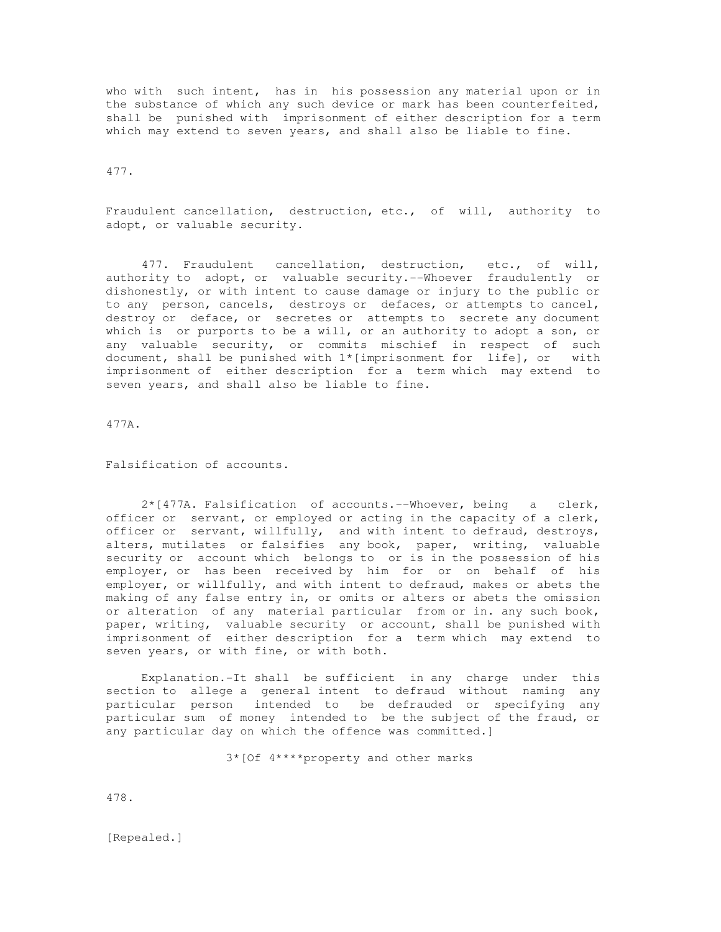who with such intent, has in his possession any material upon or in the substance of which any such device or mark has been counterfeited, shall be punished with imprisonment of either description for a term which may extend to seven years, and shall also be liable to fine.

477.

Fraudulent cancellation, destruction, etc., of will, authority to adopt, or valuable security.

 477. Fraudulent cancellation, destruction, etc., of will, authority to adopt, or valuable security.--Whoever fraudulently or dishonestly, or with intent to cause damage or injury to the public or to any person, cancels, destroys or defaces, or attempts to cancel, destroy or deface, or secretes or attempts to secrete any document which is or purports to be a will, or an authority to adopt a son, or any valuable security, or commits mischief in respect of such document, shall be punished with  $1*(\text{imprisomment for life}),$  or with imprisonment of either description for a term which may extend to seven years, and shall also be liable to fine.

477A.

Falsification of accounts.

 2\*[477A. Falsification of accounts.--Whoever, being a clerk, officer or servant, or employed or acting in the capacity of a clerk, officer or servant, willfully, and with intent to defraud, destroys, alters, mutilates or falsifies any book, paper, writing, valuable security or account which belongs to or is in the possession of his employer, or has been received by him for or on behalf of his employer, or willfully, and with intent to defraud, makes or abets the making of any false entry in, or omits or alters or abets the omission or alteration of any material particular from or in. any such book, paper, writing, valuable security or account, shall be punished with imprisonment of either description for a term which may extend to seven years, or with fine, or with both.

 Explanation.-It shall be sufficient in any charge under this section to allege a general intent to defraud without naming any particular person intended to be defrauded or specifying any particular sum of money intended to be the subject of the fraud, or any particular day on which the offence was committed.]

3\*[Of 4\*\*\*\*property and other marks

478.

[Repealed.]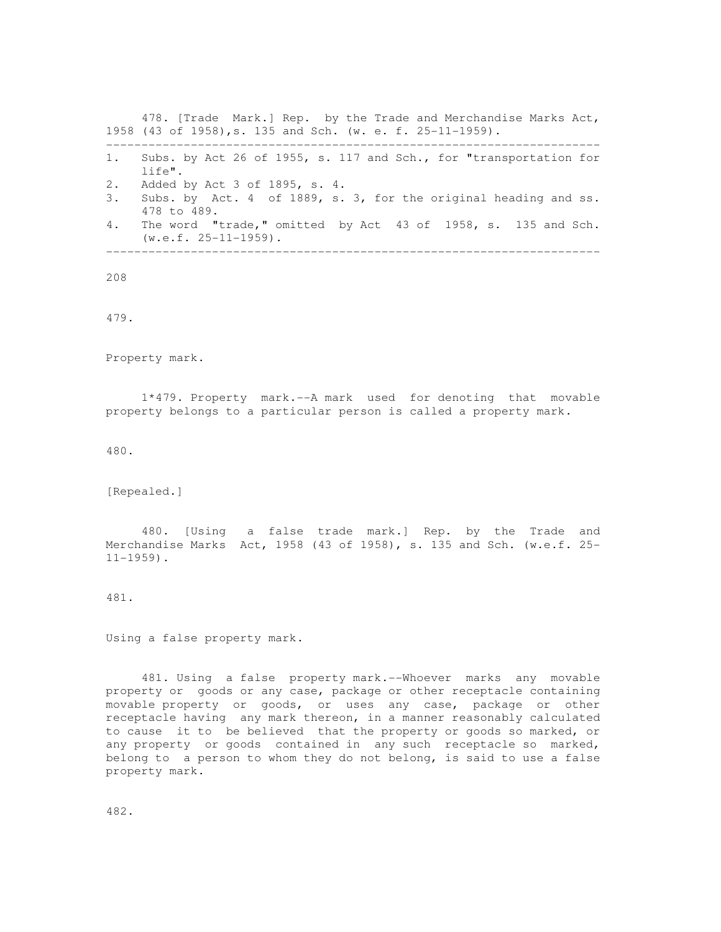478. [Trade Mark.] Rep. by the Trade and Merchandise Marks Act, 1958 (43 of 1958),s. 135 and Sch. (w. e. f. 25-11-1959). ----------------------------------------------------------------------

- 1. Subs. by Act 26 of 1955, s. 117 and Sch., for "transportation for life".
- 2. Added by Act 3 of 1895, s. 4.
- 3. Subs. by Act. 4 of 1889, s. 3, for the original heading and ss. 478 to 489.
- 4. The word "trade," omitted by Act 43 of 1958, s. 135 and Sch.  $(w.e.f. 25-11-1959)$ . ----------------------------------------------------------------------

208

479.

Property mark.

 1\*479. Property mark.--A mark used for denoting that movable property belongs to a particular person is called a property mark.

480.

[Repealed.]

 480. [Using a false trade mark.] Rep. by the Trade and Merchandise Marks Act, 1958 (43 of 1958), s. 135 and Sch. (w.e.f. 25-  $11-1959$ ).

481.

Using a false property mark.

 481. Using a false property mark.--Whoever marks any movable property or goods or any case, package or other receptacle containing movable property or goods, or uses any case, package or other receptacle having any mark thereon, in a manner reasonably calculated to cause it to be believed that the property or goods so marked, or any property or goods contained in any such receptacle so marked, belong to a person to whom they do not belong, is said to use a false property mark.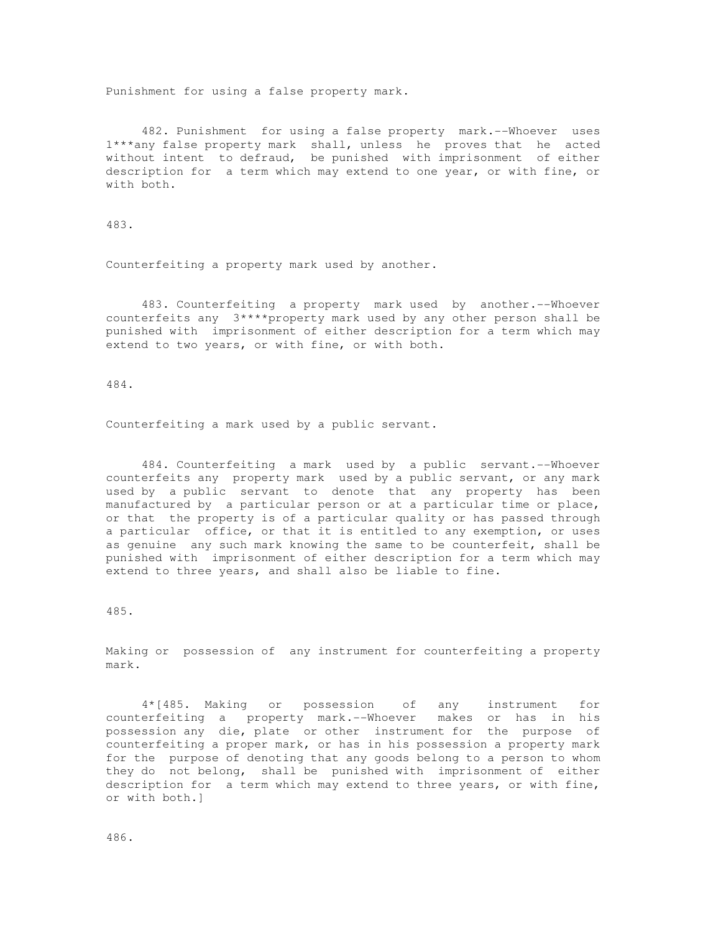Punishment for using a false property mark.

 482. Punishment for using a false property mark.--Whoever uses 1\*\*\*any false property mark shall, unless he proves that he acted without intent to defraud, be punished with imprisonment of either description for a term which may extend to one year, or with fine, or with both.

483.

Counterfeiting a property mark used by another.

 483. Counterfeiting a property mark used by another.--Whoever counterfeits any 3\*\*\*\*property mark used by any other person shall be punished with imprisonment of either description for a term which may extend to two years, or with fine, or with both.

484.

Counterfeiting a mark used by a public servant.

 484. Counterfeiting a mark used by a public servant.--Whoever counterfeits any property mark used by a public servant, or any mark used by a public servant to denote that any property has been manufactured by a particular person or at a particular time or place, or that the property is of a particular quality or has passed through a particular office, or that it is entitled to any exemption, or uses as genuine any such mark knowing the same to be counterfeit, shall be punished with imprisonment of either description for a term which may extend to three years, and shall also be liable to fine.

485.

Making or possession of any instrument for counterfeiting a property mark.

 4\*[485. Making or possession of any instrument for counterfeiting a property mark.--Whoever makes or has in his possession any die, plate or other instrument for the purpose of counterfeiting a proper mark, or has in his possession a property mark for the purpose of denoting that any goods belong to a person to whom they do not belong, shall be punished with imprisonment of either description for a term which may extend to three years, or with fine, or with both.]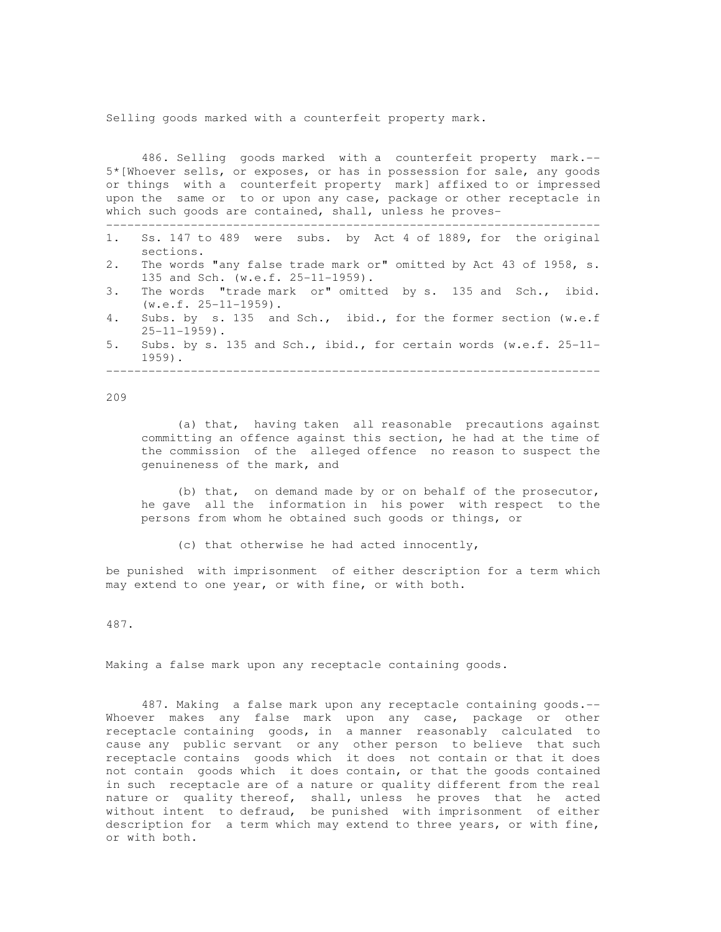Selling goods marked with a counterfeit property mark.

 486. Selling goods marked with a counterfeit property mark.-- 5\*[Whoever sells, or exposes, or has in possession for sale, any goods or things with a counterfeit property mark] affixed to or impressed upon the same or to or upon any case, package or other receptacle in which such goods are contained, shall, unless he proves----------------------------------------------------------------------- 1. Ss. 147 to 489 were subs. by Act 4 of 1889, for the original sections. 2. The words "any false trade mark or" omitted by Act 43 of 1958, s. 135 and Sch. (w.e.f. 25-11-1959). 3. The words "trade mark or" omitted by s. 135 and Sch., ibid. (w.e.f. 25-11-1959). 4. Subs. by s. 135 and Sch., ibid., for the former section (w.e.f  $25 - 11 - 1959$ ). 5. Subs. by s. 135 and Sch., ibid., for certain words (w.e.f. 25-11- 1959). ----------------------------------------------------------------------

209

 (a) that, having taken all reasonable precautions against committing an offence against this section, he had at the time of the commission of the alleged offence no reason to suspect the genuineness of the mark, and

 (b) that, on demand made by or on behalf of the prosecutor, he gave all the information in his power with respect to the persons from whom he obtained such goods or things, or

(c) that otherwise he had acted innocently,

be punished with imprisonment of either description for a term which may extend to one year, or with fine, or with both.

487.

Making a false mark upon any receptacle containing goods.

 487. Making a false mark upon any receptacle containing goods.-- Whoever makes any false mark upon any case, package or other receptacle containing goods, in a manner reasonably calculated to cause any public servant or any other person to believe that such receptacle contains goods which it does not contain or that it does not contain goods which it does contain, or that the goods contained in such receptacle are of a nature or quality different from the real nature or quality thereof, shall, unless he proves that he acted without intent to defraud, be punished with imprisonment of either description for a term which may extend to three years, or with fine, or with both.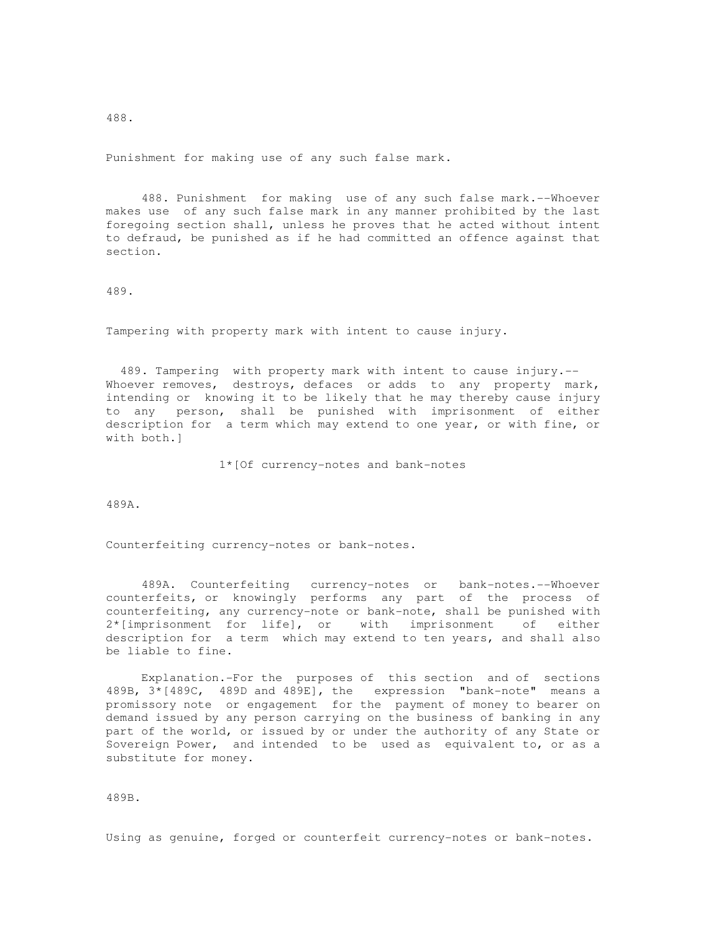488.

Punishment for making use of any such false mark.

 488. Punishment for making use of any such false mark.--Whoever makes use of any such false mark in any manner prohibited by the last foregoing section shall, unless he proves that he acted without intent to defraud, be punished as if he had committed an offence against that section.

489.

Tampering with property mark with intent to cause injury.

 489. Tampering with property mark with intent to cause injury.-- Whoever removes, destroys, defaces or adds to any property mark, intending or knowing it to be likely that he may thereby cause injury to any person, shall be punished with imprisonment of either description for a term which may extend to one year, or with fine, or with both.]

1\*[Of currency-notes and bank-notes

489A.

Counterfeiting currency-notes or bank-notes.

 489A. Counterfeiting currency-notes or bank-notes.--Whoever counterfeits, or knowingly performs any part of the process of counterfeiting, any currency-note or bank-note, shall be punished with 2\*[imprisonment for life], or with imprisonment of either description for a term which may extend to ten years, and shall also be liable to fine.

 Explanation.-For the purposes of this section and of sections 489B, 3\*[489C, 489D and 489E], the expression "bank-note" means a promissory note or engagement for the payment of money to bearer on demand issued by any person carrying on the business of banking in any part of the world, or issued by or under the authority of any State or Sovereign Power, and intended to be used as equivalent to, or as a substitute for money.

489B.

Using as genuine, forged or counterfeit currency-notes or bank-notes.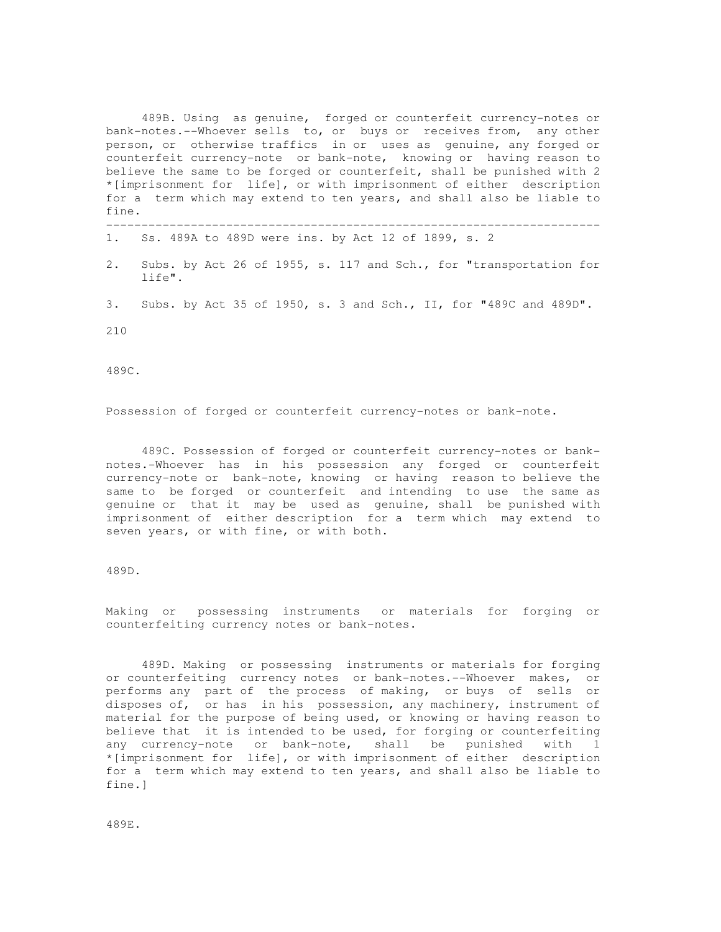489B. Using as genuine, forged or counterfeit currency-notes or bank-notes.--Whoever sells to, or buys or receives from, any other person, or otherwise traffics in or uses as genuine, any forged or counterfeit currency-note or bank-note, knowing or having reason to believe the same to be forged or counterfeit, shall be punished with 2 \*[imprisonment for life], or with imprisonment of either description for a term which may extend to ten years, and shall also be liable to fine. ---------------------------------------------------------------------- 1. Ss. 489A to 489D were ins. by Act 12 of 1899, s. 2

- 2. Subs. by Act 26 of 1955, s. 117 and Sch., for "transportation for life".
- 3. Subs. by Act 35 of 1950, s. 3 and Sch., II, for "489C and 489D".

210

489C.

Possession of forged or counterfeit currency-notes or bank-note.

 489C. Possession of forged or counterfeit currency-notes or banknotes.-Whoever has in his possession any forged or counterfeit currency-note or bank-note, knowing or having reason to believe the same to be forged or counterfeit and intending to use the same as genuine or that it may be used as genuine, shall be punished with imprisonment of either description for a term which may extend to seven years, or with fine, or with both.

489D.

Making or possessing instruments or materials for forging or counterfeiting currency notes or bank-notes.

 489D. Making or possessing instruments or materials for forging or counterfeiting currency notes or bank-notes.--Whoever makes, or performs any part of the process of making, or buys of sells or disposes of, or has in his possession, any machinery, instrument of material for the purpose of being used, or knowing or having reason to believe that it is intended to be used, for forging or counterfeiting any currency-note or bank-note, shall be punished with 1 \*[imprisonment for life], or with imprisonment of either description for a term which may extend to ten years, and shall also be liable to fine.]

489E.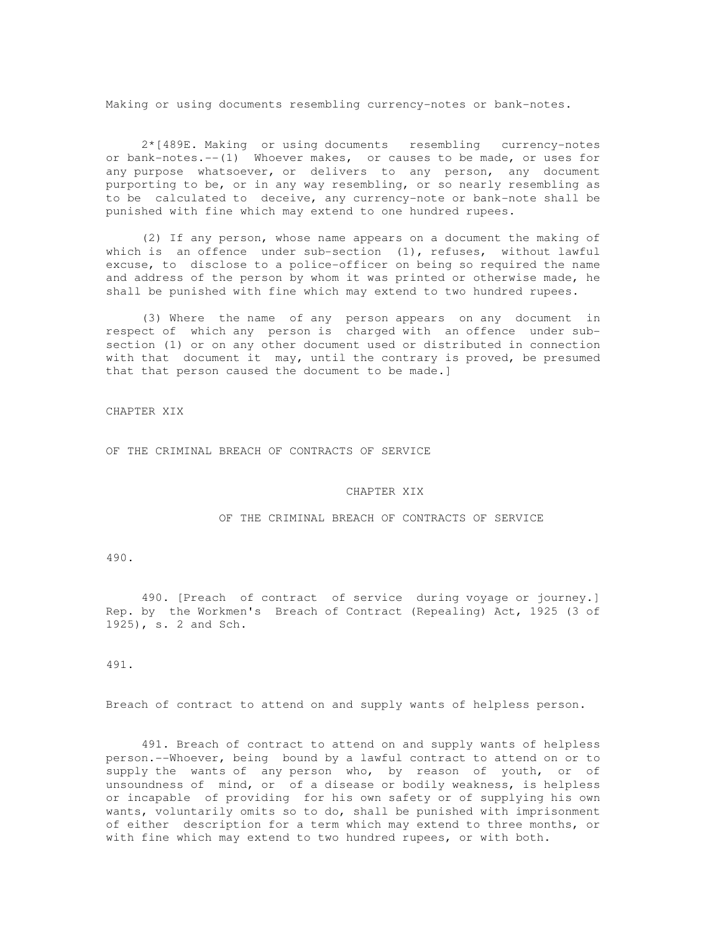Making or using documents resembling currency-notes or bank-notes.

 2\*[489E. Making or using documents resembling currency-notes or bank-notes.--(1) Whoever makes, or causes to be made, or uses for any purpose whatsoever, or delivers to any person, any document purporting to be, or in any way resembling, or so nearly resembling as to be calculated to deceive, any currency-note or bank-note shall be punished with fine which may extend to one hundred rupees.

 (2) If any person, whose name appears on a document the making of which is an offence under sub-section (1), refuses, without lawful excuse, to disclose to a police-officer on being so required the name and address of the person by whom it was printed or otherwise made, he shall be punished with fine which may extend to two hundred rupees.

 (3) Where the name of any person appears on any document in respect of which any person is charged with an offence under subsection (1) or on any other document used or distributed in connection with that document it may, until the contrary is proved, be presumed that that person caused the document to be made.]

CHAPTER XIX

OF THE CRIMINAL BREACH OF CONTRACTS OF SERVICE

#### CHAPTER XIX

### OF THE CRIMINAL BREACH OF CONTRACTS OF SERVICE

490.

 490. [Preach of contract of service during voyage or journey.] Rep. by the Workmen's Breach of Contract (Repealing) Act, 1925 (3 of 1925), s. 2 and Sch.

491.

Breach of contract to attend on and supply wants of helpless person.

 491. Breach of contract to attend on and supply wants of helpless person.--Whoever, being bound by a lawful contract to attend on or to supply the wants of any person who, by reason of youth, or of unsoundness of mind, or of a disease or bodily weakness, is helpless or incapable of providing for his own safety or of supplying his own wants, voluntarily omits so to do, shall be punished with imprisonment of either description for a term which may extend to three months, or with fine which may extend to two hundred rupees, or with both.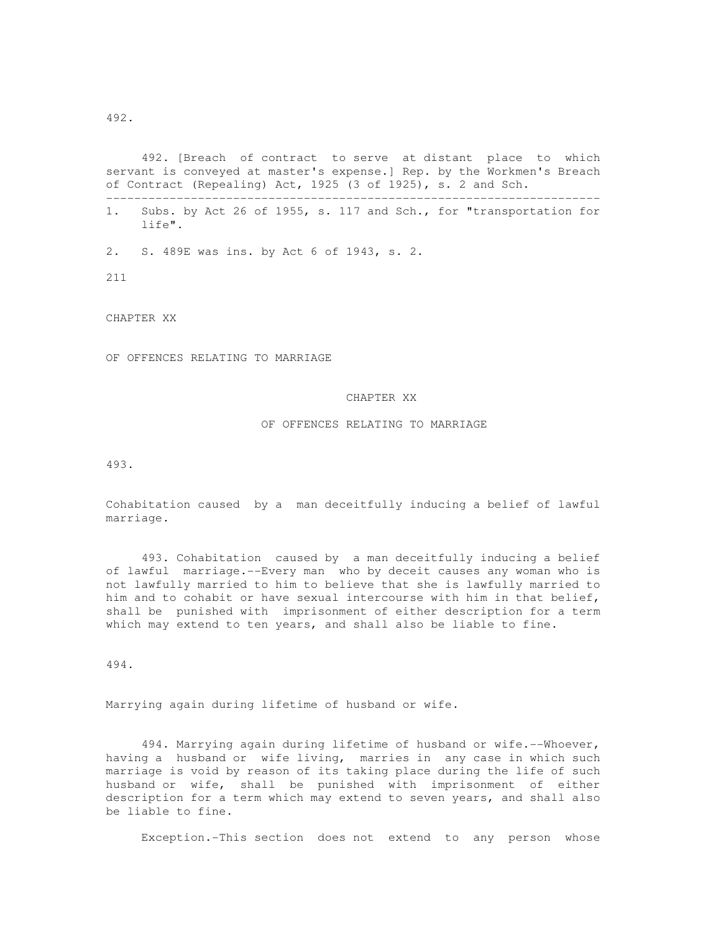492.

 492. [Breach of contract to serve at distant place to which servant is conveyed at master's expense.] Rep. by the Workmen's Breach of Contract (Repealing) Act, 1925 (3 of 1925), s. 2 and Sch.

---------------------------------------------------------------------- 1. Subs. by Act 26 of 1955, s. 117 and Sch., for "transportation for life".

2. S. 489E was ins. by Act 6 of 1943, s. 2.

211

CHAPTER XX

OF OFFENCES RELATING TO MARRIAGE

#### CHAPTER XX

## OF OFFENCES RELATING TO MARRIAGE

493.

Cohabitation caused by a man deceitfully inducing a belief of lawful marriage.

 493. Cohabitation caused by a man deceitfully inducing a belief of lawful marriage.--Every man who by deceit causes any woman who is not lawfully married to him to believe that she is lawfully married to him and to cohabit or have sexual intercourse with him in that belief, shall be punished with imprisonment of either description for a term which may extend to ten years, and shall also be liable to fine.

494.

Marrying again during lifetime of husband or wife.

 494. Marrying again during lifetime of husband or wife.--Whoever, having a husband or wife living, marries in any case in which such marriage is void by reason of its taking place during the life of such husband or wife, shall be punished with imprisonment of either description for a term which may extend to seven years, and shall also be liable to fine.

Exception.-This section does not extend to any person whose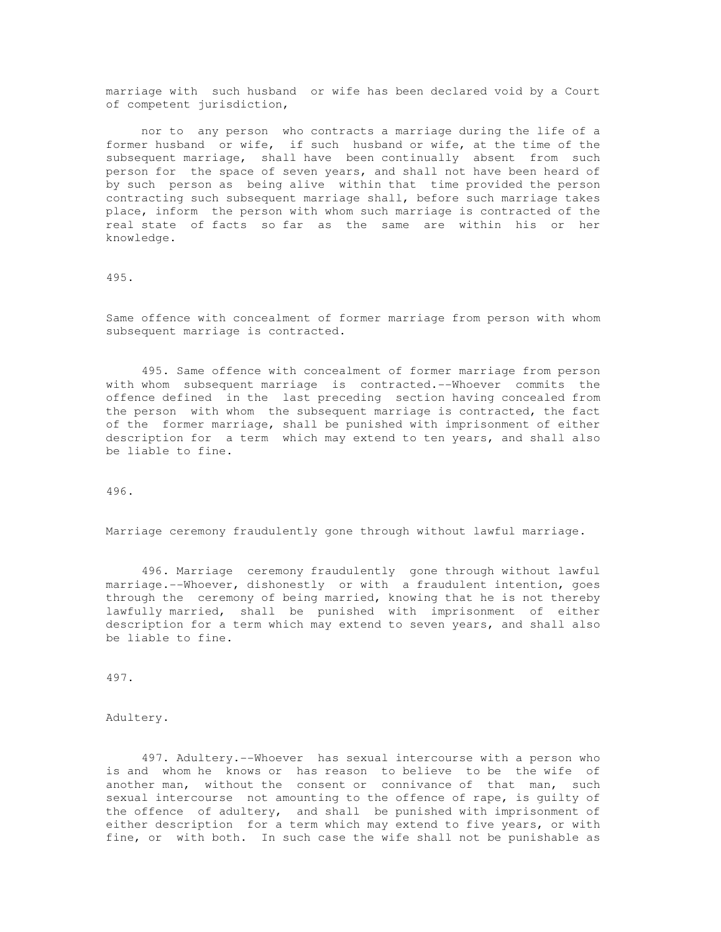marriage with such husband or wife has been declared void by a Court of competent jurisdiction,

 nor to any person who contracts a marriage during the life of a former husband or wife, if such husband or wife, at the time of the subsequent marriage, shall have been continually absent from such person for the space of seven years, and shall not have been heard of by such person as being alive within that time provided the person contracting such subsequent marriage shall, before such marriage takes place, inform the person with whom such marriage is contracted of the real state of facts so far as the same are within his or her knowledge.

## 495.

Same offence with concealment of former marriage from person with whom subsequent marriage is contracted.

 495. Same offence with concealment of former marriage from person with whom subsequent marriage is contracted.--Whoever commits the offence defined in the last preceding section having concealed from the person with whom the subsequent marriage is contracted, the fact of the former marriage, shall be punished with imprisonment of either description for a term which may extend to ten years, and shall also be liable to fine.

496.

Marriage ceremony fraudulently gone through without lawful marriage.

 496. Marriage ceremony fraudulently gone through without lawful marriage.--Whoever, dishonestly or with a fraudulent intention, goes through the ceremony of being married, knowing that he is not thereby lawfully married, shall be punished with imprisonment of either description for a term which may extend to seven years, and shall also be liable to fine.

497.

Adultery.

 497. Adultery.--Whoever has sexual intercourse with a person who is and whom he knows or has reason to believe to be the wife of another man, without the consent or connivance of that man, such sexual intercourse not amounting to the offence of rape, is guilty of the offence of adultery, and shall be punished with imprisonment of either description for a term which may extend to five years, or with fine, or with both. In such case the wife shall not be punishable as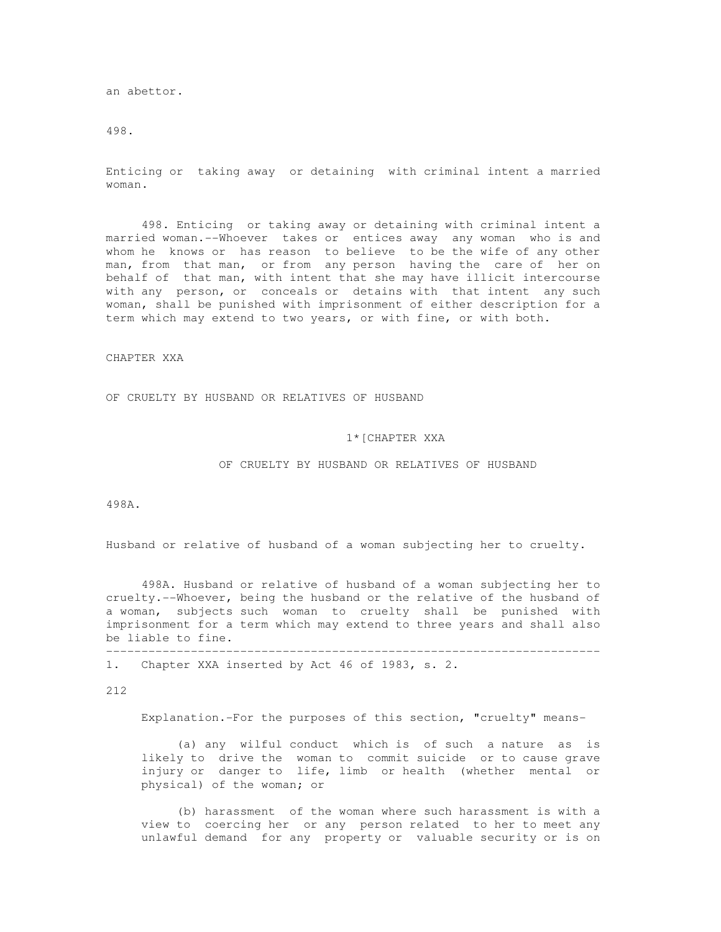an abettor.

498.

Enticing or taking away or detaining with criminal intent a married woman.

 498. Enticing or taking away or detaining with criminal intent a married woman.--Whoever takes or entices away any woman who is and whom he knows or has reason to believe to be the wife of any other man, from that man, or from any person having the care of her on behalf of that man, with intent that she may have illicit intercourse with any person, or conceals or detains with that intent any such woman, shall be punished with imprisonment of either description for a term which may extend to two years, or with fine, or with both.

CHAPTER XXA

OF CRUELTY BY HUSBAND OR RELATIVES OF HUSBAND

#### 1\*[CHAPTER XXA

OF CRUELTY BY HUSBAND OR RELATIVES OF HUSBAND

498A.

Husband or relative of husband of a woman subjecting her to cruelty.

 498A. Husband or relative of husband of a woman subjecting her to cruelty.--Whoever, being the husband or the relative of the husband of a woman, subjects such woman to cruelty shall be punished with imprisonment for a term which may extend to three years and shall also be liable to fine. ----------------------------------------------------------------------

1. Chapter XXA inserted by Act 46 of 1983, s. 2.

212

Explanation.-For the purposes of this section, "cruelty" means-

 (a) any wilful conduct which is of such a nature as is likely to drive the woman to commit suicide or to cause grave injury or danger to life, limb or health (whether mental or physical) of the woman; or

 (b) harassment of the woman where such harassment is with a view to coercing her or any person related to her to meet any unlawful demand for any property or valuable security or is on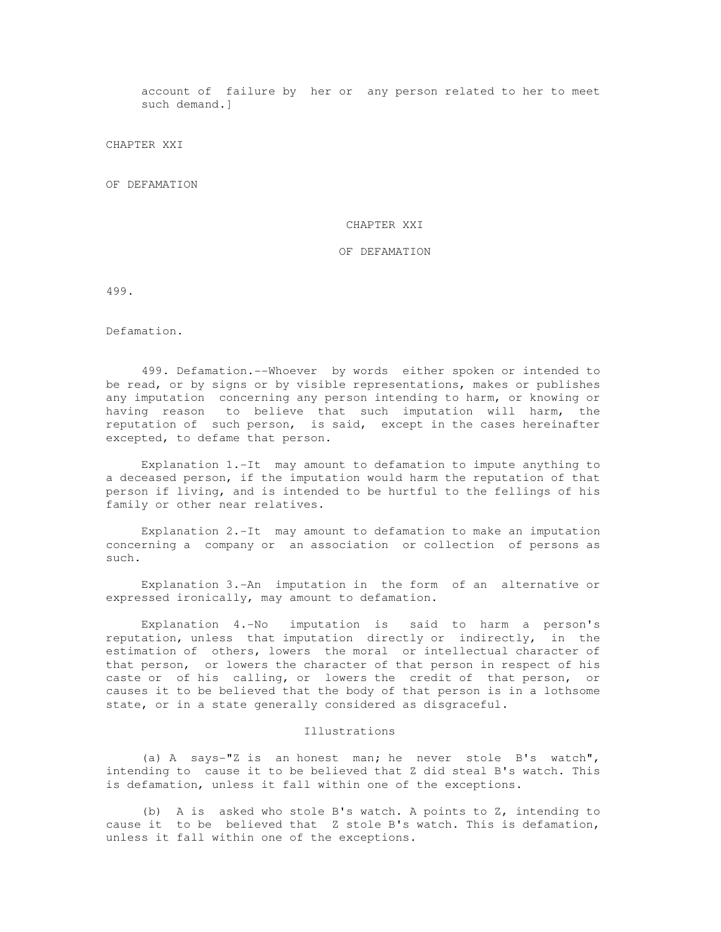account of failure by her or any person related to her to meet such demand.]

CHAPTER XXI

OF DEFAMATION

### CHAPTER XXI

### OF DEFAMATION

499.

Defamation.

 499. Defamation.--Whoever by words either spoken or intended to be read, or by signs or by visible representations, makes or publishes any imputation concerning any person intending to harm, or knowing or having reason to believe that such imputation will harm, the reputation of such person, is said, except in the cases hereinafter excepted, to defame that person.

 Explanation 1.-It may amount to defamation to impute anything to a deceased person, if the imputation would harm the reputation of that person if living, and is intended to be hurtful to the fellings of his family or other near relatives.

 Explanation 2.-It may amount to defamation to make an imputation concerning a company or an association or collection of persons as such.

 Explanation 3.-An imputation in the form of an alternative or expressed ironically, may amount to defamation.

 Explanation 4.-No imputation is said to harm a person's reputation, unless that imputation directly or indirectly, in the estimation of others, lowers the moral or intellectual character of that person, or lowers the character of that person in respect of his caste or of his calling, or lowers the credit of that person, or causes it to be believed that the body of that person is in a lothsome state, or in a state generally considered as disgraceful.

# Illustrations

 (a) A says-"Z is an honest man; he never stole B's watch", intending to cause it to be believed that Z did steal B's watch. This is defamation, unless it fall within one of the exceptions.

 (b) A is asked who stole B's watch. A points to Z, intending to cause it to be believed that Z stole B's watch. This is defamation, unless it fall within one of the exceptions.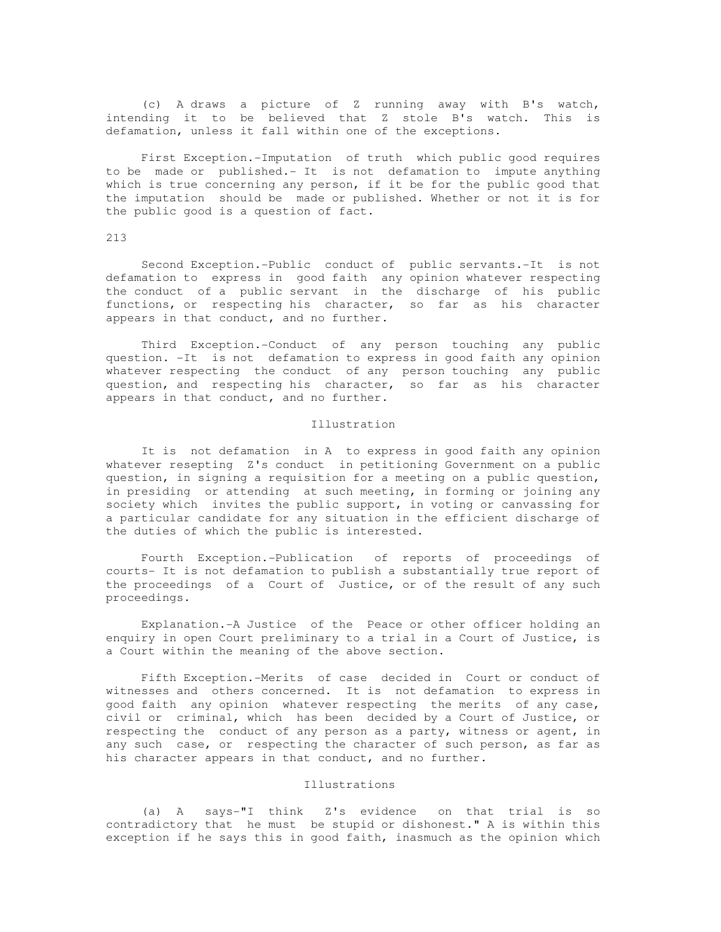(c) A draws a picture of Z running away with B's watch, intending it to be believed that Z stole B's watch. This is defamation, unless it fall within one of the exceptions.

 First Exception.-Imputation of truth which public good requires to be made or published.- It is not defamation to impute anything which is true concerning any person, if it be for the public good that the imputation should be made or published. Whether or not it is for the public good is a question of fact.

## 213

 Second Exception.-Public conduct of public servants.-It is not defamation to express in good faith any opinion whatever respecting the conduct of a public servant in the discharge of his public functions, or respecting his character, so far as his character appears in that conduct, and no further.

 Third Exception.-Conduct of any person touching any public question. -It is not defamation to express in good faith any opinion whatever respecting the conduct of any person touching any public question, and respecting his character, so far as his character appears in that conduct, and no further.

#### Illustration

 It is not defamation in A to express in good faith any opinion whatever resepting Z's conduct in petitioning Government on a public question, in signing a requisition for a meeting on a public question, in presiding or attending at such meeting, in forming or joining any society which invites the public support, in voting or canvassing for a particular candidate for any situation in the efficient discharge of the duties of which the public is interested.

 Fourth Exception.-Publication of reports of proceedings of courts- It is not defamation to publish a substantially true report of the proceedings of a Court of Justice, or of the result of any such proceedings.

 Explanation.-A Justice of the Peace or other officer holding an enquiry in open Court preliminary to a trial in a Court of Justice, is a Court within the meaning of the above section.

 Fifth Exception.-Merits of case decided in Court or conduct of witnesses and others concerned. It is not defamation to express in good faith any opinion whatever respecting the merits of any case, civil or criminal, which has been decided by a Court of Justice, or respecting the conduct of any person as a party, witness or agent, in any such case, or respecting the character of such person, as far as his character appears in that conduct, and no further.

## Illustrations

 (a) A says-"I think Z's evidence on that trial is so contradictory that he must be stupid or dishonest." A is within this exception if he says this in good faith, inasmuch as the opinion which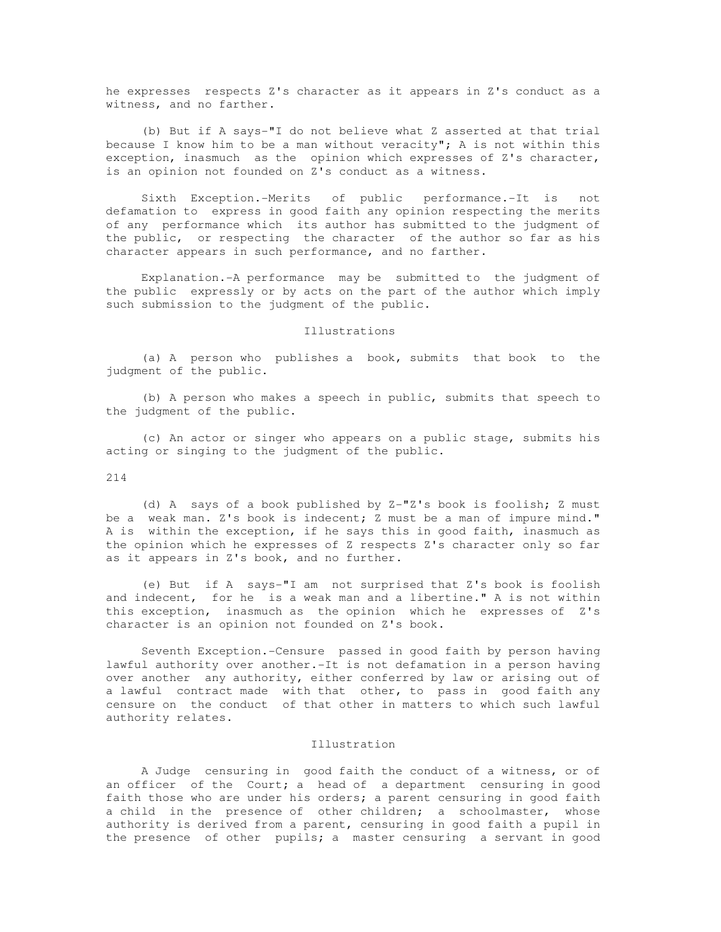he expresses respects Z's character as it appears in Z's conduct as a witness, and no farther.

 (b) But if A says-"I do not believe what Z asserted at that trial because I know him to be a man without veracity"; A is not within this exception, inasmuch as the opinion which expresses of Z's character, is an opinion not founded on Z's conduct as a witness.

 Sixth Exception.-Merits of public performance.-It is not defamation to express in good faith any opinion respecting the merits of any performance which its author has submitted to the judgment of the public, or respecting the character of the author so far as his character appears in such performance, and no farther.

 Explanation.-A performance may be submitted to the judgment of the public expressly or by acts on the part of the author which imply such submission to the judgment of the public.

### Illustrations

 (a) A person who publishes a book, submits that book to the judgment of the public.

 (b) A person who makes a speech in public, submits that speech to the judgment of the public.

 (c) An actor or singer who appears on a public stage, submits his acting or singing to the judgment of the public.

### 214

 (d) A says of a book published by Z-"Z's book is foolish; Z must be a weak man. Z's book is indecent; Z must be a man of impure mind." A is within the exception, if he says this in good faith, inasmuch as the opinion which he expresses of Z respects Z's character only so far as it appears in Z's book, and no further.

 (e) But if A says-"I am not surprised that Z's book is foolish and indecent, for he is a weak man and a libertine." A is not within this exception, inasmuch as the opinion which he expresses of Z's character is an opinion not founded on Z's book.

 Seventh Exception.-Censure passed in good faith by person having lawful authority over another.-It is not defamation in a person having over another any authority, either conferred by law or arising out of a lawful contract made with that other, to pass in good faith any censure on the conduct of that other in matters to which such lawful authority relates.

## Illustration

 A Judge censuring in good faith the conduct of a witness, or of an officer of the Court; a head of a department censuring in good faith those who are under his orders; a parent censuring in good faith a child in the presence of other children; a schoolmaster, whose authority is derived from a parent, censuring in good faith a pupil in the presence of other pupils; a master censuring a servant in good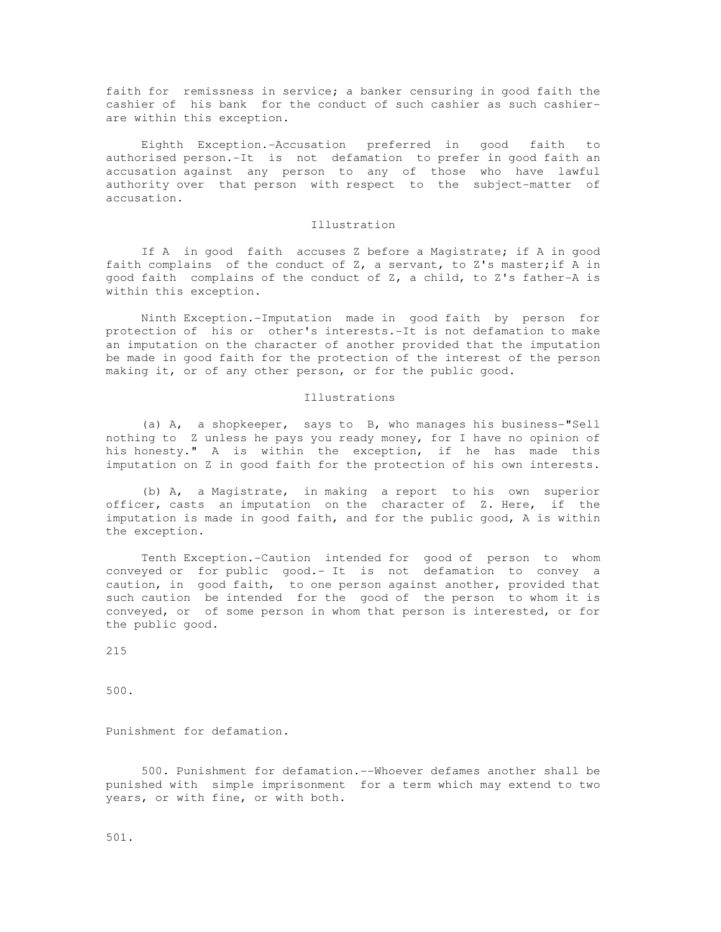faith for remissness in service; a banker censuring in good faith the cashier of his bank for the conduct of such cashier as such cashierare within this exception.

 Eighth Exception.-Accusation preferred in good faith to authorised person.-It is not defamation to prefer in good faith an accusation against any person to any of those who have lawful authority over that person with respect to the subject-matter of accusation.

### Illustration

 If A in good faith accuses Z before a Magistrate; if A in good faith complains of the conduct of Z, a servant, to Z's master;if A in good faith complains of the conduct of Z, a child, to Z's father-A is within this exception.

 Ninth Exception.-Imputation made in good faith by person for protection of his or other's interests.-It is not defamation to make an imputation on the character of another provided that the imputation be made in good faith for the protection of the interest of the person making it, or of any other person, or for the public good.

### Illustrations

 (a) A, a shopkeeper, says to B, who manages his business-"Sell nothing to Z unless he pays you ready money, for I have no opinion of his honesty." A is within the exception, if he has made this imputation on Z in good faith for the protection of his own interests.

 (b) A, a Magistrate, in making a report to his own superior officer, casts an imputation on the character of Z. Here, if the imputation is made in good faith, and for the public good, A is within the exception.

 Tenth Exception.-Caution intended for good of person to whom conveyed or for public good.- It is not defamation to convey a caution, in good faith, to one person against another, provided that such caution be intended for the good of the person to whom it is conveyed, or of some person in whom that person is interested, or for the public good.

215

500.

Punishment for defamation.

 500. Punishment for defamation.--Whoever defames another shall be punished with simple imprisonment for a term which may extend to two years, or with fine, or with both.

501.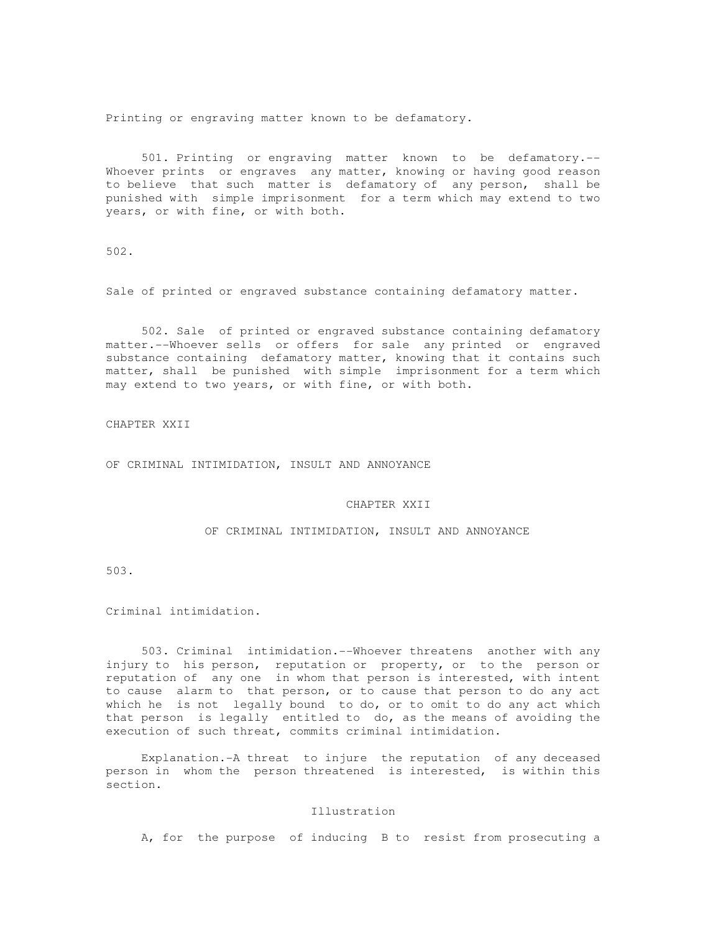Printing or engraving matter known to be defamatory.

 501. Printing or engraving matter known to be defamatory.-- Whoever prints or engraves any matter, knowing or having good reason to believe that such matter is defamatory of any person, shall be punished with simple imprisonment for a term which may extend to two years, or with fine, or with both.

502.

Sale of printed or engraved substance containing defamatory matter.

 502. Sale of printed or engraved substance containing defamatory matter.--Whoever sells or offers for sale any printed or engraved substance containing defamatory matter, knowing that it contains such matter, shall be punished with simple imprisonment for a term which may extend to two years, or with fine, or with both.

CHAPTER XXII

OF CRIMINAL INTIMIDATION, INSULT AND ANNOYANCE

## CHAPTER XXII

OF CRIMINAL INTIMIDATION, INSULT AND ANNOYANCE

503.

Criminal intimidation.

 503. Criminal intimidation.--Whoever threatens another with any injury to his person, reputation or property, or to the person or reputation of any one in whom that person is interested, with intent to cause alarm to that person, or to cause that person to do any act which he is not legally bound to do, or to omit to do any act which that person is legally entitled to do, as the means of avoiding the execution of such threat, commits criminal intimidation.

 Explanation.-A threat to injure the reputation of any deceased person in whom the person threatened is interested, is within this section.

### Illustration

A, for the purpose of inducing B to resist from prosecuting a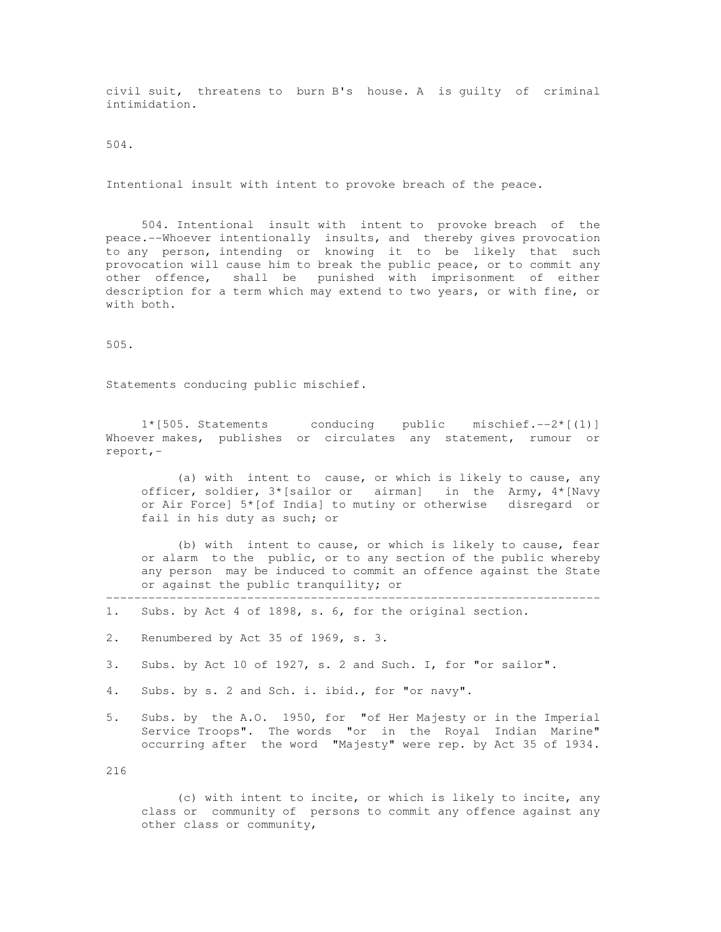civil suit, threatens to burn B's house. A is guilty of criminal intimidation.

504.

Intentional insult with intent to provoke breach of the peace.

 504. Intentional insult with intent to provoke breach of the peace.--Whoever intentionally insults, and thereby gives provocation to any person, intending or knowing it to be likely that such provocation will cause him to break the public peace, or to commit any other offence, shall be punished with imprisonment of either description for a term which may extend to two years, or with fine, or with both.

505.

Statements conducing public mischief.

 1\*[505. Statements conducing public mischief.--2\*[(1)] Whoever makes, publishes or circulates any statement, rumour or report,-

 (a) with intent to cause, or which is likely to cause, any officer, soldier, 3\*[sailor or airman] in the Army, 4\*[Navy or Air Force] 5\*[of India] to mutiny or otherwise disregard or fail in his duty as such; or

 (b) with intent to cause, or which is likely to cause, fear or alarm to the public, or to any section of the public whereby any person may be induced to commit an offence against the State or against the public tranquility; or

----------------------------------------------------------------------

- 1. Subs. by Act 4 of 1898, s. 6, for the original section.
- 2. Renumbered by Act 35 of 1969, s. 3.
- 3. Subs. by Act 10 of 1927, s. 2 and Such. I, for "or sailor".
- 4. Subs. by s. 2 and Sch. i. ibid., for "or navy".
- 5. Subs. by the A.O. 1950, for "of Her Majesty or in the Imperial Service Troops". The words "or in the Royal Indian Marine" occurring after the word "Majesty" were rep. by Act 35 of 1934.

216

 (c) with intent to incite, or which is likely to incite, any class or community of persons to commit any offence against any other class or community,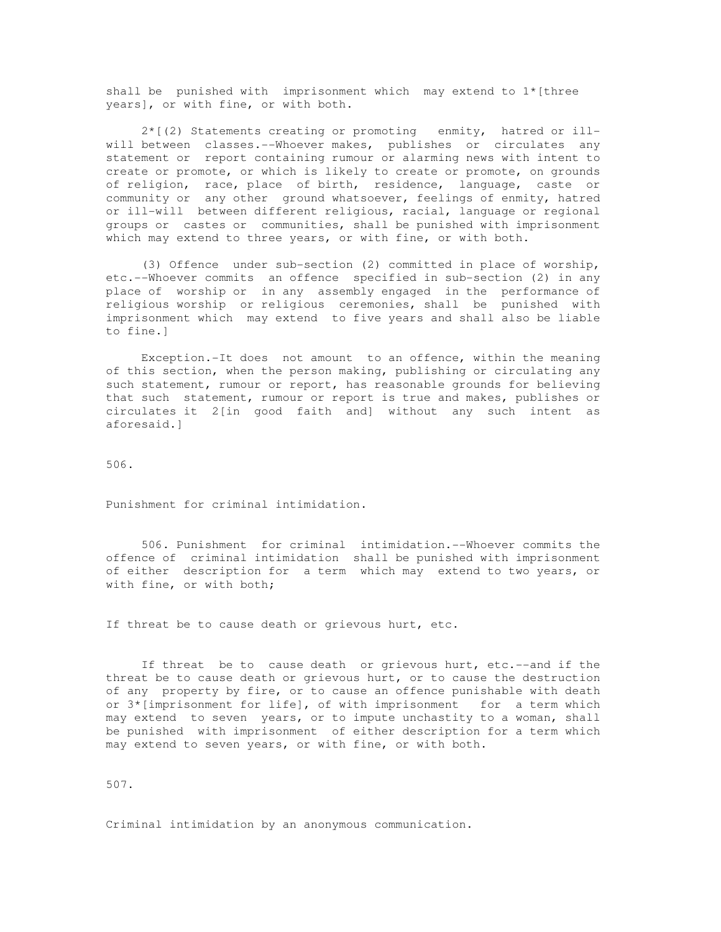shall be punished with imprisonment which may extend to  $1*$  [three years], or with fine, or with both.

 2\*[(2) Statements creating or promoting enmity, hatred or illwill between classes.--Whoever makes, publishes or circulates any statement or report containing rumour or alarming news with intent to create or promote, or which is likely to create or promote, on grounds of religion, race, place of birth, residence, language, caste or community or any other ground whatsoever, feelings of enmity, hatred or ill-will between different religious, racial, language or regional groups or castes or communities, shall be punished with imprisonment which may extend to three years, or with fine, or with both.

 (3) Offence under sub-section (2) committed in place of worship, etc.--Whoever commits an offence specified in sub-section (2) in any place of worship or in any assembly engaged in the performance of religious worship or religious ceremonies, shall be punished with imprisonment which may extend to five years and shall also be liable to fine.]

 Exception.-It does not amount to an offence, within the meaning of this section, when the person making, publishing or circulating any such statement, rumour or report, has reasonable grounds for believing that such statement, rumour or report is true and makes, publishes or circulates it 2[in good faith and] without any such intent as aforesaid.]

506.

Punishment for criminal intimidation.

 506. Punishment for criminal intimidation.--Whoever commits the offence of criminal intimidation shall be punished with imprisonment of either description for a term which may extend to two years, or with fine, or with both;

If threat be to cause death or grievous hurt, etc.

 If threat be to cause death or grievous hurt, etc.--and if the threat be to cause death or grievous hurt, or to cause the destruction of any property by fire, or to cause an offence punishable with death or 3\*[imprisonment for life], of with imprisonment for a term which may extend to seven years, or to impute unchastity to a woman, shall be punished with imprisonment of either description for a term which may extend to seven years, or with fine, or with both.

507.

Criminal intimidation by an anonymous communication.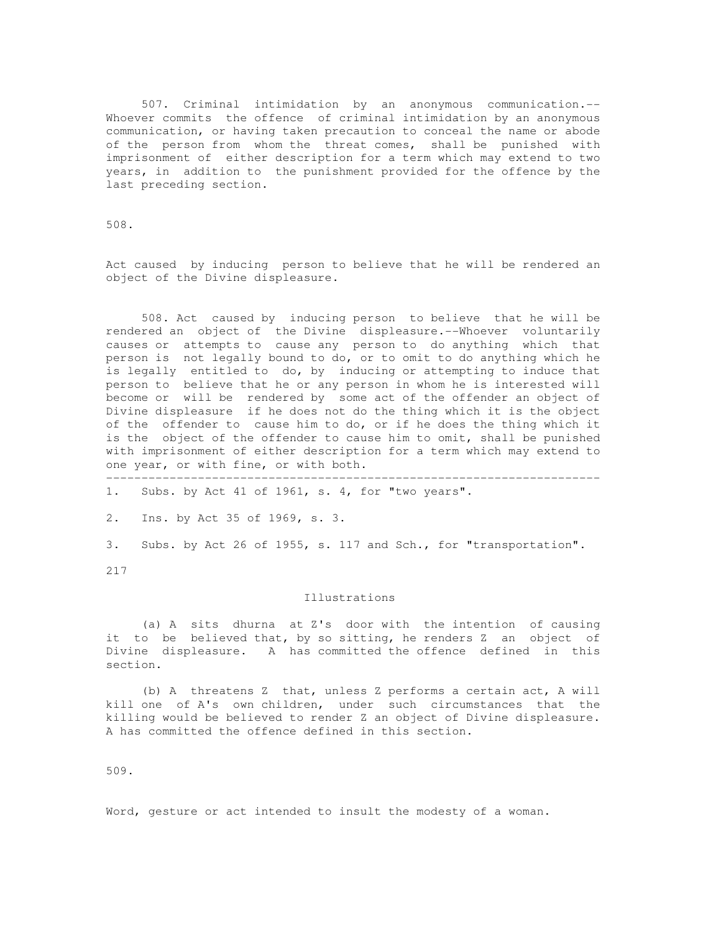507. Criminal intimidation by an anonymous communication.-- Whoever commits the offence of criminal intimidation by an anonymous communication, or having taken precaution to conceal the name or abode of the person from whom the threat comes, shall be punished with imprisonment of either description for a term which may extend to two years, in addition to the punishment provided for the offence by the last preceding section.

508.

Act caused by inducing person to believe that he will be rendered an object of the Divine displeasure.

 508. Act caused by inducing person to believe that he will be rendered an object of the Divine displeasure.--Whoever voluntarily causes or attempts to cause any person to do anything which that person is not legally bound to do, or to omit to do anything which he is legally entitled to do, by inducing or attempting to induce that person to believe that he or any person in whom he is interested will become or will be rendered by some act of the offender an object of Divine displeasure if he does not do the thing which it is the object of the offender to cause him to do, or if he does the thing which it is the object of the offender to cause him to omit, shall be punished with imprisonment of either description for a term which may extend to one year, or with fine, or with both. ----------------------------------------------------------------------

1. Subs. by Act 41 of 1961, s. 4, for "two years".

2. Ins. by Act 35 of 1969, s. 3.

3. Subs. by Act 26 of 1955, s. 117 and Sch., for "transportation".

217

### Illustrations

 (a) A sits dhurna at Z's door with the intention of causing it to be believed that, by so sitting, he renders Z an object of Divine displeasure. A has committed the offence defined in this section.

 (b) A threatens Z that, unless Z performs a certain act, A will kill one of A's own children, under such circumstances that the killing would be believed to render Z an object of Divine displeasure. A has committed the offence defined in this section.

509.

Word, gesture or act intended to insult the modesty of a woman.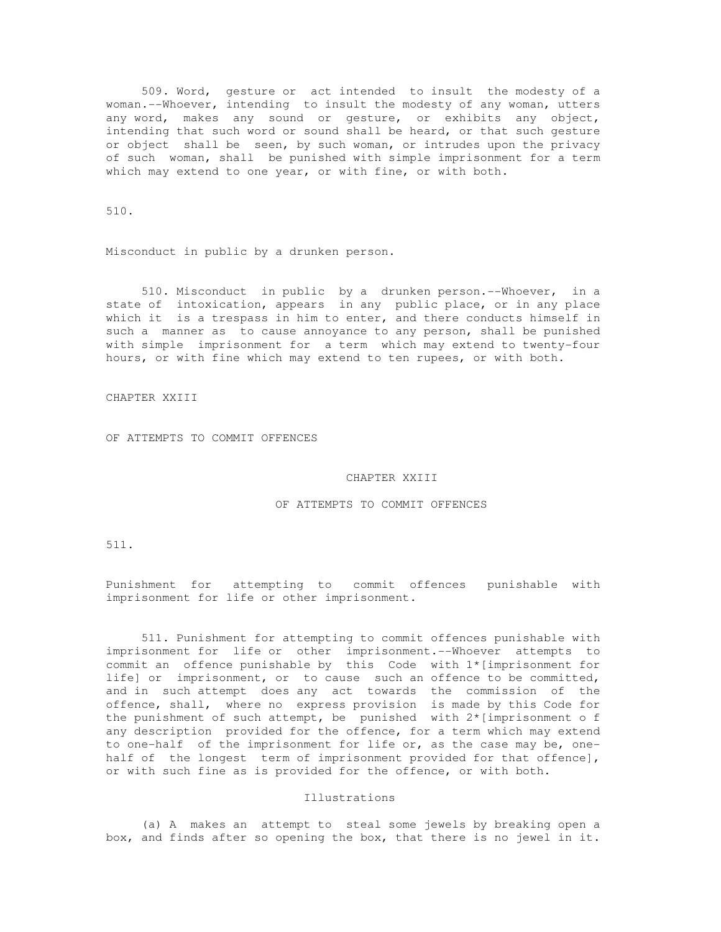509. Word, gesture or act intended to insult the modesty of a woman.--Whoever, intending to insult the modesty of any woman, utters any word, makes any sound or gesture, or exhibits any object, intending that such word or sound shall be heard, or that such gesture or object shall be seen, by such woman, or intrudes upon the privacy of such woman, shall be punished with simple imprisonment for a term which may extend to one year, or with fine, or with both.

510.

Misconduct in public by a drunken person.

 510. Misconduct in public by a drunken person.--Whoever, in a state of intoxication, appears in any public place, or in any place which it is a trespass in him to enter, and there conducts himself in such a manner as to cause annoyance to any person, shall be punished with simple imprisonment for a term which may extend to twenty-four hours, or with fine which may extend to ten rupees, or with both.

CHAPTER XXIII

OF ATTEMPTS TO COMMIT OFFENCES

### CHAPTER XXIII

# OF ATTEMPTS TO COMMIT OFFENCES

511.

Punishment for attempting to commit offences punishable with imprisonment for life or other imprisonment.

 511. Punishment for attempting to commit offences punishable with imprisonment for life or other imprisonment.--Whoever attempts to commit an offence punishable by this Code with 1\*[imprisonment for life] or imprisonment, or to cause such an offence to be committed, and in such attempt does any act towards the commission of the offence, shall, where no express provision is made by this Code for the punishment of such attempt, be punished with  $2*$ [imprisonment o f any description provided for the offence, for a term which may extend to one-half of the imprisonment for life or, as the case may be, onehalf of the longest term of imprisonment provided for that offence], or with such fine as is provided for the offence, or with both.

#### Illustrations

 (a) A makes an attempt to steal some jewels by breaking open a box, and finds after so opening the box, that there is no jewel in it.